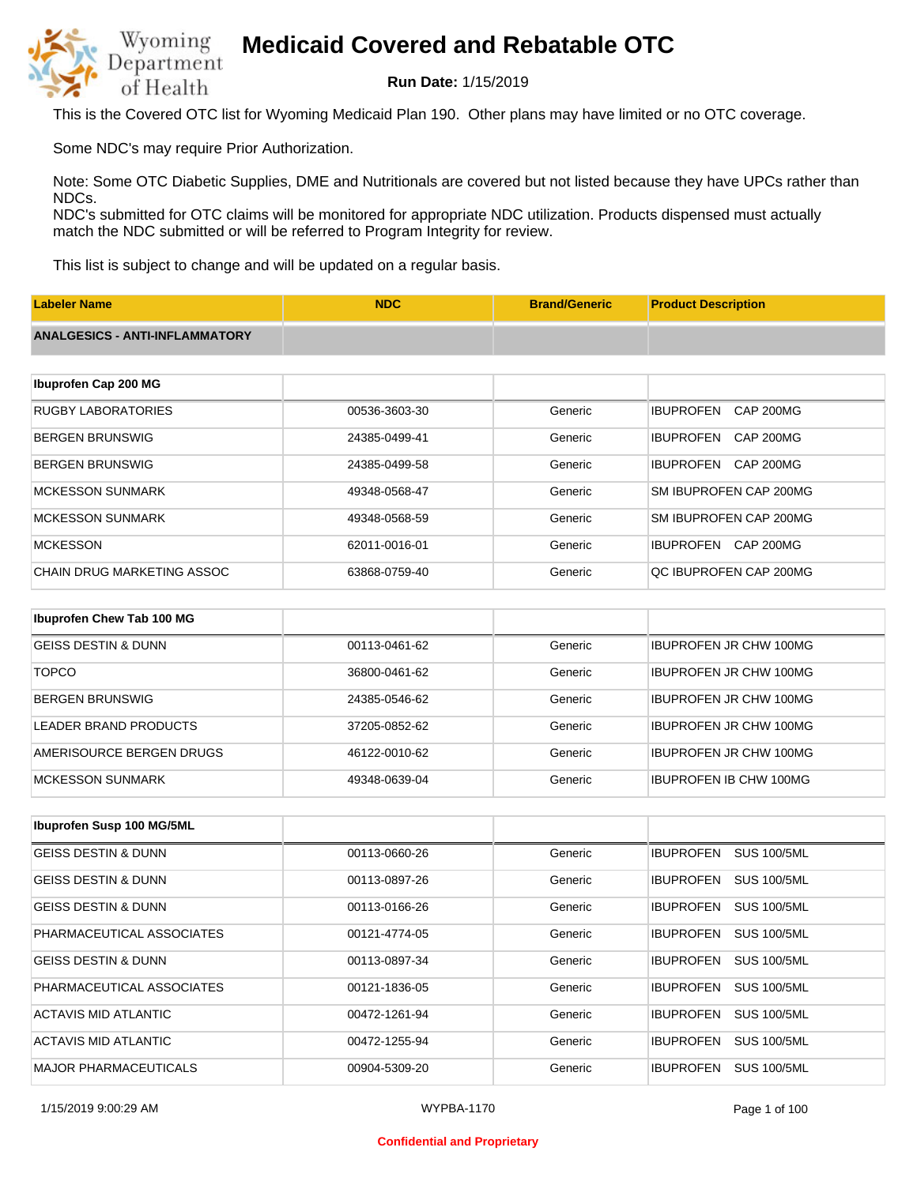

**Run Date:** 1/15/2019

This is the Covered OTC list for Wyoming Medicaid Plan 190. Other plans may have limited or no OTC coverage.

Some NDC's may require Prior Authorization.

Note: Some OTC Diabetic Supplies, DME and Nutritionals are covered but not listed because they have UPCs rather than NDCs.

NDC's submitted for OTC claims will be monitored for appropriate NDC utilization. Products dispensed must actually match the NDC submitted or will be referred to Program Integrity for review.

This list is subject to change and will be updated on a regular basis.

| <b>Labeler Name</b>                   | <b>NDC</b>    | <b>Brand/Generic</b> | <b>Product Description</b>           |
|---------------------------------------|---------------|----------------------|--------------------------------------|
| <b>ANALGESICS - ANTI-INFLAMMATORY</b> |               |                      |                                      |
|                                       |               |                      |                                      |
| Ibuprofen Cap 200 MG                  |               |                      |                                      |
| <b>RUGBY LABORATORIES</b>             | 00536-3603-30 | Generic              | <b>IBUPROFEN</b><br><b>CAP 200MG</b> |
| <b>BERGEN BRUNSWIG</b>                | 24385-0499-41 | Generic              | <b>IBUPROFEN</b><br>CAP 200MG        |
| <b>BERGEN BRUNSWIG</b>                | 24385-0499-58 | Generic              | <b>IBUPROFEN</b><br>CAP 200MG        |
| <b>MCKESSON SUNMARK</b>               | 49348-0568-47 | Generic              | SM IBUPROFEN CAP 200MG               |
| <b>MCKESSON SUNMARK</b>               | 49348-0568-59 | Generic              | SM IBUPROFEN CAP 200MG               |
| <b>MCKESSON</b>                       | 62011-0016-01 | Generic              | <b>IBUPROFEN</b><br>CAP 200MG        |
| <b>CHAIN DRUG MARKETING ASSOC</b>     | 63868-0759-40 | Generic              | QC IBUPROFEN CAP 200MG               |
|                                       |               |                      |                                      |
| Ibuprofen Chew Tab 100 MG             |               |                      |                                      |
| <b>GEISS DESTIN &amp; DUNN</b>        | 00113-0461-62 | Generic              | <b>IBUPROFEN JR CHW 100MG</b>        |
| <b>TOPCO</b>                          | 36800-0461-62 | Generic              | <b>IBUPROFEN JR CHW 100MG</b>        |

| IBERGEN BRUNSWIG         | 24385-0546-62 | Generic | <b>IBUPROFEN JR CHW 100MG</b> |
|--------------------------|---------------|---------|-------------------------------|
| LEADER BRAND PRODUCTS    | 37205-0852-62 | Generic | <b>IBUPROFEN JR CHW 100MG</b> |
| AMERISOURCE BERGEN DRUGS | 46122-0010-62 | Generic | <b>IBUPROFEN JR CHW 100MG</b> |
| IMCKESSON SUNMARK        | 49348-0639-04 | Generic | <b>IBUPROFEN IB CHW 100MG</b> |

| Ibuprofen Susp 100 MG/5ML      |               |         |                                        |
|--------------------------------|---------------|---------|----------------------------------------|
| <b>GEISS DESTIN &amp; DUNN</b> | 00113-0660-26 | Generic | <b>SUS 100/5ML</b><br><b>IBUPROFEN</b> |
| <b>GEISS DESTIN &amp; DUNN</b> | 00113-0897-26 | Generic | <b>SUS 100/5ML</b><br><b>IBUPROFEN</b> |
| <b>GEISS DESTIN &amp; DUNN</b> | 00113-0166-26 | Generic | <b>IBUPROFEN</b><br><b>SUS 100/5ML</b> |
| PHARMACEUTICAL ASSOCIATES      | 00121-4774-05 | Generic | <b>SUS 100/5ML</b><br><b>IBUPROFEN</b> |
| <b>GEISS DESTIN &amp; DUNN</b> | 00113-0897-34 | Generic | <b>IBUPROFEN</b><br><b>SUS 100/5ML</b> |
| PHARMACEUTICAL ASSOCIATES      | 00121-1836-05 | Generic | <b>SUS 100/5ML</b><br><b>IBUPROFEN</b> |
| ACTAVIS MID ATLANTIC           | 00472-1261-94 | Generic | <b>SUS 100/5ML</b><br><b>IBUPROFEN</b> |
| ACTAVIS MID ATLANTIC           | 00472-1255-94 | Generic | <b>SUS 100/5ML</b><br><b>IBUPROFEN</b> |
| <b>MAJOR PHARMACEUTICALS</b>   | 00904-5309-20 | Generic | <b>SUS 100/5ML</b><br><b>IBUPROFEN</b> |

#### **Confidential and Proprietary**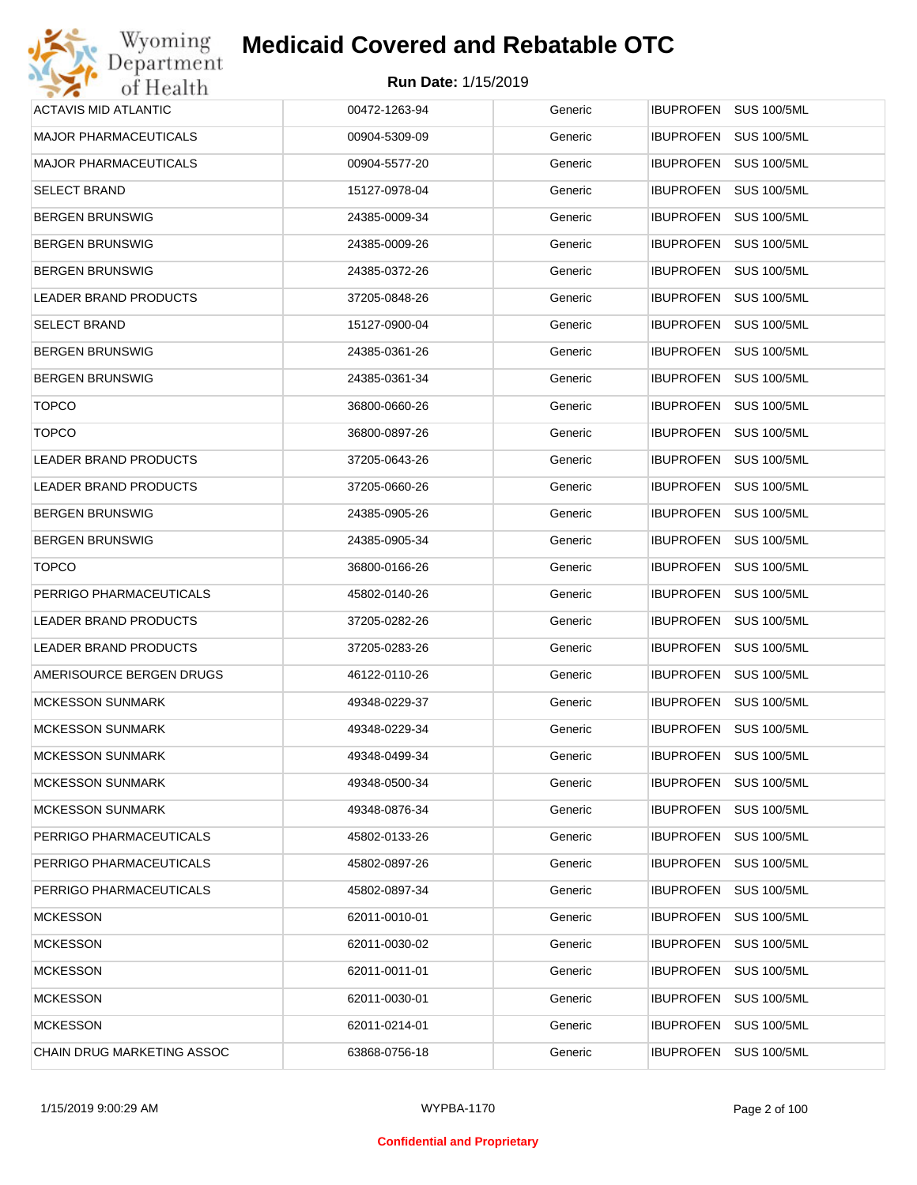| Wyoming                      | <b>Medicaid Covered and Rebatable OTC</b> |         |                                        |
|------------------------------|-------------------------------------------|---------|----------------------------------------|
| Department<br>of Health      | <b>Run Date: 1/15/2019</b>                |         |                                        |
| <b>ACTAVIS MID ATLANTIC</b>  | 00472-1263-94                             | Generic | IBUPROFEN SUS 100/5ML                  |
| <b>MAJOR PHARMACEUTICALS</b> | 00904-5309-09                             | Generic | <b>IBUPROFEN</b><br><b>SUS 100/5ML</b> |
| <b>MAJOR PHARMACEUTICALS</b> | 00904-5577-20                             | Generic | <b>SUS 100/5ML</b><br><b>IBUPROFEN</b> |
| <b>SELECT BRAND</b>          | 15127-0978-04                             | Generic | <b>IBUPROFEN</b><br><b>SUS 100/5ML</b> |
| <b>BERGEN BRUNSWIG</b>       | 24385-0009-34                             | Generic | <b>IBUPROFEN</b><br><b>SUS 100/5ML</b> |
| <b>BERGEN BRUNSWIG</b>       | 24385-0009-26                             | Generic | <b>IBUPROFEN</b><br><b>SUS 100/5ML</b> |
| <b>BERGEN BRUNSWIG</b>       | 24385-0372-26                             | Generic | <b>IBUPROFEN</b><br><b>SUS 100/5ML</b> |
| LEADER BRAND PRODUCTS        | 37205-0848-26                             | Generic | <b>IBUPROFEN</b><br><b>SUS 100/5ML</b> |
| <b>SELECT BRAND</b>          | 15127-0900-04                             | Generic | <b>IBUPROFEN</b><br><b>SUS 100/5ML</b> |
| <b>BERGEN BRUNSWIG</b>       | 24385-0361-26                             | Generic | <b>IBUPROFEN</b><br><b>SUS 100/5ML</b> |
| <b>BERGEN BRUNSWIG</b>       | 24385-0361-34                             | Generic | <b>IBUPROFEN</b><br><b>SUS 100/5ML</b> |
| <b>TOPCO</b>                 | 36800-0660-26                             | Generic | <b>IBUPROFEN</b><br><b>SUS 100/5ML</b> |
| <b>TOPCO</b>                 | 36800-0897-26                             | Generic | <b>IBUPROFEN</b><br><b>SUS 100/5ML</b> |
| LEADER BRAND PRODUCTS        | 37205-0643-26                             | Generic | <b>IBUPROFEN</b><br><b>SUS 100/5ML</b> |
| LEADER BRAND PRODUCTS        | 37205-0660-26                             | Generic | <b>IBUPROFEN</b><br><b>SUS 100/5ML</b> |
| <b>BERGEN BRUNSWIG</b>       | 24385-0905-26                             | Generic | <b>IBUPROFEN</b><br><b>SUS 100/5ML</b> |
| <b>BERGEN BRUNSWIG</b>       | 24385-0905-34                             | Generic | <b>IBUPROFEN</b><br><b>SUS 100/5ML</b> |
| <b>TOPCO</b>                 | 36800-0166-26                             | Generic | <b>IBUPROFEN</b><br><b>SUS 100/5ML</b> |
| PERRIGO PHARMACEUTICALS      | 45802-0140-26                             | Generic | <b>IBUPROFEN</b><br><b>SUS 100/5ML</b> |
| LEADER BRAND PRODUCTS        | 37205-0282-26                             | Generic | IBUPROFEN<br><b>SUS 100/5ML</b>        |
| LEADER BRAND PRODUCTS        | 37205-0283-26                             | Generic | <b>SUS 100/5ML</b><br><b>IBUPROFEN</b> |
| AMERISOURCE BERGEN DRUGS     | 46122-0110-26                             | Generic | IBUPROFEN SUS 100/5ML                  |
| <b>MCKESSON SUNMARK</b>      | 49348-0229-37                             | Generic | IBUPROFEN SUS 100/5ML                  |
| <b>MCKESSON SUNMARK</b>      | 49348-0229-34                             | Generic | <b>IBUPROFEN</b><br><b>SUS 100/5ML</b> |
| <b>MCKESSON SUNMARK</b>      | 49348-0499-34                             | Generic | <b>IBUPROFEN</b><br><b>SUS 100/5ML</b> |
| <b>MCKESSON SUNMARK</b>      | 49348-0500-34                             | Generic | <b>IBUPROFEN</b><br><b>SUS 100/5ML</b> |
| <b>MCKESSON SUNMARK</b>      | 49348-0876-34                             | Generic | <b>IBUPROFEN</b><br><b>SUS 100/5ML</b> |
| PERRIGO PHARMACEUTICALS      | 45802-0133-26                             | Generic | <b>IBUPROFEN</b><br><b>SUS 100/5ML</b> |
| PERRIGO PHARMACEUTICALS      | 45802-0897-26                             | Generic | <b>IBUPROFEN</b><br><b>SUS 100/5ML</b> |
| PERRIGO PHARMACEUTICALS      | 45802-0897-34                             | Generic | <b>IBUPROFEN</b><br><b>SUS 100/5ML</b> |
| <b>MCKESSON</b>              | 62011-0010-01                             | Generic | <b>IBUPROFEN</b><br><b>SUS 100/5ML</b> |
| <b>MCKESSON</b>              | 62011-0030-02                             | Generic | <b>IBUPROFEN</b><br><b>SUS 100/5ML</b> |
| <b>MCKESSON</b>              | 62011-0011-01                             | Generic | <b>IBUPROFEN</b><br><b>SUS 100/5ML</b> |
| <b>MCKESSON</b>              | 62011-0030-01                             | Generic | <b>IBUPROFEN</b><br><b>SUS 100/5ML</b> |
| <b>MCKESSON</b>              | 62011-0214-01                             | Generic | <b>SUS 100/5ML</b><br><b>IBUPROFEN</b> |
| CHAIN DRUG MARKETING ASSOC   | 63868-0756-18                             | Generic | <b>SUS 100/5ML</b><br><b>IBUPROFEN</b> |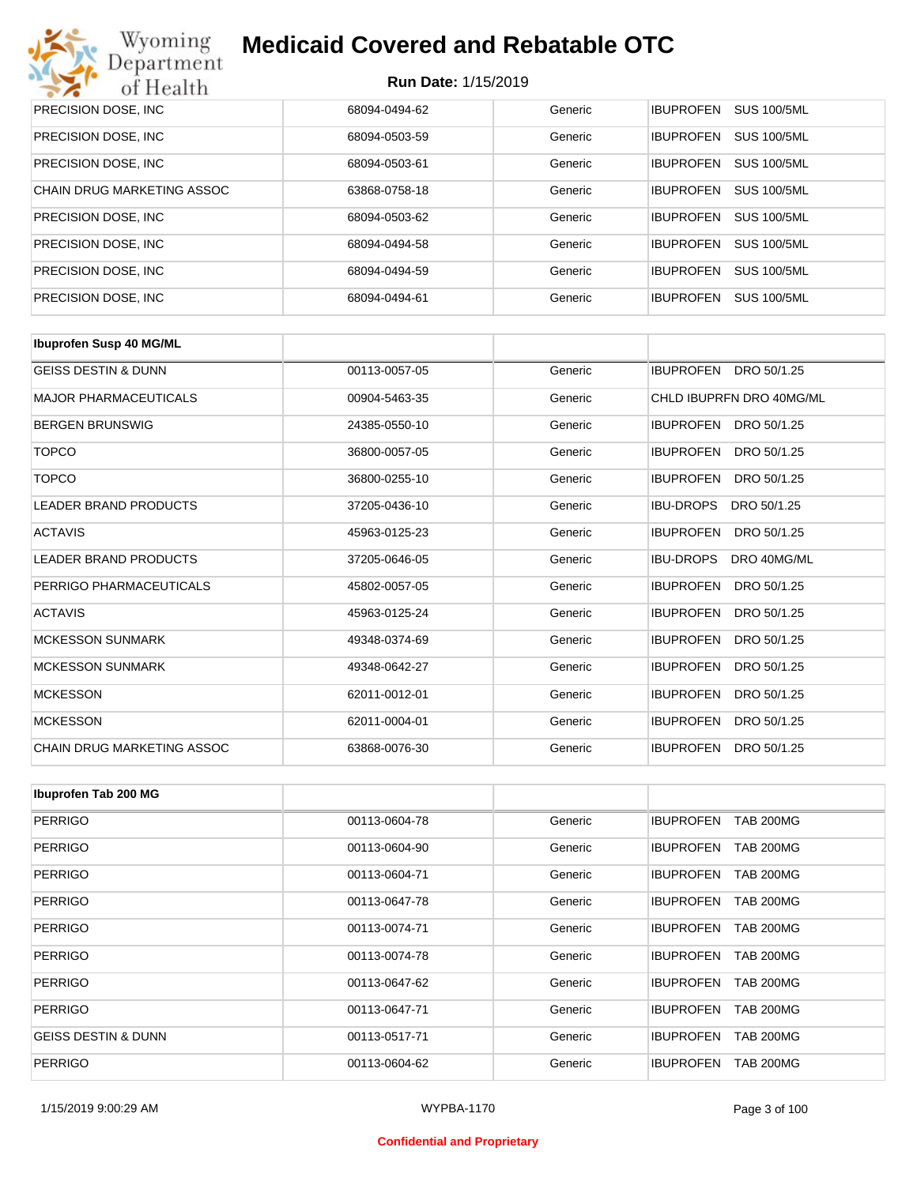

| PRECISION DOSE, INC.       | 68094-0494-62 | Generic | <b>SUS 100/5ML</b><br><b>IBUPROFEN</b> |
|----------------------------|---------------|---------|----------------------------------------|
| PRECISION DOSE, INC.       | 68094-0503-59 | Generic | <b>SUS 100/5ML</b><br><b>IBUPROFEN</b> |
| PRECISION DOSE, INC.       | 68094-0503-61 | Generic | <b>SUS 100/5ML</b><br><b>IBUPROFEN</b> |
| CHAIN DRUG MARKETING ASSOC | 63868-0758-18 | Generic | <b>SUS 100/5ML</b><br><b>IBUPROFEN</b> |
| PRECISION DOSE, INC.       | 68094-0503-62 | Generic | <b>SUS 100/5ML</b><br><b>IBUPROFEN</b> |
| PRECISION DOSE, INC.       | 68094-0494-58 | Generic | <b>SUS 100/5ML</b><br><b>IBUPROFEN</b> |
| PRECISION DOSE, INC.       | 68094-0494-59 | Generic | <b>SUS 100/5ML</b><br><b>IBUPROFEN</b> |
| PRECISION DOSE, INC.       | 68094-0494-61 | Generic | <b>IBUPROFEN</b><br><b>SUS 100/5ML</b> |

| <b>Ibuprofen Susp 40 MG/ML</b>    |               |         |                                 |
|-----------------------------------|---------------|---------|---------------------------------|
| <b>GEISS DESTIN &amp; DUNN</b>    | 00113-0057-05 | Generic | <b>IBUPROFEN</b><br>DRO 50/1.25 |
| <b>MAJOR PHARMACEUTICALS</b>      | 00904-5463-35 | Generic | CHLD IBUPRFN DRO 40MG/ML        |
| <b>BERGEN BRUNSWIG</b>            | 24385-0550-10 | Generic | DRO 50/1.25<br><b>IBUPROFEN</b> |
| <b>TOPCO</b>                      | 36800-0057-05 | Generic | <b>IBUPROFEN</b><br>DRO 50/1.25 |
| <b>TOPCO</b>                      | 36800-0255-10 | Generic | <b>IBUPROFEN</b><br>DRO 50/1.25 |
| <b>LEADER BRAND PRODUCTS</b>      | 37205-0436-10 | Generic | <b>IBU-DROPS</b><br>DRO 50/1.25 |
| <b>ACTAVIS</b>                    | 45963-0125-23 | Generic | <b>IBUPROFEN</b><br>DRO 50/1.25 |
| <b>LEADER BRAND PRODUCTS</b>      | 37205-0646-05 | Generic | DRO 40MG/ML<br><b>IBU-DROPS</b> |
| PERRIGO PHARMACEUTICALS           | 45802-0057-05 | Generic | <b>IBUPROFEN</b><br>DRO 50/1.25 |
| <b>ACTAVIS</b>                    | 45963-0125-24 | Generic | <b>IBUPROFEN</b><br>DRO 50/1.25 |
| <b>MCKESSON SUNMARK</b>           | 49348-0374-69 | Generic | <b>IBUPROFEN</b><br>DRO 50/1.25 |
| <b>MCKESSON SUNMARK</b>           | 49348-0642-27 | Generic | <b>IBUPROFEN</b><br>DRO 50/1.25 |
| <b>MCKESSON</b>                   | 62011-0012-01 | Generic | <b>IBUPROFEN</b><br>DRO 50/1.25 |
| <b>MCKESSON</b>                   | 62011-0004-01 | Generic | <b>IBUPROFEN</b><br>DRO 50/1.25 |
| <b>CHAIN DRUG MARKETING ASSOC</b> | 63868-0076-30 | Generic | <b>IBUPROFEN</b><br>DRO 50/1.25 |

| Ibuprofen Tab 200 MG           |               |         |                                      |
|--------------------------------|---------------|---------|--------------------------------------|
| <b>PERRIGO</b>                 | 00113-0604-78 | Generic | <b>TAB 200MG</b><br><b>IBUPROFEN</b> |
| <b>PERRIGO</b>                 | 00113-0604-90 | Generic | <b>IBUPROFEN</b><br><b>TAB 200MG</b> |
| <b>PERRIGO</b>                 | 00113-0604-71 | Generic | <b>TAB 200MG</b><br><b>IBUPROFEN</b> |
| <b>PERRIGO</b>                 | 00113-0647-78 | Generic | <b>TAB 200MG</b><br><b>IBUPROFEN</b> |
| <b>PERRIGO</b>                 | 00113-0074-71 | Generic | <b>IBUPROFEN</b><br><b>TAB 200MG</b> |
| <b>PERRIGO</b>                 | 00113-0074-78 | Generic | <b>IBUPROFEN</b><br><b>TAB 200MG</b> |
| <b>PERRIGO</b>                 | 00113-0647-62 | Generic | <b>IBUPROFEN</b><br><b>TAB 200MG</b> |
| <b>PERRIGO</b>                 | 00113-0647-71 | Generic | <b>IBUPROFEN</b><br><b>TAB 200MG</b> |
| <b>GEISS DESTIN &amp; DUNN</b> | 00113-0517-71 | Generic | <b>TAB 200MG</b><br><b>IBUPROFEN</b> |
| <b>PERRIGO</b>                 | 00113-0604-62 | Generic | <b>IBUPROFEN</b><br><b>TAB 200MG</b> |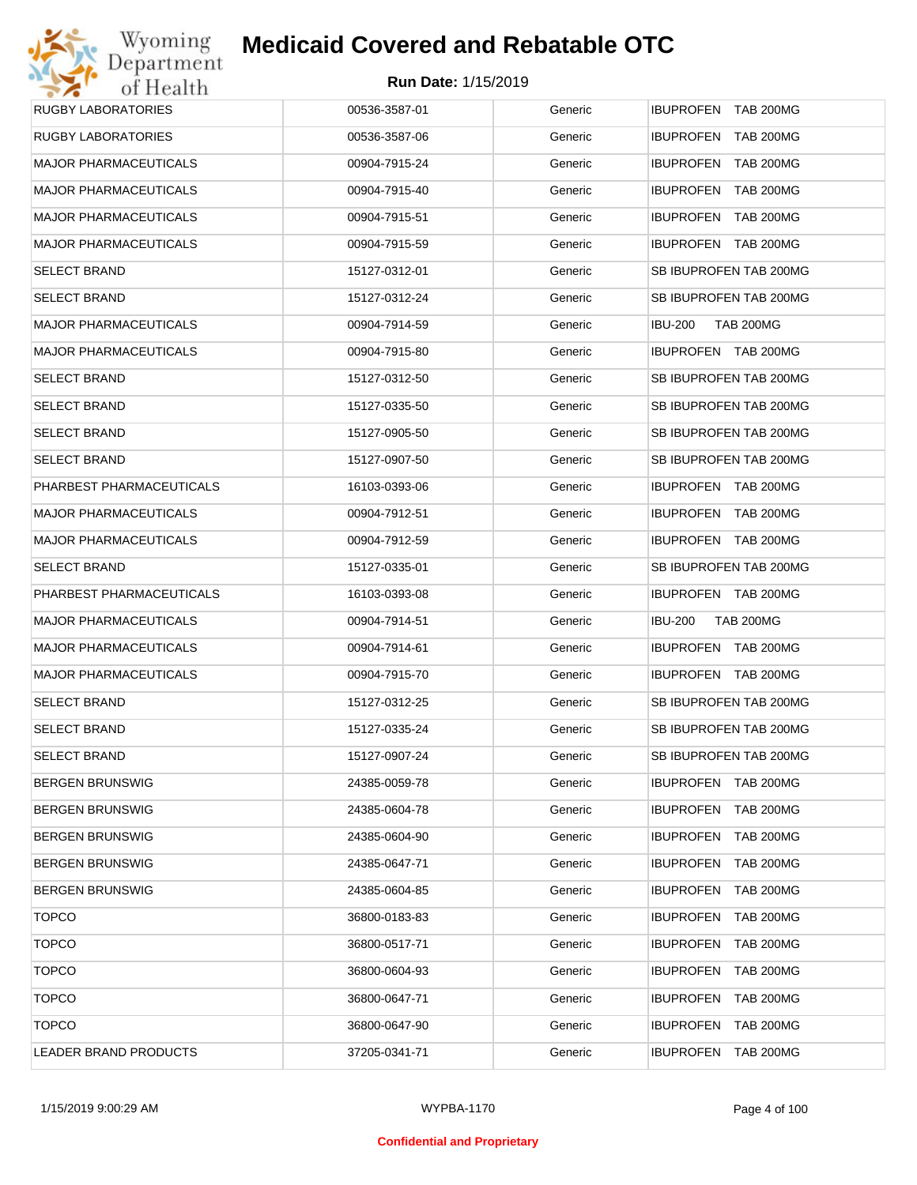## Wyoming<br>Department<br>of Health **Medicaid Covered and Rebatable OTC**

| <b>RUGBY LABORATORIES</b>    | 00536-3587-01 | Generic | IBUPROFEN TAB 200MG                |
|------------------------------|---------------|---------|------------------------------------|
| <b>RUGBY LABORATORIES</b>    | 00536-3587-06 | Generic | IBUPROFEN TAB 200MG                |
| <b>MAJOR PHARMACEUTICALS</b> | 00904-7915-24 | Generic | IBUPROFEN TAB 200MG                |
| <b>MAJOR PHARMACEUTICALS</b> | 00904-7915-40 | Generic | IBUPROFEN TAB 200MG                |
| <b>MAJOR PHARMACEUTICALS</b> | 00904-7915-51 | Generic | IBUPROFEN TAB 200MG                |
| <b>MAJOR PHARMACEUTICALS</b> | 00904-7915-59 | Generic | IBUPROFEN TAB 200MG                |
| <b>SELECT BRAND</b>          | 15127-0312-01 | Generic | SB IBUPROFEN TAB 200MG             |
| <b>SELECT BRAND</b>          | 15127-0312-24 | Generic | SB IBUPROFEN TAB 200MG             |
| <b>MAJOR PHARMACEUTICALS</b> | 00904-7914-59 | Generic | <b>TAB 200MG</b><br><b>IBU-200</b> |
| <b>MAJOR PHARMACEUTICALS</b> | 00904-7915-80 | Generic | IBUPROFEN TAB 200MG                |
| <b>SELECT BRAND</b>          | 15127-0312-50 | Generic | SB IBUPROFEN TAB 200MG             |
| <b>SELECT BRAND</b>          | 15127-0335-50 | Generic | SB IBUPROFEN TAB 200MG             |
| <b>SELECT BRAND</b>          | 15127-0905-50 | Generic | SB IBUPROFEN TAB 200MG             |
| <b>SELECT BRAND</b>          | 15127-0907-50 | Generic | SB IBUPROFEN TAB 200MG             |
| PHARBEST PHARMACEUTICALS     | 16103-0393-06 | Generic | IBUPROFEN TAB 200MG                |
| <b>MAJOR PHARMACEUTICALS</b> | 00904-7912-51 | Generic | IBUPROFEN TAB 200MG                |
| <b>MAJOR PHARMACEUTICALS</b> | 00904-7912-59 | Generic | IBUPROFEN TAB 200MG                |
| <b>SELECT BRAND</b>          | 15127-0335-01 | Generic | SB IBUPROFEN TAB 200MG             |
| PHARBEST PHARMACEUTICALS     | 16103-0393-08 | Generic | IBUPROFEN TAB 200MG                |
| <b>MAJOR PHARMACEUTICALS</b> | 00904-7914-51 | Generic | <b>IBU-200</b><br><b>TAB 200MG</b> |
| <b>MAJOR PHARMACEUTICALS</b> | 00904-7914-61 | Generic | IBUPROFEN TAB 200MG                |
| <b>MAJOR PHARMACEUTICALS</b> | 00904-7915-70 | Generic | IBUPROFEN TAB 200MG                |
| <b>SELECT BRAND</b>          | 15127-0312-25 | Generic | SB IBUPROFEN TAB 200MG             |
| <b>SELECT BRAND</b>          | 15127-0335-24 | Generic | SB IBUPROFEN TAB 200MG             |
| <b>SELECT BRAND</b>          | 15127-0907-24 | Generic | SB IBUPROFEN TAB 200MG             |
| <b>BERGEN BRUNSWIG</b>       | 24385-0059-78 | Generic | <b>IBUPROFEN TAB 200MG</b>         |
| <b>BERGEN BRUNSWIG</b>       | 24385-0604-78 | Generic | IBUPROFEN TAB 200MG                |
| <b>BERGEN BRUNSWIG</b>       | 24385-0604-90 | Generic | IBUPROFEN TAB 200MG                |
| <b>BERGEN BRUNSWIG</b>       | 24385-0647-71 | Generic | IBUPROFEN TAB 200MG                |
| <b>BERGEN BRUNSWIG</b>       | 24385-0604-85 | Generic | IBUPROFEN TAB 200MG                |
| <b>TOPCO</b>                 | 36800-0183-83 | Generic | IBUPROFEN TAB 200MG                |
| <b>TOPCO</b>                 | 36800-0517-71 | Generic | IBUPROFEN TAB 200MG                |
| <b>TOPCO</b>                 | 36800-0604-93 | Generic | IBUPROFEN TAB 200MG                |
| <b>TOPCO</b>                 | 36800-0647-71 | Generic | IBUPROFEN TAB 200MG                |
| <b>TOPCO</b>                 | 36800-0647-90 | Generic | IBUPROFEN TAB 200MG                |
| LEADER BRAND PRODUCTS        | 37205-0341-71 | Generic | IBUPROFEN TAB 200MG                |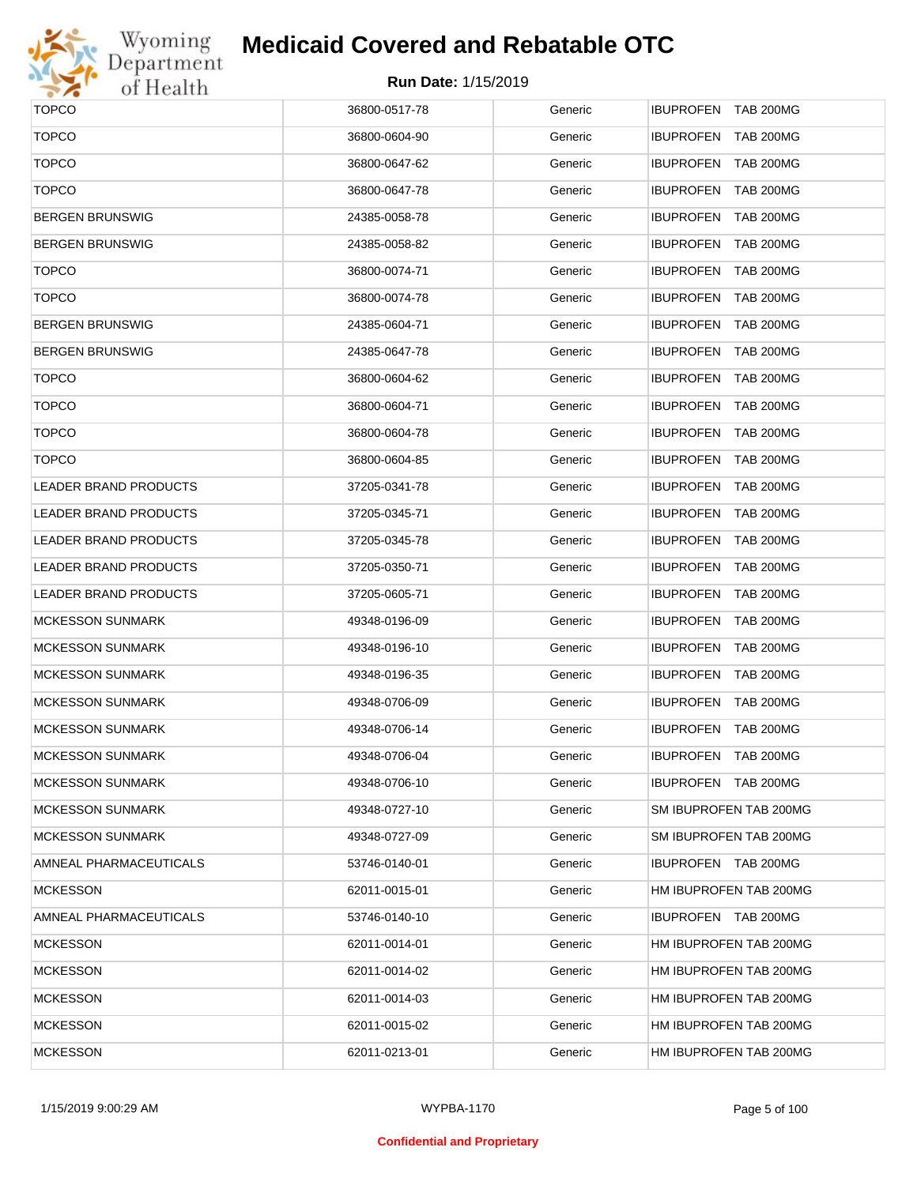

# Wyoming<br>Department<br>of Health

## **Medicaid Covered and Rebatable OTC**

| <b>TOPCO</b>                 | 36800-0517-78 | Generic | IBUPROFEN TAB 200MG        |
|------------------------------|---------------|---------|----------------------------|
| <b>TOPCO</b>                 | 36800-0604-90 | Generic | IBUPROFEN TAB 200MG        |
| <b>TOPCO</b>                 | 36800-0647-62 | Generic | IBUPROFEN TAB 200MG        |
| <b>TOPCO</b>                 | 36800-0647-78 | Generic | IBUPROFEN TAB 200MG        |
| <b>BERGEN BRUNSWIG</b>       | 24385-0058-78 | Generic | IBUPROFEN TAB 200MG        |
| <b>BERGEN BRUNSWIG</b>       | 24385-0058-82 | Generic | IBUPROFEN TAB 200MG        |
| <b>TOPCO</b>                 | 36800-0074-71 | Generic | IBUPROFEN TAB 200MG        |
| <b>TOPCO</b>                 | 36800-0074-78 | Generic | IBUPROFEN TAB 200MG        |
| <b>BERGEN BRUNSWIG</b>       | 24385-0604-71 | Generic | IBUPROFEN TAB 200MG        |
| <b>BERGEN BRUNSWIG</b>       | 24385-0647-78 | Generic | IBUPROFEN TAB 200MG        |
| <b>TOPCO</b>                 | 36800-0604-62 | Generic | IBUPROFEN TAB 200MG        |
| <b>TOPCO</b>                 | 36800-0604-71 | Generic | IBUPROFEN TAB 200MG        |
| <b>TOPCO</b>                 | 36800-0604-78 | Generic | IBUPROFEN TAB 200MG        |
| <b>TOPCO</b>                 | 36800-0604-85 | Generic | IBUPROFEN TAB 200MG        |
| <b>LEADER BRAND PRODUCTS</b> | 37205-0341-78 | Generic | IBUPROFEN TAB 200MG        |
| <b>LEADER BRAND PRODUCTS</b> | 37205-0345-71 | Generic | IBUPROFEN TAB 200MG        |
| LEADER BRAND PRODUCTS        | 37205-0345-78 | Generic | IBUPROFEN TAB 200MG        |
| LEADER BRAND PRODUCTS        | 37205-0350-71 | Generic | IBUPROFEN TAB 200MG        |
| LEADER BRAND PRODUCTS        | 37205-0605-71 | Generic | IBUPROFEN TAB 200MG        |
| <b>MCKESSON SUNMARK</b>      | 49348-0196-09 | Generic | IBUPROFEN TAB 200MG        |
| <b>MCKESSON SUNMARK</b>      | 49348-0196-10 | Generic | IBUPROFEN TAB 200MG        |
| <b>MCKESSON SUNMARK</b>      | 49348-0196-35 | Generic | IBUPROFEN TAB 200MG        |
| <b>MCKESSON SUNMARK</b>      | 49348-0706-09 | Generic | IBUPROFEN TAB 200MG        |
| <b>MCKESSON SUNMARK</b>      | 49348-0706-14 | Generic | IBUPROFEN TAB 200MG        |
| <b>MCKESSON SUNMARK</b>      | 49348-0706-04 | Generic | <b>IBUPROFEN TAB 200MG</b> |
| <b>MCKESSON SUNMARK</b>      | 49348-0706-10 | Generic | IBUPROFEN TAB 200MG        |
| <b>MCKESSON SUNMARK</b>      | 49348-0727-10 | Generic | SM IBUPROFEN TAB 200MG     |
| <b>MCKESSON SUNMARK</b>      | 49348-0727-09 | Generic | SM IBUPROFEN TAB 200MG     |
| AMNEAL PHARMACEUTICALS       | 53746-0140-01 | Generic | IBUPROFEN TAB 200MG        |
| <b>MCKESSON</b>              | 62011-0015-01 | Generic | HM IBUPROFEN TAB 200MG     |
| AMNEAL PHARMACEUTICALS       | 53746-0140-10 | Generic | IBUPROFEN TAB 200MG        |
| <b>MCKESSON</b>              | 62011-0014-01 | Generic | HM IBUPROFEN TAB 200MG     |
| <b>MCKESSON</b>              | 62011-0014-02 | Generic | HM IBUPROFEN TAB 200MG     |
| <b>MCKESSON</b>              | 62011-0014-03 | Generic | HM IBUPROFEN TAB 200MG     |
| <b>MCKESSON</b>              | 62011-0015-02 | Generic | HM IBUPROFEN TAB 200MG     |
| <b>MCKESSON</b>              | 62011-0213-01 | Generic | HM IBUPROFEN TAB 200MG     |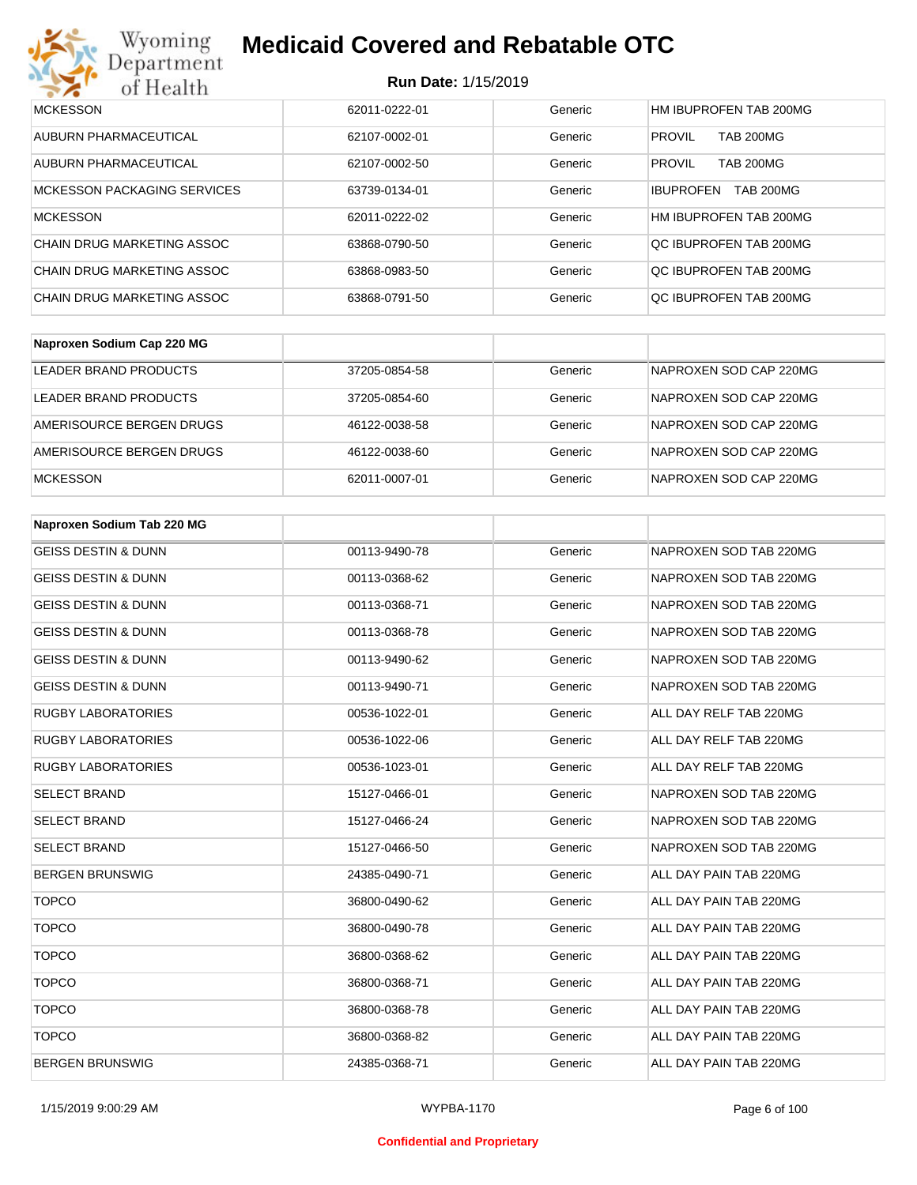#### **Run Date:** 1/15/2019

| Wyoming<br><b>Medicaid Covered and Rebatable OTC</b><br>Department |               |         |                                      |  |
|--------------------------------------------------------------------|---------------|---------|--------------------------------------|--|
| <b>Run Date: 1/15/2019</b><br>of Health                            |               |         |                                      |  |
| <b>MCKESSON</b>                                                    | 62011-0222-01 | Generic | HM IBUPROFEN TAB 200MG               |  |
| AUBURN PHARMACEUTICAL                                              | 62107-0002-01 | Generic | <b>PROVIL</b><br><b>TAB 200MG</b>    |  |
| AUBURN PHARMACEUTICAL                                              | 62107-0002-50 | Generic | <b>PROVIL</b><br><b>TAB 200MG</b>    |  |
| <b>MCKESSON PACKAGING SERVICES</b>                                 | 63739-0134-01 | Generic | <b>TAB 200MG</b><br><b>IBUPROFEN</b> |  |
| <b>MCKESSON</b>                                                    | 62011-0222-02 | Generic | HM IBUPROFEN TAB 200MG               |  |
| CHAIN DRUG MARKETING ASSOC                                         | 63868-0790-50 | Generic | OC IBUPROFEN TAB 200MG               |  |
| CHAIN DRUG MARKETING ASSOC                                         | 63868-0983-50 | Generic | OC IBUPROFEN TAB 200MG               |  |
| CHAIN DRUG MARKETING ASSOC                                         | 63868-0791-50 | Generic | OC IBUPROFEN TAB 200MG               |  |

| Naproxen Sodium Cap 220 MG |               |         |                        |
|----------------------------|---------------|---------|------------------------|
| LEADER BRAND PRODUCTS      | 37205-0854-58 | Generic | NAPROXEN SOD CAP 220MG |
| LEADER BRAND PRODUCTS      | 37205-0854-60 | Generic | NAPROXEN SOD CAP 220MG |
| AMERISOURCE BERGEN DRUGS   | 46122-0038-58 | Generic | NAPROXEN SOD CAP 220MG |
| AMERISOURCE BERGEN DRUGS   | 46122-0038-60 | Generic | NAPROXEN SOD CAP 220MG |
| <b>MCKESSON</b>            | 62011-0007-01 | Generic | NAPROXEN SOD CAP 220MG |

| Naproxen Sodium Tab 220 MG     |               |         |                        |
|--------------------------------|---------------|---------|------------------------|
| <b>GEISS DESTIN &amp; DUNN</b> | 00113-9490-78 | Generic | NAPROXEN SOD TAB 220MG |
| <b>GEISS DESTIN &amp; DUNN</b> | 00113-0368-62 | Generic | NAPROXEN SOD TAB 220MG |
| <b>GEISS DESTIN &amp; DUNN</b> | 00113-0368-71 | Generic | NAPROXEN SOD TAB 220MG |
| <b>GEISS DESTIN &amp; DUNN</b> | 00113-0368-78 | Generic | NAPROXEN SOD TAB 220MG |
| <b>GEISS DESTIN &amp; DUNN</b> | 00113-9490-62 | Generic | NAPROXEN SOD TAB 220MG |
| <b>GEISS DESTIN &amp; DUNN</b> | 00113-9490-71 | Generic | NAPROXEN SOD TAB 220MG |
| <b>RUGBY LABORATORIES</b>      | 00536-1022-01 | Generic | ALL DAY RELF TAB 220MG |
| <b>RUGBY LABORATORIES</b>      | 00536-1022-06 | Generic | ALL DAY RELF TAB 220MG |
| <b>RUGBY LABORATORIES</b>      | 00536-1023-01 | Generic | ALL DAY RELF TAB 220MG |
| <b>SELECT BRAND</b>            | 15127-0466-01 | Generic | NAPROXEN SOD TAB 220MG |
| <b>SELECT BRAND</b>            | 15127-0466-24 | Generic | NAPROXEN SOD TAB 220MG |
| <b>SELECT BRAND</b>            | 15127-0466-50 | Generic | NAPROXEN SOD TAB 220MG |
| <b>BERGEN BRUNSWIG</b>         | 24385-0490-71 | Generic | ALL DAY PAIN TAB 220MG |
| <b>TOPCO</b>                   | 36800-0490-62 | Generic | ALL DAY PAIN TAB 220MG |
| <b>TOPCO</b>                   | 36800-0490-78 | Generic | ALL DAY PAIN TAB 220MG |
| <b>TOPCO</b>                   | 36800-0368-62 | Generic | ALL DAY PAIN TAB 220MG |
| <b>TOPCO</b>                   | 36800-0368-71 | Generic | ALL DAY PAIN TAB 220MG |
| <b>TOPCO</b>                   | 36800-0368-78 | Generic | ALL DAY PAIN TAB 220MG |
| <b>TOPCO</b>                   | 36800-0368-82 | Generic | ALL DAY PAIN TAB 220MG |
| <b>BERGEN BRUNSWIG</b>         | 24385-0368-71 | Generic | ALL DAY PAIN TAB 220MG |

1/15/2019 9:00:29 AM WYPBA-1170 Page 6 of 100

#### **Confidential and Proprietary**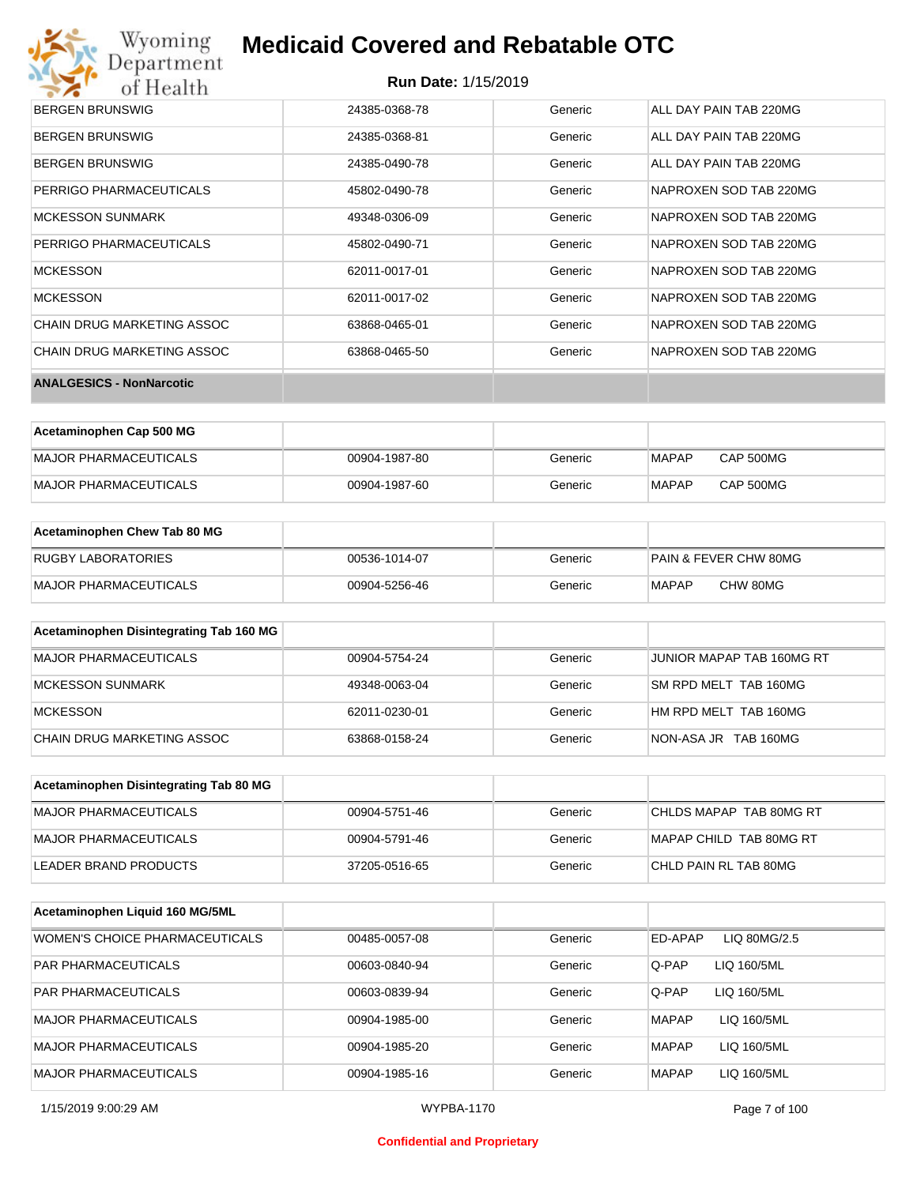# Wyoming<br>Department<br>of Health

## **Medicaid Covered and Rebatable OTC**

| <b>ANALGESICS - NonNarcotic</b> |               |         |                        |
|---------------------------------|---------------|---------|------------------------|
| CHAIN DRUG MARKETING ASSOC      | 63868-0465-50 | Generic | NAPROXEN SOD TAB 220MG |
| CHAIN DRUG MARKETING ASSOC      | 63868-0465-01 | Generic | NAPROXEN SOD TAB 220MG |
| <b>MCKESSON</b>                 | 62011-0017-02 | Generic | NAPROXEN SOD TAB 220MG |
| <b>MCKESSON</b>                 | 62011-0017-01 | Generic | NAPROXEN SOD TAB 220MG |
| PERRIGO PHARMACEUTICALS         | 45802-0490-71 | Generic | NAPROXEN SOD TAB 220MG |
| <b>MCKESSON SUNMARK</b>         | 49348-0306-09 | Generic | NAPROXEN SOD TAB 220MG |
| PERRIGO PHARMACEUTICALS         | 45802-0490-78 | Generic | NAPROXEN SOD TAB 220MG |
| <b>BERGEN BRUNSWIG</b>          | 24385-0490-78 | Generic | ALL DAY PAIN TAB 220MG |
| <b>BERGEN BRUNSWIG</b>          | 24385-0368-81 | Generic | ALL DAY PAIN TAB 220MG |
| <b>BERGEN BRUNSWIG</b>          | 24385-0368-78 | Generic | ALL DAY PAIN TAB 220MG |

| Acetaminophen Cap 500 MG |               |         |              |                  |
|--------------------------|---------------|---------|--------------|------------------|
| MAJOR PHARMACEUTICALS    | 00904-1987-80 | Generic | <b>MAPAP</b> | <b>CAP 500MG</b> |
| MAJOR PHARMACEUTICALS    | 00904-1987-60 | Generic | <b>MAPAP</b> | <b>CAP 500MG</b> |

| Acetaminophen Chew Tab 80 MG |               |         |                       |
|------------------------------|---------------|---------|-----------------------|
| <b>RUGBY LABORATORIES</b>    | 00536-1014-07 | Generic | PAIN & FEVER CHW 80MG |
| MAJOR PHARMACEUTICALS        | 00904-5256-46 | Generic | CHW 80MG<br>MAPAP     |

| Acetaminophen Disintegrating Tab 160 MG |               |         |                           |
|-----------------------------------------|---------------|---------|---------------------------|
| <b>MAJOR PHARMACEUTICALS</b>            | 00904-5754-24 | Generic | JUNIOR MAPAP TAB 160MG RT |
| MCKESSON SUNMARK                        | 49348-0063-04 | Generic | SM RPD MELT TAB 160MG     |
| <b>MCKESSON</b>                         | 62011-0230-01 | Generic | HM RPD MELT TAB 160MG     |
| CHAIN DRUG MARKETING ASSOC              | 63868-0158-24 | Generic | NON-ASA JR TAB 160MG      |

| Acetaminophen Disintegrating Tab 80 MG |               |         |                         |
|----------------------------------------|---------------|---------|-------------------------|
| MAJOR PHARMACEUTICALS                  | 00904-5751-46 | Generic | CHLDS MAPAP TAB 80MG RT |
| IMAJOR PHARMACEUTICALS                 | 00904-5791-46 | Generic | MAPAP CHILD TAB 80MG RT |
| LEADER BRAND PRODUCTS                  | 37205-0516-65 | Generic | CHLD PAIN RL TAB 80MG   |

| Acetaminophen Liquid 160 MG/5ML |               |         |                             |
|---------------------------------|---------------|---------|-----------------------------|
| WOMEN'S CHOICE PHARMACEUTICALS  | 00485-0057-08 | Generic | ED-APAP<br>LIQ 80MG/2.5     |
| <b>PAR PHARMACEUTICALS</b>      | 00603-0840-94 | Generic | Q-PAP<br>LIQ 160/5ML        |
| <b>PAR PHARMACEUTICALS</b>      | 00603-0839-94 | Generic | Q-PAP<br>LIQ 160/5ML        |
| <b>MAJOR PHARMACEUTICALS</b>    | 00904-1985-00 | Generic | LIQ 160/5ML<br><b>MAPAP</b> |
| <b>MAJOR PHARMACEUTICALS</b>    | 00904-1985-20 | Generic | <b>MAPAP</b><br>LIQ 160/5ML |
| <b>MAJOR PHARMACEUTICALS</b>    | 00904-1985-16 | Generic | <b>MAPAP</b><br>LIQ 160/5ML |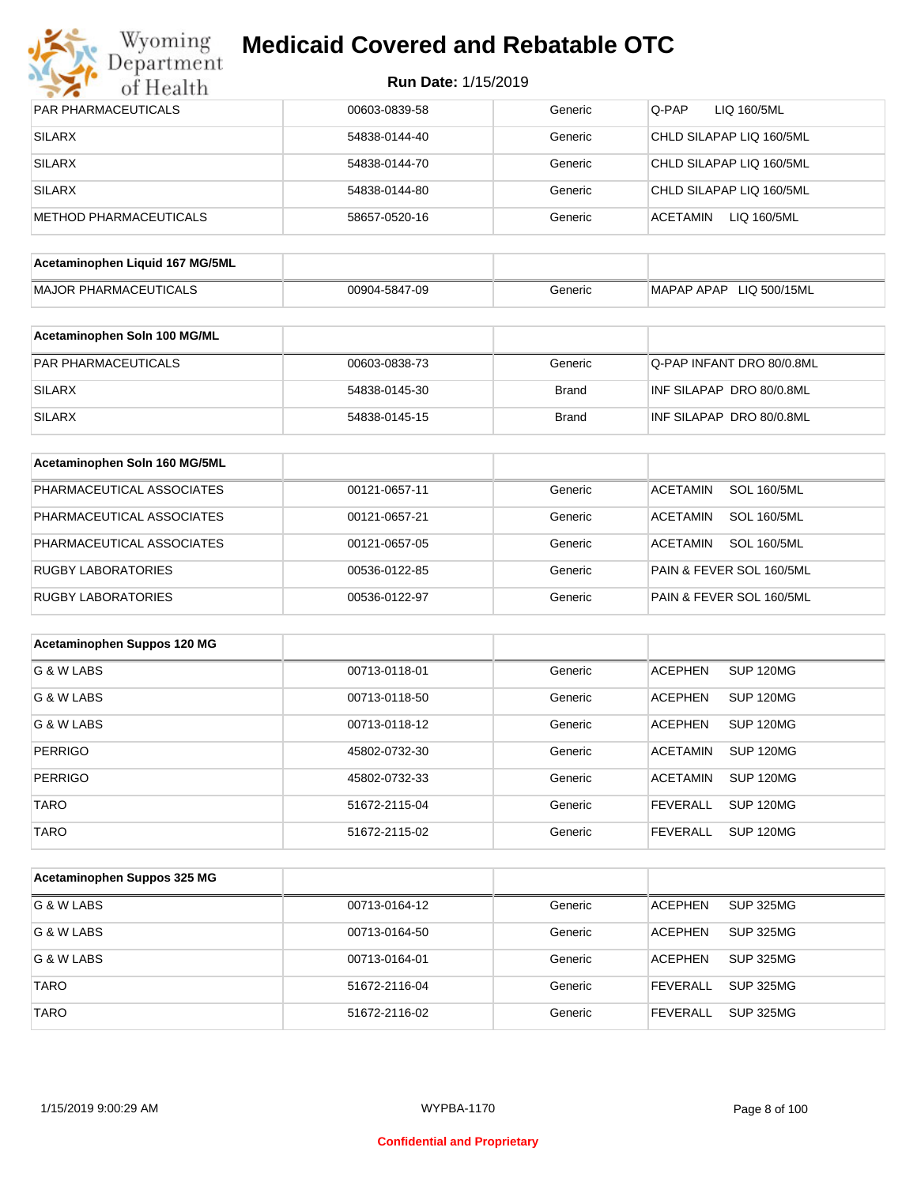

| PAR PHARMACEUTICALS             | 00603-0839-58 | Generic      | Q-PAP<br>LIQ 160/5ML                  |
|---------------------------------|---------------|--------------|---------------------------------------|
| <b>SILARX</b>                   | 54838-0144-40 | Generic      | CHLD SILAPAP LIQ 160/5ML              |
| <b>SILARX</b>                   | 54838-0144-70 | Generic      | CHLD SILAPAP LIQ 160/5ML              |
| <b>SILARX</b>                   | 54838-0144-80 | Generic      | CHLD SILAPAP LIQ 160/5ML              |
| <b>METHOD PHARMACEUTICALS</b>   | 58657-0520-16 | Generic      | <b>ACETAMIN</b><br>LIQ 160/5ML        |
| Acetaminophen Liquid 167 MG/5ML |               |              |                                       |
| <b>MAJOR PHARMACEUTICALS</b>    | 00904-5847-09 | Generic      | MAPAP APAP LIQ 500/15ML               |
|                                 |               |              |                                       |
| Acetaminophen Soln 100 MG/ML    |               |              |                                       |
| PAR PHARMACEUTICALS             | 00603-0838-73 | Generic      | Q-PAP INFANT DRO 80/0.8ML             |
| <b>SILARX</b>                   | 54838-0145-30 | <b>Brand</b> | INF SILAPAP DRO 80/0.8ML              |
| <b>SILARX</b>                   | 54838-0145-15 | <b>Brand</b> | INF SILAPAP DRO 80/0.8ML              |
|                                 |               |              |                                       |
| Acetaminophen Soln 160 MG/5ML   |               |              |                                       |
| PHARMACEUTICAL ASSOCIATES       | 00121-0657-11 | Generic      | <b>SOL 160/5ML</b><br><b>ACETAMIN</b> |
| PHARMACEUTICAL ASSOCIATES       | 00121-0657-21 | Generic      | <b>ACETAMIN</b><br><b>SOL 160/5ML</b> |
| PHARMACEUTICAL ASSOCIATES       | 00121-0657-05 | Generic      | <b>SOL 160/5ML</b><br><b>ACETAMIN</b> |
| <b>RUGBY LABORATORIES</b>       | 00536-0122-85 | Generic      | PAIN & FEVER SOL 160/5ML              |
| <b>RUGBY LABORATORIES</b>       | 00536-0122-97 | Generic      | PAIN & FEVER SOL 160/5ML              |
|                                 |               |              |                                       |
| Acetaminophen Suppos 120 MG     |               |              |                                       |
| G & W LABS                      | 00713-0118-01 | Generic      | <b>ACEPHEN</b><br>SUP 120MG           |
| G & W LABS                      | 00713-0118-50 | Generic      | <b>ACEPHEN</b><br>SUP 120MG           |
| G & W LABS                      | 00713-0118-12 | Generic      | <b>ACEPHEN</b><br>SUP 120MG           |
| <b>PERRIGO</b>                  | 45802-0732-30 | Generic      | <b>ACETAMIN</b><br>SUP 120MG          |
| <b>PERRIGO</b>                  | 45802-0732-33 | Generic      | <b>ACETAMIN</b><br><b>SUP 120MG</b>   |
| <b>TARO</b>                     | 51672-2115-04 | Generic      | <b>FEVERALL</b><br><b>SUP 120MG</b>   |
| TARO                            | 51672-2115-02 | Generic      | <b>FEVERALL</b><br><b>SUP 120MG</b>   |
|                                 |               |              |                                       |
| Acetaminophen Suppos 325 MG     |               |              |                                       |
| G & W LABS                      | 00713-0164-12 | Generic      | <b>ACEPHEN</b><br><b>SUP 325MG</b>    |
| G & W LABS                      | 00713-0164-50 | Generic      | <b>ACEPHEN</b><br><b>SUP 325MG</b>    |
| G & W LABS                      | 00713-0164-01 | Generic      | <b>ACEPHEN</b><br><b>SUP 325MG</b>    |
| <b>TARO</b>                     | 51672-2116-04 | Generic      | <b>FEVERALL</b><br><b>SUP 325MG</b>   |
| <b>TARO</b>                     | 51672-2116-02 | Generic      | SUP 325MG<br><b>FEVERALL</b>          |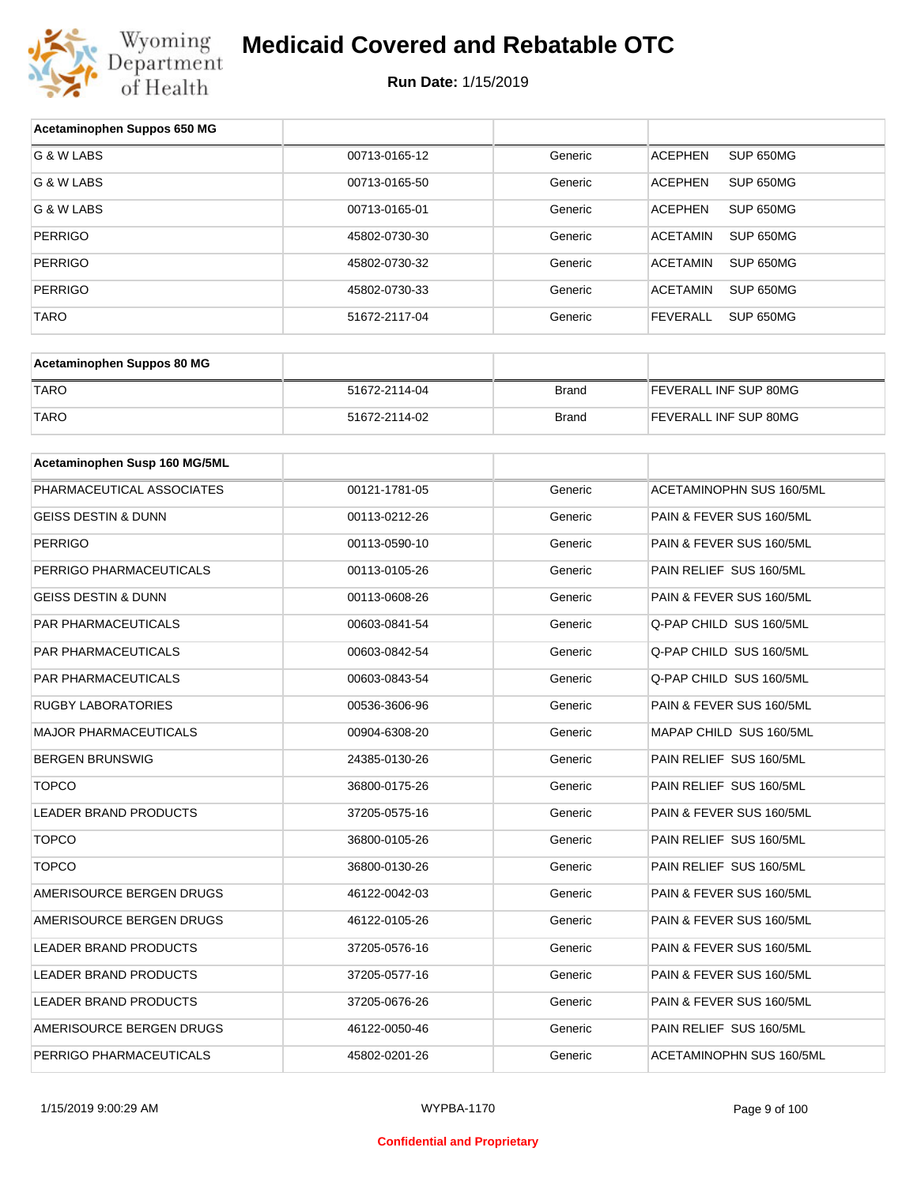

| Acetaminophen Suppos 650 MG    |               |              |                              |
|--------------------------------|---------------|--------------|------------------------------|
| G & W LABS                     | 00713-0165-12 | Generic      | SUP 650MG<br><b>ACEPHEN</b>  |
| G & W LABS                     | 00713-0165-50 | Generic      | <b>ACEPHEN</b><br>SUP 650MG  |
| G & W LABS                     | 00713-0165-01 | Generic      | <b>ACEPHEN</b><br>SUP 650MG  |
| <b>PERRIGO</b>                 | 45802-0730-30 | Generic      | <b>ACETAMIN</b><br>SUP 650MG |
| <b>PERRIGO</b>                 | 45802-0730-32 | Generic      | <b>ACETAMIN</b><br>SUP 650MG |
| <b>PERRIGO</b>                 | 45802-0730-33 | Generic      | <b>ACETAMIN</b><br>SUP 650MG |
| <b>TARO</b>                    | 51672-2117-04 | Generic      | <b>FEVERALL</b><br>SUP 650MG |
|                                |               |              |                              |
| Acetaminophen Suppos 80 MG     |               |              |                              |
| <b>TARO</b>                    | 51672-2114-04 | <b>Brand</b> | FEVERALL INF SUP 80MG        |
| <b>TARO</b>                    | 51672-2114-02 | <b>Brand</b> | FEVERALL INF SUP 80MG        |
| Acetaminophen Susp 160 MG/5ML  |               |              |                              |
| PHARMACEUTICAL ASSOCIATES      | 00121-1781-05 |              | ACETAMINOPHN SUS 160/5ML     |
|                                |               | Generic      |                              |
| <b>GEISS DESTIN &amp; DUNN</b> | 00113-0212-26 | Generic      | PAIN & FEVER SUS 160/5ML     |
| <b>PERRIGO</b>                 | 00113-0590-10 | Generic      | PAIN & FEVER SUS 160/5ML     |
| PERRIGO PHARMACEUTICALS        | 00113-0105-26 | Generic      | PAIN RELIEF SUS 160/5ML      |
| <b>GEISS DESTIN &amp; DUNN</b> | 00113-0608-26 | Generic      | PAIN & FEVER SUS 160/5ML     |
| PAR PHARMACEUTICALS            | 00603-0841-54 | Generic      | Q-PAP CHILD SUS 160/5ML      |
| PAR PHARMACEUTICALS            | 00603-0842-54 | Generic      | Q-PAP CHILD SUS 160/5ML      |
| PAR PHARMACEUTICALS            | 00603-0843-54 | Generic      | Q-PAP CHILD SUS 160/5ML      |
| <b>RUGBY LABORATORIES</b>      | 00536-3606-96 | Generic      | PAIN & FEVER SUS 160/5ML     |
| <b>MAJOR PHARMACEUTICALS</b>   | 00904-6308-20 | Generic      | MAPAP CHILD SUS 160/5ML      |
| <b>BERGEN BRUNSWIG</b>         | 24385-0130-26 | Generic      | PAIN RELIEF SUS 160/5ML      |
| <b>TOPCO</b>                   | 36800-0175-26 | Generic      | PAIN RELIEF SUS 160/5ML      |
| <b>LEADER BRAND PRODUCTS</b>   | 37205-0575-16 | Generic      | PAIN & FEVER SUS 160/5ML     |
| <b>TOPCO</b>                   | 36800-0105-26 | Generic      | PAIN RELIEF SUS 160/5ML      |
| <b>TOPCO</b>                   | 36800-0130-26 | Generic      | PAIN RELIEF SUS 160/5ML      |
| AMERISOURCE BERGEN DRUGS       | 46122-0042-03 | Generic      | PAIN & FEVER SUS 160/5ML     |
| AMERISOURCE BERGEN DRUGS       | 46122-0105-26 | Generic      | PAIN & FEVER SUS 160/5ML     |
| <b>LEADER BRAND PRODUCTS</b>   | 37205-0576-16 | Generic      | PAIN & FEVER SUS 160/5ML     |
| LEADER BRAND PRODUCTS          | 37205-0577-16 | Generic      | PAIN & FEVER SUS 160/5ML     |
| LEADER BRAND PRODUCTS          | 37205-0676-26 | Generic      | PAIN & FEVER SUS 160/5ML     |
| AMERISOURCE BERGEN DRUGS       | 46122-0050-46 | Generic      | PAIN RELIEF SUS 160/5ML      |
| PERRIGO PHARMACEUTICALS        | 45802-0201-26 | Generic      | ACETAMINOPHN SUS 160/5ML     |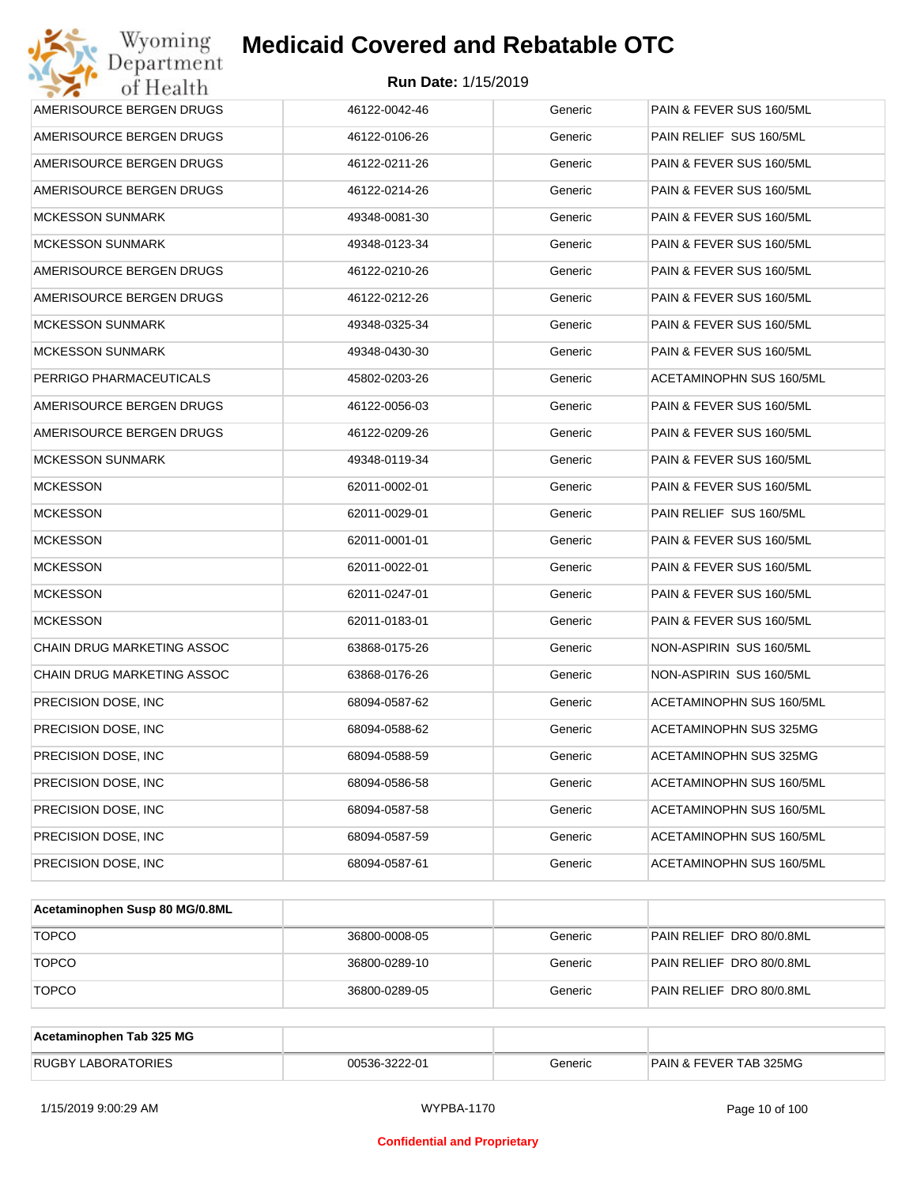| Wyoming<br>Department                   | <b>Medicaid Covered and Rebatable OTC</b> |         |                                 |  |  |  |
|-----------------------------------------|-------------------------------------------|---------|---------------------------------|--|--|--|
| <b>Run Date: 1/15/2019</b><br>of Health |                                           |         |                                 |  |  |  |
| AMERISOURCE BERGEN DRUGS                | 46122-0042-46                             | Generic | PAIN & FEVER SUS 160/5ML        |  |  |  |
| AMERISOURCE BERGEN DRUGS                | 46122-0106-26                             | Generic | PAIN RELIEF SUS 160/5ML         |  |  |  |
| AMERISOURCE BERGEN DRUGS                | 46122-0211-26                             | Generic | PAIN & FEVER SUS 160/5ML        |  |  |  |
| AMERISOURCE BERGEN DRUGS                | 46122-0214-26                             | Generic | PAIN & FEVER SUS 160/5ML        |  |  |  |
| <b>MCKESSON SUNMARK</b>                 | 49348-0081-30                             | Generic | PAIN & FEVER SUS 160/5ML        |  |  |  |
| <b>MCKESSON SUNMARK</b>                 | 49348-0123-34                             | Generic | PAIN & FEVER SUS 160/5ML        |  |  |  |
| AMERISOURCE BERGEN DRUGS                | 46122-0210-26                             | Generic | PAIN & FEVER SUS 160/5ML        |  |  |  |
| AMERISOURCE BERGEN DRUGS                | 46122-0212-26                             | Generic | PAIN & FEVER SUS 160/5ML        |  |  |  |
| <b>MCKESSON SUNMARK</b>                 | 49348-0325-34                             | Generic | PAIN & FEVER SUS 160/5ML        |  |  |  |
| <b>MCKESSON SUNMARK</b>                 | 49348-0430-30                             | Generic | PAIN & FEVER SUS 160/5ML        |  |  |  |
| PERRIGO PHARMACEUTICALS                 | 45802-0203-26                             | Generic | <b>ACETAMINOPHN SUS 160/5ML</b> |  |  |  |
| AMERISOURCE BERGEN DRUGS                | 46122-0056-03                             | Generic | PAIN & FEVER SUS 160/5ML        |  |  |  |
| AMERISOURCE BERGEN DRUGS                | 46122-0209-26                             | Generic | PAIN & FEVER SUS 160/5ML        |  |  |  |
| <b>MCKESSON SUNMARK</b>                 | 49348-0119-34                             | Generic | PAIN & FEVER SUS 160/5ML        |  |  |  |
| <b>MCKESSON</b>                         | 62011-0002-01                             | Generic | PAIN & FEVER SUS 160/5ML        |  |  |  |
| <b>MCKESSON</b>                         | 62011-0029-01                             | Generic | PAIN RELIEF SUS 160/5ML         |  |  |  |
| <b>MCKESSON</b>                         | 62011-0001-01                             | Generic | PAIN & FEVER SUS 160/5ML        |  |  |  |
| <b>MCKESSON</b>                         | 62011-0022-01                             | Generic | PAIN & FEVER SUS 160/5ML        |  |  |  |
| <b>MCKESSON</b>                         | 62011-0247-01                             | Generic | PAIN & FEVER SUS 160/5ML        |  |  |  |
| <b>MCKESSON</b>                         | 62011-0183-01                             | Generic | PAIN & FEVER SUS 160/5ML        |  |  |  |
| CHAIN DRUG MARKETING ASSOC              | 63868-0175-26                             | Generic | NON-ASPIRIN SUS 160/5ML         |  |  |  |
| CHAIN DRUG MARKETING ASSOC              | 63868-0176-26                             | Generic | NON-ASPIRIN SUS 160/5ML         |  |  |  |
| PRECISION DOSE, INC                     | 68094-0587-62                             | Generic | ACETAMINOPHN SUS 160/5ML        |  |  |  |
| PRECISION DOSE, INC.                    | 68094-0588-62                             | Generic | ACETAMINOPHN SUS 325MG          |  |  |  |
| PRECISION DOSE, INC.                    | 68094-0588-59                             | Generic | ACETAMINOPHN SUS 325MG          |  |  |  |
| PRECISION DOSE, INC                     | 68094-0586-58                             | Generic | ACETAMINOPHN SUS 160/5ML        |  |  |  |
| PRECISION DOSE, INC.                    | 68094-0587-58                             | Generic | ACETAMINOPHN SUS 160/5ML        |  |  |  |
| PRECISION DOSE, INC                     | 68094-0587-59                             | Generic | ACETAMINOPHN SUS 160/5ML        |  |  |  |
| PRECISION DOSE, INC                     | 68094-0587-61                             | Generic | ACETAMINOPHN SUS 160/5ML        |  |  |  |

| Acetaminophen Susp 80 MG/0.8ML |               |         |                          |
|--------------------------------|---------------|---------|--------------------------|
| <b>TOPCO</b>                   | 36800-0008-05 | Generic | PAIN RELIEF DRO 80/0.8ML |
| <b>TOPCO</b>                   | 36800-0289-10 | Generic | PAIN RELIEF DRO 80/0.8ML |
| <b>TOPCO</b>                   | 36800-0289-05 | Generic | PAIN RELIEF DRO 80/0.8ML |

| Acetaminophen Tab 325 MG  |               |         |                                   |
|---------------------------|---------------|---------|-----------------------------------|
| <b>RUGBY LABORATORIES</b> | 00536-3222-01 | Generic | <b>PAIN &amp; FEVER TAB 325MG</b> |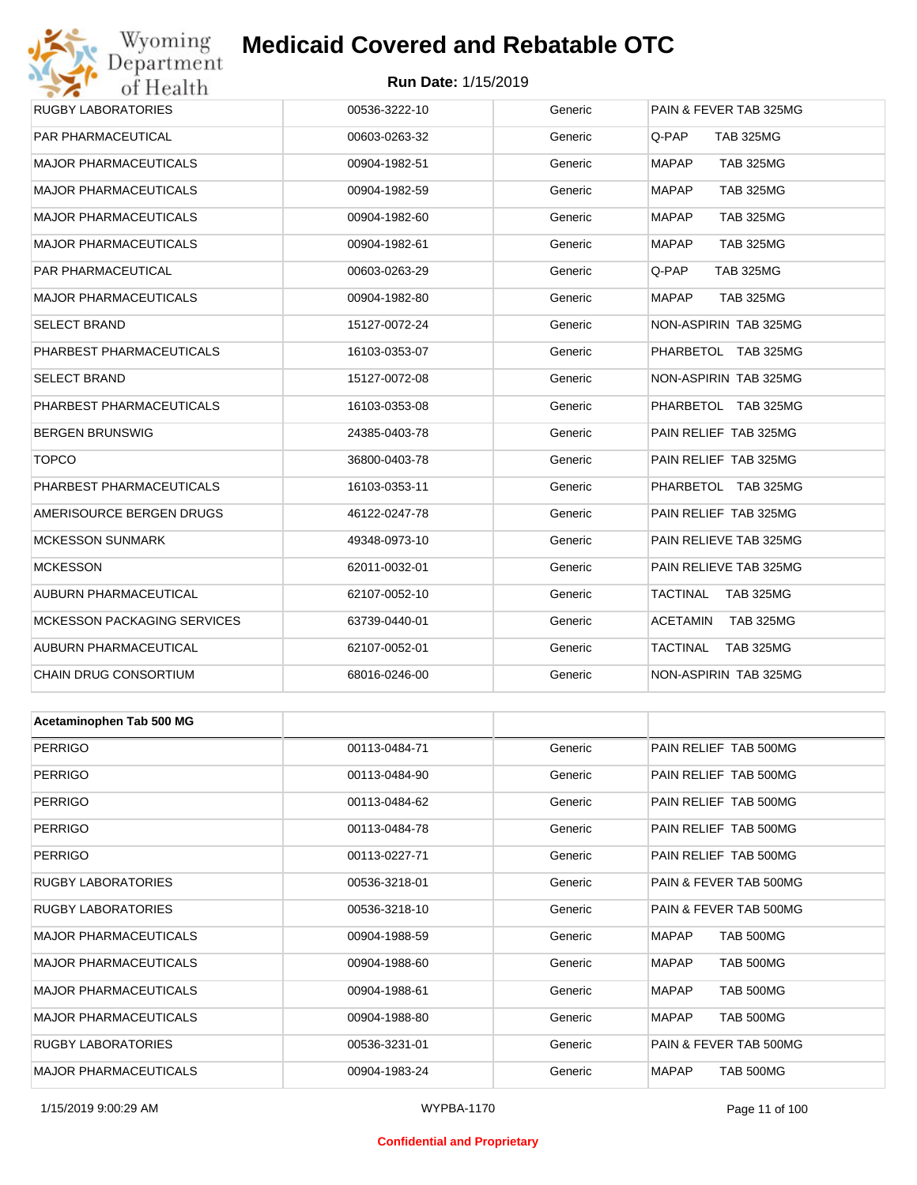## Wyoming<br>Department<br>of Health

## **Medicaid Covered and Rebatable OTC**

#### **Run Date:** 1/15/2019

| <b>RUGBY LABORATORIES</b>    | 00536-3222-10 | Generic | PAIN & FEVER TAB 325MG              |
|------------------------------|---------------|---------|-------------------------------------|
| PAR PHARMACEUTICAL           | 00603-0263-32 | Generic | Q-PAP<br><b>TAB 325MG</b>           |
| <b>MAJOR PHARMACEUTICALS</b> | 00904-1982-51 | Generic | <b>MAPAP</b><br><b>TAB 325MG</b>    |
| <b>MAJOR PHARMACEUTICALS</b> | 00904-1982-59 | Generic | <b>MAPAP</b><br><b>TAB 325MG</b>    |
| <b>MAJOR PHARMACEUTICALS</b> | 00904-1982-60 | Generic | MAPAP<br><b>TAB 325MG</b>           |
| <b>MAJOR PHARMACEUTICALS</b> | 00904-1982-61 | Generic | <b>MAPAP</b><br><b>TAB 325MG</b>    |
| PAR PHARMACEUTICAL           | 00603-0263-29 | Generic | Q-PAP<br><b>TAB 325MG</b>           |
| <b>MAJOR PHARMACEUTICALS</b> | 00904-1982-80 | Generic | <b>MAPAP</b><br><b>TAB 325MG</b>    |
| <b>SELECT BRAND</b>          | 15127-0072-24 | Generic | NON-ASPIRIN TAB 325MG               |
| PHARBEST PHARMACEUTICALS     | 16103-0353-07 | Generic | PHARBETOL TAB 325MG                 |
| <b>SELECT BRAND</b>          | 15127-0072-08 | Generic | NON-ASPIRIN TAB 325MG               |
| PHARBEST PHARMACEUTICALS     | 16103-0353-08 | Generic | PHARBETOL TAB 325MG                 |
| <b>BERGEN BRUNSWIG</b>       | 24385-0403-78 | Generic | PAIN RELIEF TAB 325MG               |
| <b>TOPCO</b>                 | 36800-0403-78 | Generic | PAIN RELIEF TAB 325MG               |
| PHARBEST PHARMACEUTICALS     | 16103-0353-11 | Generic | PHARBETOL TAB 325MG                 |
| AMERISOURCE BERGEN DRUGS     | 46122-0247-78 | Generic | PAIN RELIEF TAB 325MG               |
| <b>MCKESSON SUNMARK</b>      | 49348-0973-10 | Generic | PAIN RELIEVE TAB 325MG              |
| <b>MCKESSON</b>              | 62011-0032-01 | Generic | PAIN RELIEVE TAB 325MG              |
| AUBURN PHARMACEUTICAL        | 62107-0052-10 | Generic | TACTINAL<br><b>TAB 325MG</b>        |
| MCKESSON PACKAGING SERVICES  | 63739-0440-01 | Generic | ACETAMIN<br>TAB 325MG               |
| AUBURN PHARMACEUTICAL        | 62107-0052-01 | Generic | <b>TACTINAL</b><br><b>TAB 325MG</b> |
| CHAIN DRUG CONSORTIUM        | 68016-0246-00 | Generic | NON-ASPIRIN TAB 325MG               |
|                              |               |         |                                     |
| Acetaminophen Tab 500 MG     |               |         |                                     |
| <b>PERRIGO</b>               | 00113-0484-71 | Generic | PAIN RELIEF TAB 500MG               |
| <b>PERRIGO</b>               | 00113-0484-90 | Generic | PAIN RELIEF TAB 500MG               |
| <b>PERRIGO</b>               | 00113-0484-62 | Generic | PAIN RELIEF TAB 500MG               |
| <b>PERRIGO</b>               | 00113-0484-78 | Generic | PAIN RELIEF TAB 500MG               |
| <b>PERRIGO</b>               | 00113-0227-71 | Generic | PAIN RELIEF TAB 500MG               |
| <b>RUGBY LABORATORIES</b>    | 00536-3218-01 | Generic | PAIN & FEVER TAB 500MG              |
| RUGBY LABORATORIES           | 00536-3218-10 | Generic | PAIN & FEVER TAB 500MG              |
| <b>MAJOR PHARMACEUTICALS</b> | 00904-1988-59 | Generic | TAB 500MG<br>MAPAP                  |
| <b>MAJOR PHARMACEUTICALS</b> | 00904-1988-60 | Generic | TAB 500MG<br>MAPAP                  |
| <b>MAJOR PHARMACEUTICALS</b> | 00904-1988-61 | Generic | TAB 500MG<br>MAPAP                  |
| <b>MAJOR PHARMACEUTICALS</b> | 00904-1988-80 | Generic | TAB 500MG<br>MAPAP                  |
| <b>RUGBY LABORATORIES</b>    | 00536-3231-01 | Generic | PAIN & FEVER TAB 500MG              |

MAJOR PHARMACEUTICALS 00904-1983-24 Generic MAPAP TAB 500MG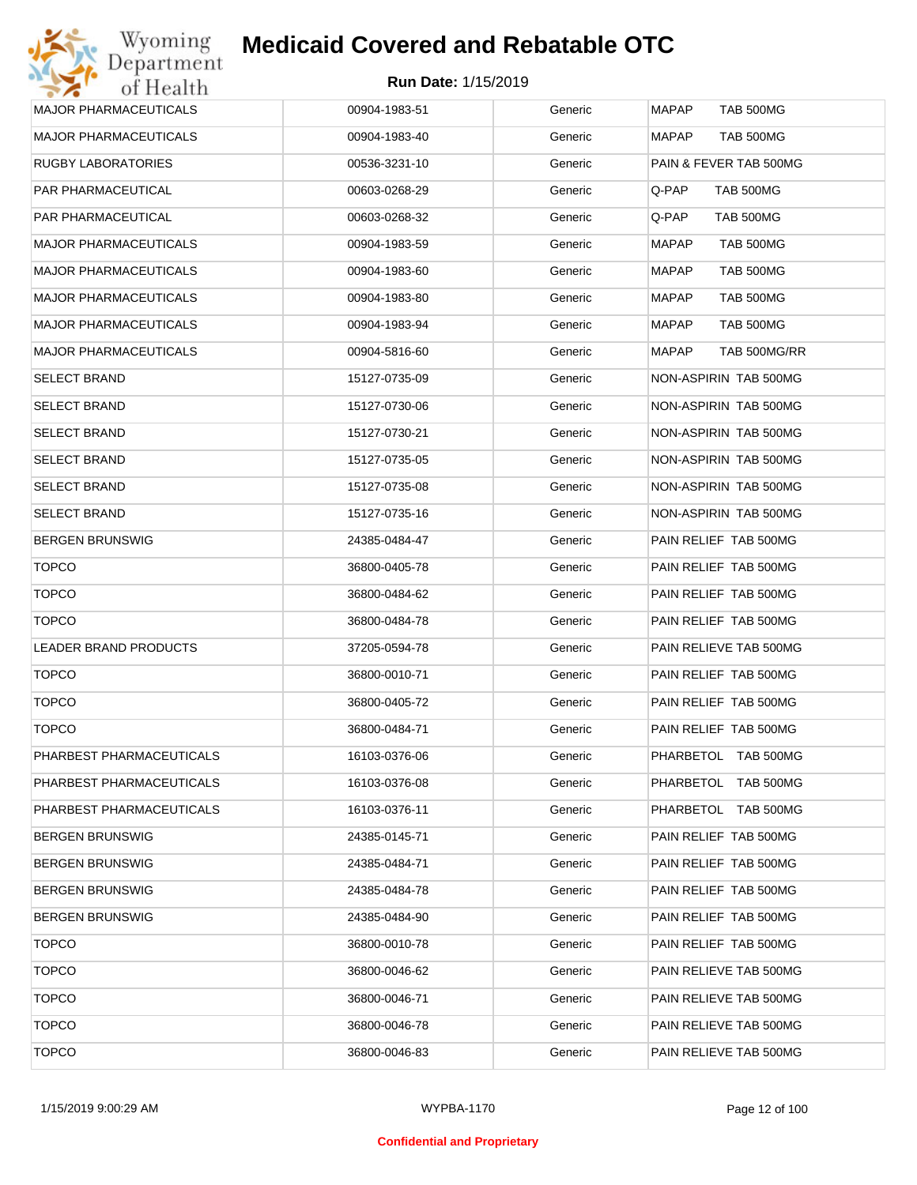| <b>MAJOR PHARMACEUTICALS</b> | 00904-1983-51 | Generic | <b>MAPAP</b><br><b>TAB 500MG</b> |
|------------------------------|---------------|---------|----------------------------------|
| <b>MAJOR PHARMACEUTICALS</b> | 00904-1983-40 | Generic | <b>MAPAP</b><br>TAB 500MG        |
| <b>RUGBY LABORATORIES</b>    | 00536-3231-10 | Generic | PAIN & FEVER TAB 500MG           |
| PAR PHARMACEUTICAL           | 00603-0268-29 | Generic | Q-PAP<br>TAB 500MG               |
| PAR PHARMACEUTICAL           | 00603-0268-32 | Generic | Q-PAP<br>TAB 500MG               |
| <b>MAJOR PHARMACEUTICALS</b> | 00904-1983-59 | Generic | <b>MAPAP</b><br>TAB 500MG        |
| <b>MAJOR PHARMACEUTICALS</b> | 00904-1983-60 | Generic | <b>MAPAP</b><br><b>TAB 500MG</b> |
| <b>MAJOR PHARMACEUTICALS</b> | 00904-1983-80 | Generic | MAPAP<br><b>TAB 500MG</b>        |
| <b>MAJOR PHARMACEUTICALS</b> | 00904-1983-94 | Generic | MAPAP<br>TAB 500MG               |
| <b>MAJOR PHARMACEUTICALS</b> | 00904-5816-60 | Generic | MAPAP<br>TAB 500MG/RR            |
| <b>SELECT BRAND</b>          | 15127-0735-09 | Generic | NON-ASPIRIN TAB 500MG            |
| <b>SELECT BRAND</b>          | 15127-0730-06 | Generic | NON-ASPIRIN TAB 500MG            |
| <b>SELECT BRAND</b>          | 15127-0730-21 | Generic | NON-ASPIRIN TAB 500MG            |
| <b>SELECT BRAND</b>          | 15127-0735-05 | Generic | NON-ASPIRIN TAB 500MG            |
| <b>SELECT BRAND</b>          | 15127-0735-08 | Generic | NON-ASPIRIN TAB 500MG            |
| <b>SELECT BRAND</b>          | 15127-0735-16 | Generic | NON-ASPIRIN TAB 500MG            |
| <b>BERGEN BRUNSWIG</b>       | 24385-0484-47 | Generic | PAIN RELIEF TAB 500MG            |
| <b>TOPCO</b>                 | 36800-0405-78 | Generic | PAIN RELIEF TAB 500MG            |
| <b>TOPCO</b>                 | 36800-0484-62 | Generic | PAIN RELIEF TAB 500MG            |
| <b>TOPCO</b>                 | 36800-0484-78 | Generic | PAIN RELIEF TAB 500MG            |
| LEADER BRAND PRODUCTS        | 37205-0594-78 | Generic | PAIN RELIEVE TAB 500MG           |
| <b>TOPCO</b>                 | 36800-0010-71 | Generic | PAIN RELIEF TAB 500MG            |
| <b>TOPCO</b>                 | 36800-0405-72 | Generic | PAIN RELIEF TAB 500MG            |
| <b>TOPCO</b>                 | 36800-0484-71 | Generic | PAIN RELIEF TAB 500MG            |
| PHARBEST PHARMACEUTICALS     | 16103-0376-06 | Generic | PHARBETOL TAB 500MG              |
| PHARBEST PHARMACEUTICALS     | 16103-0376-08 | Generic | PHARBETOL TAB 500MG              |
| PHARBEST PHARMACEUTICALS     | 16103-0376-11 | Generic | PHARBETOL TAB 500MG              |
| <b>BERGEN BRUNSWIG</b>       | 24385-0145-71 | Generic | PAIN RELIEF TAB 500MG            |
| <b>BERGEN BRUNSWIG</b>       | 24385-0484-71 | Generic | PAIN RELIEF TAB 500MG            |
| <b>BERGEN BRUNSWIG</b>       | 24385-0484-78 | Generic | PAIN RELIEF TAB 500MG            |
| <b>BERGEN BRUNSWIG</b>       | 24385-0484-90 | Generic | PAIN RELIEF TAB 500MG            |
| <b>TOPCO</b>                 | 36800-0010-78 | Generic | PAIN RELIEF TAB 500MG            |
| <b>TOPCO</b>                 | 36800-0046-62 | Generic | PAIN RELIEVE TAB 500MG           |
| <b>TOPCO</b>                 | 36800-0046-71 | Generic | PAIN RELIEVE TAB 500MG           |
| <b>TOPCO</b>                 | 36800-0046-78 | Generic | PAIN RELIEVE TAB 500MG           |
| <b>TOPCO</b>                 | 36800-0046-83 | Generic | PAIN RELIEVE TAB 500MG           |
|                              |               |         |                                  |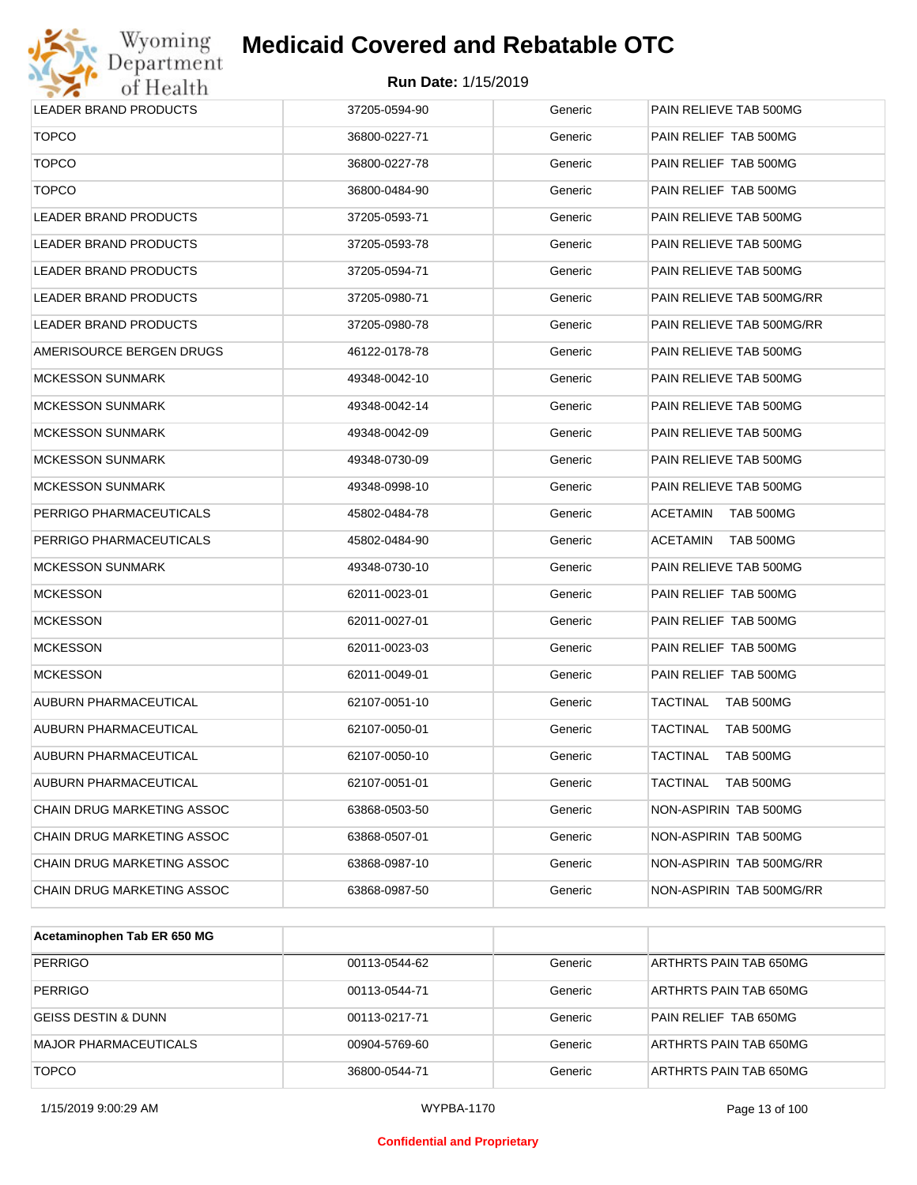

| <b>LEADER BRAND PRODUCTS</b> | 37205-0594-90 | Generic | PAIN RELIEVE TAB 500MG              |
|------------------------------|---------------|---------|-------------------------------------|
| <b>TOPCO</b>                 | 36800-0227-71 | Generic | PAIN RELIEF TAB 500MG               |
| <b>TOPCO</b>                 | 36800-0227-78 | Generic | PAIN RELIEF TAB 500MG               |
| <b>TOPCO</b>                 | 36800-0484-90 | Generic | PAIN RELIEF TAB 500MG               |
| LEADER BRAND PRODUCTS        | 37205-0593-71 | Generic | PAIN RELIEVE TAB 500MG              |
| LEADER BRAND PRODUCTS        | 37205-0593-78 | Generic | PAIN RELIEVE TAB 500MG              |
| LEADER BRAND PRODUCTS        | 37205-0594-71 | Generic | PAIN RELIEVE TAB 500MG              |
| <b>LEADER BRAND PRODUCTS</b> | 37205-0980-71 | Generic | PAIN RELIEVE TAB 500MG/RR           |
| LEADER BRAND PRODUCTS        | 37205-0980-78 | Generic | PAIN RELIEVE TAB 500MG/RR           |
| AMERISOURCE BERGEN DRUGS     | 46122-0178-78 | Generic | PAIN RELIEVE TAB 500MG              |
| MCKESSON SUNMARK             | 49348-0042-10 | Generic | PAIN RELIEVE TAB 500MG              |
| MCKESSON SUNMARK             | 49348-0042-14 | Generic | PAIN RELIEVE TAB 500MG              |
| <b>MCKESSON SUNMARK</b>      | 49348-0042-09 | Generic | PAIN RELIEVE TAB 500MG              |
| MCKESSON SUNMARK             | 49348-0730-09 | Generic | PAIN RELIEVE TAB 500MG              |
| MCKESSON SUNMARK             | 49348-0998-10 | Generic | PAIN RELIEVE TAB 500MG              |
| PERRIGO PHARMACEUTICALS      | 45802-0484-78 | Generic | <b>ACETAMIN</b><br>TAB 500MG        |
| PERRIGO PHARMACEUTICALS      | 45802-0484-90 | Generic | <b>ACETAMIN</b><br>TAB 500MG        |
| MCKESSON SUNMARK             | 49348-0730-10 | Generic | PAIN RELIEVE TAB 500MG              |
| MCKESSON                     | 62011-0023-01 | Generic | PAIN RELIEF TAB 500MG               |
| MCKESSON                     | 62011-0027-01 | Generic | PAIN RELIEF TAB 500MG               |
| <b>MCKESSON</b>              | 62011-0023-03 | Generic | PAIN RELIEF TAB 500MG               |
| <b>MCKESSON</b>              | 62011-0049-01 | Generic | PAIN RELIEF TAB 500MG               |
| AUBURN PHARMACEUTICAL        | 62107-0051-10 | Generic | TAB 500MG<br>TACTINAL               |
| AUBURN PHARMACEUTICAL        | 62107-0050-01 | Generic | <b>TACTINAL</b><br><b>TAB 500MG</b> |
| AUBURN PHARMACEUTICAL        | 62107-0050-10 | Generic | <b>TACTINAL</b><br>TAB 500MG        |
| AUBURN PHARMACEUTICAL        | 62107-0051-01 | Generic | <b>TAB 500MG</b><br>TACTINAL        |
| CHAIN DRUG MARKETING ASSOC   | 63868-0503-50 | Generic | NON-ASPIRIN TAB 500MG               |
| CHAIN DRUG MARKETING ASSOC   | 63868-0507-01 | Generic | NON-ASPIRIN TAB 500MG               |
| CHAIN DRUG MARKETING ASSOC   | 63868-0987-10 | Generic | NON-ASPIRIN TAB 500MG/RR            |
| CHAIN DRUG MARKETING ASSOC   | 63868-0987-50 | Generic | NON-ASPIRIN TAB 500MG/RR            |
|                              |               |         |                                     |

| Acetaminophen Tab ER 650 MG    |               |         |                        |
|--------------------------------|---------------|---------|------------------------|
| <b>PERRIGO</b>                 | 00113-0544-62 | Generic | ARTHRTS PAIN TAB 650MG |
| <b>PERRIGO</b>                 | 00113-0544-71 | Generic | ARTHRTS PAIN TAB 650MG |
| <b>GEISS DESTIN &amp; DUNN</b> | 00113-0217-71 | Generic | PAIN RELIEF TAB 650MG  |
| <b>MAJOR PHARMACEUTICALS</b>   | 00904-5769-60 | Generic | ARTHRTS PAIN TAB 650MG |
| <b>TOPCO</b>                   | 36800-0544-71 | Generic | ARTHRTS PAIN TAB 650MG |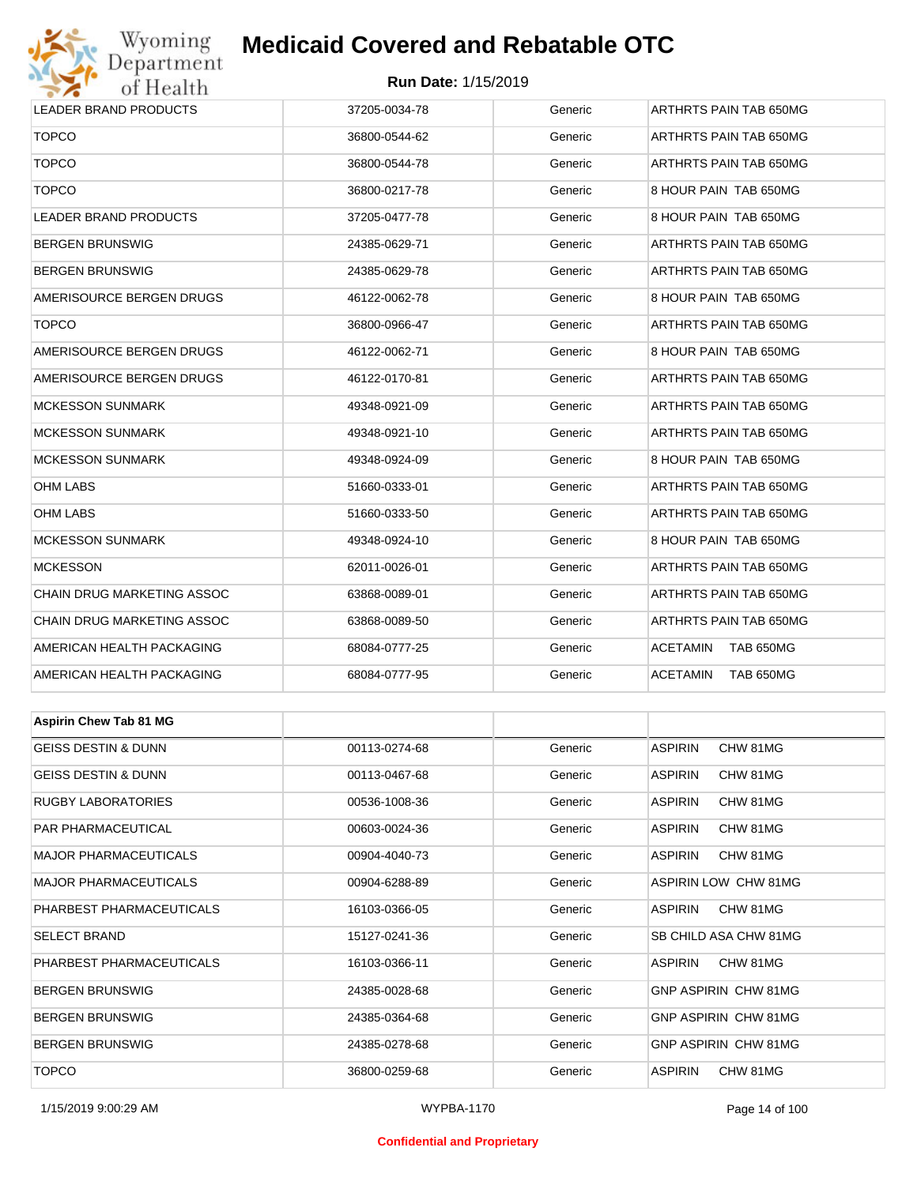## Wyoming<br>Department<br>of Health

## **Medicaid Covered and Rebatable OTC**

#### **Run Date:** 1/15/2019

| <i>UL LLCGLUL</i>              |               |         |                            |  |
|--------------------------------|---------------|---------|----------------------------|--|
| LEADER BRAND PRODUCTS          | 37205-0034-78 | Generic | ARTHRTS PAIN TAB 650MG     |  |
| <b>TOPCO</b>                   | 36800-0544-62 | Generic | ARTHRTS PAIN TAB 650MG     |  |
| <b>TOPCO</b>                   | 36800-0544-78 | Generic | ARTHRTS PAIN TAB 650MG     |  |
| <b>TOPCO</b>                   | 36800-0217-78 | Generic | 8 HOUR PAIN TAB 650MG      |  |
| LEADER BRAND PRODUCTS          | 37205-0477-78 | Generic | 8 HOUR PAIN TAB 650MG      |  |
| <b>BERGEN BRUNSWIG</b>         | 24385-0629-71 | Generic | ARTHRTS PAIN TAB 650MG     |  |
| BERGEN BRUNSWIG                | 24385-0629-78 | Generic | ARTHRTS PAIN TAB 650MG     |  |
| AMERISOURCE BERGEN DRUGS       | 46122-0062-78 | Generic | 8 HOUR PAIN TAB 650MG      |  |
| <b>TOPCO</b>                   | 36800-0966-47 | Generic | ARTHRTS PAIN TAB 650MG     |  |
| AMERISOURCE BERGEN DRUGS       | 46122-0062-71 | Generic | 8 HOUR PAIN TAB 650MG      |  |
| AMERISOURCE BERGEN DRUGS       | 46122-0170-81 | Generic | ARTHRTS PAIN TAB 650MG     |  |
| <b>MCKESSON SUNMARK</b>        | 49348-0921-09 | Generic | ARTHRTS PAIN TAB 650MG     |  |
| <b>MCKESSON SUNMARK</b>        | 49348-0921-10 | Generic | ARTHRTS PAIN TAB 650MG     |  |
| <b>MCKESSON SUNMARK</b>        | 49348-0924-09 | Generic | 8 HOUR PAIN TAB 650MG      |  |
| OHM LABS                       | 51660-0333-01 | Generic | ARTHRTS PAIN TAB 650MG     |  |
| OHM LABS                       | 51660-0333-50 | Generic | ARTHRTS PAIN TAB 650MG     |  |
| <b>MCKESSON SUNMARK</b>        | 49348-0924-10 | Generic | 8 HOUR PAIN TAB 650MG      |  |
| <b>MCKESSON</b>                | 62011-0026-01 | Generic | ARTHRTS PAIN TAB 650MG     |  |
| CHAIN DRUG MARKETING ASSOC     | 63868-0089-01 | Generic | ARTHRTS PAIN TAB 650MG     |  |
| CHAIN DRUG MARKETING ASSOC     | 63868-0089-50 | Generic | ARTHRTS PAIN TAB 650MG     |  |
| AMERICAN HEALTH PACKAGING      | 68084-0777-25 | Generic | ACETAMIN<br>TAB 650MG      |  |
| AMERICAN HEALTH PACKAGING      | 68084-0777-95 | Generic | ACETAMIN<br>TAB 650MG      |  |
|                                |               |         |                            |  |
| <b>Aspirin Chew Tab 81 MG</b>  |               |         |                            |  |
| GEISS DESTIN & DUNN            | 00113-0274-68 | Generic | <b>ASPIRIN</b><br>CHW 81MG |  |
| <b>GEISS DESTIN &amp; DUNN</b> | 00113-0467-68 | Generic | <b>ASPIRIN</b><br>CHW 81MG |  |
| RUGBY LABORATORIES             | 00536-1008-36 | Generic | <b>ASPIRIN</b><br>CHW 81MG |  |
| PAR PHARMACEUTICAL             | 00603-0024-36 | Generic | <b>ASPIRIN</b><br>CHW 81MG |  |
| MAJOR PHARMACEUTICALS          | 00904-4040-73 | Generic | <b>ASPIRIN</b><br>CHW 81MG |  |
| MAJOR PHARMACEUTICALS          | 00904-6288-89 | Generic | ASPIRIN LOW CHW 81MG       |  |
| PHARBEST PHARMACEUTICALS       | 16103-0366-05 | Generic | <b>ASPIRIN</b><br>CHW 81MG |  |
| SELECT BRAND                   | 15127-0241-36 | Generic | SB CHILD ASA CHW 81MG      |  |
| PHARBEST PHARMACEUTICALS       | 16103-0366-11 | Generic | ASPIRIN<br>CHW 81MG        |  |
| <b>BERGEN BRUNSWIG</b>         | 24385-0028-68 | Generic | GNP ASPIRIN CHW 81MG       |  |

BERGEN BRUNSWIG **EXAMPLE 24385-0364-68** Ceneric GNP ASPIRIN CHW 81MG BERGEN BRUNSWIG 24385-0278-68 Generic GNP ASPIRIN CHW 81MG

TOPCO 36800-0259-68 Generic ASPIRIN CHW 81MG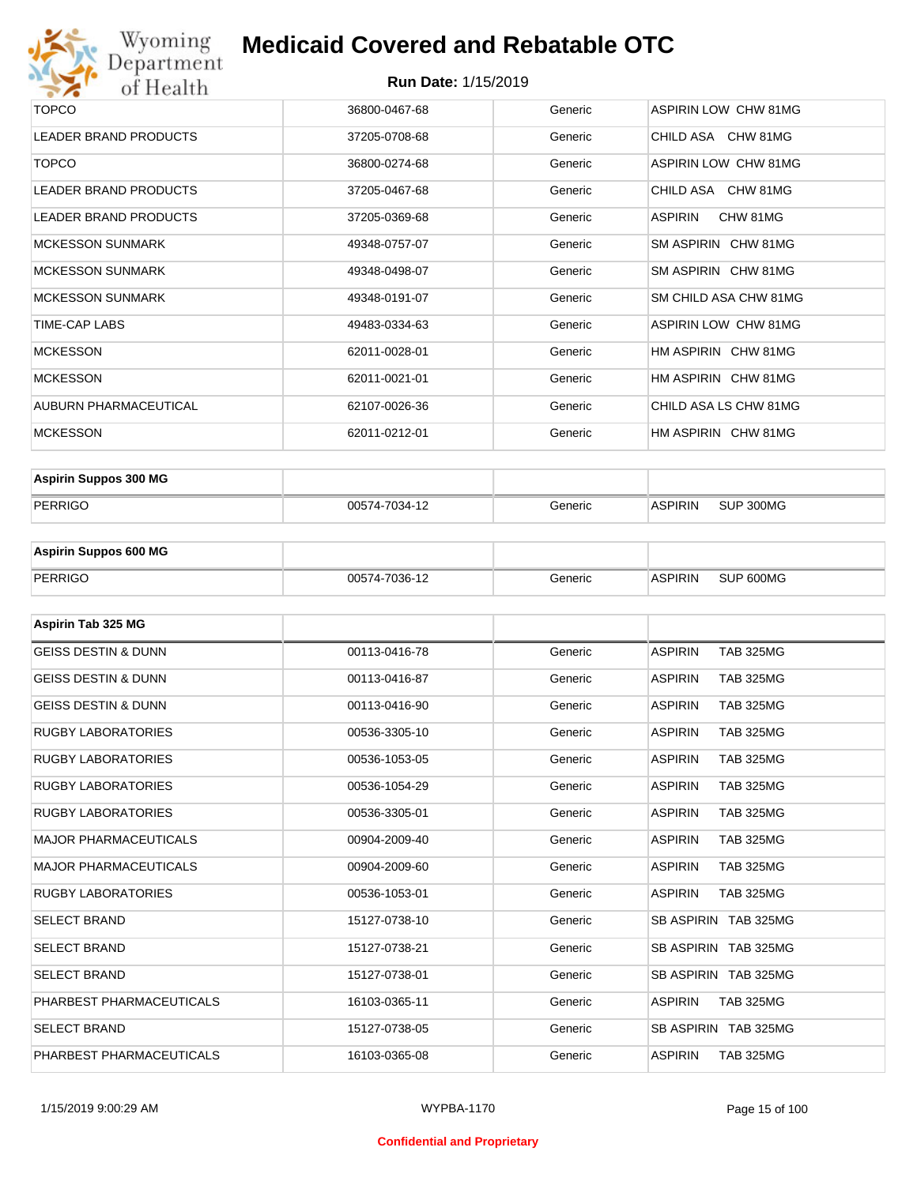

#### **Run Date:** 1/15/2019

| TOPCO                        | 36800-0467-68 | Generic | ASPIRIN LOW CHW 81MG       |
|------------------------------|---------------|---------|----------------------------|
| <b>LEADER BRAND PRODUCTS</b> | 37205-0708-68 | Generic | CHILD ASA CHW 81MG         |
| <b>TOPCO</b>                 | 36800-0274-68 | Generic | ASPIRIN LOW CHW 81MG       |
| LEADER BRAND PRODUCTS        | 37205-0467-68 | Generic | CHILD ASA CHW 81MG         |
| <b>LEADER BRAND PRODUCTS</b> | 37205-0369-68 | Generic | <b>ASPIRIN</b><br>CHW 81MG |
| <b>MCKESSON SUNMARK</b>      | 49348-0757-07 | Generic | SM ASPIRIN CHW 81MG        |
| <b>MCKESSON SUNMARK</b>      | 49348-0498-07 | Generic | SM ASPIRIN CHW 81MG        |
| <b>MCKESSON SUNMARK</b>      | 49348-0191-07 | Generic | SM CHILD ASA CHW 81MG      |
| TIME-CAP LABS                | 49483-0334-63 | Generic | ASPIRIN LOW CHW 81MG       |
| <b>MCKESSON</b>              | 62011-0028-01 | Generic | HM ASPIRIN CHW 81MG        |
| <b>MCKESSON</b>              | 62011-0021-01 | Generic | HM ASPIRIN CHW 81MG        |
| AUBURN PHARMACEUTICAL        | 62107-0026-36 | Generic | CHILD ASA LS CHW 81MG      |
| <b>MCKESSON</b>              | 62011-0212-01 | Generic | HM ASPIRIN CHW 81MG        |

| <b>Aspirin Suppos 300 MG</b> |               |         |                |           |
|------------------------------|---------------|---------|----------------|-----------|
| PERRIGO                      | 00574-7034-12 | Generic | <b>ASPIRIN</b> | SUP 300MG |

| <b>Aspirin Suppos 600 MG</b> |               |         |          |           |
|------------------------------|---------------|---------|----------|-----------|
| PERRIGO                      | 00574-7036-12 | Generic | ⊪ASPIRIN | SUP 600MG |

| Aspirin Tab 325 MG             |               |         |                                    |
|--------------------------------|---------------|---------|------------------------------------|
| <b>GEISS DESTIN &amp; DUNN</b> | 00113-0416-78 | Generic | <b>ASPIRIN</b><br><b>TAB 325MG</b> |
| <b>GEISS DESTIN &amp; DUNN</b> | 00113-0416-87 | Generic | <b>ASPIRIN</b><br><b>TAB 325MG</b> |
| <b>GEISS DESTIN &amp; DUNN</b> | 00113-0416-90 | Generic | <b>ASPIRIN</b><br><b>TAB 325MG</b> |
| <b>RUGBY LABORATORIES</b>      | 00536-3305-10 | Generic | <b>TAB 325MG</b><br><b>ASPIRIN</b> |
| <b>RUGBY LABORATORIES</b>      | 00536-1053-05 | Generic | <b>ASPIRIN</b><br><b>TAB 325MG</b> |
| <b>RUGBY LABORATORIES</b>      | 00536-1054-29 | Generic | <b>ASPIRIN</b><br><b>TAB 325MG</b> |
| <b>RUGBY LABORATORIES</b>      | 00536-3305-01 | Generic | <b>ASPIRIN</b><br><b>TAB 325MG</b> |
| <b>MAJOR PHARMACEUTICALS</b>   | 00904-2009-40 | Generic | <b>ASPIRIN</b><br><b>TAB 325MG</b> |
| <b>MAJOR PHARMACEUTICALS</b>   | 00904-2009-60 | Generic | <b>TAB 325MG</b><br><b>ASPIRIN</b> |
| <b>RUGBY LABORATORIES</b>      | 00536-1053-01 | Generic | <b>ASPIRIN</b><br><b>TAB 325MG</b> |
| <b>SELECT BRAND</b>            | 15127-0738-10 | Generic | SB ASPIRIN TAB 325MG               |
| <b>SELECT BRAND</b>            | 15127-0738-21 | Generic | SB ASPIRIN TAB 325MG               |
| <b>SELECT BRAND</b>            | 15127-0738-01 | Generic | SB ASPIRIN TAB 325MG               |
| PHARBEST PHARMACEUTICALS       | 16103-0365-11 | Generic | <b>ASPIRIN</b><br><b>TAB 325MG</b> |
| <b>SELECT BRAND</b>            | 15127-0738-05 | Generic | SB ASPIRIN TAB 325MG               |
| PHARBEST PHARMACEUTICALS       | 16103-0365-08 | Generic | <b>ASPIRIN</b><br><b>TAB 325MG</b> |

#### **Confidential and Proprietary**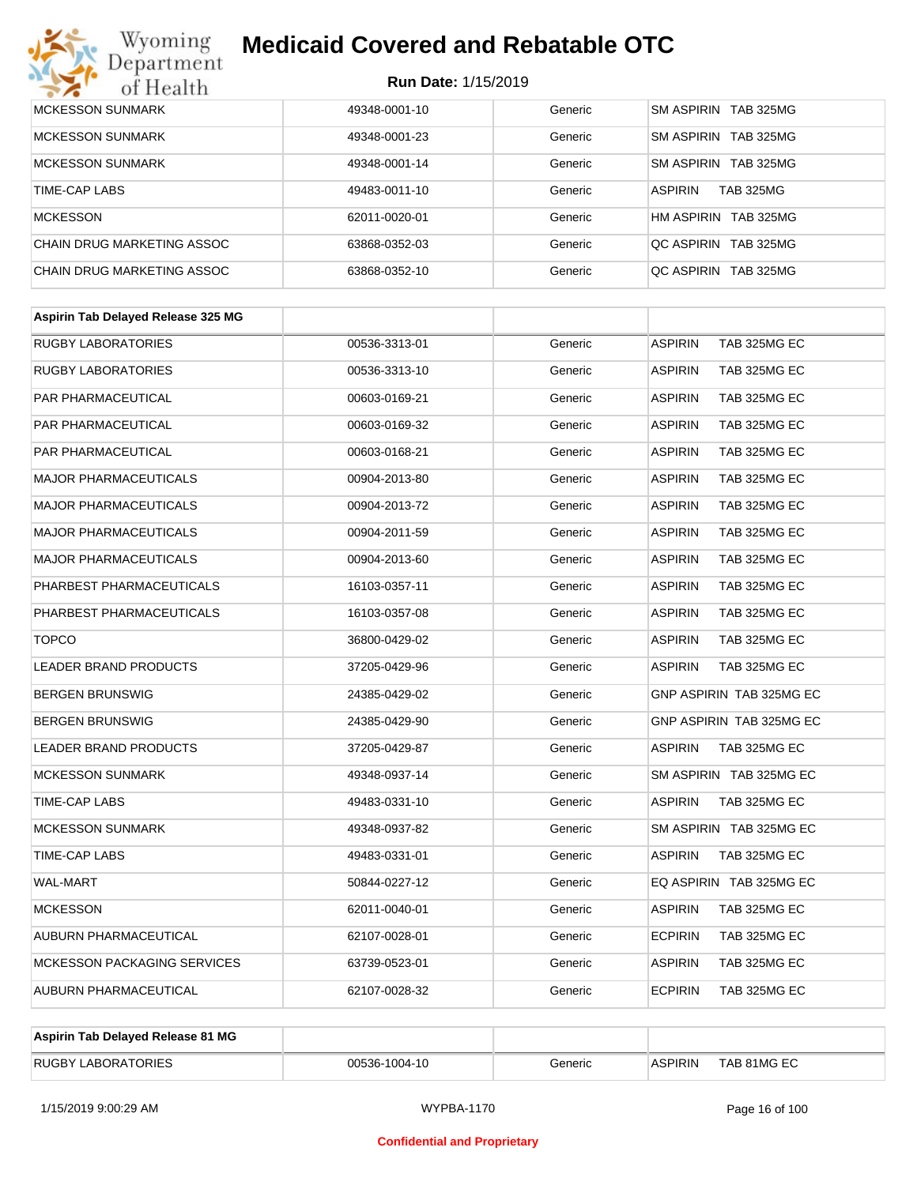# Wyoming<br>Department<br>of Health

## **Medicaid Covered and Rebatable OTC**

| <b>MCKESSON SUNMARK</b>    | 49348-0001-10 | Generic | SM ASPIRIN TAB 325MG               |
|----------------------------|---------------|---------|------------------------------------|
| <b>MCKESSON SUNMARK</b>    | 49348-0001-23 | Generic | SM ASPIRIN TAB 325MG               |
| <b>MCKESSON SUNMARK</b>    | 49348-0001-14 | Generic | SM ASPIRIN TAB 325MG               |
| TIME-CAP LABS              | 49483-0011-10 | Generic | <b>TAB 325MG</b><br><b>ASPIRIN</b> |
| <b>MCKESSON</b>            | 62011-0020-01 | Generic | HM ASPIRIN TAB 325MG               |
| CHAIN DRUG MARKETING ASSOC | 63868-0352-03 | Generic | QC ASPIRIN TAB 325MG               |
| CHAIN DRUG MARKETING ASSOC | 63868-0352-10 | Generic | OC ASPIRIN TAB 325MG               |

| Aspirin Tab Delayed Release 325 MG |               |         |                                |
|------------------------------------|---------------|---------|--------------------------------|
| <b>RUGBY LABORATORIES</b>          | 00536-3313-01 | Generic | <b>ASPIRIN</b><br>TAB 325MG EC |
| <b>RUGBY LABORATORIES</b>          | 00536-3313-10 | Generic | <b>ASPIRIN</b><br>TAB 325MG EC |
| PAR PHARMACEUTICAL                 | 00603-0169-21 | Generic | <b>ASPIRIN</b><br>TAB 325MG EC |
| PAR PHARMACEUTICAL                 | 00603-0169-32 | Generic | <b>ASPIRIN</b><br>TAB 325MG EC |
| PAR PHARMACEUTICAL                 | 00603-0168-21 | Generic | <b>ASPIRIN</b><br>TAB 325MG EC |
| <b>MAJOR PHARMACEUTICALS</b>       | 00904-2013-80 | Generic | <b>ASPIRIN</b><br>TAB 325MG EC |
| <b>MAJOR PHARMACEUTICALS</b>       | 00904-2013-72 | Generic | <b>ASPIRIN</b><br>TAB 325MG EC |
| <b>MAJOR PHARMACEUTICALS</b>       | 00904-2011-59 | Generic | <b>ASPIRIN</b><br>TAB 325MG EC |
| <b>MAJOR PHARMACEUTICALS</b>       | 00904-2013-60 | Generic | <b>ASPIRIN</b><br>TAB 325MG EC |
| PHARBEST PHARMACEUTICALS           | 16103-0357-11 | Generic | <b>ASPIRIN</b><br>TAB 325MG EC |
| PHARBEST PHARMACEUTICALS           | 16103-0357-08 | Generic | <b>ASPIRIN</b><br>TAB 325MG EC |
| <b>TOPCO</b>                       | 36800-0429-02 | Generic | <b>ASPIRIN</b><br>TAB 325MG EC |
| <b>LEADER BRAND PRODUCTS</b>       | 37205-0429-96 | Generic | <b>ASPIRIN</b><br>TAB 325MG EC |
| <b>BERGEN BRUNSWIG</b>             | 24385-0429-02 | Generic | GNP ASPIRIN TAB 325MG EC       |
| <b>BERGEN BRUNSWIG</b>             | 24385-0429-90 | Generic | GNP ASPIRIN TAB 325MG EC       |
| <b>LEADER BRAND PRODUCTS</b>       | 37205-0429-87 | Generic | <b>ASPIRIN</b><br>TAB 325MG EC |
| <b>MCKESSON SUNMARK</b>            | 49348-0937-14 | Generic | SM ASPIRIN TAB 325MG EC        |
| <b>TIME-CAP LABS</b>               | 49483-0331-10 | Generic | <b>ASPIRIN</b><br>TAB 325MG EC |
| <b>MCKESSON SUNMARK</b>            | 49348-0937-82 | Generic | SM ASPIRIN TAB 325MG EC        |
| TIME-CAP LABS                      | 49483-0331-01 | Generic | <b>ASPIRIN</b><br>TAB 325MG EC |
| <b>WAL-MART</b>                    | 50844-0227-12 | Generic | EQ ASPIRIN TAB 325MG EC        |
| <b>MCKESSON</b>                    | 62011-0040-01 | Generic | <b>ASPIRIN</b><br>TAB 325MG EC |
| AUBURN PHARMACEUTICAL              | 62107-0028-01 | Generic | <b>ECPIRIN</b><br>TAB 325MG EC |
| <b>MCKESSON PACKAGING SERVICES</b> | 63739-0523-01 | Generic | <b>ASPIRIN</b><br>TAB 325MG EC |
| AUBURN PHARMACEUTICAL              | 62107-0028-32 | Generic | <b>ECPIRIN</b><br>TAB 325MG EC |
|                                    |               |         |                                |

| Aspirin Tab Delayed Release 81 MG |               |         |                |             |
|-----------------------------------|---------------|---------|----------------|-------------|
| <b>RUGBY LABORATORIES</b>         | 00536-1004-10 | Generic | <b>ASPIRIN</b> | TAB 81MG EC |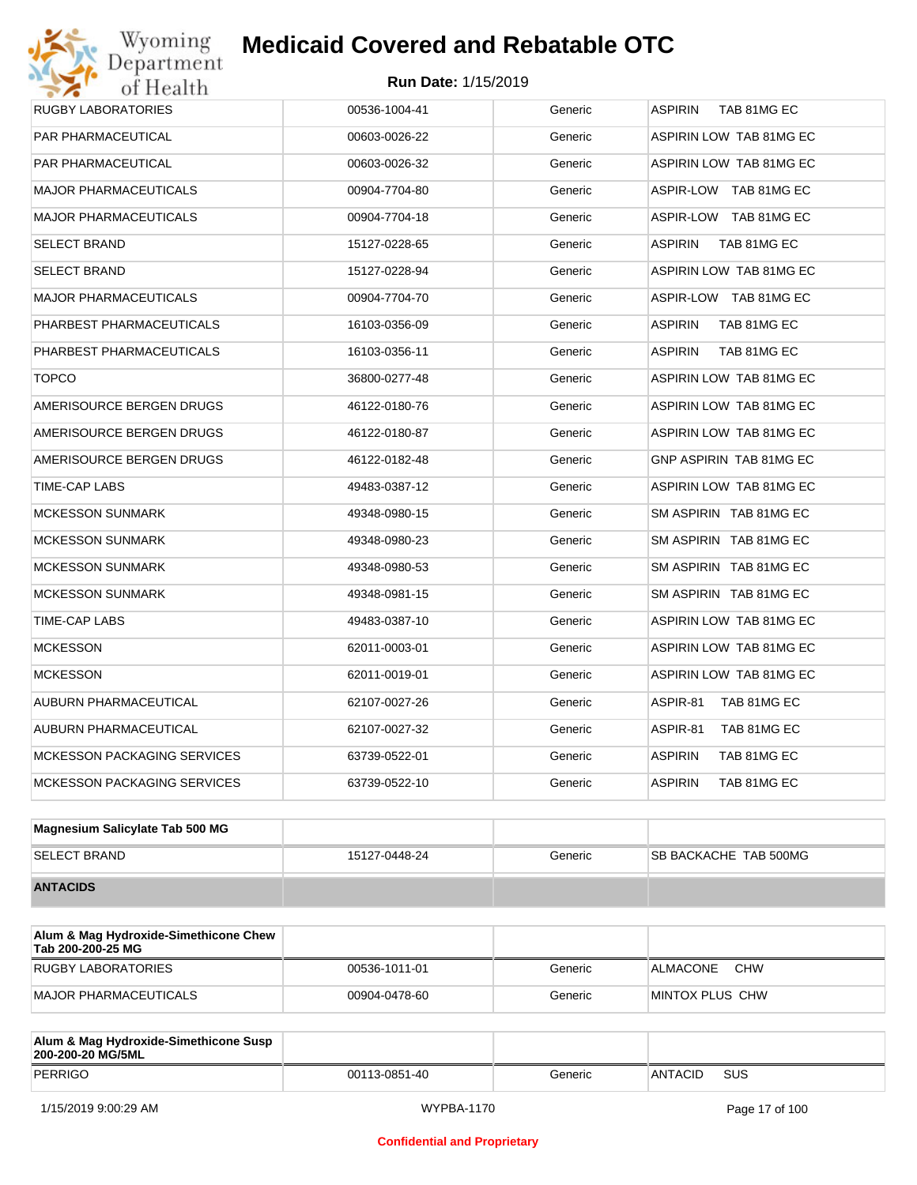| Department<br>of Health     | <b>Run Date: 1/15/2019</b> |         |                               |
|-----------------------------|----------------------------|---------|-------------------------------|
| <b>RUGBY LABORATORIES</b>   | 00536-1004-41              | Generic | <b>ASPIRIN</b><br>TAB 81MG EC |
| PAR PHARMACEUTICAL          | 00603-0026-22              | Generic | ASPIRIN LOW TAB 81MG EC       |
| PAR PHARMACEUTICAL          | 00603-0026-32              | Generic | ASPIRIN LOW TAB 81MG EC       |
| MAJOR PHARMACEUTICALS       | 00904-7704-80              | Generic | ASPIR-LOW TAB 81MG EC         |
| MAJOR PHARMACEUTICALS       | 00904-7704-18              | Generic | ASPIR-LOW TAB 81MG EC         |
| SELECT BRAND                | 15127-0228-65              | Generic | <b>ASPIRIN</b><br>TAB 81MG EC |
| SELECT BRAND                | 15127-0228-94              | Generic | ASPIRIN LOW TAB 81MG EC       |
| MAJOR PHARMACEUTICALS       | 00904-7704-70              | Generic | ASPIR-LOW TAB 81MG EC         |
| PHARBEST PHARMACEUTICALS    | 16103-0356-09              | Generic | TAB 81MG EC<br><b>ASPIRIN</b> |
| PHARBEST PHARMACEUTICALS    | 16103-0356-11              | Generic | <b>ASPIRIN</b><br>TAB 81MG EC |
| <b>TOPCO</b>                | 36800-0277-48              | Generic | ASPIRIN LOW TAB 81MG EC       |
| AMERISOURCE BERGEN DRUGS    | 46122-0180-76              | Generic | ASPIRIN LOW TAB 81MG EC       |
| AMERISOURCE BERGEN DRUGS    | 46122-0180-87              | Generic | ASPIRIN LOW TAB 81MG EC       |
| AMERISOURCE BERGEN DRUGS    | 46122-0182-48              | Generic | GNP ASPIRIN TAB 81MG EC       |
| TIME-CAP LABS               | 49483-0387-12              | Generic | ASPIRIN LOW TAB 81MG EC       |
| MCKESSON SUNMARK            | 49348-0980-15              | Generic | SM ASPIRIN TAB 81MG EC        |
| <b>MCKESSON SUNMARK</b>     | 49348-0980-23              | Generic | SM ASPIRIN TAB 81MG EC        |
| MCKESSON SUNMARK            | 49348-0980-53              | Generic | SM ASPIRIN TAB 81MG EC        |
| <b>MCKESSON SUNMARK</b>     | 49348-0981-15              | Generic | SM ASPIRIN TAB 81MG EC        |
| TIME-CAP LABS               | 49483-0387-10              | Generic | ASPIRIN LOW TAB 81MG EC       |
| <b>MCKESSON</b>             | 62011-0003-01              | Generic | ASPIRIN LOW TAB 81MG EC       |
| <b>MCKESSON</b>             | 62011-0019-01              | Generic | ASPIRIN LOW TAB 81MG EC       |
| AUBURN PHARMACEUTICAL       | 62107-0027-26              | Generic | ASPIR-81<br>TAB 81MG EC       |
| AUBURN PHARMACEUTICAL       | 62107-0027-32              | Generic | ASPIR-81<br>TAB 81MG EC       |
| MCKESSON PACKAGING SERVICES | 63739-0522-01              | Generic | ASPIRIN<br>TAB 81MG EC        |
| MCKESSON PACKAGING SERVICES | 63739-0522-10              | Generic | <b>ASPIRIN</b><br>TAB 81MG EC |

| Magnesium Salicylate Tab 500 MG |               |         |                              |
|---------------------------------|---------------|---------|------------------------------|
| <b>SELECT BRAND</b>             | 15127-0448-24 | Generic | <b>SB BACKACHE TAB 500MG</b> |
| <b>ANTACIDS</b>                 |               |         |                              |

| Alum & Mag Hydroxide-Simethicone Chew<br>Tab 200-200-25 MG |               |         |                               |
|------------------------------------------------------------|---------------|---------|-------------------------------|
| RUGBY LABORATORIES                                         | 00536-1011-01 | Generic | <b>CHW</b><br><b>ALMACONE</b> |
| MAJOR PHARMACEUTICALS                                      | 00904-0478-60 | Generic | IMINTOX PLUS CHW              |

| Alum & Mag Hydroxide-Simethicone Susp<br>200-200-20 MG/5ML |               |         |         |            |
|------------------------------------------------------------|---------------|---------|---------|------------|
| PERRIGO                                                    | 00113-0851-40 | Generic | ANTACID | <b>SUS</b> |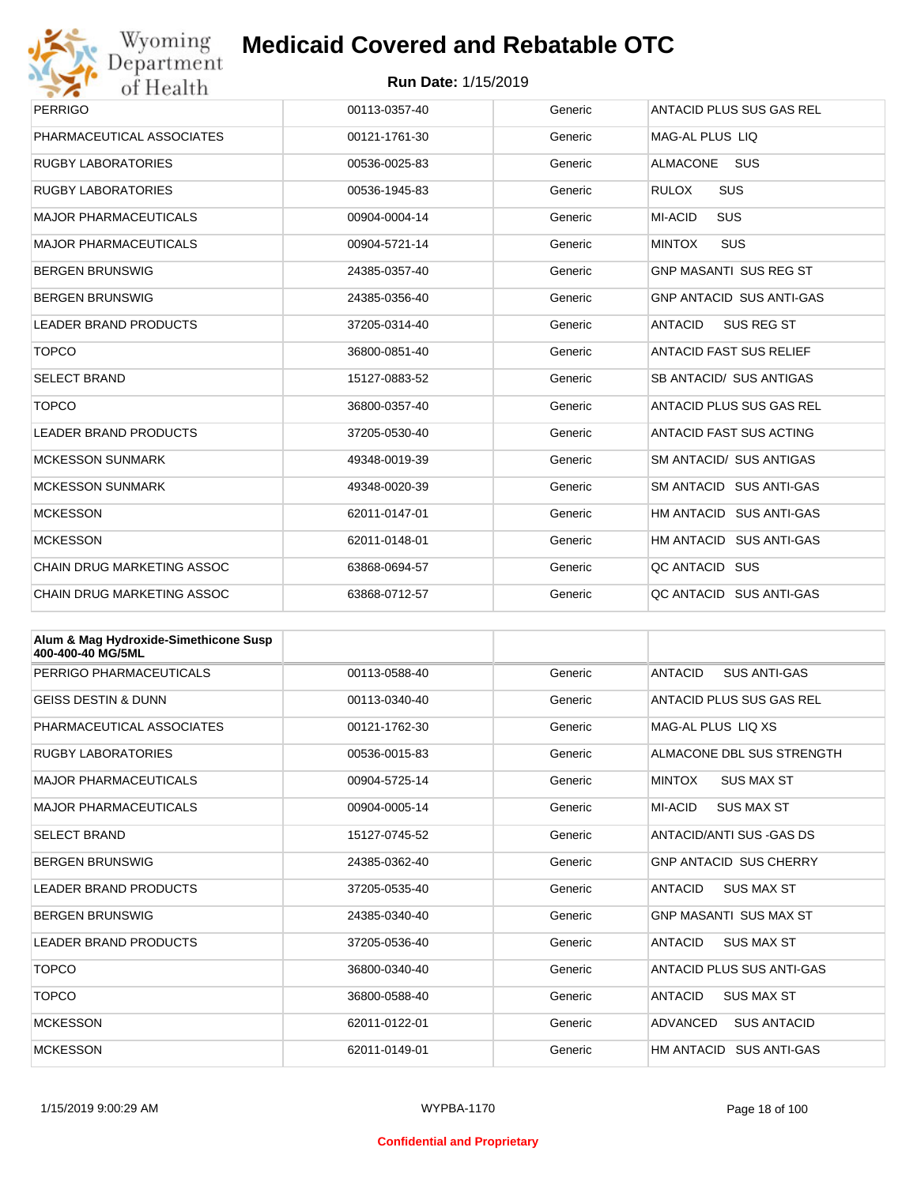

| Wyoming                           | <b>Medicaid Covered and Rebatable OTC</b> |         |                                 |  |
|-----------------------------------|-------------------------------------------|---------|---------------------------------|--|
| Department<br>of Health           | <b>Run Date: 1/15/2019</b>                |         |                                 |  |
| <b>PERRIGO</b>                    | 00113-0357-40                             | Generic | <b>ANTACID PLUS SUS GAS REL</b> |  |
| PHARMACEUTICAL ASSOCIATES         | 00121-1761-30                             | Generic | MAG-AL PLUS LIQ                 |  |
| <b>RUGBY LABORATORIES</b>         | 00536-0025-83                             | Generic | <b>ALMACONE</b><br><b>SUS</b>   |  |
| <b>RUGBY LABORATORIES</b>         | 00536-1945-83                             | Generic | SUS<br><b>RULOX</b>             |  |
| <b>MAJOR PHARMACEUTICALS</b>      | 00904-0004-14                             | Generic | <b>MI-ACID</b><br><b>SUS</b>    |  |
| <b>MAJOR PHARMACEUTICALS</b>      | 00904-5721-14                             | Generic | <b>MINTOX</b><br><b>SUS</b>     |  |
| <b>BERGEN BRUNSWIG</b>            | 24385-0357-40                             | Generic | <b>GNP MASANTI SUS REG ST</b>   |  |
| <b>BERGEN BRUNSWIG</b>            | 24385-0356-40                             | Generic | <b>GNP ANTACID SUS ANTI-GAS</b> |  |
| <b>LEADER BRAND PRODUCTS</b>      | 37205-0314-40                             | Generic | <b>SUS REG ST</b><br>ANTACID    |  |
| <b>TOPCO</b>                      | 36800-0851-40                             | Generic | <b>ANTACID FAST SUS RELIEF</b>  |  |
| <b>SELECT BRAND</b>               | 15127-0883-52                             | Generic | SB ANTACID/ SUS ANTIGAS         |  |
| <b>TOPCO</b>                      | 36800-0357-40                             | Generic | ANTACID PLUS SUS GAS REL        |  |
| <b>LEADER BRAND PRODUCTS</b>      | 37205-0530-40                             | Generic | <b>ANTACID FAST SUS ACTING</b>  |  |
| <b>MCKESSON SUNMARK</b>           | 49348-0019-39                             | Generic | SM ANTACID/ SUS ANTIGAS         |  |
| <b>MCKESSON SUNMARK</b>           | 49348-0020-39                             | Generic | SM ANTACID SUS ANTI-GAS         |  |
| <b>MCKESSON</b>                   | 62011-0147-01                             | Generic | HM ANTACID SUS ANTI-GAS         |  |
| <b>MCKESSON</b>                   | 62011-0148-01                             | Generic | HM ANTACID SUS ANTI-GAS         |  |
| <b>CHAIN DRUG MARKETING ASSOC</b> | 63868-0694-57                             | Generic | QC ANTACID SUS                  |  |
| <b>CHAIN DRUG MARKETING ASSOC</b> | 63868-0712-57                             | Generic | QC ANTACID SUS ANTI-GAS         |  |

| Alum & Mag Hydroxide-Simethicone Susp<br>400-400-40 MG/5ML |               |         |                                       |
|------------------------------------------------------------|---------------|---------|---------------------------------------|
| PERRIGO PHARMACEUTICALS                                    | 00113-0588-40 | Generic | <b>SUS ANTI-GAS</b><br><b>ANTACID</b> |
| <b>GEISS DESTIN &amp; DUNN</b>                             | 00113-0340-40 | Generic | ANTACID PLUS SUS GAS REL              |
| PHARMACEUTICAL ASSOCIATES                                  | 00121-1762-30 | Generic | MAG-AL PLUS LIO XS                    |
| <b>RUGBY LABORATORIES</b>                                  | 00536-0015-83 | Generic | ALMACONE DBL SUS STRENGTH             |
| <b>MAJOR PHARMACEUTICALS</b>                               | 00904-5725-14 | Generic | <b>MINTOX</b><br><b>SUS MAX ST</b>    |
| <b>MAJOR PHARMACEUTICALS</b>                               | 00904-0005-14 | Generic | MI-ACID<br><b>SUS MAX ST</b>          |
| <b>SELECT BRAND</b>                                        | 15127-0745-52 | Generic | ANTACID/ANTI SUS -GAS DS              |
| <b>BERGEN BRUNSWIG</b>                                     | 24385-0362-40 | Generic | <b>GNP ANTACID SUS CHERRY</b>         |
| <b>LEADER BRAND PRODUCTS</b>                               | 37205-0535-40 | Generic | <b>ANTACID</b><br><b>SUS MAX ST</b>   |
| <b>BERGEN BRUNSWIG</b>                                     | 24385-0340-40 | Generic | <b>GNP MASANTI SUS MAX ST</b>         |
| <b>LEADER BRAND PRODUCTS</b>                               | 37205-0536-40 | Generic | <b>ANTACID</b><br><b>SUS MAX ST</b>   |
| <b>TOPCO</b>                                               | 36800-0340-40 | Generic | ANTACID PLUS SUS ANTI-GAS             |
| <b>TOPCO</b>                                               | 36800-0588-40 | Generic | <b>ANTACID</b><br><b>SUS MAX ST</b>   |
| <b>MCKESSON</b>                                            | 62011-0122-01 | Generic | ADVANCED<br><b>SUS ANTACID</b>        |
| <b>MCKESSON</b>                                            | 62011-0149-01 | Generic | HM ANTACID SUS ANTI-GAS               |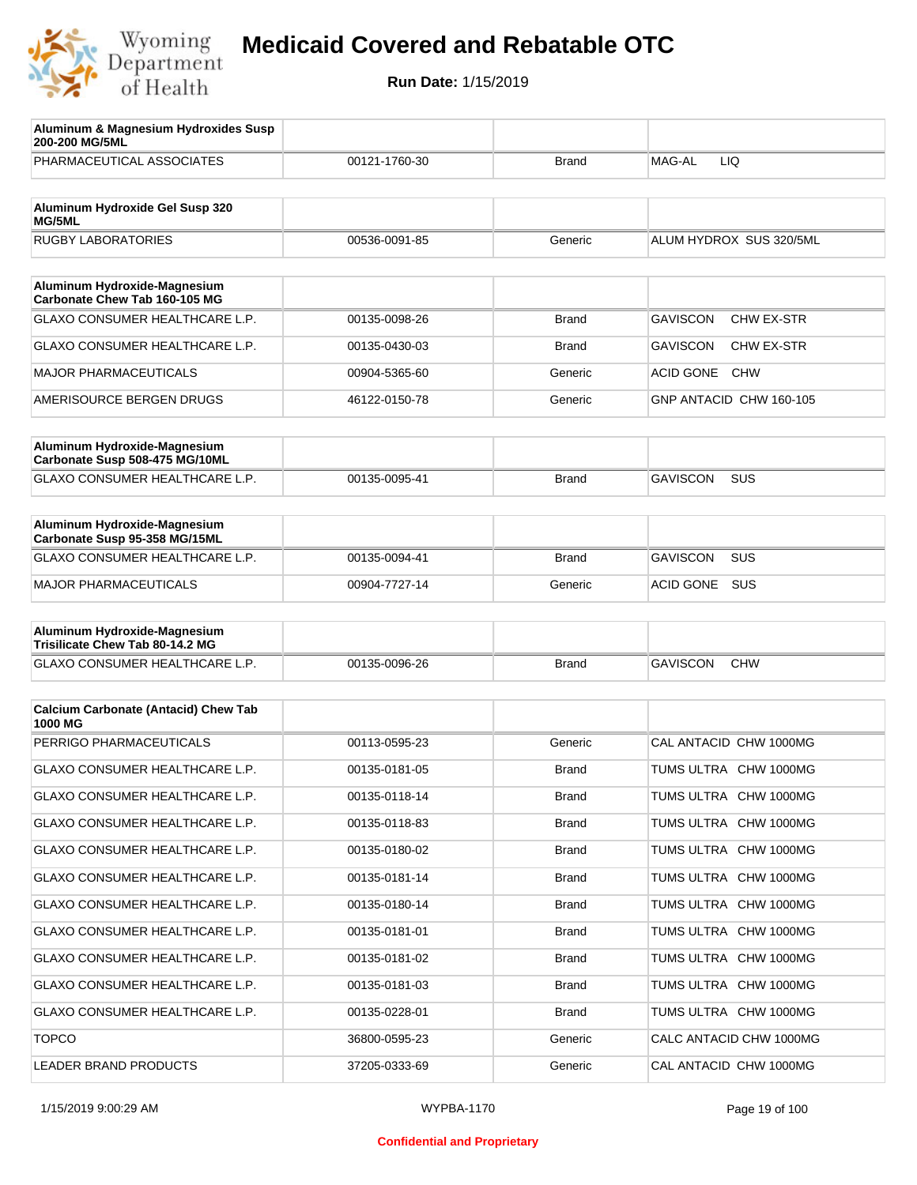

| Aluminum & Magnesium Hydroxides Susp<br>200-200 MG/5ML          |               |              |                                |
|-----------------------------------------------------------------|---------------|--------------|--------------------------------|
| PHARMACEUTICAL ASSOCIATES                                       | 00121-1760-30 | Brand        | MAG-AL<br>LIQ                  |
| Aluminum Hydroxide Gel Susp 320<br><b>MG/5ML</b>                |               |              |                                |
| <b>RUGBY LABORATORIES</b>                                       | 00536-0091-85 | Generic      | ALUM HYDROX SUS 320/5ML        |
| Aluminum Hydroxide-Magnesium                                    |               |              |                                |
| Carbonate Chew Tab 160-105 MG                                   |               |              |                                |
| <b>GLAXO CONSUMER HEALTHCARE L.P.</b>                           | 00135-0098-26 | <b>Brand</b> | <b>GAVISCON</b><br>CHW EX-STR  |
| <b>GLAXO CONSUMER HEALTHCARE L.P.</b>                           | 00135-0430-03 | Brand        | <b>GAVISCON</b><br>CHW EX-STR  |
| <b>MAJOR PHARMACEUTICALS</b>                                    | 00904-5365-60 | Generic      | <b>ACID GONE</b><br><b>CHW</b> |
| AMERISOURCE BERGEN DRUGS                                        | 46122-0150-78 | Generic      | GNP ANTACID CHW 160-105        |
| Aluminum Hydroxide-Magnesium<br>Carbonate Susp 508-475 MG/10ML  |               |              |                                |
| <b>GLAXO CONSUMER HEALTHCARE L.P.</b>                           | 00135-0095-41 | <b>Brand</b> | <b>GAVISCON</b><br><b>SUS</b>  |
|                                                                 |               |              |                                |
| Aluminum Hydroxide-Magnesium<br>Carbonate Susp 95-358 MG/15ML   |               |              |                                |
| GLAXO CONSUMER HEALTHCARE L.P.                                  | 00135-0094-41 | <b>Brand</b> | <b>GAVISCON</b><br>SUS         |
| <b>MAJOR PHARMACEUTICALS</b>                                    | 00904-7727-14 | Generic      | SUS<br><b>ACID GONE</b>        |
| Aluminum Hydroxide-Magnesium<br>Trisilicate Chew Tab 80-14.2 MG |               |              |                                |
| GLAXO CONSUMER HEALTHCARE L.P.                                  | 00135-0096-26 | Brand        | <b>GAVISCON</b><br><b>CHW</b>  |
|                                                                 |               |              |                                |
| <b>Calcium Carbonate (Antacid) Chew Tab</b><br>1000 MG          |               |              |                                |
| PERRIGO PHARMACEUTICALS                                         | 00113-0595-23 | Generic      | CAL ANTACID CHW 1000MG         |
| <b>GLAXO CONSUMER HEALTHCARE L.P.</b>                           | 00135-0181-05 | Brand        | TUMS ULTRA CHW 1000MG          |
| GLAXO CONSUMER HEALTHCARE L.P.                                  | 00135-0118-14 | <b>Brand</b> | TUMS ULTRA CHW 1000MG          |
| GLAXO CONSUMER HEALTHCARE L.P.                                  | 00135-0118-83 | <b>Brand</b> | TUMS ULTRA CHW 1000MG          |
| GLAXO CONSUMER HEALTHCARE L.P.                                  | 00135-0180-02 | <b>Brand</b> | TUMS ULTRA CHW 1000MG          |
| GLAXO CONSUMER HEALTHCARE L.P.                                  | 00135-0181-14 | <b>Brand</b> | TUMS ULTRA CHW 1000MG          |
| GLAXO CONSUMER HEALTHCARE L.P.                                  | 00135-0180-14 | <b>Brand</b> | TUMS ULTRA CHW 1000MG          |
| GLAXO CONSUMER HEALTHCARE L.P.                                  | 00135-0181-01 | <b>Brand</b> | TUMS ULTRA CHW 1000MG          |
| GLAXO CONSUMER HEALTHCARE L.P.                                  | 00135-0181-02 | <b>Brand</b> | TUMS ULTRA CHW 1000MG          |
| GLAXO CONSUMER HEALTHCARE L.P.                                  | 00135-0181-03 | <b>Brand</b> | TUMS ULTRA CHW 1000MG          |
| GLAXO CONSUMER HEALTHCARE L.P.                                  | 00135-0228-01 | <b>Brand</b> | TUMS ULTRA CHW 1000MG          |
| <b>TOPCO</b>                                                    | 36800-0595-23 | Generic      | CALC ANTACID CHW 1000MG        |
| LEADER BRAND PRODUCTS                                           | 37205-0333-69 | Generic      | CAL ANTACID CHW 1000MG         |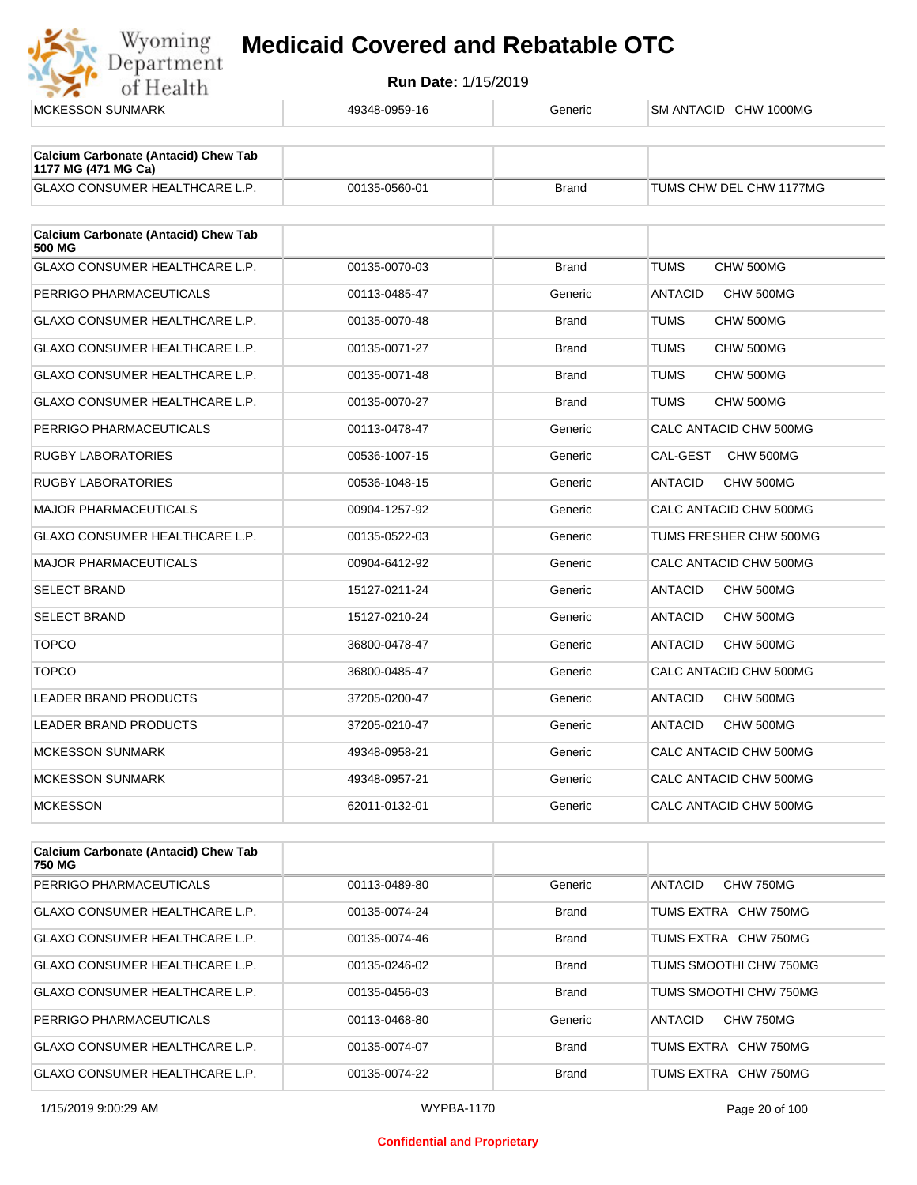

| <b>MCKESSON SUNMARK</b>                               | 49348-0959-16 | Generic      | SM ANTACID CHW 1000MG       |
|-------------------------------------------------------|---------------|--------------|-----------------------------|
| <b>Calcium Carbonate (Antacid) Chew Tab</b>           |               |              |                             |
| 1177 MG (471 MG Ca)                                   |               |              |                             |
| GLAXO CONSUMER HEALTHCARE L.P.                        | 00135-0560-01 | <b>Brand</b> | TUMS CHW DEL CHW 1177MG     |
| <b>Calcium Carbonate (Antacid) Chew Tab</b><br>500 MG |               |              |                             |
| <b>GLAXO CONSUMER HEALTHCARE L.P.</b>                 | 00135-0070-03 | <b>Brand</b> | <b>TUMS</b><br>CHW 500MG    |
| PERRIGO PHARMACEUTICALS                               | 00113-0485-47 | Generic      | <b>ANTACID</b><br>CHW 500MG |
| GLAXO CONSUMER HEALTHCARE L.P.                        | 00135-0070-48 | <b>Brand</b> | CHW 500MG<br><b>TUMS</b>    |
| GLAXO CONSUMER HEALTHCARE L.P.                        | 00135-0071-27 | <b>Brand</b> | <b>TUMS</b><br>CHW 500MG    |
| GLAXO CONSUMER HEALTHCARE L.P.                        | 00135-0071-48 | <b>Brand</b> | <b>TUMS</b><br>CHW 500MG    |
| GLAXO CONSUMER HEALTHCARE L.P.                        | 00135-0070-27 | <b>Brand</b> | <b>TUMS</b><br>CHW 500MG    |
| PERRIGO PHARMACEUTICALS                               | 00113-0478-47 | Generic      | CALC ANTACID CHW 500MG      |
| <b>RUGBY LABORATORIES</b>                             | 00536-1007-15 | Generic      | CAL-GEST<br>CHW 500MG       |
| <b>RUGBY LABORATORIES</b>                             | 00536-1048-15 | Generic      | CHW 500MG<br><b>ANTACID</b> |
| <b>MAJOR PHARMACEUTICALS</b>                          | 00904-1257-92 | Generic      | CALC ANTACID CHW 500MG      |
| GLAXO CONSUMER HEALTHCARE L.P.                        | 00135-0522-03 | Generic      | TUMS FRESHER CHW 500MG      |
| <b>MAJOR PHARMACEUTICALS</b>                          | 00904-6412-92 | Generic      | CALC ANTACID CHW 500MG      |
| <b>SELECT BRAND</b>                                   | 15127-0211-24 | Generic      | <b>ANTACID</b><br>CHW 500MG |
| <b>SELECT BRAND</b>                                   | 15127-0210-24 | Generic      | <b>ANTACID</b><br>CHW 500MG |
| <b>TOPCO</b>                                          | 36800-0478-47 | Generic      | CHW 500MG<br><b>ANTACID</b> |
| <b>TOPCO</b>                                          | 36800-0485-47 | Generic      | CALC ANTACID CHW 500MG      |
| LEADER BRAND PRODUCTS                                 | 37205-0200-47 | Generic      | <b>ANTACID</b><br>CHW 500MG |
| LEADER BRAND PRODUCTS                                 | 37205-0210-47 | Generic      | CHW 500MG<br><b>ANTACID</b> |
| <b>MCKESSON SUNMARK</b>                               | 49348-0958-21 | Generic      | CALC ANTACID CHW 500MG      |
| <b>MCKESSON SUNMARK</b>                               | 49348-0957-21 | Generic      | CALC ANTACID CHW 500MG      |
| <b>MCKESSON</b>                                       | 62011-0132-01 | Generic      | CALC ANTACID CHW 500MG      |
|                                                       |               |              |                             |
| <b>Calcium Carbonate (Antacid) Chew Tab</b>           |               |              |                             |

| Calcium Carbonate (Antacid) Chew Tab<br>750 MG |               |              |                                    |
|------------------------------------------------|---------------|--------------|------------------------------------|
| PERRIGO PHARMACEUTICALS                        | 00113-0489-80 | Generic      | <b>ANTACID</b><br><b>CHW 750MG</b> |
| GLAXO CONSUMER HEALTHCARE L.P.                 | 00135-0074-24 | <b>Brand</b> | TUMS EXTRA CHW 750MG               |
| <b>GLAXO CONSUMER HEALTHCARE L.P.</b>          | 00135-0074-46 | <b>Brand</b> | TUMS EXTRA CHW 750MG               |
| <b>GLAXO CONSUMER HEALTHCARE L.P.</b>          | 00135-0246-02 | <b>Brand</b> | TUMS SMOOTHI CHW 750MG             |
| GLAXO CONSUMER HEALTHCARE L.P.                 | 00135-0456-03 | <b>Brand</b> | TUMS SMOOTHI CHW 750MG             |
| PERRIGO PHARMACEUTICALS                        | 00113-0468-80 | Generic      | <b>CHW 750MG</b><br><b>ANTACID</b> |
| GLAXO CONSUMER HEALTHCARE L.P.                 | 00135-0074-07 | <b>Brand</b> | TUMS EXTRA CHW 750MG               |
| GLAXO CONSUMER HEALTHCARE L.P.                 | 00135-0074-22 | <b>Brand</b> | TUMS EXTRA CHW 750MG               |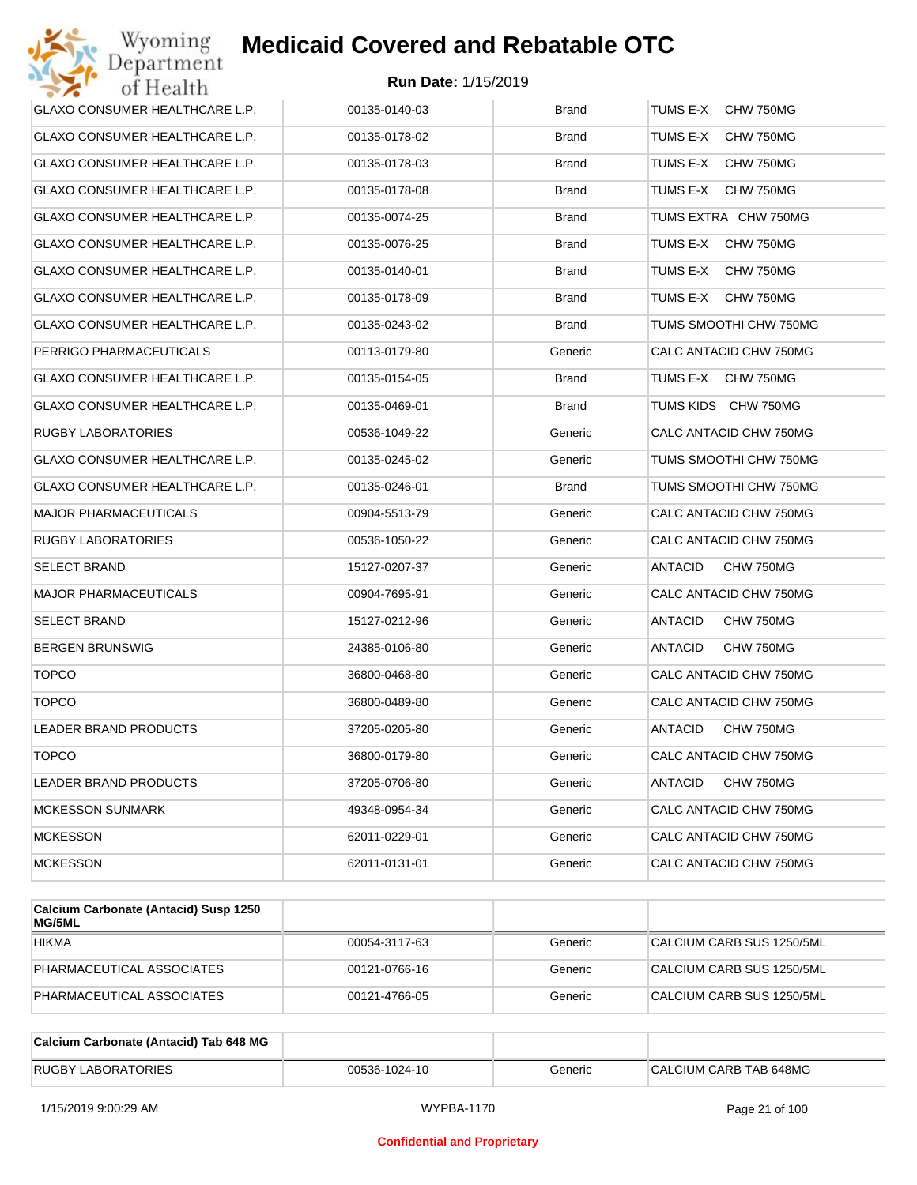| Wyoming<br>Department                 | <b>Medicaid Covered and Rebatable OTC</b> |              |                             |
|---------------------------------------|-------------------------------------------|--------------|-----------------------------|
| of Health                             | <b>Run Date: 1/15/2019</b>                |              |                             |
| GLAXO CONSUMER HEALTHCARE L.P.        | 00135-0140-03                             | <b>Brand</b> | TUMS E-X<br>CHW 750MG       |
| GLAXO CONSUMER HEALTHCARE L.P.        | 00135-0178-02                             | Brand        | TUMS E-X<br>CHW 750MG       |
| GLAXO CONSUMER HEALTHCARE L.P.        | 00135-0178-03                             | Brand        | TUMS E-X<br>CHW 750MG       |
| GLAXO CONSUMER HEALTHCARE L.P.        | 00135-0178-08                             | <b>Brand</b> | TUMS E-X<br>CHW 750MG       |
| GLAXO CONSUMER HEALTHCARE L.P.        | 00135-0074-25                             | Brand        | TUMS EXTRA CHW 750MG        |
| GLAXO CONSUMER HEALTHCARE L.P.        | 00135-0076-25                             | <b>Brand</b> | TUMS E-X<br>CHW 750MG       |
| GLAXO CONSUMER HEALTHCARE L.P.        | 00135-0140-01                             | <b>Brand</b> | TUMS E-X<br>CHW 750MG       |
| GLAXO CONSUMER HEALTHCARE L.P.        | 00135-0178-09                             | Brand        | TUMS E-X<br>CHW 750MG       |
| <b>GLAXO CONSUMER HEALTHCARE L.P.</b> | 00135-0243-02                             | <b>Brand</b> | TUMS SMOOTHI CHW 750MG      |
| PERRIGO PHARMACEUTICALS               | 00113-0179-80                             | Generic      | CALC ANTACID CHW 750MG      |
| GLAXO CONSUMER HEALTHCARE L.P.        | 00135-0154-05                             | <b>Brand</b> | TUMS E-X<br>CHW 750MG       |
| GLAXO CONSUMER HEALTHCARE L.P.        | 00135-0469-01                             | <b>Brand</b> | TUMS KIDS CHW 750MG         |
| RUGBY LABORATORIES                    | 00536-1049-22                             | Generic      | CALC ANTACID CHW 750MG      |
| GLAXO CONSUMER HEALTHCARE L.P.        | 00135-0245-02                             | Generic      | TUMS SMOOTHI CHW 750MG      |
| GLAXO CONSUMER HEALTHCARE L.P.        | 00135-0246-01                             | <b>Brand</b> | TUMS SMOOTHI CHW 750MG      |
| MAJOR PHARMACEUTICALS                 | 00904-5513-79                             | Generic      | CALC ANTACID CHW 750MG      |
| RUGBY LABORATORIES                    | 00536-1050-22                             | Generic      | CALC ANTACID CHW 750MG      |
| SELECT BRAND                          | 15127-0207-37                             | Generic      | ANTACID<br>CHW 750MG        |
| MAJOR PHARMACEUTICALS                 | 00904-7695-91                             | Generic      | CALC ANTACID CHW 750MG      |
| SELECT BRAND                          | 15127-0212-96                             | Generic      | ANTACID<br>CHW 750MG        |
| BERGEN BRUNSWIG                       | 24385-0106-80                             | Generic      | <b>ANTACID</b><br>CHW 750MG |
| <b>TOPCO</b>                          | 36800-0468-80                             | Generic      | CALC ANTACID CHW 750MG      |
| TOPCO                                 | 36800-0489-80                             | Generic      | CALC ANTACID CHW 750MG      |
| LEADER BRAND PRODUCTS                 | 37205-0205-80                             | Generic      | CHW 750MG<br>ANTACID        |
| <b>TOPCO</b>                          | 36800-0179-80                             | Generic      | CALC ANTACID CHW 750MG      |
| LEADER BRAND PRODUCTS                 | 37205-0706-80                             | Generic      | CHW 750MG<br><b>ANTACID</b> |
| <b>MCKESSON SUNMARK</b>               | 49348-0954-34                             | Generic      | CALC ANTACID CHW 750MG      |
| <b>MCKESSON</b>                       | 62011-0229-01                             | Generic      | CALC ANTACID CHW 750MG      |
| <b>MCKESSON</b>                       | 62011-0131-01                             | Generic      | CALC ANTACID CHW 750MG      |
|                                       |                                           |              |                             |

| Calcium Carbonate (Antacid) Susp 1250<br>MG/5ML |               |         |                           |
|-------------------------------------------------|---------------|---------|---------------------------|
| <b>HIKMA</b>                                    | 00054-3117-63 | Generic | CALCIUM CARB SUS 1250/5ML |
| PHARMACEUTICAL ASSOCIATES                       | 00121-0766-16 | Generic | CALCIUM CARB SUS 1250/5ML |
| PHARMACEUTICAL ASSOCIATES                       | 00121-4766-05 | Generic | CALCIUM CARB SUS 1250/5ML |

| Calcium Carbonate (Antacid) Tab 648 MG |               |         |                        |
|----------------------------------------|---------------|---------|------------------------|
| <b>RUGBY LABORATORIES</b>              | 00536-1024-10 | Generic | CALCIUM CARB TAB 648MG |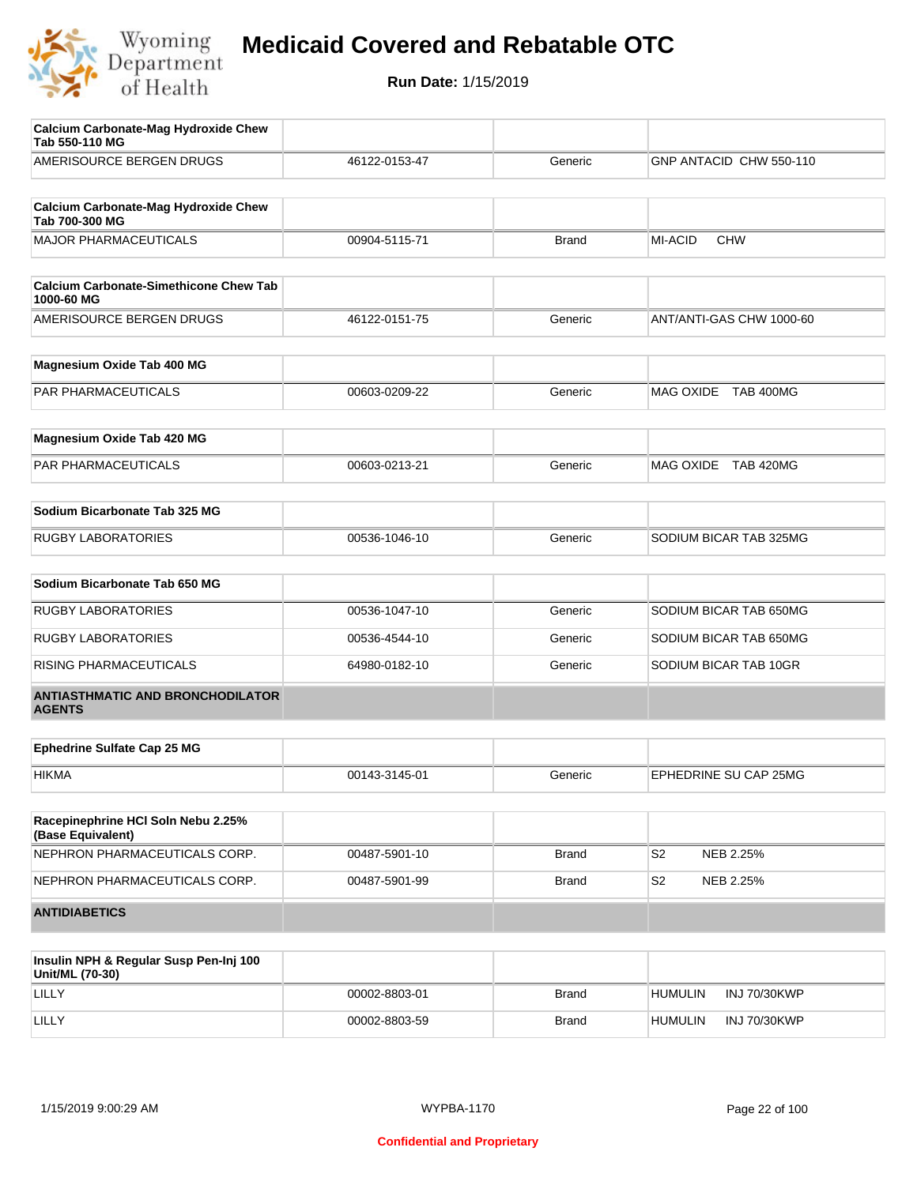

| AMERISOURCE BERGEN DRUGS<br><b>Calcium Carbonate-Mag Hydroxide Chew</b><br>Tab 700-300 MG<br><b>MAJOR PHARMACEUTICALS</b><br><b>Calcium Carbonate-Simethicone Chew Tab</b><br>1000-60 MG<br>AMERISOURCE BERGEN DRUGS | 46122-0153-47<br>00904-5115-71 | Generic      | GNP ANTACID CHW 550-110     |
|----------------------------------------------------------------------------------------------------------------------------------------------------------------------------------------------------------------------|--------------------------------|--------------|-----------------------------|
|                                                                                                                                                                                                                      |                                |              |                             |
|                                                                                                                                                                                                                      |                                |              |                             |
|                                                                                                                                                                                                                      |                                |              |                             |
|                                                                                                                                                                                                                      |                                | <b>Brand</b> | <b>CHW</b><br>MI-ACID       |
|                                                                                                                                                                                                                      |                                |              |                             |
|                                                                                                                                                                                                                      |                                |              |                             |
|                                                                                                                                                                                                                      | 46122-0151-75                  | Generic      | ANT/ANTI-GAS CHW 1000-60    |
| Magnesium Oxide Tab 400 MG                                                                                                                                                                                           |                                |              |                             |
| PAR PHARMACEUTICALS                                                                                                                                                                                                  | 00603-0209-22                  | Generic      | MAG OXIDE TAB 400MG         |
|                                                                                                                                                                                                                      |                                |              |                             |
| Magnesium Oxide Tab 420 MG                                                                                                                                                                                           |                                |              |                             |
| PAR PHARMACEUTICALS                                                                                                                                                                                                  | 00603-0213-21                  | Generic      | MAG OXIDE TAB 420MG         |
| Sodium Bicarbonate Tab 325 MG                                                                                                                                                                                        |                                |              |                             |
| <b>RUGBY LABORATORIES</b>                                                                                                                                                                                            | 00536-1046-10                  | Generic      | SODIUM BICAR TAB 325MG      |
| Sodium Bicarbonate Tab 650 MG                                                                                                                                                                                        |                                |              |                             |
| <b>RUGBY LABORATORIES</b>                                                                                                                                                                                            | 00536-1047-10                  | Generic      | SODIUM BICAR TAB 650MG      |
| <b>RUGBY LABORATORIES</b>                                                                                                                                                                                            | 00536-4544-10                  | Generic      | SODIUM BICAR TAB 650MG      |
| RISING PHARMACEUTICALS                                                                                                                                                                                               | 64980-0182-10                  | Generic      | SODIUM BICAR TAB 10GR       |
| <b>ANTIASTHMATIC AND BRONCHODILATOR</b><br><b>AGENTS</b>                                                                                                                                                             |                                |              |                             |
|                                                                                                                                                                                                                      |                                |              |                             |
| <b>Ephedrine Sulfate Cap 25 MG</b>                                                                                                                                                                                   |                                |              |                             |
| <b>HIKMA</b>                                                                                                                                                                                                         | 00143-3145-01                  | Generic      | EPHEDRINE SU CAP 25MG       |
| Racepinephrine HCI Soln Nebu 2.25%<br>(Base Equivalent)                                                                                                                                                              |                                |              |                             |
| NEPHRON PHARMACEUTICALS CORP.                                                                                                                                                                                        | 00487-5901-10                  | <b>Brand</b> | S <sub>2</sub><br>NEB 2.25% |
| NEPHRON PHARMACEUTICALS CORP.                                                                                                                                                                                        | 00487-5901-99                  | <b>Brand</b> | S <sub>2</sub><br>NEB 2.25% |
| <b>ANTIDIABETICS</b>                                                                                                                                                                                                 |                                |              |                             |

| Insulin NPH & Regular Susp Pen-Inj 100<br>Unit/ML (70-30) |               |              |                                       |
|-----------------------------------------------------------|---------------|--------------|---------------------------------------|
| LILLY                                                     | 00002-8803-01 | <b>Brand</b> | <b>INJ 70/30KWP</b><br><b>HUMULIN</b> |
| LILLY                                                     | 00002-8803-59 | <b>Brand</b> | <b>HUMULIN</b><br><b>INJ 70/30KWP</b> |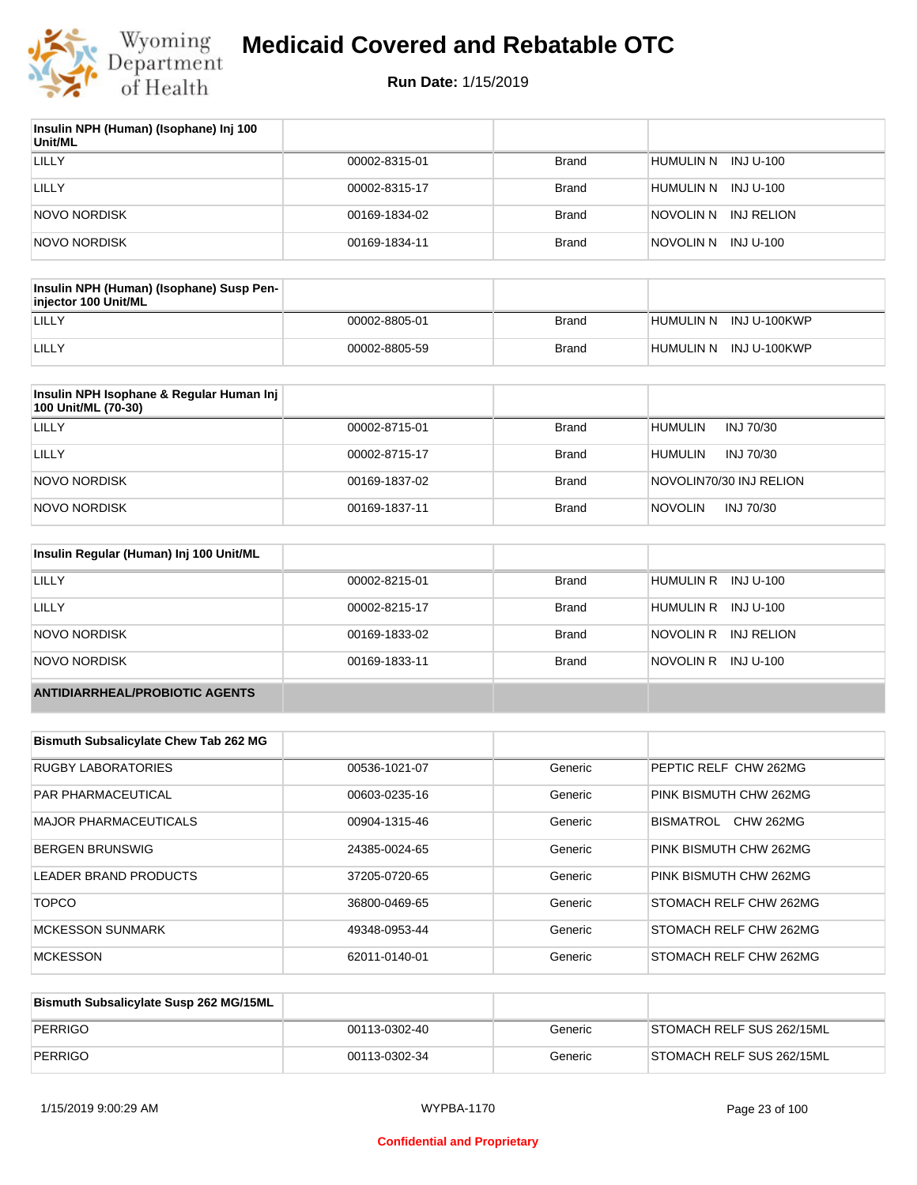

| Insulin NPH (Human) (Isophane) Inj 100<br>Unit/ML |               |              |                         |
|---------------------------------------------------|---------------|--------------|-------------------------|
| LILLY                                             | 00002-8315-01 | Brand        | HUMULIN N INJ U-100     |
| LILLY                                             | 00002-8315-17 | Brand        | HUMULIN N<br>INJ U-100  |
| NOVO NORDISK                                      | 00169-1834-02 | Brand        | INJ RELION<br>NOVOLIN N |
| NOVO NORDISK                                      | 00169-1834-11 | <b>Brand</b> | INJ U-100<br>NOVOLIN N  |

| Insulin NPH (Human) (Isophane) Susp Pen-<br>injector 100 Unit/ML |               |              |                        |
|------------------------------------------------------------------|---------------|--------------|------------------------|
| LILLY                                                            | 00002-8805-01 | Brand        | HUMULIN N INJ U-100KWP |
| LILLY                                                            | 00002-8805-59 | <b>Brand</b> | HUMULIN N INJ U-100KWP |

| Insulin NPH Isophane & Regular Human Inj<br>100 Unit/ML (70-30) |               |              |                             |
|-----------------------------------------------------------------|---------------|--------------|-----------------------------|
| LILLY                                                           | 00002-8715-01 | <b>Brand</b> | <b>HUMULIN</b><br>INJ 70/30 |
| LILLY                                                           | 00002-8715-17 | <b>Brand</b> | <b>HUMULIN</b><br>INJ 70/30 |
| NOVO NORDISK                                                    | 00169-1837-02 | <b>Brand</b> | NOVOLIN70/30 INJ RELION     |
| NOVO NORDISK                                                    | 00169-1837-11 | <b>Brand</b> | <b>NOVOLIN</b><br>INJ 70/30 |

| Insulin Regular (Human) Inj 100 Unit/ML |               |              |                         |
|-----------------------------------------|---------------|--------------|-------------------------|
| <b>LILLY</b>                            | 00002-8215-01 | <b>Brand</b> | HUMULIN R INJ U-100     |
| LILLY                                   | 00002-8215-17 | <b>Brand</b> | HUMULIN R INJ U-100     |
| NOVO NORDISK                            | 00169-1833-02 | <b>Brand</b> | NOVOLIN R<br>INJ RELION |
| NOVO NORDISK                            | 00169-1833-11 | <b>Brand</b> | NOVOLIN R INJ U-100     |
| <b>ANTIDIARRHEAL/PROBIOTIC AGENTS</b>   |               |              |                         |

| <b>Bismuth Subsalicylate Chew Tab 262 MG</b> |               |         |                                      |
|----------------------------------------------|---------------|---------|--------------------------------------|
| <b>RUGBY LABORATORIES</b>                    | 00536-1021-07 | Generic | PEPTIC RELF CHW 262MG                |
| <b>PAR PHARMACEUTICAL</b>                    | 00603-0235-16 | Generic | PINK BISMUTH CHW 262MG               |
| <b>MAJOR PHARMACEUTICALS</b>                 | 00904-1315-46 | Generic | <b>BISMATROL</b><br><b>CHW 262MG</b> |
| <b>BERGEN BRUNSWIG</b>                       | 24385-0024-65 | Generic | PINK BISMUTH CHW 262MG               |
| LEADER BRAND PRODUCTS                        | 37205-0720-65 | Generic | PINK BISMUTH CHW 262MG               |
| <b>TOPCO</b>                                 | 36800-0469-65 | Generic | <b>STOMACH RELF CHW 262MG</b>        |
| <b>MCKESSON SUNMARK</b>                      | 49348-0953-44 | Generic | <b>STOMACH RELF CHW 262MG</b>        |
| <b>MCKESSON</b>                              | 62011-0140-01 | Generic | <b>STOMACH RELF CHW 262MG</b>        |

| Bismuth Subsalicylate Susp 262 MG/15ML |               |         |                           |
|----------------------------------------|---------------|---------|---------------------------|
| PERRIGO                                | 00113-0302-40 | Generic | STOMACH RELF SUS 262/15ML |
| PERRIGO                                | 00113-0302-34 | Generic | STOMACH RELF SUS 262/15ML |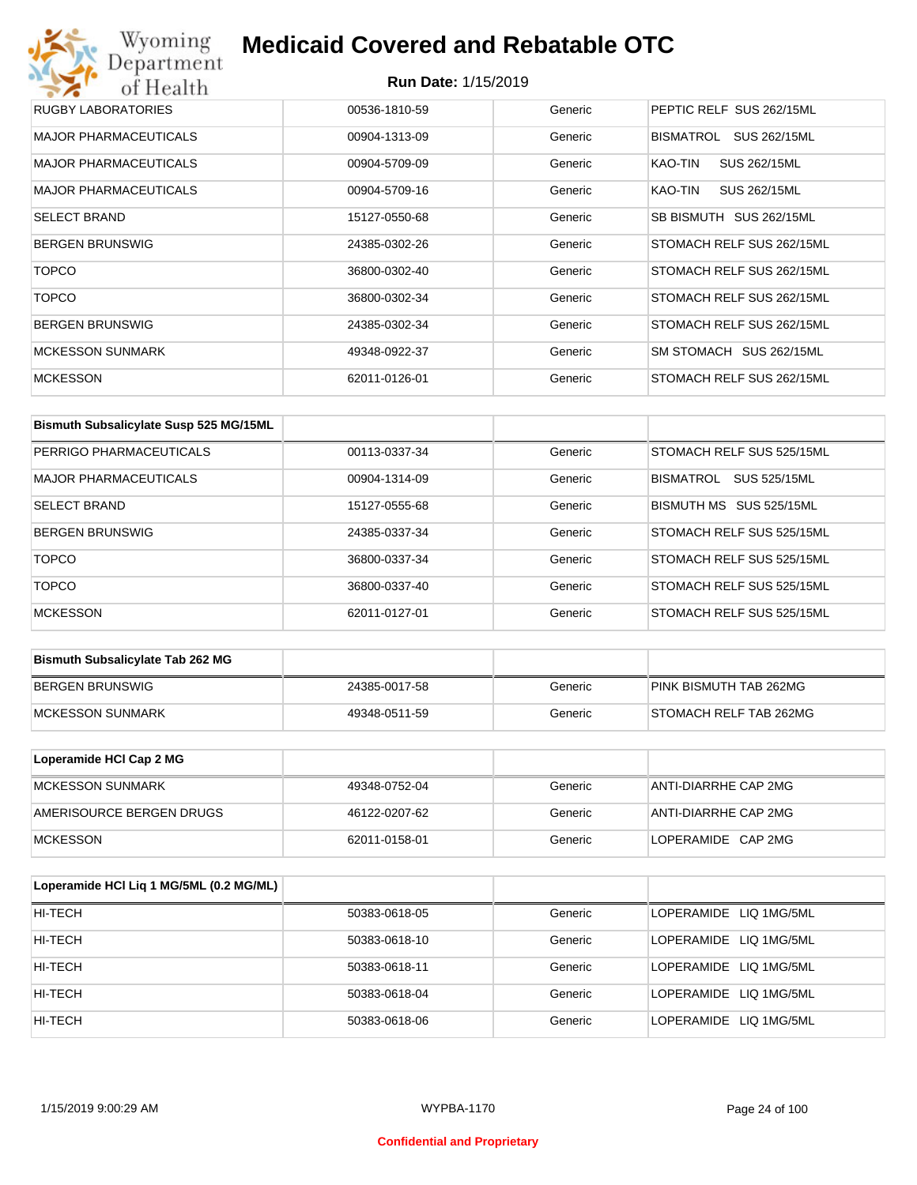## Wyoming<br>Department<br>of Health **Medicaid Covered and Rebatable OTC**

| <b>RUGBY LABORATORIES</b>    | 00536-1810-59 | Generic | PEPTIC RELF SUS 262/15ML  |
|------------------------------|---------------|---------|---------------------------|
| <b>MAJOR PHARMACEUTICALS</b> | 00904-1313-09 | Generic | BISMATROL<br>SUS 262/15ML |
| <b>MAJOR PHARMACEUTICALS</b> | 00904-5709-09 | Generic | KAO-TIN<br>SUS 262/15ML   |
| <b>MAJOR PHARMACEUTICALS</b> | 00904-5709-16 | Generic | KAO-TIN<br>SUS 262/15ML   |
| <b>SELECT BRAND</b>          | 15127-0550-68 | Generic | SB BISMUTH SUS 262/15ML   |
| <b>BERGEN BRUNSWIG</b>       | 24385-0302-26 | Generic | STOMACH RELF SUS 262/15ML |
| <b>TOPCO</b>                 | 36800-0302-40 | Generic | STOMACH RELF SUS 262/15ML |
| <b>TOPCO</b>                 | 36800-0302-34 | Generic | STOMACH RELF SUS 262/15ML |
| <b>BERGEN BRUNSWIG</b>       | 24385-0302-34 | Generic | STOMACH RELF SUS 262/15ML |
| <b>MCKESSON SUNMARK</b>      | 49348-0922-37 | Generic | SM STOMACH SUS 262/15ML   |
| <b>MCKESSON</b>              | 62011-0126-01 | Generic | STOMACH RELF SUS 262/15ML |

| Bismuth Subsalicylate Susp 525 MG/15ML |               |         |                                         |
|----------------------------------------|---------------|---------|-----------------------------------------|
| <b>PERRIGO PHARMACEUTICALS</b>         | 00113-0337-34 | Generic | STOMACH RELF SUS 525/15ML               |
| <b>MAJOR PHARMACEUTICALS</b>           | 00904-1314-09 | Generic | <b>SUS 525/15ML</b><br><b>BISMATROL</b> |
| <b>SELECT BRAND</b>                    | 15127-0555-68 | Generic | BISMUTH MS SUS 525/15ML                 |
| <b>BERGEN BRUNSWIG</b>                 | 24385-0337-34 | Generic | STOMACH RELF SUS 525/15ML               |
| <b>TOPCO</b>                           | 36800-0337-34 | Generic | STOMACH RELF SUS 525/15ML               |
| <b>TOPCO</b>                           | 36800-0337-40 | Generic | STOMACH RELF SUS 525/15ML               |
| <b>MCKESSON</b>                        | 62011-0127-01 | Generic | STOMACH RELF SUS 525/15ML               |

| <b>Bismuth Subsalicylate Tab 262 MG</b> |               |         |                        |
|-----------------------------------------|---------------|---------|------------------------|
| <b>BERGEN BRUNSWIG</b>                  | 24385-0017-58 | Generic | PINK BISMUTH TAB 262MG |
| <b>IMCKESSON SUNMARK</b>                | 49348-0511-59 | Generic | STOMACH RELF TAB 262MG |

| Loperamide HCI Cap 2 MG  |               |         |                      |
|--------------------------|---------------|---------|----------------------|
| IMCKESSON SUNMARK        | 49348-0752-04 | Generic | ANTI-DIARRHE CAP 2MG |
| AMERISOURCE BERGEN DRUGS | 46122-0207-62 | Generic | ANTI-DIARRHE CAP 2MG |
| <b>IMCKESSON</b>         | 62011-0158-01 | Generic | LOPERAMIDE CAP 2MG   |

| Loperamide HCI Liq 1 MG/5ML (0.2 MG/ML) |               |         |                        |
|-----------------------------------------|---------------|---------|------------------------|
| HI-TECH                                 | 50383-0618-05 | Generic | LOPERAMIDE LIQ 1MG/5ML |
| HI-TECH                                 | 50383-0618-10 | Generic | LOPERAMIDE LIQ 1MG/5ML |
| HI-TECH                                 | 50383-0618-11 | Generic | LOPERAMIDE LIQ 1MG/5ML |
| HI-TECH                                 | 50383-0618-04 | Generic | LOPERAMIDE LIQ 1MG/5ML |
| HI-TECH                                 | 50383-0618-06 | Generic | LOPERAMIDE LIQ 1MG/5ML |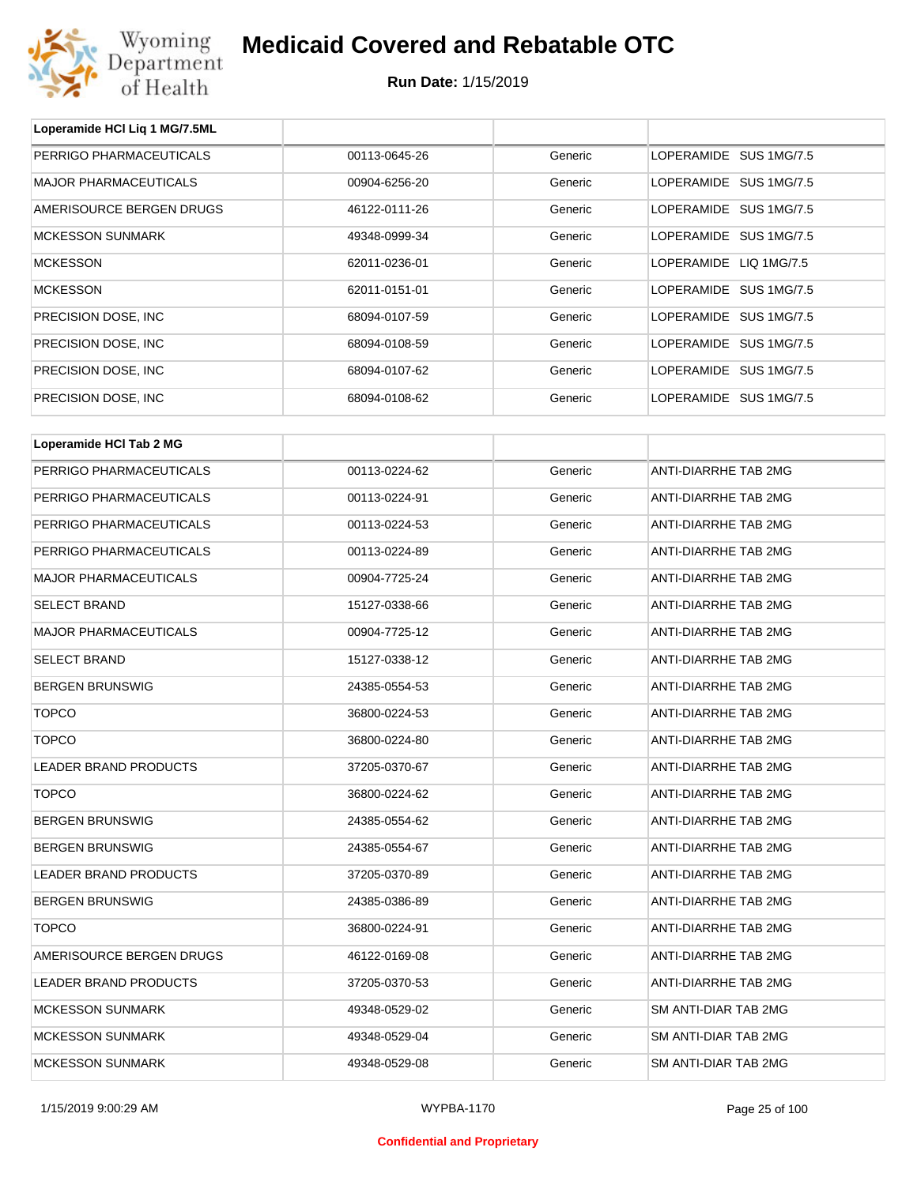

**Loperamide HCl Liq 1 MG/7.5ML**

## **Medicaid Covered and Rebatable OTC**

| PERRIGO PHARMACEUTICALS      | 00113-0645-26 | Generic | LOPERAMIDE SUS 1MG/7.5      |
|------------------------------|---------------|---------|-----------------------------|
| <b>MAJOR PHARMACEUTICALS</b> | 00904-6256-20 | Generic | LOPERAMIDE SUS 1MG/7.5      |
| AMERISOURCE BERGEN DRUGS     | 46122-0111-26 | Generic | LOPERAMIDE SUS 1MG/7.5      |
| <b>MCKESSON SUNMARK</b>      | 49348-0999-34 | Generic | LOPERAMIDE SUS 1MG/7.5      |
| <b>MCKESSON</b>              | 62011-0236-01 | Generic | LOPERAMIDE LIQ 1MG/7.5      |
| <b>MCKESSON</b>              | 62011-0151-01 | Generic | LOPERAMIDE SUS 1MG/7.5      |
| PRECISION DOSE, INC.         | 68094-0107-59 | Generic | LOPERAMIDE SUS 1MG/7.5      |
| PRECISION DOSE, INC.         | 68094-0108-59 | Generic | LOPERAMIDE SUS 1MG/7.5      |
| PRECISION DOSE, INC.         | 68094-0107-62 | Generic | LOPERAMIDE SUS 1MG/7.5      |
| PRECISION DOSE, INC.         | 68094-0108-62 | Generic | LOPERAMIDE SUS 1MG/7.5      |
| Loperamide HCI Tab 2 MG      |               |         |                             |
|                              |               |         | <b>ANTI-DIARRHE TAB 2MG</b> |
| PERRIGO PHARMACEUTICALS      | 00113-0224-62 | Generic |                             |
| PERRIGO PHARMACEUTICALS      | 00113-0224-91 | Generic | <b>ANTI-DIARRHE TAB 2MG</b> |
| PERRIGO PHARMACEUTICALS      | 00113-0224-53 | Generic | ANTI-DIARRHE TAB 2MG        |
| PERRIGO PHARMACEUTICALS      | 00113-0224-89 | Generic | ANTI-DIARRHE TAB 2MG        |
| <b>MAJOR PHARMACEUTICALS</b> | 00904-7725-24 | Generic | ANTI-DIARRHE TAB 2MG        |
| <b>SELECT BRAND</b>          | 15127-0338-66 | Generic | ANTI-DIARRHE TAB 2MG        |
| <b>MAJOR PHARMACEUTICALS</b> | 00904-7725-12 | Generic | ANTI-DIARRHE TAB 2MG        |
| <b>SELECT BRAND</b>          | 15127-0338-12 | Generic | ANTI-DIARRHE TAB 2MG        |
| <b>BERGEN BRUNSWIG</b>       | 24385-0554-53 | Generic | ANTI-DIARRHE TAB 2MG        |
| <b>TOPCO</b>                 | 36800-0224-53 | Generic | ANTI-DIARRHE TAB 2MG        |
| <b>TOPCO</b>                 | 36800-0224-80 | Generic | ANTI-DIARRHE TAB 2MG        |
| <b>LEADER BRAND PRODUCTS</b> | 37205-0370-67 | Generic | ANTI-DIARRHE TAB 2MG        |
| <b>TOPCO</b>                 | 36800-0224-62 | Generic | <b>ANTI-DIARRHE TAB 2MG</b> |
| <b>BERGEN BRUNSWIG</b>       | 24385-0554-62 | Generic | ANTI-DIARRHE TAB 2MG        |
| <b>BERGEN BRUNSWIG</b>       | 24385-0554-67 | Generic | ANTI-DIARRHE TAB 2MG        |
| LEADER BRAND PRODUCTS        | 37205-0370-89 | Generic | ANTI-DIARRHE TAB 2MG        |
| <b>BERGEN BRUNSWIG</b>       | 24385-0386-89 | Generic | ANTI-DIARRHE TAB 2MG        |
| <b>TOPCO</b>                 | 36800-0224-91 | Generic | ANTI-DIARRHE TAB 2MG        |
| AMERISOURCE BERGEN DRUGS     | 46122-0169-08 | Generic | ANTI-DIARRHE TAB 2MG        |
| LEADER BRAND PRODUCTS        | 37205-0370-53 | Generic | ANTI-DIARRHE TAB 2MG        |
| <b>MCKESSON SUNMARK</b>      | 49348-0529-02 | Generic | SM ANTI-DIAR TAB 2MG        |
| <b>MCKESSON SUNMARK</b>      | 49348-0529-04 | Generic | SM ANTI-DIAR TAB 2MG        |
| <b>MCKESSON SUNMARK</b>      | 49348-0529-08 | Generic | SM ANTI-DIAR TAB 2MG        |
|                              |               |         |                             |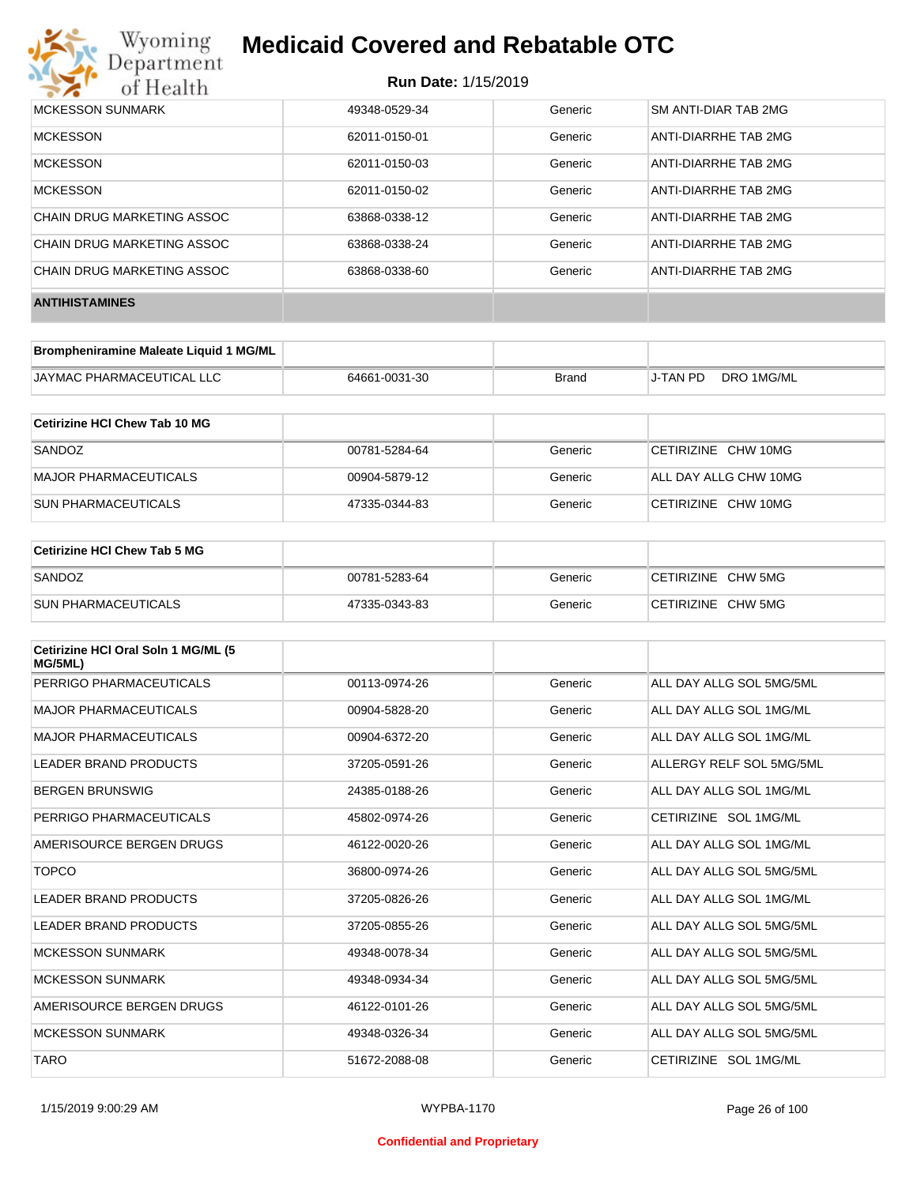

#### **Run Date:** 1/15/2019

| MCKESSON SUNMARK           | 49348-0529-34 | Generic | SM ANTI-DIAR TAB 2MG |
|----------------------------|---------------|---------|----------------------|
| <b>MCKESSON</b>            | 62011-0150-01 | Generic | ANTI-DIARRHE TAB 2MG |
| <b>MCKESSON</b>            | 62011-0150-03 | Generic | ANTI-DIARRHE TAB 2MG |
| <b>MCKESSON</b>            | 62011-0150-02 | Generic | ANTI-DIARRHE TAB 2MG |
| CHAIN DRUG MARKETING ASSOC | 63868-0338-12 | Generic | ANTI-DIARRHE TAB 2MG |
| CHAIN DRUG MARKETING ASSOC | 63868-0338-24 | Generic | ANTI-DIARRHE TAB 2MG |
| CHAIN DRUG MARKETING ASSOC | 63868-0338-60 | Generic | ANTI-DIARRHE TAB 2MG |
| <b>ANTIHISTAMINES</b>      |               |         |                      |

| Brompheniramine Maleate Liquid 1 MG/ML |               |       |          |            |
|----------------------------------------|---------------|-------|----------|------------|
| JAYMAC PHARMACEUTICAL LLC              | 64661-0031-30 | Brand | J-TAN PD | DRO 1MG/ML |

| Cetirizine HCI Chew Tab 10 MG |               |         |                       |
|-------------------------------|---------------|---------|-----------------------|
| SANDOZ                        | 00781-5284-64 | Generic | CETIRIZINE CHW 10MG   |
| MAJOR PHARMACEUTICALS         | 00904-5879-12 | Generic | ALL DAY ALLG CHW 10MG |
| <b>SUN PHARMACEUTICALS</b>    | 47335-0344-83 | Generic | CETIRIZINE CHW 10MG   |

| Cetirizine HCI Chew Tab 5 MG |               |         |                    |
|------------------------------|---------------|---------|--------------------|
| SANDOZ                       | 00781-5283-64 | Generic | CETIRIZINE CHW 5MG |
| <b>SUN PHARMACEUTICALS</b>   | 47335-0343-83 | Generic | CETIRIZINE CHW 5MG |

| Cetirizine HCI Oral Soln 1 MG/ML (5<br>MG/5ML) |               |         |                          |
|------------------------------------------------|---------------|---------|--------------------------|
| PERRIGO PHARMACEUTICALS                        | 00113-0974-26 | Generic | ALL DAY ALLG SOL 5MG/5ML |
| <b>MAJOR PHARMACEUTICALS</b>                   | 00904-5828-20 | Generic | ALL DAY ALLG SOL 1MG/ML  |
| <b>MAJOR PHARMACEUTICALS</b>                   | 00904-6372-20 | Generic | ALL DAY ALLG SOL 1MG/ML  |
| <b>LEADER BRAND PRODUCTS</b>                   | 37205-0591-26 | Generic | ALLERGY RELF SOL 5MG/5ML |
| <b>BERGEN BRUNSWIG</b>                         | 24385-0188-26 | Generic | ALL DAY ALLG SOL 1MG/ML  |
| PERRIGO PHARMACEUTICALS                        | 45802-0974-26 | Generic | CETIRIZINE SOL 1MG/ML    |
| AMERISOURCE BERGEN DRUGS                       | 46122-0020-26 | Generic | ALL DAY ALLG SOL 1MG/ML  |
| <b>TOPCO</b>                                   | 36800-0974-26 | Generic | ALL DAY ALLG SOL 5MG/5ML |
| <b>LEADER BRAND PRODUCTS</b>                   | 37205-0826-26 | Generic | ALL DAY ALLG SOL 1MG/ML  |
| <b>LEADER BRAND PRODUCTS</b>                   | 37205-0855-26 | Generic | ALL DAY ALLG SOL 5MG/5ML |
| <b>MCKESSON SUNMARK</b>                        | 49348-0078-34 | Generic | ALL DAY ALLG SOL 5MG/5ML |
| <b>MCKESSON SUNMARK</b>                        | 49348-0934-34 | Generic | ALL DAY ALLG SOL 5MG/5ML |
| AMERISOURCE BERGEN DRUGS                       | 46122-0101-26 | Generic | ALL DAY ALLG SOL 5MG/5ML |
| <b>MCKESSON SUNMARK</b>                        | 49348-0326-34 | Generic | ALL DAY ALLG SOL 5MG/5ML |
| <b>TARO</b>                                    | 51672-2088-08 | Generic | CETIRIZINE SOL 1MG/ML    |

#### **Confidential and Proprietary**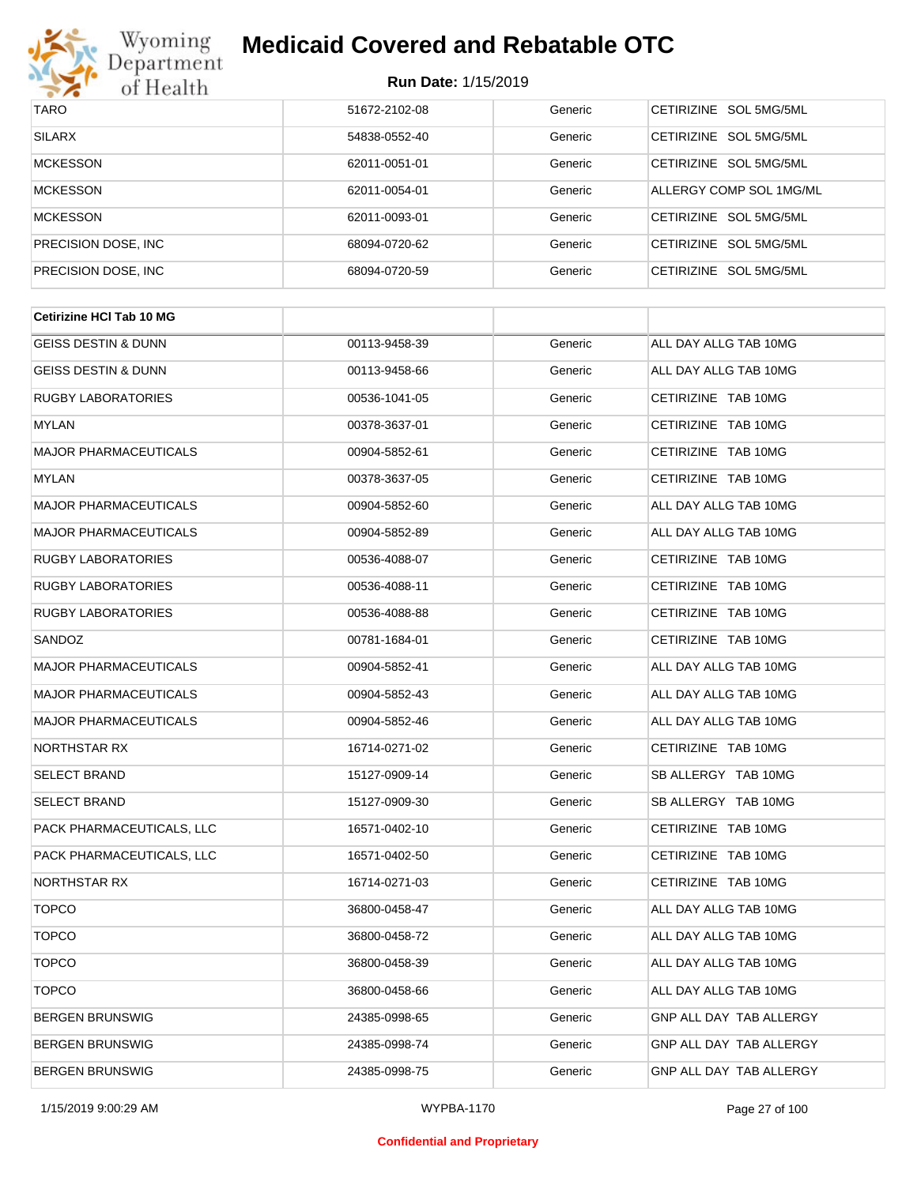

| <b>TARO</b>          | 51672-2102-08 | Generic | CETIRIZINE SOL 5MG/5ML           |
|----------------------|---------------|---------|----------------------------------|
| <b>SILARX</b>        | 54838-0552-40 | Generic | CFTIRIZINE SOL 5MG/5ML           |
| <b>MCKESSON</b>      | 62011-0051-01 | Generic | CETIRIZINE SOL 5MG/5ML           |
| <b>MCKESSON</b>      | 62011-0054-01 | Generic | ALLERGY COMP SOL 1MG/ML          |
| <b>MCKESSON</b>      | 62011-0093-01 | Generic | CETIRIZINE SOL 5MG/5ML           |
| PRECISION DOSE, INC. | 68094-0720-62 | Generic | CETIRIZINE SOL 5MG/5ML           |
| PRECISION DOSE, INC. | 68094-0720-59 | Generic | SOL 5MG/5ML<br><b>CETIRIZINE</b> |

| <b>Cetirizine HCI Tab 10 MG</b> |               |         |                                |
|---------------------------------|---------------|---------|--------------------------------|
| <b>GEISS DESTIN &amp; DUNN</b>  | 00113-9458-39 | Generic | ALL DAY ALLG TAB 10MG          |
| <b>GEISS DESTIN &amp; DUNN</b>  | 00113-9458-66 | Generic | ALL DAY ALLG TAB 10MG          |
| <b>RUGBY LABORATORIES</b>       | 00536-1041-05 | Generic | CETIRIZINE TAB 10MG            |
| <b>MYLAN</b>                    | 00378-3637-01 | Generic | CETIRIZINE TAB 10MG            |
| <b>MAJOR PHARMACEUTICALS</b>    | 00904-5852-61 | Generic | CETIRIZINE TAB 10MG            |
| <b>MYLAN</b>                    | 00378-3637-05 | Generic | CETIRIZINE TAB 10MG            |
| <b>MAJOR PHARMACEUTICALS</b>    | 00904-5852-60 | Generic | ALL DAY ALLG TAB 10MG          |
| <b>MAJOR PHARMACEUTICALS</b>    | 00904-5852-89 | Generic | ALL DAY ALLG TAB 10MG          |
| <b>RUGBY LABORATORIES</b>       | 00536-4088-07 | Generic | CETIRIZINE TAB 10MG            |
| <b>RUGBY LABORATORIES</b>       | 00536-4088-11 | Generic | CETIRIZINE TAB 10MG            |
| <b>RUGBY LABORATORIES</b>       | 00536-4088-88 | Generic | CETIRIZINE TAB 10MG            |
| SANDOZ                          | 00781-1684-01 | Generic | CETIRIZINE TAB 10MG            |
| <b>MAJOR PHARMACEUTICALS</b>    | 00904-5852-41 | Generic | ALL DAY ALLG TAB 10MG          |
| <b>MAJOR PHARMACEUTICALS</b>    | 00904-5852-43 | Generic | ALL DAY ALLG TAB 10MG          |
| <b>MAJOR PHARMACEUTICALS</b>    | 00904-5852-46 | Generic | ALL DAY ALLG TAB 10MG          |
| NORTHSTAR RX                    | 16714-0271-02 | Generic | CETIRIZINE TAB 10MG            |
| <b>SELECT BRAND</b>             | 15127-0909-14 | Generic | SB ALLERGY TAB 10MG            |
| <b>SELECT BRAND</b>             | 15127-0909-30 | Generic | SB ALLERGY TAB 10MG            |
| PACK PHARMACEUTICALS, LLC       | 16571-0402-10 | Generic | CETIRIZINE TAB 10MG            |
| PACK PHARMACEUTICALS, LLC       | 16571-0402-50 | Generic | CETIRIZINE TAB 10MG            |
| NORTHSTAR RX                    | 16714-0271-03 | Generic | CETIRIZINE TAB 10MG            |
| <b>TOPCO</b>                    | 36800-0458-47 | Generic | ALL DAY ALLG TAB 10MG          |
| <b>TOPCO</b>                    | 36800-0458-72 | Generic | ALL DAY ALLG TAB 10MG          |
| <b>TOPCO</b>                    | 36800-0458-39 | Generic | ALL DAY ALLG TAB 10MG          |
| <b>TOPCO</b>                    | 36800-0458-66 | Generic | ALL DAY ALLG TAB 10MG          |
| <b>BERGEN BRUNSWIG</b>          | 24385-0998-65 | Generic | GNP ALL DAY TAB ALLERGY        |
| <b>BERGEN BRUNSWIG</b>          | 24385-0998-74 | Generic | <b>GNP ALL DAY TAB ALLERGY</b> |
| <b>BERGEN BRUNSWIG</b>          | 24385-0998-75 | Generic | GNP ALL DAY TAB ALLERGY        |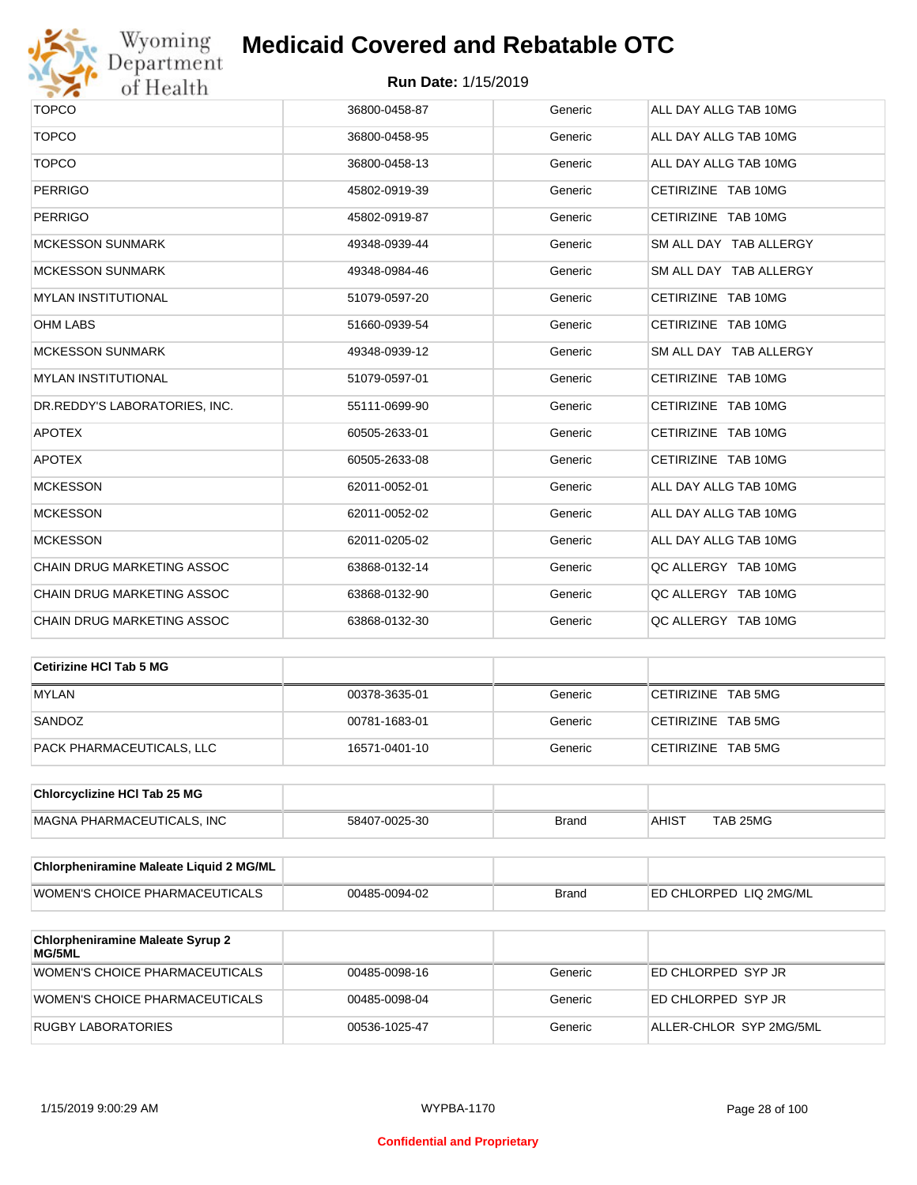

# Wyoming<br>Department<br>of Health

## **Medicaid Covered and Rebatable OTC**

| <b>TOPCO</b>                      | 36800-0458-87 | Generic | ALL DAY ALLG TAB 10MG  |
|-----------------------------------|---------------|---------|------------------------|
| <b>TOPCO</b>                      | 36800-0458-95 | Generic | ALL DAY ALLG TAB 10MG  |
| <b>TOPCO</b>                      | 36800-0458-13 | Generic | ALL DAY ALLG TAB 10MG  |
| <b>PERRIGO</b>                    | 45802-0919-39 | Generic | CETIRIZINE TAB 10MG    |
| <b>PERRIGO</b>                    | 45802-0919-87 | Generic | CETIRIZINE TAB 10MG    |
| <b>MCKESSON SUNMARK</b>           | 49348-0939-44 | Generic | SM ALL DAY TAB ALLERGY |
| <b>MCKESSON SUNMARK</b>           | 49348-0984-46 | Generic | SM ALL DAY TAB ALLERGY |
| <b>MYLAN INSTITUTIONAL</b>        | 51079-0597-20 | Generic | CETIRIZINE TAB 10MG    |
| <b>OHM LABS</b>                   | 51660-0939-54 | Generic | CETIRIZINE TAB 10MG    |
| <b>MCKESSON SUNMARK</b>           | 49348-0939-12 | Generic | SM ALL DAY TAB ALLERGY |
| <b>MYLAN INSTITUTIONAL</b>        | 51079-0597-01 | Generic | CETIRIZINE TAB 10MG    |
| DR.REDDY'S LABORATORIES, INC.     | 55111-0699-90 | Generic | CETIRIZINE TAB 10MG    |
| <b>APOTEX</b>                     | 60505-2633-01 | Generic | CETIRIZINE TAB 10MG    |
| <b>APOTEX</b>                     | 60505-2633-08 | Generic | CETIRIZINE TAB 10MG    |
| <b>MCKESSON</b>                   | 62011-0052-01 | Generic | ALL DAY ALLG TAB 10MG  |
| <b>MCKESSON</b>                   | 62011-0052-02 | Generic | ALL DAY ALLG TAB 10MG  |
| <b>MCKESSON</b>                   | 62011-0205-02 | Generic | ALL DAY ALLG TAB 10MG  |
| CHAIN DRUG MARKETING ASSOC        | 63868-0132-14 | Generic | QC ALLERGY TAB 10MG    |
| <b>CHAIN DRUG MARKETING ASSOC</b> | 63868-0132-90 | Generic | QC ALLERGY TAB 10MG    |
| CHAIN DRUG MARKETING ASSOC        | 63868-0132-30 | Generic | QC ALLERGY TAB 10MG    |
|                                   |               |         |                        |

| Cetirizine HCI Tab 5 MG   |               |         |                    |
|---------------------------|---------------|---------|--------------------|
| <b>MYLAN</b>              | 00378-3635-01 | Generic | CETIRIZINE TAB 5MG |
| SANDOZ                    | 00781-1683-01 | Generic | CETIRIZINE TAB 5MG |
| PACK PHARMACEUTICALS, LLC | 16571-0401-10 | Generic | CETIRIZINE TAB 5MG |

| <b>Chlorcyclizine HCI Tab 25 MG</b> |               |       |              |          |
|-------------------------------------|---------------|-------|--------------|----------|
| MAGNA PHARMACEUTICALS. INC          | 58407-0025-30 | Brand | <b>AHIST</b> | TAB 25MG |

| <b>Chlorpheniramine Maleate Liquid 2 MG/ML</b> |               |              |                                |
|------------------------------------------------|---------------|--------------|--------------------------------|
| WOMEN'S CHOICE PHARMACEUTICALS                 | 00485-0094-02 | <b>Brand</b> | <b>IED CHLORPED LIQ 2MG/ML</b> |

| <b>Chlorpheniramine Maleate Syrup 2</b><br>MG/5ML |               |         |                         |
|---------------------------------------------------|---------------|---------|-------------------------|
| WOMEN'S CHOICE PHARMACEUTICALS                    | 00485-0098-16 | Generic | ED CHLORPED SYP JR      |
| WOMEN'S CHOICE PHARMACEUTICALS                    | 00485-0098-04 | Generic | ED CHLORPED SYP JR      |
| RUGBY LABORATORIES                                | 00536-1025-47 | Generic | ALLER-CHLOR SYP 2MG/5ML |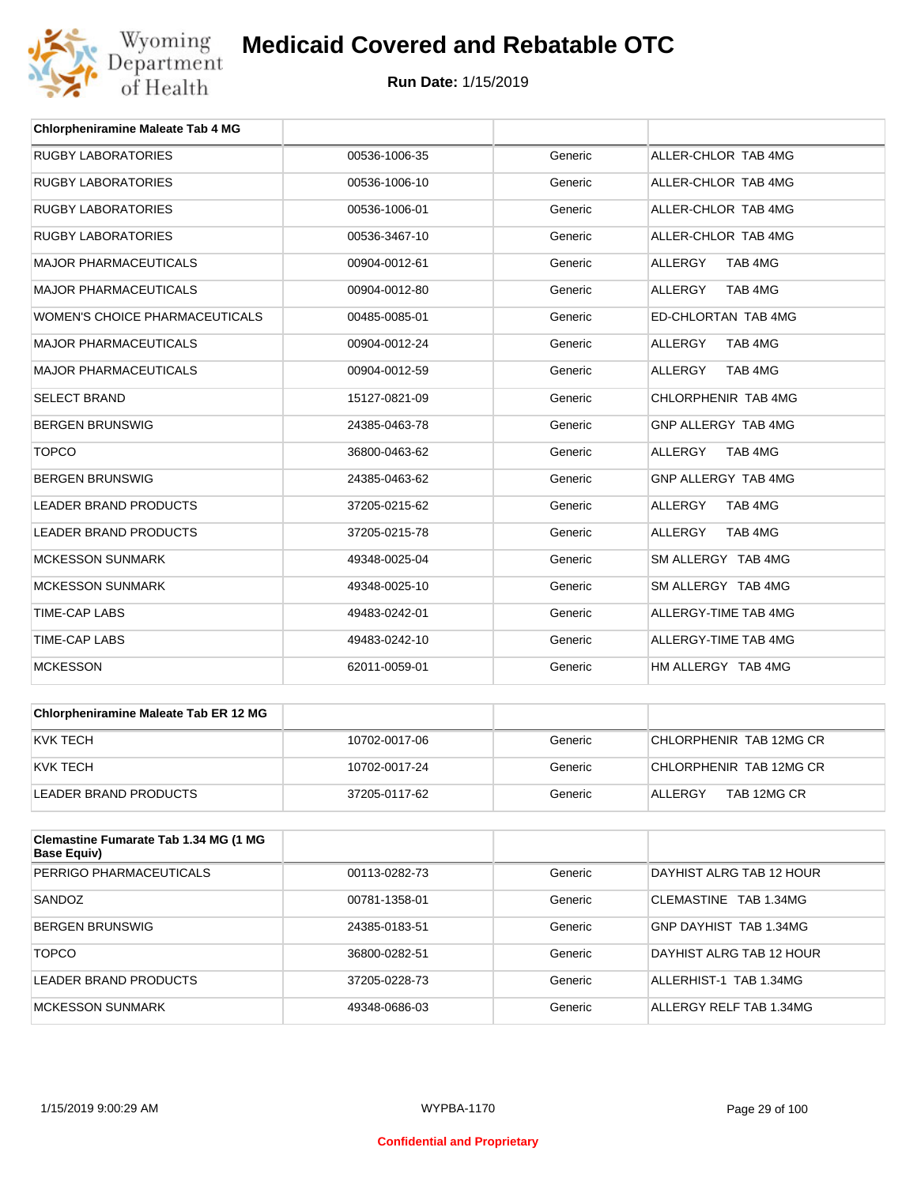

| <b>Chlorpheniramine Maleate Tab 4 MG</b> |               |         |                            |
|------------------------------------------|---------------|---------|----------------------------|
| <b>RUGBY LABORATORIES</b>                | 00536-1006-35 | Generic | ALLER-CHLOR TAB 4MG        |
| <b>RUGBY LABORATORIES</b>                | 00536-1006-10 | Generic | ALLER-CHLOR TAB 4MG        |
| <b>RUGBY LABORATORIES</b>                | 00536-1006-01 | Generic | ALLER-CHLOR TAB 4MG        |
| <b>RUGBY LABORATORIES</b>                | 00536-3467-10 | Generic | ALLER-CHLOR TAB 4MG        |
| <b>MAJOR PHARMACEUTICALS</b>             | 00904-0012-61 | Generic | <b>ALLERGY</b><br>TAB 4MG  |
| <b>MAJOR PHARMACEUTICALS</b>             | 00904-0012-80 | Generic | <b>ALLERGY</b><br>TAB 4MG  |
| <b>WOMEN'S CHOICE PHARMACEUTICALS</b>    | 00485-0085-01 | Generic | <b>ED-CHLORTAN TAB 4MG</b> |
| <b>MAJOR PHARMACEUTICALS</b>             | 00904-0012-24 | Generic | <b>ALLERGY</b><br>TAB 4MG  |
| <b>MAJOR PHARMACEUTICALS</b>             | 00904-0012-59 | Generic | TAB 4MG<br><b>ALLERGY</b>  |
| <b>SELECT BRAND</b>                      | 15127-0821-09 | Generic | CHLORPHENIR TAB 4MG        |
| <b>BERGEN BRUNSWIG</b>                   | 24385-0463-78 | Generic | GNP ALLERGY TAB 4MG        |
| <b>TOPCO</b>                             | 36800-0463-62 | Generic | <b>ALLERGY</b><br>TAB 4MG  |
| <b>BERGEN BRUNSWIG</b>                   | 24385-0463-62 | Generic | GNP ALLERGY TAB 4MG        |
| <b>LEADER BRAND PRODUCTS</b>             | 37205-0215-62 | Generic | <b>ALLERGY</b><br>TAB 4MG  |
| <b>LEADER BRAND PRODUCTS</b>             | 37205-0215-78 | Generic | <b>ALLERGY</b><br>TAB 4MG  |
| <b>MCKESSON SUNMARK</b>                  | 49348-0025-04 | Generic | SM ALLERGY TAB 4MG         |
| <b>MCKESSON SUNMARK</b>                  | 49348-0025-10 | Generic | SM ALLERGY TAB 4MG         |
| <b>TIME-CAP LABS</b>                     | 49483-0242-01 | Generic | ALLERGY-TIME TAB 4MG       |
| <b>TIME-CAP LABS</b>                     | 49483-0242-10 | Generic | ALLERGY-TIME TAB 4MG       |
| <b>MCKESSON</b>                          | 62011-0059-01 | Generic | HM ALLERGY TAB 4MG         |

| <b>Chlorpheniramine Maleate Tab ER 12 MG</b> |               |         |                         |
|----------------------------------------------|---------------|---------|-------------------------|
| KVK TECH                                     | 10702-0017-06 | Generic | CHLORPHENIR TAB 12MG CR |
| KVK TECH                                     | 10702-0017-24 | Generic | CHLORPHENIR TAB 12MG CR |
| LEADER BRAND PRODUCTS                        | 37205-0117-62 | Generic | TAB 12MG CR<br>ALLERGY  |

| Clemastine Fumarate Tab 1.34 MG (1 MG<br><b>Base Equiv)</b> |               |         |                          |
|-------------------------------------------------------------|---------------|---------|--------------------------|
| PERRIGO PHARMACEUTICALS                                     | 00113-0282-73 | Generic | DAYHIST ALRG TAB 12 HOUR |
| SANDOZ                                                      | 00781-1358-01 | Generic | CLEMASTINE TAB 1.34MG    |
| <b>BERGEN BRUNSWIG</b>                                      | 24385-0183-51 | Generic | GNP DAYHIST TAB 1.34MG   |
| <b>TOPCO</b>                                                | 36800-0282-51 | Generic | DAYHIST ALRG TAB 12 HOUR |
| LEADER BRAND PRODUCTS                                       | 37205-0228-73 | Generic | ALLERHIST-1 TAB 1.34MG   |
| MCKESSON SUNMARK                                            | 49348-0686-03 | Generic | ALLERGY RELF TAB 1.34MG  |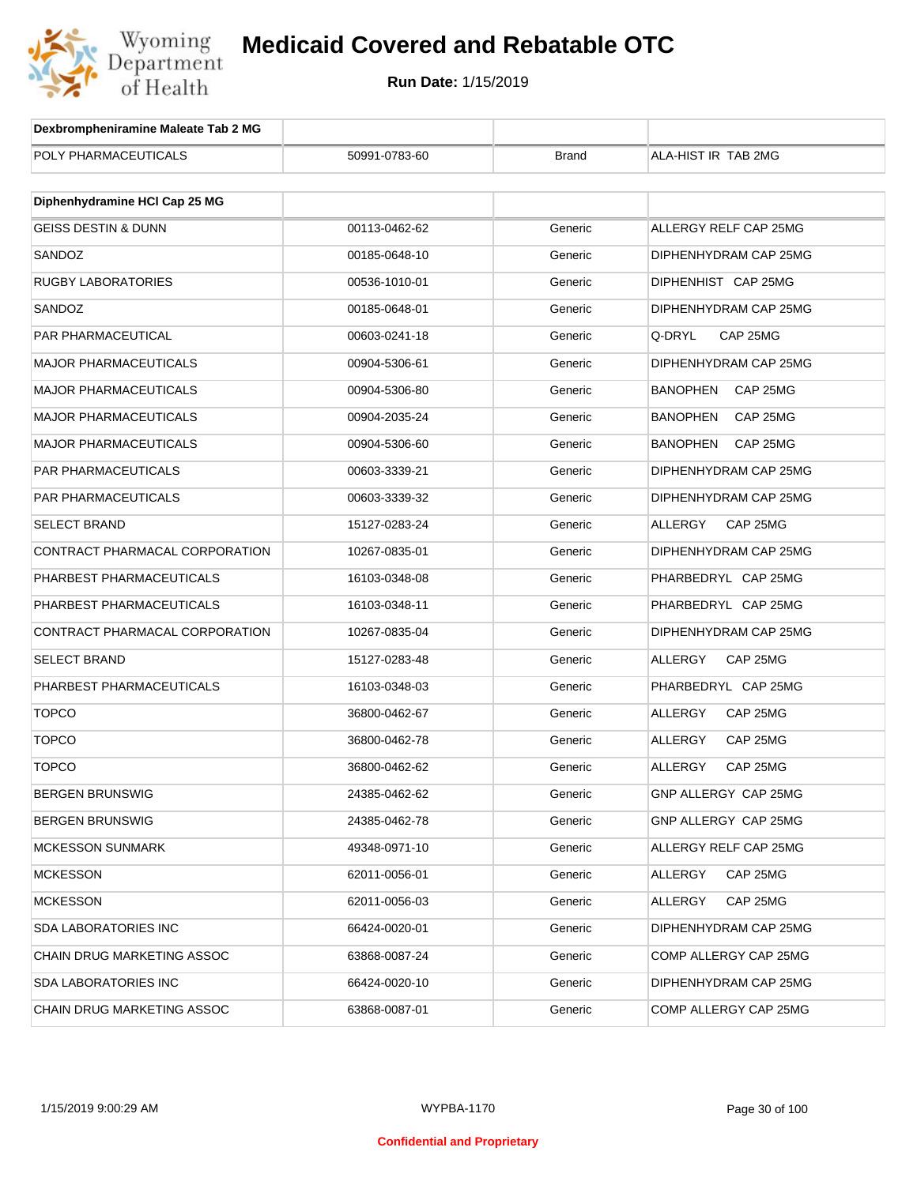

| Dexbrompheniramine Maleate Tab 2 MG |               |              |                             |
|-------------------------------------|---------------|--------------|-----------------------------|
| POLY PHARMACEUTICALS                | 50991-0783-60 | <b>Brand</b> | ALA-HIST IR TAB 2MG         |
|                                     |               |              |                             |
| Diphenhydramine HCI Cap 25 MG       |               |              |                             |
| <b>GEISS DESTIN &amp; DUNN</b>      | 00113-0462-62 | Generic      | ALLERGY RELF CAP 25MG       |
| SANDOZ                              | 00185-0648-10 | Generic      | DIPHENHYDRAM CAP 25MG       |
| RUGBY LABORATORIES                  | 00536-1010-01 | Generic      | DIPHENHIST CAP 25MG         |
| SANDOZ                              | 00185-0648-01 | Generic      | DIPHENHYDRAM CAP 25MG       |
| PAR PHARMACEUTICAL                  | 00603-0241-18 | Generic      | Q-DRYL<br>CAP 25MG          |
| <b>MAJOR PHARMACEUTICALS</b>        | 00904-5306-61 | Generic      | DIPHENHYDRAM CAP 25MG       |
| <b>MAJOR PHARMACEUTICALS</b>        | 00904-5306-80 | Generic      | <b>BANOPHEN</b><br>CAP 25MG |
| <b>MAJOR PHARMACEUTICALS</b>        | 00904-2035-24 | Generic      | <b>BANOPHEN</b><br>CAP 25MG |
| <b>MAJOR PHARMACEUTICALS</b>        | 00904-5306-60 | Generic      | <b>BANOPHEN</b><br>CAP 25MG |
| PAR PHARMACEUTICALS                 | 00603-3339-21 | Generic      | DIPHENHYDRAM CAP 25MG       |
| <b>PAR PHARMACEUTICALS</b>          | 00603-3339-32 | Generic      | DIPHENHYDRAM CAP 25MG       |
| <b>SELECT BRAND</b>                 | 15127-0283-24 | Generic      | ALLERGY<br>CAP 25MG         |
| CONTRACT PHARMACAL CORPORATION      | 10267-0835-01 | Generic      | DIPHENHYDRAM CAP 25MG       |
| PHARBEST PHARMACEUTICALS            | 16103-0348-08 | Generic      | PHARBEDRYL CAP 25MG         |
| PHARBEST PHARMACEUTICALS            | 16103-0348-11 | Generic      | PHARBEDRYL CAP 25MG         |
| CONTRACT PHARMACAL CORPORATION      | 10267-0835-04 | Generic      | DIPHENHYDRAM CAP 25MG       |
| <b>SELECT BRAND</b>                 | 15127-0283-48 | Generic      | ALLERGY<br>CAP 25MG         |
| PHARBEST PHARMACEUTICALS            | 16103-0348-03 | Generic      | PHARBEDRYL CAP 25MG         |
| <b>TOPCO</b>                        | 36800-0462-67 | Generic      | ALLERGY<br>CAP 25MG         |
| <b>TOPCO</b>                        | 36800-0462-78 | Generic      | ALLERGY<br>CAP 25MG         |
| <b>TOPCO</b>                        | 36800-0462-62 | Generic      | ALLERGY<br>CAP 25MG         |
| BERGEN BRUNSWIG                     | 24385-0462-62 | Generic      | GNP ALLERGY CAP 25MG        |
| <b>BERGEN BRUNSWIG</b>              | 24385-0462-78 | Generic      | GNP ALLERGY CAP 25MG        |
| <b>MCKESSON SUNMARK</b>             | 49348-0971-10 | Generic      | ALLERGY RELF CAP 25MG       |
| <b>MCKESSON</b>                     | 62011-0056-01 | Generic      | ALLERGY<br>CAP 25MG         |
| <b>MCKESSON</b>                     | 62011-0056-03 | Generic      | ALLERGY<br>CAP 25MG         |
| <b>SDA LABORATORIES INC</b>         | 66424-0020-01 | Generic      | DIPHENHYDRAM CAP 25MG       |
| CHAIN DRUG MARKETING ASSOC          | 63868-0087-24 | Generic      | COMP ALLERGY CAP 25MG       |
| <b>SDA LABORATORIES INC</b>         | 66424-0020-10 | Generic      | DIPHENHYDRAM CAP 25MG       |
| CHAIN DRUG MARKETING ASSOC          | 63868-0087-01 | Generic      | COMP ALLERGY CAP 25MG       |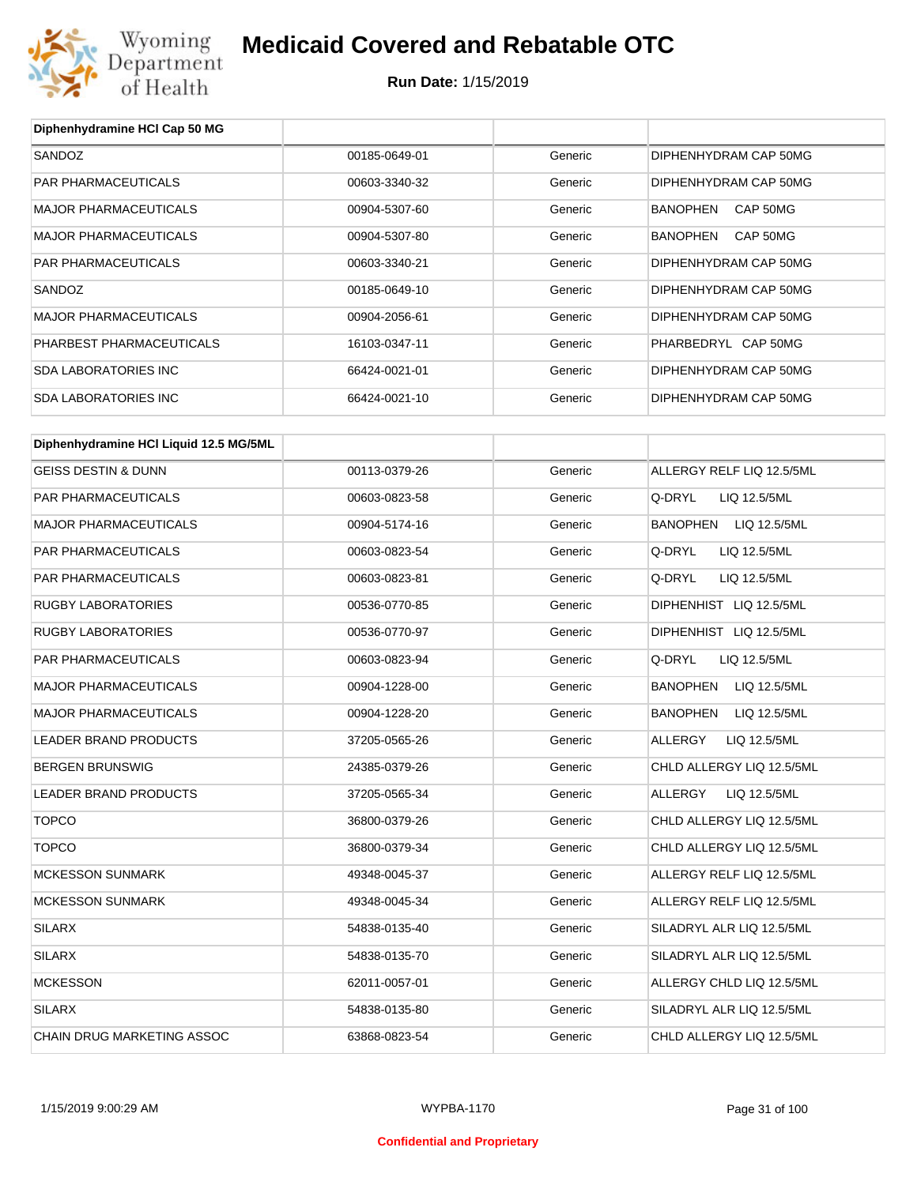

## **Medicaid Covered and Rebatable OTC**

**Run Date:** 1/15/2019

| Diphenhydramine HCI Cap 50 MG          |               |         |                                 |
|----------------------------------------|---------------|---------|---------------------------------|
| SANDOZ                                 | 00185-0649-01 | Generic | DIPHENHYDRAM CAP 50MG           |
| PAR PHARMACEUTICALS                    | 00603-3340-32 | Generic | DIPHENHYDRAM CAP 50MG           |
| <b>MAJOR PHARMACEUTICALS</b>           | 00904-5307-60 | Generic | <b>BANOPHEN</b><br>CAP 50MG     |
| <b>MAJOR PHARMACEUTICALS</b>           | 00904-5307-80 | Generic | CAP 50MG<br>BANOPHEN            |
| PAR PHARMACEUTICALS                    | 00603-3340-21 | Generic | DIPHENHYDRAM CAP 50MG           |
| SANDOZ                                 | 00185-0649-10 | Generic | DIPHENHYDRAM CAP 50MG           |
| <b>MAJOR PHARMACEUTICALS</b>           | 00904-2056-61 | Generic | DIPHENHYDRAM CAP 50MG           |
| PHARBEST PHARMACEUTICALS               | 16103-0347-11 | Generic | PHARBEDRYL CAP 50MG             |
| <b>SDA LABORATORIES INC</b>            | 66424-0021-01 | Generic | DIPHENHYDRAM CAP 50MG           |
| <b>SDA LABORATORIES INC</b>            | 66424-0021-10 | Generic | DIPHENHYDRAM CAP 50MG           |
|                                        |               |         |                                 |
| Diphenhydramine HCI Liquid 12.5 MG/5ML |               |         |                                 |
| <b>GEISS DESTIN &amp; DUNN</b>         | 00113-0379-26 | Generic | ALLERGY RELF LIQ 12.5/5ML       |
| PAR PHARMACEUTICALS                    | 00603-0823-58 | Generic | Q-DRYL<br>LIQ 12.5/5ML          |
| <b>MAJOR PHARMACEUTICALS</b>           | 00904-5174-16 | Generic | LIQ 12.5/5ML<br>BANOPHEN        |
| PAR PHARMACEUTICALS                    | 00603-0823-54 | Generic | Q-DRYL<br>LIQ 12.5/5ML          |
| PAR PHARMACEUTICALS                    | 00603-0823-81 | Generic | Q-DRYL<br>LIQ 12.5/5ML          |
| <b>RUGBY LABORATORIES</b>              | 00536-0770-85 | Generic | DIPHENHIST LIQ 12.5/5ML         |
| <b>RUGBY LABORATORIES</b>              | 00536-0770-97 | Generic | DIPHENHIST LIQ 12.5/5ML         |
| PAR PHARMACEUTICALS                    | 00603-0823-94 | Generic | Q-DRYL<br>LIQ 12.5/5ML          |
| <b>MAJOR PHARMACEUTICALS</b>           | 00904-1228-00 | Generic | LIQ 12.5/5ML<br>BANOPHEN        |
| <b>MAJOR PHARMACEUTICALS</b>           | 00904-1228-20 | Generic | <b>BANOPHEN</b><br>LIQ 12.5/5ML |
| LEADER BRAND PRODUCTS                  | 37205-0565-26 | Generic | <b>ALLERGY</b><br>LIQ 12.5/5ML  |
| <b>BERGEN BRUNSWIG</b>                 | 24385-0379-26 | Generic | CHLD ALLERGY LIQ 12.5/5ML       |
| LEADER BRAND PRODUCTS                  | 37205-0565-34 | Generic | <b>ALLERGY</b><br>LIQ 12.5/5ML  |
| <b>TOPCO</b>                           | 36800-0379-26 | Generic | CHLD ALLERGY LIQ 12.5/5ML       |
| <b>TOPCO</b>                           | 36800-0379-34 | Generic | CHLD ALLERGY LIQ 12.5/5ML       |
| <b>MCKESSON SUNMARK</b>                | 49348-0045-37 | Generic | ALLERGY RELF LIQ 12.5/5ML       |
| <b>MCKESSON SUNMARK</b>                | 49348-0045-34 | Generic | ALLERGY RELF LIQ 12.5/5ML       |
| <b>SILARX</b>                          | 54838-0135-40 | Generic | SILADRYL ALR LIQ 12.5/5ML       |
| <b>SILARX</b>                          | 54838-0135-70 | Generic | SILADRYL ALR LIQ 12.5/5ML       |
| <b>MCKESSON</b>                        | 62011-0057-01 | Generic | ALLERGY CHLD LIQ 12.5/5ML       |
| <b>SILARX</b>                          | 54838-0135-80 | Generic | SILADRYL ALR LIQ 12.5/5ML       |
| CHAIN DRUG MARKETING ASSOC             | 63868-0823-54 | Generic | CHLD ALLERGY LIQ 12.5/5ML       |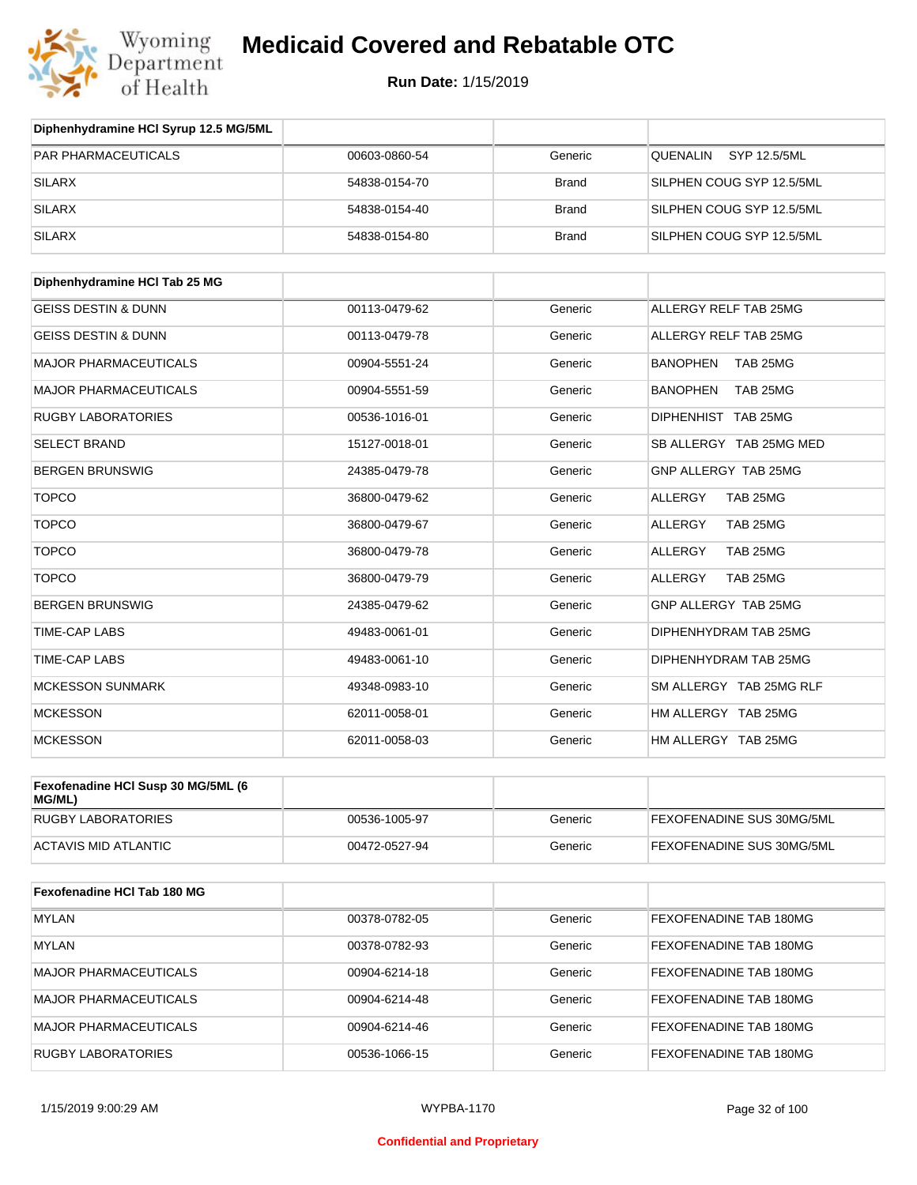

| Diphenhydramine HCI Syrup 12.5 MG/5ML        |               |              |                             |
|----------------------------------------------|---------------|--------------|-----------------------------|
| <b>PAR PHARMACEUTICALS</b>                   | 00603-0860-54 | Generic      | SYP 12.5/5ML<br>QUENALIN    |
| <b>SILARX</b>                                | 54838-0154-70 | <b>Brand</b> | SILPHEN COUG SYP 12.5/5ML   |
| <b>SILARX</b>                                | 54838-0154-40 | <b>Brand</b> | SILPHEN COUG SYP 12.5/5ML   |
| <b>SILARX</b>                                | 54838-0154-80 | <b>Brand</b> | SILPHEN COUG SYP 12.5/5ML   |
| Diphenhydramine HCI Tab 25 MG                |               |              |                             |
| <b>GEISS DESTIN &amp; DUNN</b>               | 00113-0479-62 | Generic      | ALLERGY RELF TAB 25MG       |
| <b>GEISS DESTIN &amp; DUNN</b>               | 00113-0479-78 | Generic      | ALLERGY RELF TAB 25MG       |
| <b>MAJOR PHARMACEUTICALS</b>                 | 00904-5551-24 | Generic      | <b>BANOPHEN</b><br>TAB 25MG |
| <b>MAJOR PHARMACEUTICALS</b>                 | 00904-5551-59 | Generic      | <b>BANOPHEN</b><br>TAB 25MG |
| <b>RUGBY LABORATORIES</b>                    | 00536-1016-01 | Generic      | DIPHENHIST TAB 25MG         |
| <b>SELECT BRAND</b>                          | 15127-0018-01 | Generic      | SB ALLERGY TAB 25MG MED     |
| <b>BERGEN BRUNSWIG</b>                       | 24385-0479-78 | Generic      | GNP ALLERGY TAB 25MG        |
| <b>TOPCO</b>                                 | 36800-0479-62 | Generic      | TAB 25MG<br><b>ALLERGY</b>  |
| <b>TOPCO</b>                                 | 36800-0479-67 | Generic      | TAB 25MG<br>ALLERGY         |
| <b>TOPCO</b>                                 | 36800-0479-78 | Generic      | TAB 25MG<br>ALLERGY         |
| <b>TOPCO</b>                                 | 36800-0479-79 | Generic      | TAB 25MG<br>ALLERGY         |
| <b>BERGEN BRUNSWIG</b>                       | 24385-0479-62 | Generic      | GNP ALLERGY TAB 25MG        |
| TIME-CAP LABS                                | 49483-0061-01 | Generic      | DIPHENHYDRAM TAB 25MG       |
| <b>TIME-CAP LABS</b>                         | 49483-0061-10 | Generic      | DIPHENHYDRAM TAB 25MG       |
| <b>MCKESSON SUNMARK</b>                      | 49348-0983-10 | Generic      | SM ALLERGY TAB 25MG RLF     |
| <b>MCKESSON</b>                              | 62011-0058-01 | Generic      | HM ALLERGY TAB 25MG         |
| <b>MCKESSON</b>                              | 62011-0058-03 | Generic      | HM ALLERGY TAB 25MG         |
| Fexofenadine HCI Susp 30 MG/5ML (6<br>MG/ML) |               |              |                             |
| <b>RUGBY LABORATORIES</b>                    | 00536-1005-97 | Generic      | FEXOFENADINE SUS 30MG/5ML   |
| <b>ACTAVIS MID ATLANTIC</b>                  | 00472-0527-94 | Generic      | FEXOFENADINE SUS 30MG/5ML   |
| Fexofenadine HCI Tab 180 MG                  |               |              |                             |
| <b>MYLAN</b>                                 | 00378-0782-05 | Generic      | FEXOFENADINE TAB 180MG      |
| <b>MYLAN</b>                                 | 00378-0782-93 | Generic      | FEXOFENADINE TAB 180MG      |
| <b>MAJOR PHARMACEUTICALS</b>                 | 00904-6214-18 | Generic      | FEXOFENADINE TAB 180MG      |
| <b>MAJOR PHARMACEUTICALS</b>                 | 00904-6214-48 | Generic      | FEXOFENADINE TAB 180MG      |
| <b>MAJOR PHARMACEUTICALS</b>                 | 00904-6214-46 | Generic      | FEXOFENADINE TAB 180MG      |
| <b>RUGBY LABORATORIES</b>                    | 00536-1066-15 | Generic      | FEXOFENADINE TAB 180MG      |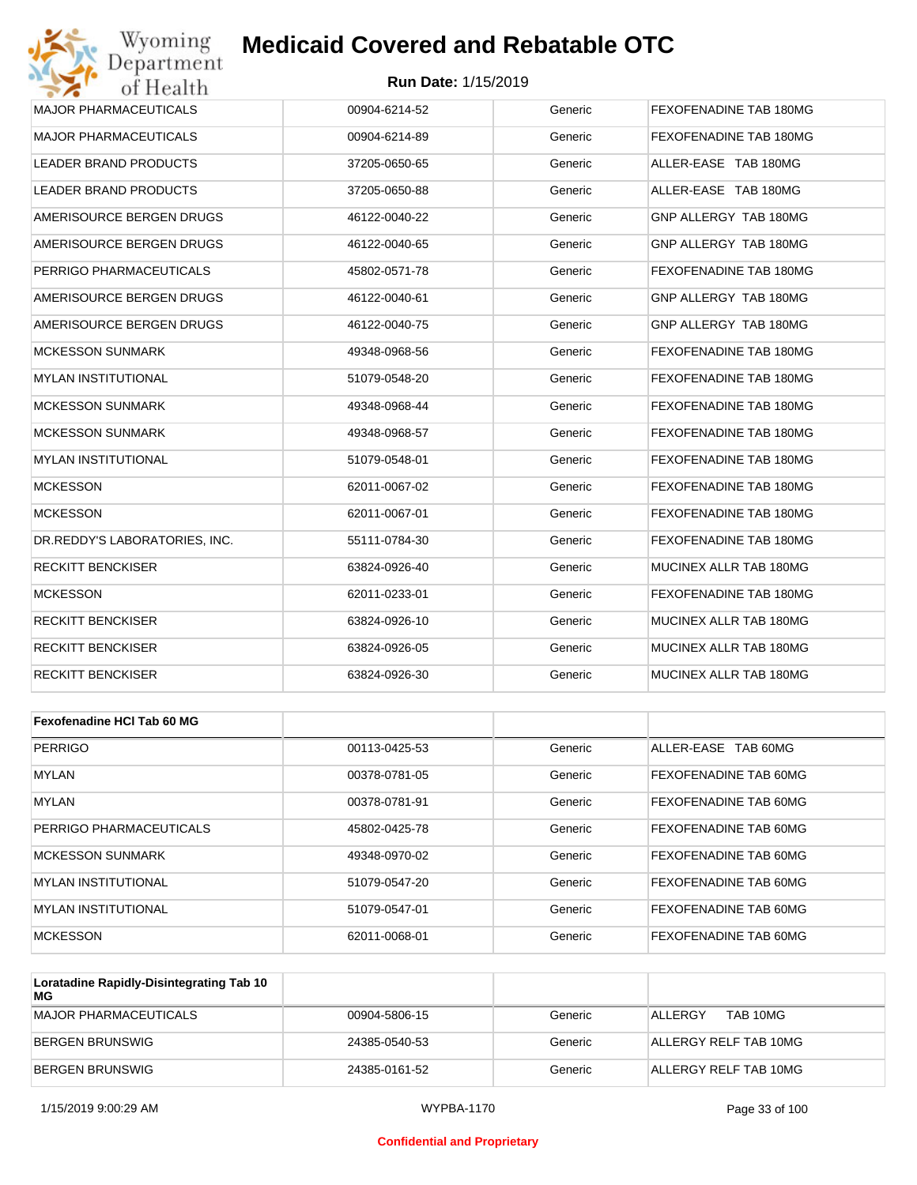#### **Run Date:** 1/15/2019

| Wyoming<br>Department         | <b>Medicaid Covered and Rebatable OTC</b> |         |                        |
|-------------------------------|-------------------------------------------|---------|------------------------|
| of Health                     | <b>Run Date: 1/15/2019</b>                |         |                        |
| <b>MAJOR PHARMACEUTICALS</b>  | 00904-6214-52                             | Generic | FEXOFENADINE TAB 180MG |
| <b>MAJOR PHARMACEUTICALS</b>  | 00904-6214-89                             | Generic | FEXOFENADINE TAB 180MG |
| LEADER BRAND PRODUCTS         | 37205-0650-65                             | Generic | ALLER-EASE TAB 180MG   |
| LEADER BRAND PRODUCTS         | 37205-0650-88                             | Generic | ALLER-EASE TAB 180MG   |
| AMERISOURCE BERGEN DRUGS      | 46122-0040-22                             | Generic | GNP ALLERGY TAB 180MG  |
| AMERISOURCE BERGEN DRUGS      | 46122-0040-65                             | Generic | GNP ALLERGY TAB 180MG  |
| PERRIGO PHARMACEUTICALS       | 45802-0571-78                             | Generic | FEXOFENADINE TAB 180MG |
| AMERISOURCE BERGEN DRUGS      | 46122-0040-61                             | Generic | GNP ALLERGY TAB 180MG  |
| AMERISOURCE BERGEN DRUGS      | 46122-0040-75                             | Generic | GNP ALLERGY TAB 180MG  |
| <b>MCKESSON SUNMARK</b>       | 49348-0968-56                             | Generic | FEXOFENADINE TAB 180MG |
| <b>MYLAN INSTITUTIONAL</b>    | 51079-0548-20                             | Generic | FEXOFENADINE TAB 180MG |
| <b>MCKESSON SUNMARK</b>       | 49348-0968-44                             | Generic | FEXOFENADINE TAB 180MG |
| <b>MCKESSON SUNMARK</b>       | 49348-0968-57                             | Generic | FEXOFENADINE TAB 180MG |
| <b>MYLAN INSTITUTIONAL</b>    | 51079-0548-01                             | Generic | FEXOFENADINE TAB 180MG |
| <b>MCKESSON</b>               | 62011-0067-02                             | Generic | FEXOFENADINE TAB 180MG |
| <b>MCKESSON</b>               | 62011-0067-01                             | Generic | FEXOFENADINE TAB 180MG |
| DR.REDDY'S LABORATORIES, INC. | 55111-0784-30                             | Generic | FEXOFENADINE TAB 180MG |
| <b>RECKITT BENCKISER</b>      | 63824-0926-40                             | Generic | MUCINEX ALLR TAB 180MG |
| <b>MCKESSON</b>               | 62011-0233-01                             | Generic | FEXOFENADINE TAB 180MG |
| <b>RECKITT BENCKISER</b>      | 63824-0926-10                             | Generic | MUCINEX ALLR TAB 180MG |
| <b>RECKITT BENCKISER</b>      | 63824-0926-05                             | Generic | MUCINEX ALLR TAB 180MG |
| <b>RECKITT BENCKISER</b>      | 63824-0926-30                             | Generic | MUCINEX ALLR TAB 180MG |
|                               |                                           |         |                        |
| Fexofenadine HCI Tab 60 MG    |                                           |         |                        |
| <b>PERRIGO</b>                | 00113-0425-53                             | Generic | ALLER-EASE TAB 60MG    |
| MYLAN                         | 00378-0781-05                             | Generic | FEXOFENADINE TAB 60MG  |
| MYLAN                         | 00378-0781-91                             | Generic | FEXOFENADINE TAB 60MG  |
| PERRIGO PHARMACEUTICALS       | 45802-0425-78                             | Generic | FEXOFENADINE TAB 60MG  |
| <b>MCKESSON SUNMARK</b>       | 49348-0970-02                             | Generic | FEXOFENADINE TAB 60MG  |

|                      |               | ------  | ———————————————————          |
|----------------------|---------------|---------|------------------------------|
| MCKESSON SUNMARK     | 49348-0970-02 | Generic | FEXOFENADINE TAB 60MG        |
| MYLAN INSTITUTIONAL  | 51079-0547-20 | Generic | <b>FEXOFENADINE TAB 60MG</b> |
| IMYLAN INSTITUTIONAL | 51079-0547-01 | Generic | <b>FEXOFENADINE TAB 60MG</b> |
| MCKESSON             | 62011-0068-01 | Generic | FEXOFENADINE TAB 60MG        |

| Loratadine Rapidly-Disintegrating Tab 10<br>МG |               |         |                       |
|------------------------------------------------|---------------|---------|-----------------------|
| MAJOR PHARMACEUTICALS                          | 00904-5806-15 | Generic | TAB 10MG<br>ALLERGY   |
| BERGEN BRUNSWIG                                | 24385-0540-53 | Generic | ALLERGY RELF TAB 10MG |
| BERGEN BRUNSWIG                                | 24385-0161-52 | Generic | ALLERGY RELF TAB 10MG |

#### **Confidential and Proprietary**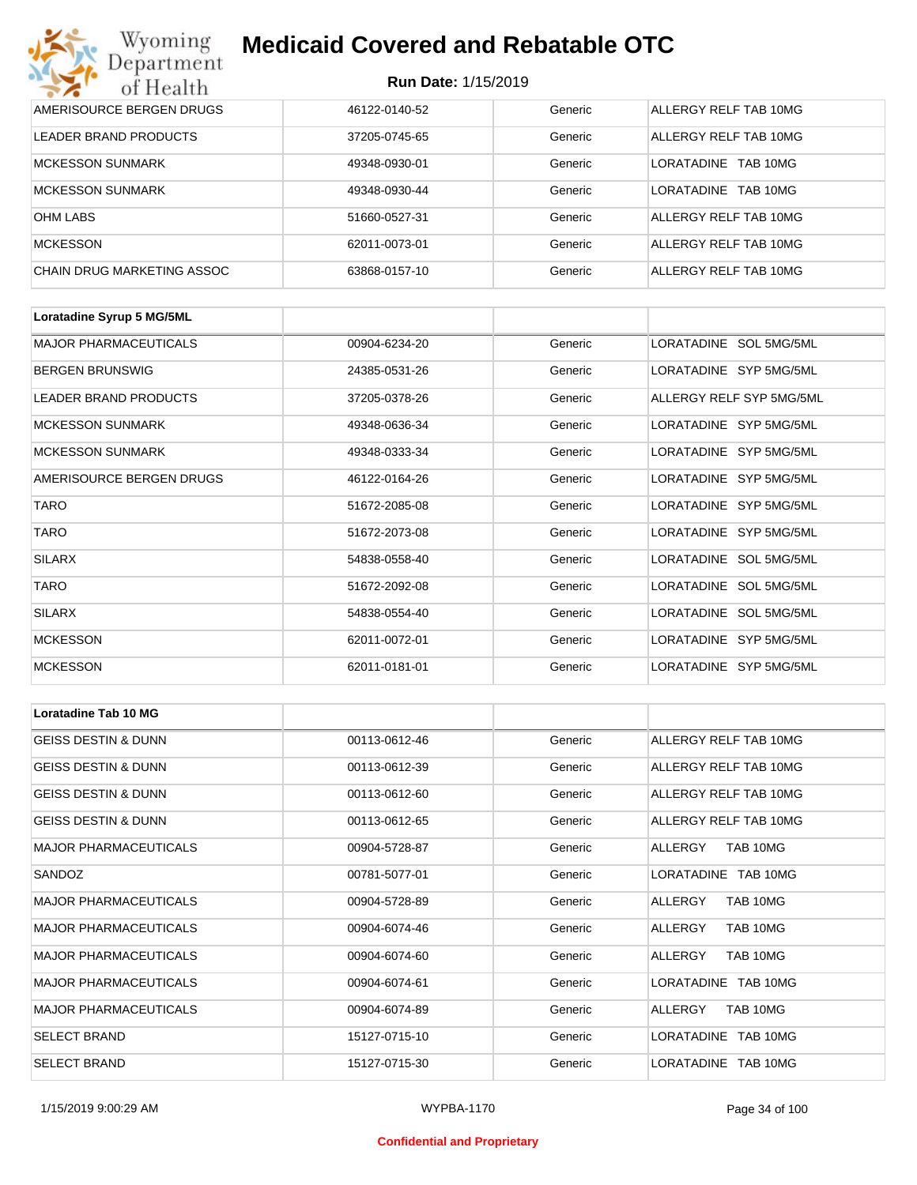| Wyoming<br><b>Medicaid Covered and Rebatable OTC</b><br>Department |                            |         |                         |  |
|--------------------------------------------------------------------|----------------------------|---------|-------------------------|--|
| of Health                                                          | <b>Run Date: 1/15/2019</b> |         |                         |  |
| AMERISOURCE BERGEN DRUGS                                           | 46122-0140-52              | Generic | ALLERGY RELF TAB 10MG   |  |
| LEADER BRAND PRODUCTS                                              | 37205-0745-65              | Generic | ALLERGY RELF TAB 10MG   |  |
| <b>MCKESSON SUNMARK</b>                                            | 49348-0930-01              | Generic | TAB 10MG<br>LORATADINE  |  |
| <b>MCKESSON SUNMARK</b>                                            | 49348-0930-44              | Generic | I ORATADINE<br>TAB 10MG |  |
| <b>OHM LABS</b>                                                    | 51660-0527-31              | Generic | ALLERGY RELF TAB 10MG   |  |
| <b>MCKESSON</b>                                                    | 62011-0073-01              | Generic | ALLERGY RELF TAB 10MG   |  |
| CHAIN DRUG MARKETING ASSOC                                         | 63868-0157-10              | Generic | ALLERGY RELF TAB 10MG   |  |

| Loratadine Syrup 5 MG/5ML    |               |         |                          |
|------------------------------|---------------|---------|--------------------------|
| <b>MAJOR PHARMACEUTICALS</b> | 00904-6234-20 | Generic | LORATADINE SOL 5MG/5ML   |
| <b>BERGEN BRUNSWIG</b>       | 24385-0531-26 | Generic | LORATADINE SYP 5MG/5ML   |
| LEADER BRAND PRODUCTS        | 37205-0378-26 | Generic | ALLERGY RELF SYP 5MG/5ML |
| <b>MCKESSON SUNMARK</b>      | 49348-0636-34 | Generic | LORATADINE SYP 5MG/5ML   |
| <b>MCKESSON SUNMARK</b>      | 49348-0333-34 | Generic | LORATADINE SYP 5MG/5ML   |
| AMERISOURCE BERGEN DRUGS     | 46122-0164-26 | Generic | LORATADINE SYP 5MG/5ML   |
| <b>TARO</b>                  | 51672-2085-08 | Generic | LORATADINE SYP 5MG/5ML   |
| <b>TARO</b>                  | 51672-2073-08 | Generic | LORATADINE SYP 5MG/5ML   |
| <b>SILARX</b>                | 54838-0558-40 | Generic | LORATADINE SOL 5MG/5ML   |
| <b>TARO</b>                  | 51672-2092-08 | Generic | LORATADINE SOL 5MG/5ML   |
| <b>SILARX</b>                | 54838-0554-40 | Generic | LORATADINE SOL 5MG/5ML   |
| <b>MCKESSON</b>              | 62011-0072-01 | Generic | LORATADINE SYP 5MG/5ML   |
| <b>MCKESSON</b>              | 62011-0181-01 | Generic | LORATADINE SYP 5MG/5ML   |

| <b>Loratadine Tab 10 MG</b>    |               |         |                       |
|--------------------------------|---------------|---------|-----------------------|
| <b>GEISS DESTIN &amp; DUNN</b> | 00113-0612-46 | Generic | ALLERGY RELF TAB 10MG |
| <b>GEISS DESTIN &amp; DUNN</b> | 00113-0612-39 | Generic | ALLERGY RELF TAB 10MG |
| <b>GEISS DESTIN &amp; DUNN</b> | 00113-0612-60 | Generic | ALLERGY RELF TAB 10MG |
| <b>GEISS DESTIN &amp; DUNN</b> | 00113-0612-65 | Generic | ALLERGY RELF TAB 10MG |
| <b>MAJOR PHARMACEUTICALS</b>   | 00904-5728-87 | Generic | TAB 10MG<br>ALLERGY   |
| SANDOZ                         | 00781-5077-01 | Generic | LORATADINE TAB 10MG   |
| <b>MAJOR PHARMACEUTICALS</b>   | 00904-5728-89 | Generic | ALLERGY<br>TAB 10MG   |
| <b>MAJOR PHARMACEUTICALS</b>   | 00904-6074-46 | Generic | TAB 10MG<br>ALLERGY   |
| <b>MAJOR PHARMACEUTICALS</b>   | 00904-6074-60 | Generic | TAB 10MG<br>ALLERGY   |
| <b>MAJOR PHARMACEUTICALS</b>   | 00904-6074-61 | Generic | LORATADINE TAB 10MG   |
| <b>MAJOR PHARMACEUTICALS</b>   | 00904-6074-89 | Generic | TAB 10MG<br>ALLERGY   |
| <b>SELECT BRAND</b>            | 15127-0715-10 | Generic | LORATADINE TAB 10MG   |
| <b>SELECT BRAND</b>            | 15127-0715-30 | Generic | LORATADINE TAB 10MG   |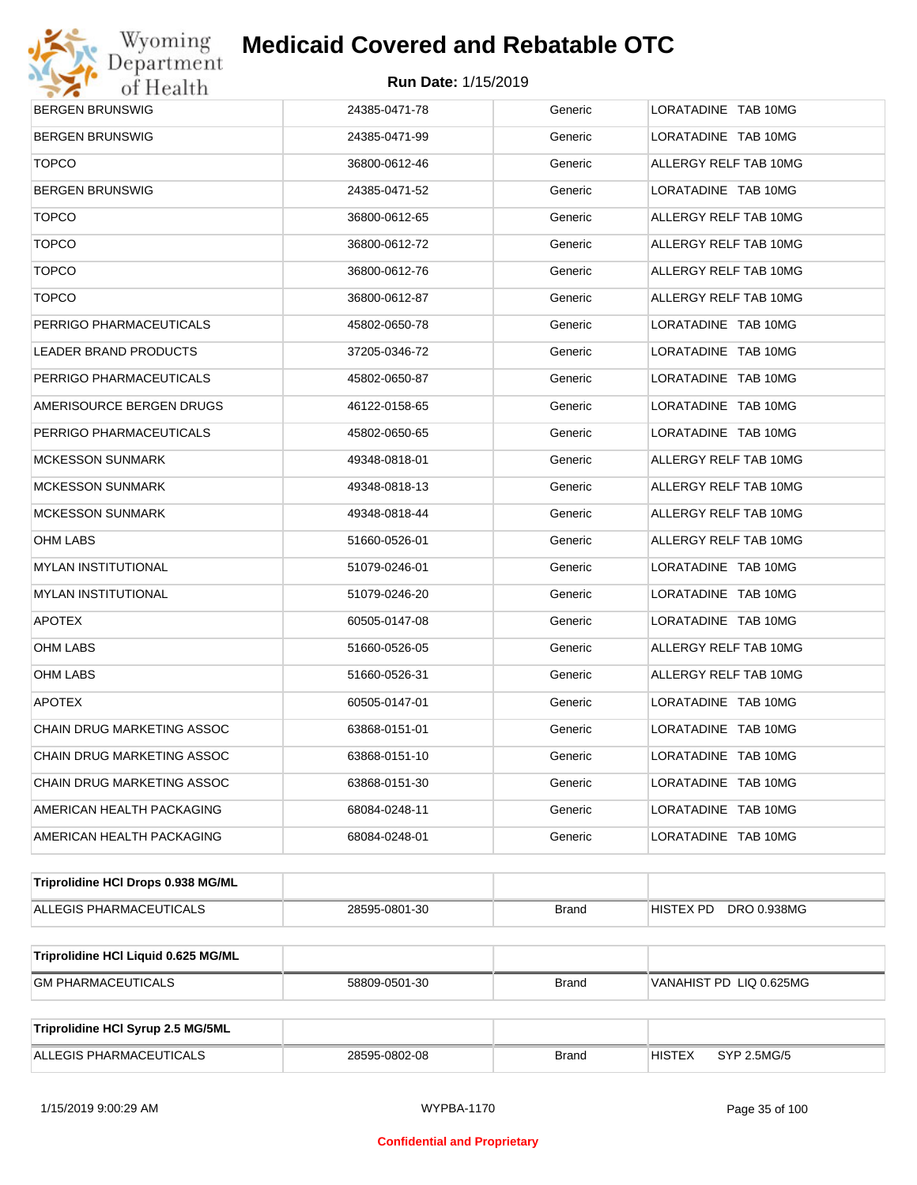

| <b>BERGEN BRUNSWIG</b>              | 24385-0471-78 | Generic      | LORATADINE TAB 10MG          |  |  |
|-------------------------------------|---------------|--------------|------------------------------|--|--|
| <b>BERGEN BRUNSWIG</b>              | 24385-0471-99 | Generic      | LORATADINE TAB 10MG          |  |  |
| <b>TOPCO</b>                        | 36800-0612-46 | Generic      | ALLERGY RELF TAB 10MG        |  |  |
| <b>BERGEN BRUNSWIG</b>              | 24385-0471-52 | Generic      | LORATADINE TAB 10MG          |  |  |
| <b>TOPCO</b>                        | 36800-0612-65 | Generic      | ALLERGY RELF TAB 10MG        |  |  |
| <b>TOPCO</b>                        | 36800-0612-72 | Generic      | ALLERGY RELF TAB 10MG        |  |  |
| <b>TOPCO</b>                        | 36800-0612-76 | Generic      | ALLERGY RELF TAB 10MG        |  |  |
| <b>TOPCO</b>                        | 36800-0612-87 | Generic      | ALLERGY RELF TAB 10MG        |  |  |
| PERRIGO PHARMACEUTICALS             | 45802-0650-78 | Generic      | LORATADINE TAB 10MG          |  |  |
| LEADER BRAND PRODUCTS               | 37205-0346-72 | Generic      | LORATADINE TAB 10MG          |  |  |
| PERRIGO PHARMACEUTICALS             | 45802-0650-87 | Generic      | LORATADINE TAB 10MG          |  |  |
| AMERISOURCE BERGEN DRUGS            | 46122-0158-65 | Generic      | LORATADINE TAB 10MG          |  |  |
| PERRIGO PHARMACEUTICALS             | 45802-0650-65 | Generic      | LORATADINE TAB 10MG          |  |  |
| <b>MCKESSON SUNMARK</b>             | 49348-0818-01 | Generic      | ALLERGY RELF TAB 10MG        |  |  |
| <b>MCKESSON SUNMARK</b>             | 49348-0818-13 | Generic      | ALLERGY RELF TAB 10MG        |  |  |
| <b>MCKESSON SUNMARK</b>             | 49348-0818-44 | Generic      | ALLERGY RELF TAB 10MG        |  |  |
| OHM LABS                            | 51660-0526-01 | Generic      | ALLERGY RELF TAB 10MG        |  |  |
| <b>MYLAN INSTITUTIONAL</b>          | 51079-0246-01 | Generic      | LORATADINE TAB 10MG          |  |  |
| <b>MYLAN INSTITUTIONAL</b>          | 51079-0246-20 | Generic      | LORATADINE TAB 10MG          |  |  |
| <b>APOTEX</b>                       | 60505-0147-08 | Generic      | LORATADINE TAB 10MG          |  |  |
| <b>OHM LABS</b>                     | 51660-0526-05 | Generic      | ALLERGY RELF TAB 10MG        |  |  |
| OHM LABS                            | 51660-0526-31 | Generic      | ALLERGY RELF TAB 10MG        |  |  |
| <b>APOTEX</b>                       | 60505-0147-01 | Generic      | LORATADINE TAB 10MG          |  |  |
| CHAIN DRUG MARKETING ASSOC          | 63868-0151-01 | Generic      | LORATADINE TAB 10MG          |  |  |
| CHAIN DRUG MARKETING ASSOC          | 63868-0151-10 | Generic      | LORATADINE TAB 10MG          |  |  |
| CHAIN DRUG MARKETING ASSOC          | 63868-0151-30 | Generic      | LORATADINE TAB 10MG          |  |  |
| AMERICAN HEALTH PACKAGING           | 68084-0248-11 | Generic      | LORATADINE TAB 10MG          |  |  |
| AMERICAN HEALTH PACKAGING           | 68084-0248-01 | Generic      | LORATADINE TAB 10MG          |  |  |
| Triprolidine HCI Drops 0.938 MG/ML  |               |              |                              |  |  |
| ALLEGIS PHARMACEUTICALS             | 28595-0801-30 | <b>Brand</b> | DRO 0.938MG<br>HISTEX PD     |  |  |
| Triprolidine HCI Liquid 0.625 MG/ML |               |              |                              |  |  |
| <b>GM PHARMACEUTICALS</b>           | 58809-0501-30 | <b>Brand</b> | VANAHIST PD LIQ 0.625MG      |  |  |
|                                     |               |              |                              |  |  |
| Triprolidine HCI Syrup 2.5 MG/5ML   |               |              |                              |  |  |
| ALLEGIS PHARMACEUTICALS             | 28595-0802-08 | <b>Brand</b> | <b>HISTEX</b><br>SYP 2.5MG/5 |  |  |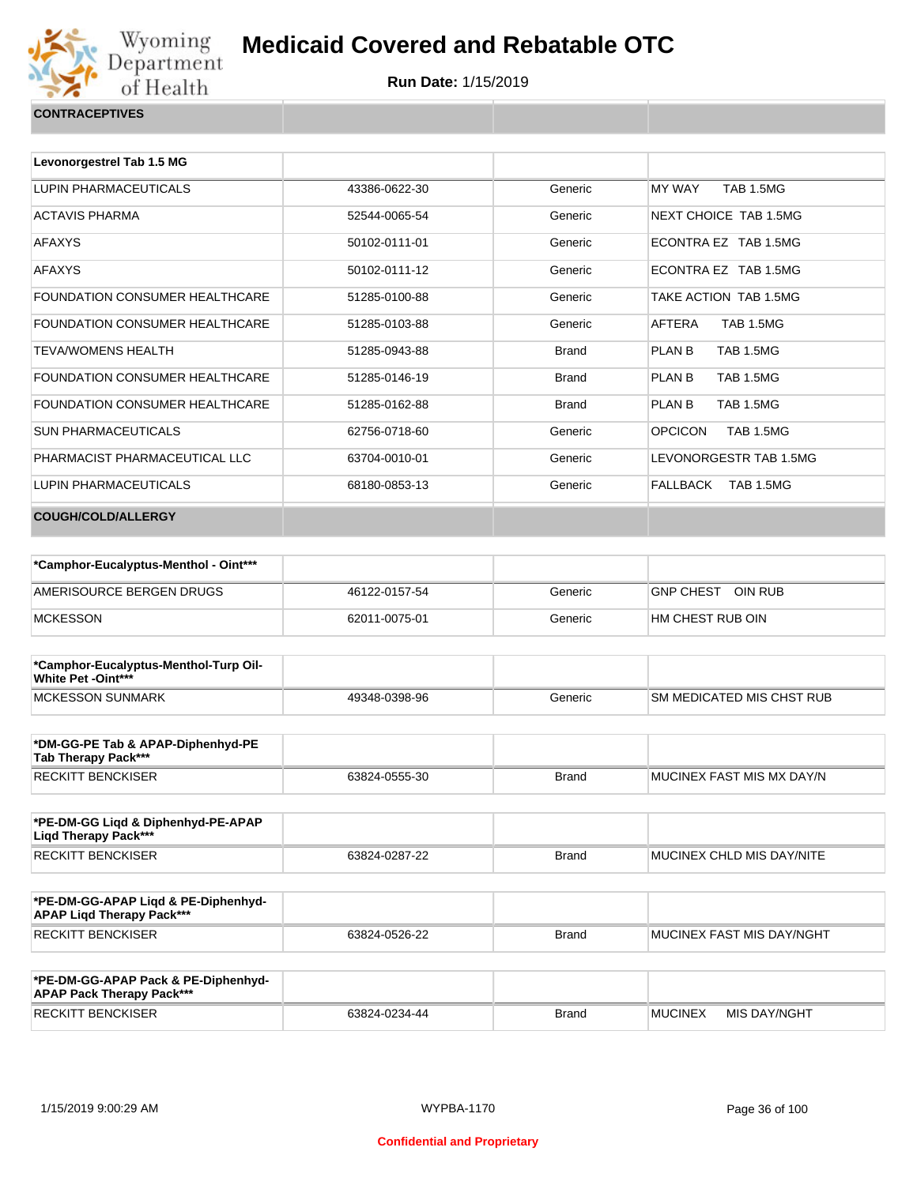

|  | CONTRACEPTIVES |
|--|----------------|
|  |                |

| Levonorgestrel Tab 1.5 MG      |               |              |                             |
|--------------------------------|---------------|--------------|-----------------------------|
|                                |               |              |                             |
| LUPIN PHARMACEUTICALS          | 43386-0622-30 | Generic      | MY WAY<br><b>TAB 1.5MG</b>  |
| <b>ACTAVIS PHARMA</b>          | 52544-0065-54 | Generic      | NEXT CHOICE TAB 1.5MG       |
| <b>AFAXYS</b>                  | 50102-0111-01 | Generic      | ECONTRA EZ TAB 1.5MG        |
| <b>AFAXYS</b>                  | 50102-0111-12 | Generic      | ECONTRA EZ TAB 1.5MG        |
| FOUNDATION CONSUMER HEALTHCARE | 51285-0100-88 | Generic      | TAKE ACTION TAB 1.5MG       |
| FOUNDATION CONSUMER HEALTHCARE | 51285-0103-88 | Generic      | AFTERA<br><b>TAB 1.5MG</b>  |
| <b>TEVA/WOMENS HEALTH</b>      | 51285-0943-88 | <b>Brand</b> | PLAN B<br><b>TAB 1.5MG</b>  |
| FOUNDATION CONSUMER HEALTHCARE | 51285-0146-19 | <b>Brand</b> | <b>TAB 1.5MG</b><br>PLAN B  |
| FOUNDATION CONSUMER HEALTHCARE | 51285-0162-88 | <b>Brand</b> | PLAN B<br><b>TAB 1.5MG</b>  |
| <b>SUN PHARMACEUTICALS</b>     | 62756-0718-60 | Generic      | <b>OPCICON</b><br>TAB 1.5MG |
| PHARMACIST PHARMACEUTICAL LLC  | 63704-0010-01 | Generic      | LEVONORGESTR TAB 1.5MG      |
| <b>LUPIN PHARMACEUTICALS</b>   | 68180-0853-13 | Generic      | FALLBACK<br>TAB 1.5MG       |
| <b>COUGH/COLD/ALLERGY</b>      |               |              |                             |

| *Camphor-Eucalyptus-Menthol - Oint*** |               |         |                             |
|---------------------------------------|---------------|---------|-----------------------------|
| AMERISOURCE BERGEN DRUGS              | 46122-0157-54 | Generic | OIN RUB<br><b>GNP CHEST</b> |
| <b>MCKESSON</b>                       | 62011-0075-01 | Generic | HM CHEST RUB OIN            |

| *Camphor-Eucalyptus-Menthol-Turp Oil-<br><b>White Pet -Oint***</b> |               |         |                                  |
|--------------------------------------------------------------------|---------------|---------|----------------------------------|
| MCKESSON SUNMARK                                                   | 49348-0398-96 | Generic | <b>SM MEDICATED MIS CHST RUB</b> |

| *DM-GG-PE Tab & APAP-Diphenhyd-PE<br>Tab Therapy Pack*** |               |       |                            |
|----------------------------------------------------------|---------------|-------|----------------------------|
| RECKITT BENCKISER                                        | 63824-0555-30 | Brand | IMUCINEX FAST MIS MX DAY/N |

| *PE-DM-GG Ligd & Diphenhyd-PE-APAP<br>Ligd Therapy Pack*** |               |              |                                   |
|------------------------------------------------------------|---------------|--------------|-----------------------------------|
| RECKITT BENCKISER                                          | 63824-0287-22 | <b>Brand</b> | <b>IMUCINEX CHLD MIS DAY/NITE</b> |

| *PE-DM-GG-APAP Ligd & PE-Diphenhyd-<br><b>APAP Ligd Therapy Pack***</b> |               |       |                             |
|-------------------------------------------------------------------------|---------------|-------|-----------------------------|
| <b>RECKITT BENCKISER</b>                                                | 63824-0526-22 | Brand | I MUCINEX FAST MIS DAY/NGHT |

| *PE-DM-GG-APAP Pack & PE-Diphenhyd-<br><b>APAP Pack Therapy Pack***</b> |               |              |                |              |
|-------------------------------------------------------------------------|---------------|--------------|----------------|--------------|
| <b>RECKITT BENCKISER</b>                                                | 63824-0234-44 | <b>Brand</b> | <b>MUCINEX</b> | MIS DAY/NGHT |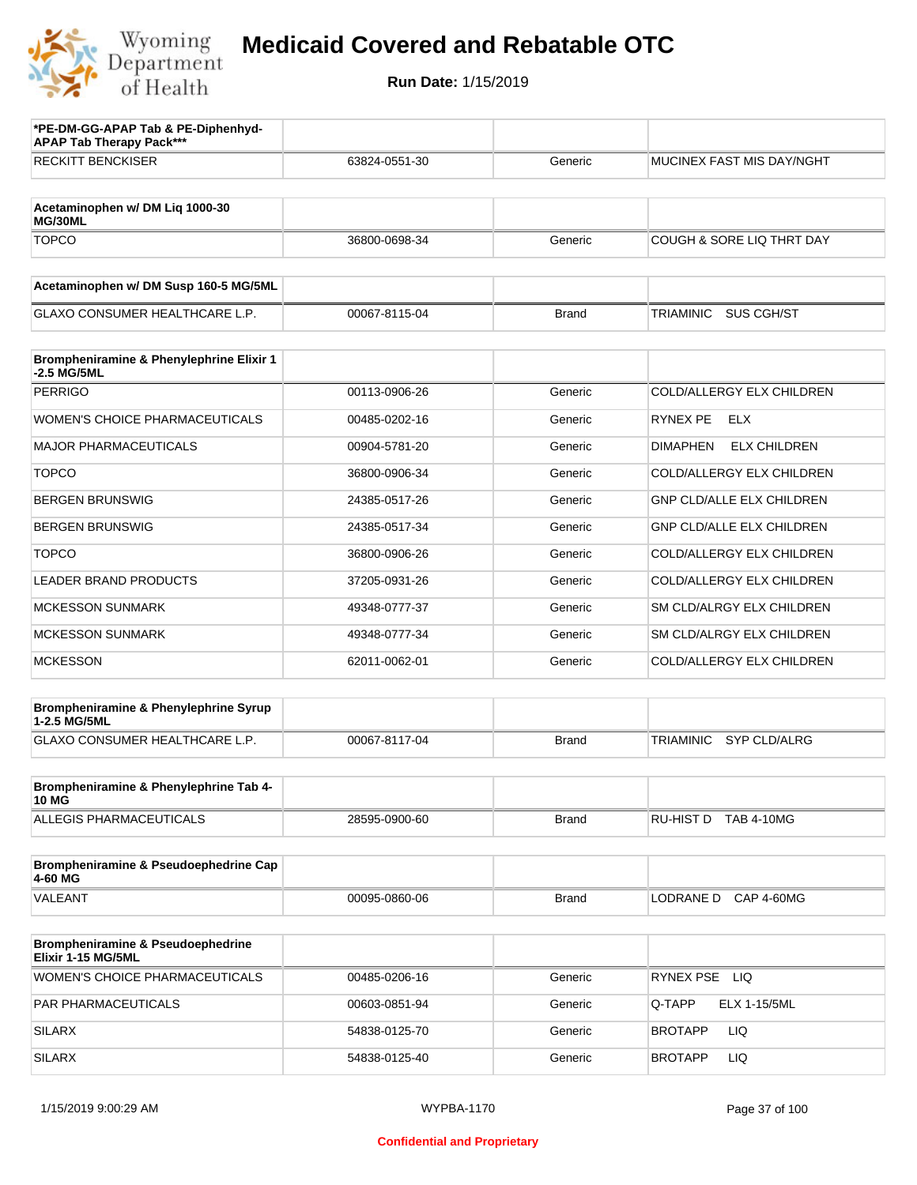

| *PE-DM-GG-APAP Tab & PE-Diphenhyd-<br><b>APAP Tab Therapy Pack***</b> |               |              |                                         |
|-----------------------------------------------------------------------|---------------|--------------|-----------------------------------------|
| <b>RECKITT BENCKISER</b>                                              | 63824-0551-30 | Generic      | <b>MUCINEX FAST MIS DAY/NGHT</b>        |
|                                                                       |               |              |                                         |
| Acetaminophen w/ DM Lig 1000-30<br>MG/30ML                            |               |              |                                         |
| <b>TOPCO</b>                                                          | 36800-0698-34 | Generic      | <b>COUGH &amp; SORE LIQ THRT DAY</b>    |
| Acetaminophen w/ DM Susp 160-5 MG/5ML                                 |               |              |                                         |
| <b>GLAXO CONSUMER HEALTHCARE L.P.</b>                                 | 00067-8115-04 | <b>Brand</b> | <b>SUS CGH/ST</b><br>TRIAMINIC          |
| Brompheniramine & Phenylephrine Elixir 1<br>-2.5 MG/5ML               |               |              |                                         |
| <b>PERRIGO</b>                                                        | 00113-0906-26 | Generic      | COLD/ALLERGY ELX CHILDREN               |
| <b>WOMEN'S CHOICE PHARMACEUTICALS</b>                                 | 00485-0202-16 | Generic      | RYNEX PE<br>ELX                         |
| <b>MAJOR PHARMACEUTICALS</b>                                          | 00904-5781-20 | Generic      | <b>ELX CHILDREN</b><br><b>DIMAPHEN</b>  |
| <b>TOPCO</b>                                                          | 36800-0906-34 | Generic      | COLD/ALLERGY ELX CHILDREN               |
| <b>BERGEN BRUNSWIG</b>                                                | 24385-0517-26 | Generic      | GNP CLD/ALLE ELX CHILDREN               |
| <b>BERGEN BRUNSWIG</b>                                                | 24385-0517-34 | Generic      | <b>GNP CLD/ALLE ELX CHILDREN</b>        |
| <b>TOPCO</b>                                                          | 36800-0906-26 | Generic      | COLD/ALLERGY ELX CHILDREN               |
| <b>LEADER BRAND PRODUCTS</b>                                          | 37205-0931-26 | Generic      | COLD/ALLERGY ELX CHILDREN               |
| <b>MCKESSON SUNMARK</b>                                               | 49348-0777-37 | Generic      | SM CLD/ALRGY ELX CHILDREN               |
| <b>MCKESSON SUNMARK</b>                                               | 49348-0777-34 | Generic      | SM CLD/ALRGY ELX CHILDREN               |
| <b>MCKESSON</b>                                                       | 62011-0062-01 | Generic      | COLD/ALLERGY ELX CHILDREN               |
| Brompheniramine & Phenylephrine Syrup<br>1-2.5 MG/5ML                 |               |              |                                         |
| GLAXO CONSUMER HEALTHCARE L.P.                                        | 00067-8117-04 | <b>Brand</b> | <b>TRIAMINIC</b><br><b>SYP CLD/ALRG</b> |
| Brompheniramine & Phenylephrine Tab 4-                                |               |              |                                         |
| <b>10 MG</b>                                                          |               |              |                                         |
| ALLEGIS PHARMACEUTICALS                                               | 28595-0900-60 | <b>Brand</b> | RU-HIST D TAB 4-10MG                    |
| Brompheniramine & Pseudoephedrine Cap<br>4-60 MG                      |               |              |                                         |
| VALEANT                                                               | 00095-0860-06 | <b>Brand</b> | LODRANE D CAP 4-60MG                    |
| Brompheniramine & Pseudoephedrine<br>Elixir 1-15 MG/5ML               |               |              |                                         |
| WOMEN'S CHOICE PHARMACEUTICALS                                        | 00485-0206-16 | Generic      | RYNEX PSE LIQ                           |
| PAR PHARMACEUTICALS                                                   | 00603-0851-94 | Generic      | Q-TAPP<br>ELX 1-15/5ML                  |
| <b>SILARX</b>                                                         | 54838-0125-70 | Generic      | LIQ<br>BROTAPP                          |
| <b>SILARX</b>                                                         | 54838-0125-40 | Generic      | LIQ<br>BROTAPP                          |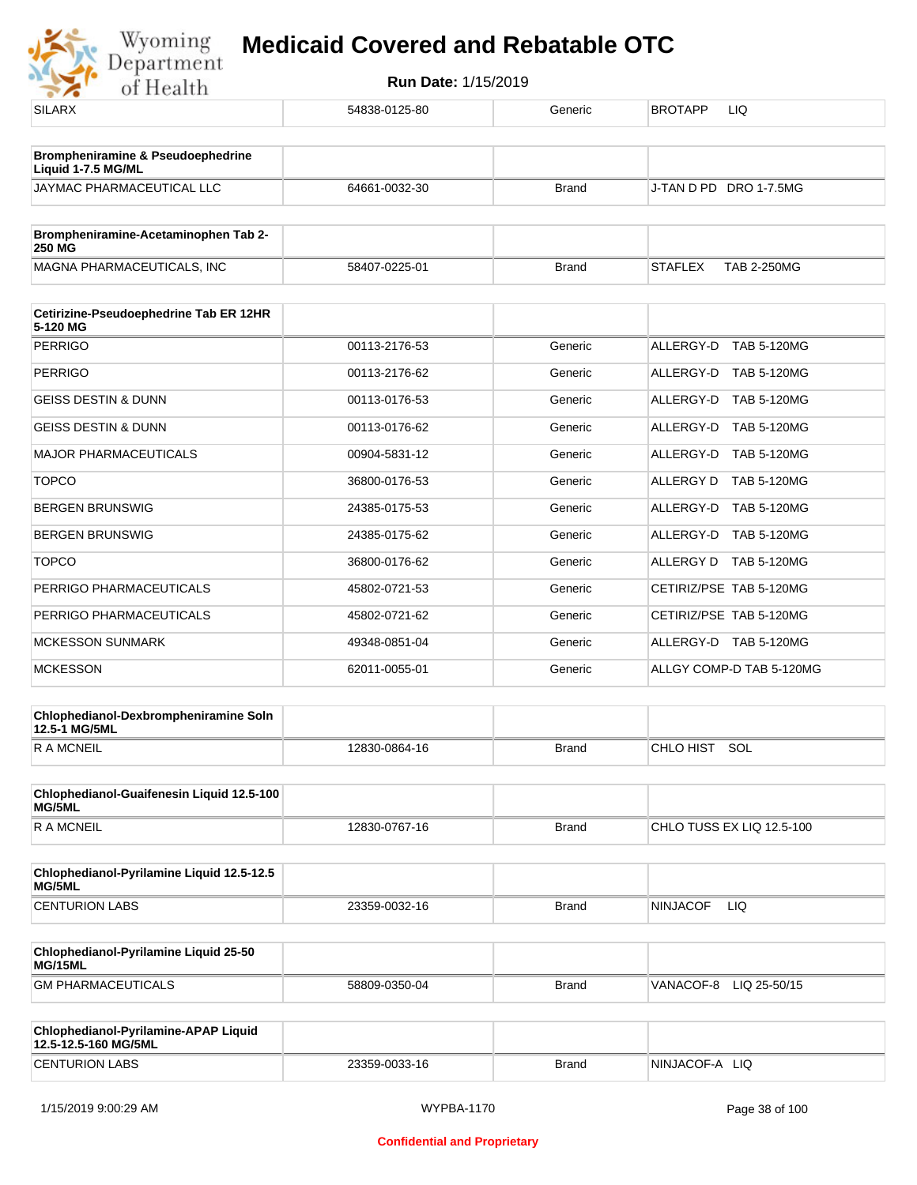

| <b>SILARX</b>                                                | 54838-0125-80 | Generic      | BROTAPP<br>LIQ                       |
|--------------------------------------------------------------|---------------|--------------|--------------------------------------|
| Brompheniramine & Pseudoephedrine<br>Liquid 1-7.5 MG/ML      |               |              |                                      |
| JAYMAC PHARMACEUTICAL LLC                                    | 64661-0032-30 | <b>Brand</b> | J-TAN D PD DRO 1-7.5MG               |
| Brompheniramine-Acetaminophen Tab 2-<br><b>250 MG</b>        |               |              |                                      |
| MAGNA PHARMACEUTICALS, INC                                   | 58407-0225-01 | <b>Brand</b> | <b>STAFLEX</b><br><b>TAB 2-250MG</b> |
| Cetirizine-Pseudoephedrine Tab ER 12HR                       |               |              |                                      |
| 5-120 MG<br><b>PERRIGO</b>                                   | 00113-2176-53 | Generic      | ALLERGY-D TAB 5-120MG                |
| <b>PERRIGO</b>                                               | 00113-2176-62 | Generic      | ALLERGY-D TAB 5-120MG                |
|                                                              |               |              |                                      |
| <b>GEISS DESTIN &amp; DUNN</b>                               | 00113-0176-53 | Generic      | ALLERGY-D TAB 5-120MG                |
| GEISS DESTIN & DUNN                                          | 00113-0176-62 | Generic      | ALLERGY-D TAB 5-120MG                |
| <b>MAJOR PHARMACEUTICALS</b>                                 | 00904-5831-12 | Generic      | ALLERGY-D TAB 5-120MG                |
| <b>TOPCO</b>                                                 | 36800-0176-53 | Generic      | ALLERGY D TAB 5-120MG                |
| <b>BERGEN BRUNSWIG</b>                                       | 24385-0175-53 | Generic      | ALLERGY-D TAB 5-120MG                |
| <b>BERGEN BRUNSWIG</b>                                       | 24385-0175-62 | Generic      | ALLERGY-D TAB 5-120MG                |
| <b>TOPCO</b>                                                 | 36800-0176-62 | Generic      | ALLERGY D TAB 5-120MG                |
| PERRIGO PHARMACEUTICALS                                      | 45802-0721-53 | Generic      | CETIRIZ/PSE TAB 5-120MG              |
| PERRIGO PHARMACEUTICALS                                      | 45802-0721-62 | Generic      | CETIRIZ/PSE TAB 5-120MG              |
| <b>MCKESSON SUNMARK</b>                                      | 49348-0851-04 | Generic      | ALLERGY-D TAB 5-120MG                |
| <b>MCKESSON</b>                                              | 62011-0055-01 | Generic      | ALLGY COMP-D TAB 5-120MG             |
| Chlophedianol-Dexbrompheniramine Soln<br>12.5-1 MG/5ML       |               |              |                                      |
| <b>RAMCNEIL</b>                                              | 12830-0864-16 | <b>Brand</b> | CHLO HIST SOL                        |
| Chlophedianol-Guaifenesin Liquid 12.5-100<br>MG/5ML          |               |              |                                      |
| <b>RAMCNEIL</b>                                              | 12830-0767-16 | <b>Brand</b> | CHLO TUSS EX LIQ 12.5-100            |
| Chlophedianol-Pyrilamine Liquid 12.5-12.5<br>MG/5ML          |               |              |                                      |
| <b>CENTURION LABS</b>                                        | 23359-0032-16 | <b>Brand</b> | <b>NINJACOF</b><br>LIQ               |
| Chlophedianol-Pyrilamine Liquid 25-50<br>MG/15ML             |               |              |                                      |
| <b>GM PHARMACEUTICALS</b>                                    | 58809-0350-04 | <b>Brand</b> | VANACOF-8 LIQ 25-50/15               |
|                                                              |               |              |                                      |
| Chlophedianol-Pyrilamine-APAP Liquid<br>12.5-12.5-160 MG/5ML |               |              |                                      |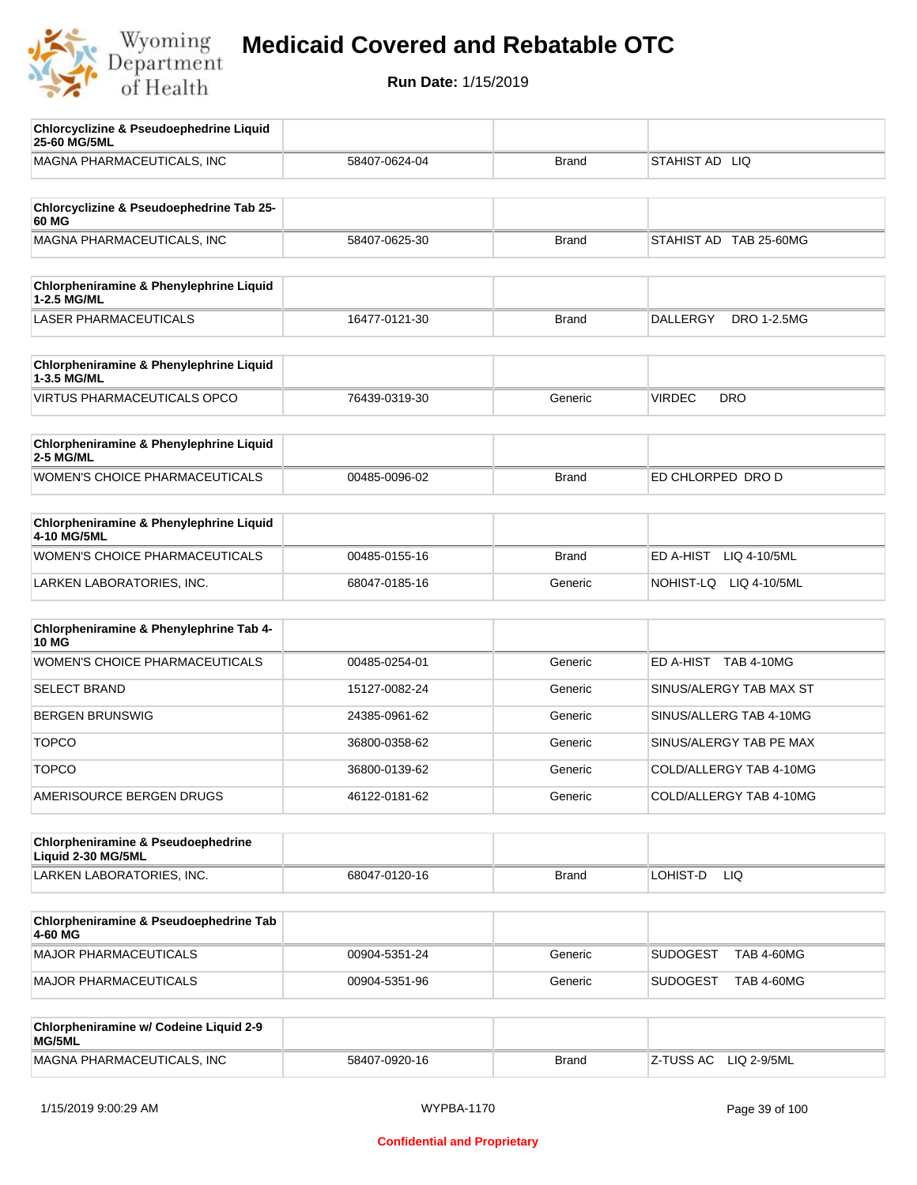

| <b>Chlorcyclizine &amp; Pseudoephedrine Liquid</b><br>25-60 MG/5ML  |               |              |                                      |
|---------------------------------------------------------------------|---------------|--------------|--------------------------------------|
| MAGNA PHARMACEUTICALS, INC                                          | 58407-0624-04 | <b>Brand</b> | STAHIST AD LIQ                       |
|                                                                     |               |              |                                      |
| Chlorcyclizine & Pseudoephedrine Tab 25-<br>60 MG                   |               |              |                                      |
| MAGNA PHARMACEUTICALS, INC                                          | 58407-0625-30 | <b>Brand</b> | STAHIST AD TAB 25-60MG               |
|                                                                     |               |              |                                      |
| Chlorpheniramine & Phenylephrine Liquid<br>1-2.5 MG/ML              |               |              |                                      |
| <b>LASER PHARMACEUTICALS</b>                                        | 16477-0121-30 | <b>Brand</b> | DRO 1-2.5MG<br><b>DALLERGY</b>       |
|                                                                     |               |              |                                      |
| Chlorpheniramine & Phenylephrine Liquid<br>1-3.5 MG/ML              |               |              |                                      |
| <b>VIRTUS PHARMACEUTICALS OPCO</b>                                  | 76439-0319-30 | Generic      | <b>VIRDEC</b><br><b>DRO</b>          |
| Chlorpheniramine & Phenylephrine Liquid                             |               |              |                                      |
| 2-5 MG/ML                                                           |               |              |                                      |
| <b>WOMEN'S CHOICE PHARMACEUTICALS</b>                               | 00485-0096-02 | <b>Brand</b> | ED CHLORPED DRO D                    |
|                                                                     |               |              |                                      |
| Chlorpheniramine & Phenylephrine Liquid<br>4-10 MG/5ML              |               |              |                                      |
| WOMEN'S CHOICE PHARMACEUTICALS                                      | 00485-0155-16 | <b>Brand</b> | ED A-HIST<br>LIQ 4-10/5ML            |
| LARKEN LABORATORIES, INC.                                           | 68047-0185-16 | Generic      | NOHIST-LQ<br>LIQ 4-10/5ML            |
|                                                                     |               |              |                                      |
| Chlorpheniramine & Phenylephrine Tab 4-<br><b>10 MG</b>             |               |              |                                      |
| <b>WOMEN'S CHOICE PHARMACEUTICALS</b>                               | 00485-0254-01 | Generic      | ED A-HIST TAB 4-10MG                 |
| <b>SELECT BRAND</b>                                                 | 15127-0082-24 | Generic      | SINUS/ALERGY TAB MAX ST              |
| <b>BERGEN BRUNSWIG</b>                                              | 24385-0961-62 | Generic      | SINUS/ALLERG TAB 4-10MG              |
| <b>TOPCO</b>                                                        | 36800-0358-62 | Generic      | SINUS/ALERGY TAB PE MAX              |
| <b>TOPCO</b>                                                        | 36800-0139-62 | Generic      | COLD/ALLERGY TAB 4-10MG              |
| AMERISOURCE BERGEN DRUGS                                            | 46122-0181-62 | Generic      | COLD/ALLERGY TAB 4-10MG              |
|                                                                     |               |              |                                      |
| <b>Chlorpheniramine &amp; Pseudoephedrine</b><br>Liquid 2-30 MG/5ML |               |              |                                      |
| LARKEN LABORATORIES, INC.                                           | 68047-0120-16 | <b>Brand</b> | LOHIST-D<br>LIQ.                     |
|                                                                     |               |              |                                      |
| Chlorpheniramine & Pseudoephedrine Tab<br>4-60 MG                   |               |              |                                      |
| MAJOR PHARMACEUTICALS                                               | 00904-5351-24 | Generic      | <b>SUDOGEST</b><br><b>TAB 4-60MG</b> |
| MAJOR PHARMACEUTICALS                                               | 00904-5351-96 | Generic      | <b>SUDOGEST</b><br><b>TAB 4-60MG</b> |
|                                                                     |               |              |                                      |
| Chlorpheniramine w/ Codeine Liquid 2-9<br>MG/5ML                    |               |              |                                      |
| MAGNA PHARMACEUTICALS, INC                                          | 58407-0920-16 | <b>Brand</b> | Z-TUSS AC<br>LIQ 2-9/5ML             |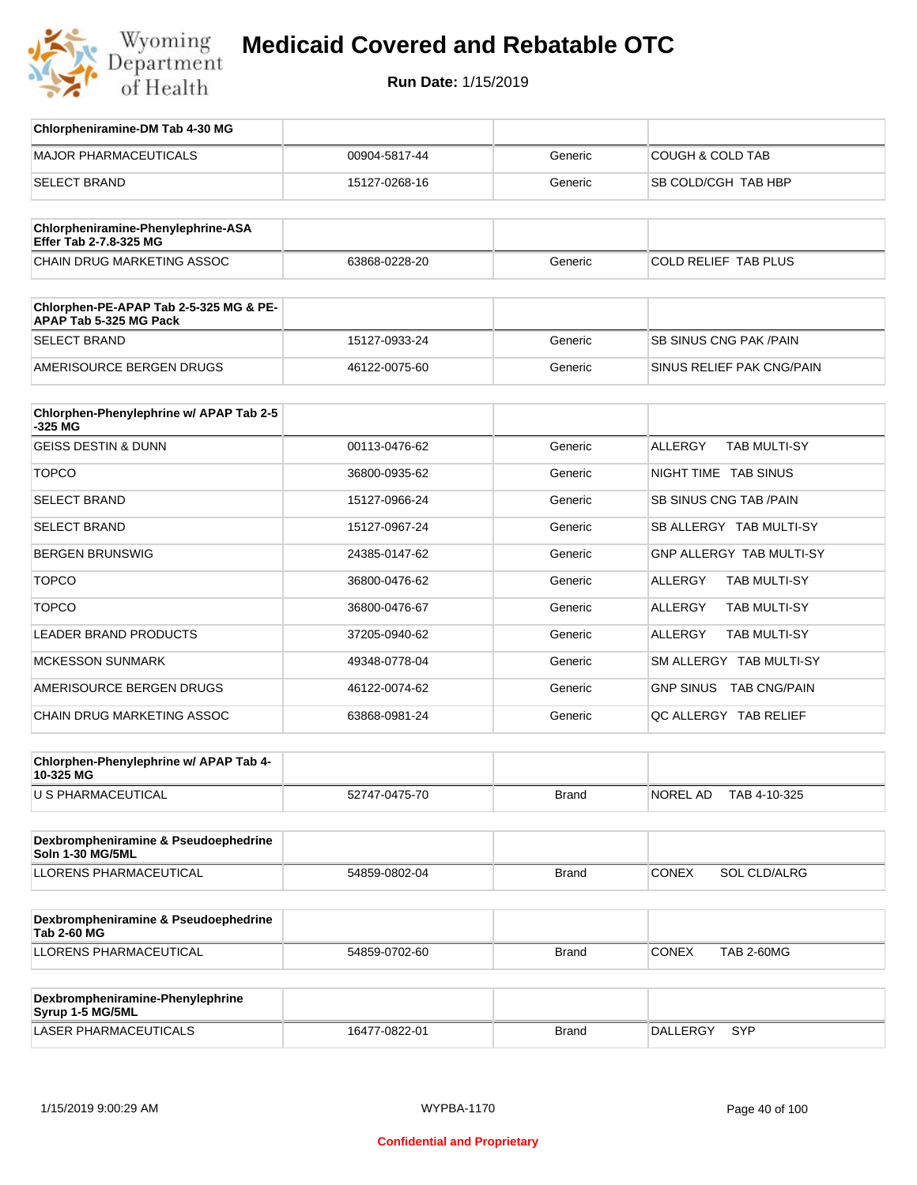

| Chlorpheniramine-DM Tab 4-30 MG                                  |               |              |                                       |
|------------------------------------------------------------------|---------------|--------------|---------------------------------------|
| <b>MAJOR PHARMACEUTICALS</b>                                     | 00904-5817-44 | Generic      | <b>COUGH &amp; COLD TAB</b>           |
| <b>SELECT BRAND</b>                                              | 15127-0268-16 | Generic      | SB COLD/CGH TAB HBP                   |
| Chlorpheniramine-Phenylephrine-ASA<br>Effer Tab 2-7.8-325 MG     |               |              |                                       |
| <b>CHAIN DRUG MARKETING ASSOC</b>                                | 63868-0228-20 | Generic      | <b>COLD RELIEF TAB PLUS</b>           |
| Chlorphen-PE-APAP Tab 2-5-325 MG & PE-<br>APAP Tab 5-325 MG Pack |               |              |                                       |
| <b>SELECT BRAND</b>                                              | 15127-0933-24 | Generic      | <b>SB SINUS CNG PAK/PAIN</b>          |
| AMERISOURCE BERGEN DRUGS                                         | 46122-0075-60 | Generic      | SINUS RELIEF PAK CNG/PAIN             |
| Chlorphen-Phenylephrine w/ APAP Tab 2-5<br>-325 MG               |               |              |                                       |
| <b>GEISS DESTIN &amp; DUNN</b>                                   | 00113-0476-62 | Generic      | <b>ALLERGY</b><br><b>TAB MULTI-SY</b> |
| <b>TOPCO</b>                                                     | 36800-0935-62 | Generic      | NIGHT TIME TAB SINUS                  |
| <b>SELECT BRAND</b>                                              | 15127-0966-24 | Generic      | SB SINUS CNG TAB / PAIN               |
| <b>SELECT BRAND</b>                                              | 15127-0967-24 | Generic      | SB ALLERGY TAB MULTI-SY               |
| <b>BERGEN BRUNSWIG</b>                                           | 24385-0147-62 | Generic      | GNP ALLERGY TAB MULTI-SY              |
| <b>TOPCO</b>                                                     | 36800-0476-62 | Generic      | <b>ALLERGY</b><br>TAB MULTI-SY        |
| <b>TOPCO</b>                                                     | 36800-0476-67 | Generic      | ALLERGY<br>TAB MULTI-SY               |
| <b>LEADER BRAND PRODUCTS</b>                                     | 37205-0940-62 | Generic      | ALLERGY<br>TAB MULTI-SY               |
| <b>MCKESSON SUNMARK</b>                                          | 49348-0778-04 | Generic      | SM ALLERGY TAB MULTI-SY               |
| AMERISOURCE BERGEN DRUGS                                         | 46122-0074-62 | Generic      | GNP SINUS TAB CNG/PAIN                |
| CHAIN DRUG MARKETING ASSOC                                       | 63868-0981-24 | Generic      | QC ALLERGY TAB RELIEF                 |
| Chlorphen-Phenylephrine w/ APAP Tab 4-<br>10-325 MG              |               |              |                                       |
| U S PHARMACEUTICAL                                               | 52747-0475-70 | Brand        | NOREL AD TAB 4-10-325                 |
| Dexbrompheniramine & Pseudoephedrine<br><b>Soln 1-30 MG/5ML</b>  |               |              |                                       |
| LLORENS PHARMACEUTICAL                                           | 54859-0802-04 | Brand        | SOL CLD/ALRG<br><b>CONEX</b>          |
| Dexbrompheniramine & Pseudoephedrine<br><b>Tab 2-60 MG</b>       |               |              |                                       |
| LLORENS PHARMACEUTICAL                                           | 54859-0702-60 | <b>Brand</b> | <b>CONEX</b><br><b>TAB 2-60MG</b>     |
| Dexbrompheniramine-Phenylephrine<br>Syrup 1-5 MG/5ML             |               |              |                                       |
| LASER PHARMACEUTICALS                                            | 16477-0822-01 | <b>Brand</b> | DALLERGY SYP                          |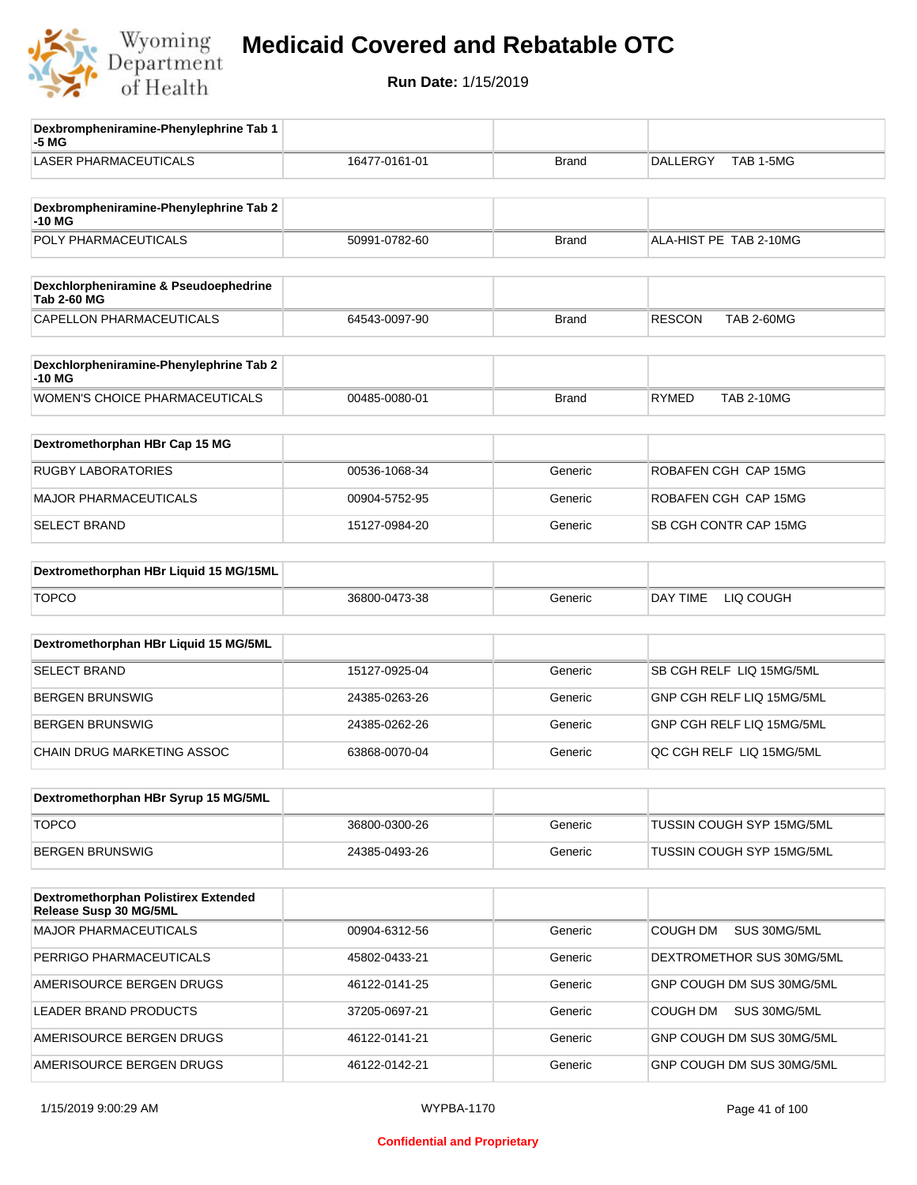

| Dexbrompheniramine-Phenylephrine Tab 1<br>-5 MG                |               |              |                                    |
|----------------------------------------------------------------|---------------|--------------|------------------------------------|
| <b>LASER PHARMACEUTICALS</b>                                   | 16477-0161-01 | <b>Brand</b> | TAB 1-5MG<br><b>DALLERGY</b>       |
| Dexbrompheniramine-Phenylephrine Tab 2<br>-10 MG               |               |              |                                    |
| POLY PHARMACEUTICALS                                           | 50991-0782-60 | <b>Brand</b> | ALA-HIST PE TAB 2-10MG             |
| Dexchlorpheniramine & Pseudoephedrine<br><b>Tab 2-60 MG</b>    |               |              |                                    |
| CAPELLON PHARMACEUTICALS                                       | 64543-0097-90 | <b>Brand</b> | <b>RESCON</b><br><b>TAB 2-60MG</b> |
| Dexchlorpheniramine-Phenylephrine Tab 2<br>-10 MG              |               |              |                                    |
| WOMEN'S CHOICE PHARMACEUTICALS                                 | 00485-0080-01 | <b>Brand</b> | <b>RYMED</b><br><b>TAB 2-10MG</b>  |
| Dextromethorphan HBr Cap 15 MG                                 |               |              |                                    |
| <b>RUGBY LABORATORIES</b>                                      | 00536-1068-34 | Generic      | ROBAFEN CGH CAP 15MG               |
| <b>MAJOR PHARMACEUTICALS</b>                                   | 00904-5752-95 | Generic      | ROBAFEN CGH CAP 15MG               |
| <b>SELECT BRAND</b>                                            | 15127-0984-20 | Generic      | SB CGH CONTR CAP 15MG              |
| Dextromethorphan HBr Liquid 15 MG/15ML                         |               |              |                                    |
| <b>TOPCO</b>                                                   | 36800-0473-38 | Generic      | DAY TIME<br>LIQ COUGH              |
| Dextromethorphan HBr Liquid 15 MG/5ML                          |               |              |                                    |
| SELECT BRAND                                                   | 15127-0925-04 | Generic      | SB CGH RELF LIQ 15MG/5ML           |
| <b>BERGEN BRUNSWIG</b>                                         | 24385-0263-26 | Generic      | GNP CGH RELF LIQ 15MG/5ML          |
| <b>BERGEN BRUNSWIG</b>                                         | 24385-0262-26 | Generic      | GNP CGH RELF LIQ 15MG/5ML          |
| <b>CHAIN DRUG MARKETING ASSOC</b>                              | 63868-0070-04 | Generic      | QC CGH RELF LIQ 15MG/5ML           |
| Dextromethorphan HBr Syrup 15 MG/5ML                           |               |              |                                    |
| <b>TOPCO</b>                                                   | 36800-0300-26 | Generic      | TUSSIN COUGH SYP 15MG/5ML          |
| <b>BERGEN BRUNSWIG</b>                                         | 24385-0493-26 | Generic      | TUSSIN COUGH SYP 15MG/5ML          |
| Dextromethorphan Polistirex Extended<br>Release Susp 30 MG/5ML |               |              |                                    |
| <b>MAJOR PHARMACEUTICALS</b>                                   | 00904-6312-56 | Generic      | <b>COUGH DM</b><br>SUS 30MG/5ML    |
| PERRIGO PHARMACEUTICALS                                        | 45802-0433-21 | Generic      | DEXTROMETHOR SUS 30MG/5ML          |
| AMERISOURCE BERGEN DRUGS                                       | 46122-0141-25 | Generic      | GNP COUGH DM SUS 30MG/5ML          |
| LEADER BRAND PRODUCTS                                          | 37205-0697-21 | Generic      | COUGH DM<br>SUS 30MG/5ML           |
| AMERISOURCE BERGEN DRUGS                                       | 46122-0141-21 | Generic      | GNP COUGH DM SUS 30MG/5ML          |
| AMERISOURCE BERGEN DRUGS                                       | 46122-0142-21 | Generic      | GNP COUGH DM SUS 30MG/5ML          |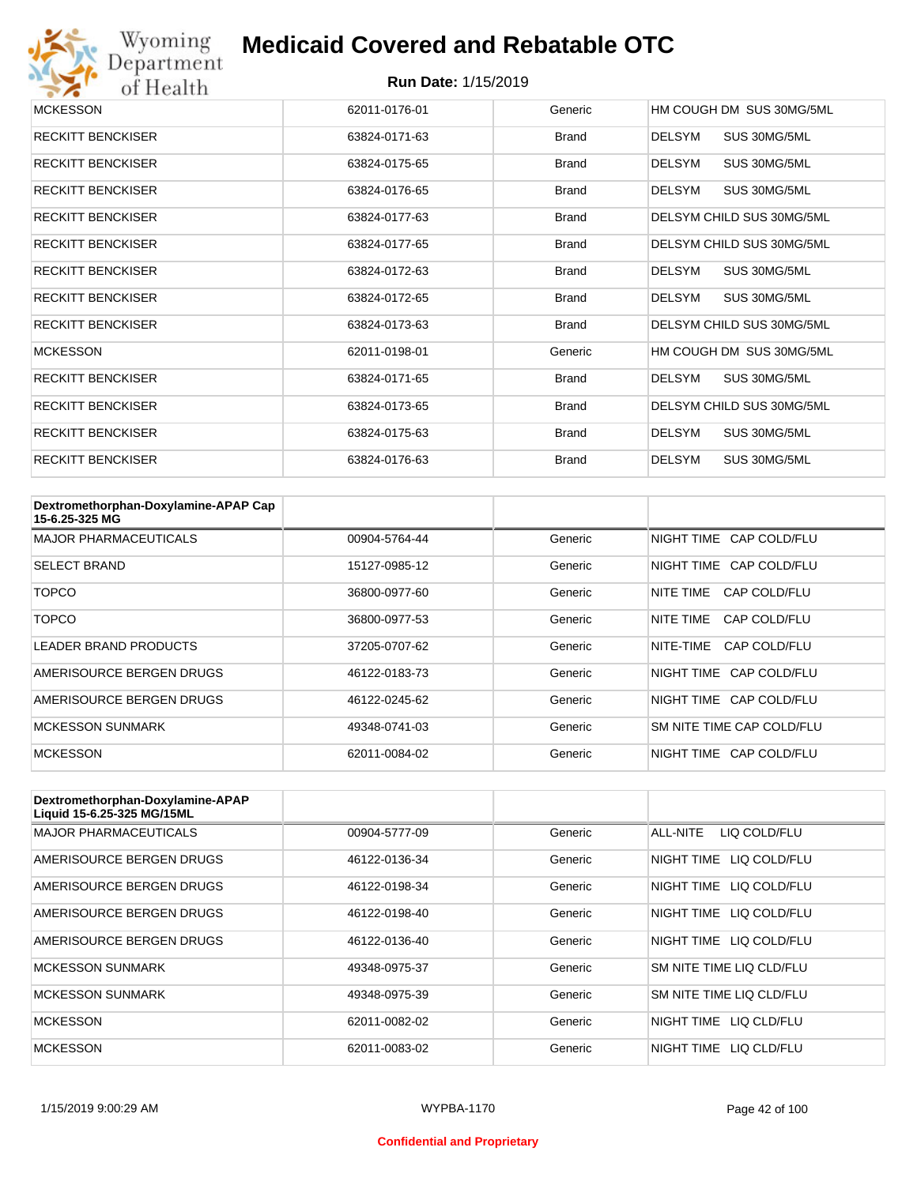

| <b>MCKESSON</b>          | 62011-0176-01 | Generic      | HM COUGH DM SUS 30MG/5ML      |
|--------------------------|---------------|--------------|-------------------------------|
| <b>RECKITT BENCKISER</b> | 63824-0171-63 | <b>Brand</b> | <b>DELSYM</b><br>SUS 30MG/5ML |
| <b>RECKITT BENCKISER</b> | 63824-0175-65 | <b>Brand</b> | <b>DELSYM</b><br>SUS 30MG/5ML |
| <b>RECKITT BENCKISER</b> | 63824-0176-65 | <b>Brand</b> | DELSYM<br>SUS 30MG/5ML        |
| <b>RECKITT BENCKISER</b> | 63824-0177-63 | <b>Brand</b> | DELSYM CHILD SUS 30MG/5ML     |
| <b>RECKITT BENCKISER</b> | 63824-0177-65 | <b>Brand</b> | DELSYM CHILD SUS 30MG/5ML     |
| <b>RECKITT BENCKISER</b> | 63824-0172-63 | <b>Brand</b> | DELSYM<br>SUS 30MG/5ML        |
| <b>RECKITT BENCKISER</b> | 63824-0172-65 | <b>Brand</b> | SUS 30MG/5ML<br>DELSYM        |
| <b>RECKITT BENCKISER</b> | 63824-0173-63 | <b>Brand</b> | DELSYM CHILD SUS 30MG/5ML     |
| <b>MCKESSON</b>          | 62011-0198-01 | Generic      | HM COUGH DM SUS 30MG/5ML      |
| <b>RECKITT BENCKISER</b> | 63824-0171-65 | <b>Brand</b> | DELSYM<br>SUS 30MG/5ML        |
| <b>RECKITT BENCKISER</b> | 63824-0173-65 | <b>Brand</b> | DELSYM CHILD SUS 30MG/5ML     |
| <b>RECKITT BENCKISER</b> | 63824-0175-63 | <b>Brand</b> | DELSYM<br>SUS 30MG/5ML        |
| <b>RECKITT BENCKISER</b> | 63824-0176-63 | <b>Brand</b> | <b>DELSYM</b><br>SUS 30MG/5ML |

| Dextromethorphan-Doxylamine-APAP Cap<br>15-6.25-325 MG |               |         |                           |
|--------------------------------------------------------|---------------|---------|---------------------------|
| <b>MAJOR PHARMACEUTICALS</b>                           | 00904-5764-44 | Generic | NIGHT TIME CAP COLD/FLU   |
| <b>SELECT BRAND</b>                                    | 15127-0985-12 | Generic | NIGHT TIME CAP COLD/FLU   |
| TOPCO                                                  | 36800-0977-60 | Generic | NITE TIME<br>CAP COLD/FLU |
| TOPCO                                                  | 36800-0977-53 | Generic | NITE TIME<br>CAP COLD/FLU |
| LEADER BRAND PRODUCTS                                  | 37205-0707-62 | Generic | NITE-TIME<br>CAP COLD/FLU |
| AMERISOURCE BERGEN DRUGS                               | 46122-0183-73 | Generic | NIGHT TIME CAP COLD/FLU   |
| AMERISOURCE BERGEN DRUGS                               | 46122-0245-62 | Generic | NIGHT TIME CAP COLD/FLU   |
| <b>MCKESSON SUNMARK</b>                                | 49348-0741-03 | Generic | SM NITE TIME CAP COLD/FLU |
| <b>MCKESSON</b>                                        | 62011-0084-02 | Generic | NIGHT TIME CAP COLD/FLU   |

| Dextromethorphan-Doxylamine-APAP<br>Liquid 15-6.25-325 MG/15ML |               |         |                            |
|----------------------------------------------------------------|---------------|---------|----------------------------|
| <b>MAJOR PHARMACEUTICALS</b>                                   | 00904-5777-09 | Generic | LIQ COLD/FLU<br>ALL-NITE   |
| AMERISOURCE BERGEN DRUGS                                       | 46122-0136-34 | Generic | NIGHT TIME<br>LIQ COLD/FLU |
| AMERISOURCE BERGEN DRUGS                                       | 46122-0198-34 | Generic | NIGHT TIME<br>LIQ COLD/FLU |
| AMERISOURCE BERGEN DRUGS                                       | 46122-0198-40 | Generic | NIGHT TIME<br>LIQ COLD/FLU |
| AMERISOURCE BERGEN DRUGS                                       | 46122-0136-40 | Generic | NIGHT TIME LIQ COLD/FLU    |
| <b>MCKESSON SUNMARK</b>                                        | 49348-0975-37 | Generic | SM NITE TIME LIQ CLD/FLU   |
| <b>MCKESSON SUNMARK</b>                                        | 49348-0975-39 | Generic | SM NITE TIME LIQ CLD/FLU   |
| <b>MCKESSON</b>                                                | 62011-0082-02 | Generic | NIGHT TIME<br>LIO CLD/FLU  |
| <b>MCKESSON</b>                                                | 62011-0083-02 | Generic | NIGHT TIME<br>LIO CLD/FLU  |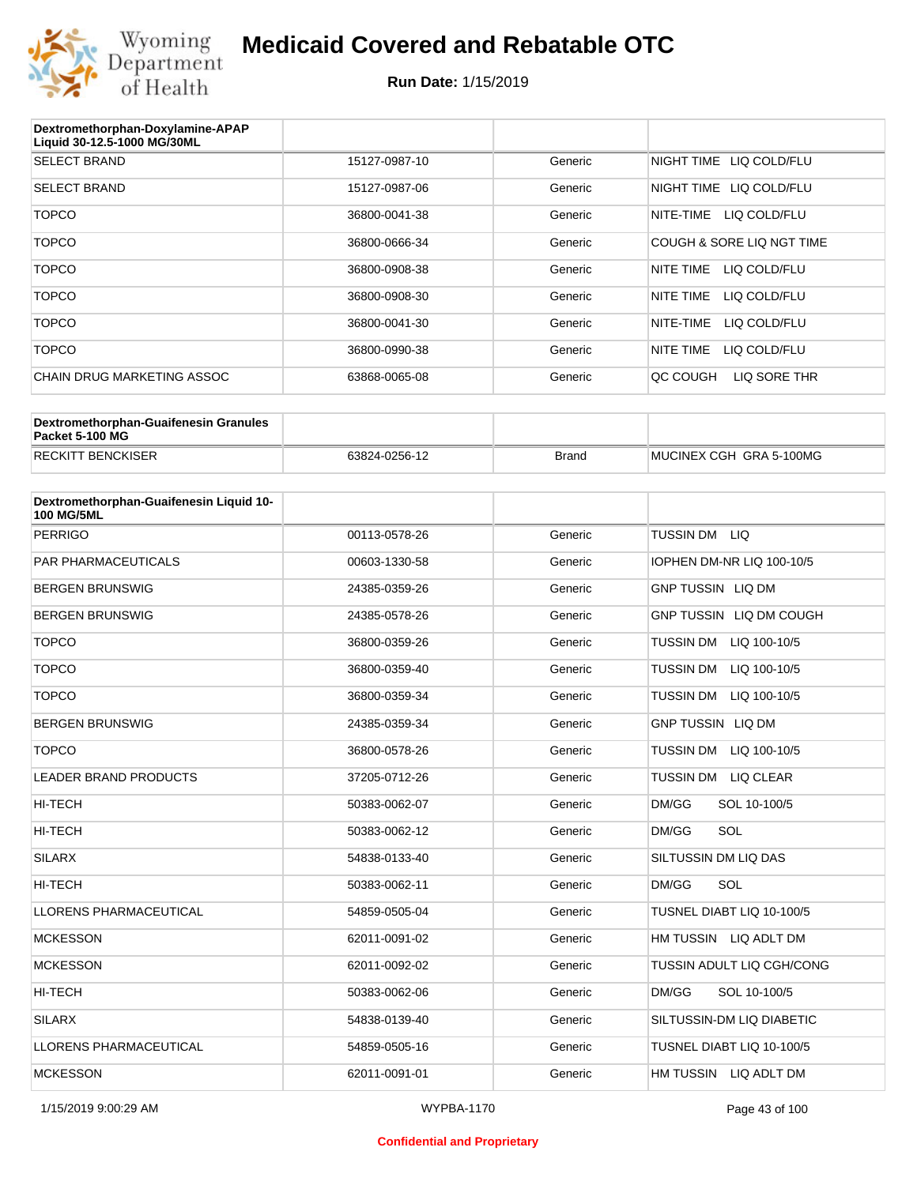

#### **Run Date:** 1/15/2019

| Dextromethorphan-Doxylamine-APAP<br>Liquid 30-12.5-1000 MG/30ML |               |         |                            |
|-----------------------------------------------------------------|---------------|---------|----------------------------|
| <b>SELECT BRAND</b>                                             | 15127-0987-10 | Generic | LIQ COLD/FLU<br>NIGHT TIME |
| <b>SELECT BRAND</b>                                             | 15127-0987-06 | Generic | NIGHT TIME<br>LIQ COLD/FLU |
| <b>TOPCO</b>                                                    | 36800-0041-38 | Generic | NITE-TIME<br>LIQ COLD/FLU  |
| <b>TOPCO</b>                                                    | 36800-0666-34 | Generic | COUGH & SORE LIQ NGT TIME  |
| <b>TOPCO</b>                                                    | 36800-0908-38 | Generic | NITE TIME<br>LIQ COLD/FLU  |
| <b>TOPCO</b>                                                    | 36800-0908-30 | Generic | NITE TIME<br>LIQ COLD/FLU  |
| <b>TOPCO</b>                                                    | 36800-0041-30 | Generic | LIQ COLD/FLU<br>NITE-TIME  |
| <b>TOPCO</b>                                                    | 36800-0990-38 | Generic | NITE TIME<br>LIQ COLD/FLU  |
| CHAIN DRUG MARKETING ASSOC                                      | 63868-0065-08 | Generic | LIQ SORE THR<br>QC COUGH   |

| Dextromethorphan-Guaifenesin Granules<br>Packet 5-100 MG |               |              |                         |
|----------------------------------------------------------|---------------|--------------|-------------------------|
| <b>RECKITT BENCKISER</b>                                 | 63824-0256-12 | <b>Brand</b> | MUCINEX CGH GRA 5-100MG |

| Dextromethorphan-Guaifenesin Liquid 10-<br><b>100 MG/5ML</b> |               |         |                                  |
|--------------------------------------------------------------|---------------|---------|----------------------------------|
| <b>PERRIGO</b>                                               | 00113-0578-26 | Generic | TUSSIN DM LIQ                    |
| <b>PAR PHARMACEUTICALS</b>                                   | 00603-1330-58 | Generic | IOPHEN DM-NR LIQ 100-10/5        |
| <b>BERGEN BRUNSWIG</b>                                       | 24385-0359-26 | Generic | <b>GNP TUSSIN LIQ DM</b>         |
| <b>BERGEN BRUNSWIG</b>                                       | 24385-0578-26 | Generic | GNP TUSSIN LIQ DM COUGH          |
| <b>TOPCO</b>                                                 | 36800-0359-26 | Generic | TUSSIN DM LIQ 100-10/5           |
| <b>TOPCO</b>                                                 | 36800-0359-40 | Generic | <b>TUSSIN DM</b><br>LIQ 100-10/5 |
| <b>TOPCO</b>                                                 | 36800-0359-34 | Generic | <b>TUSSIN DM</b><br>LIQ 100-10/5 |
| <b>BERGEN BRUNSWIG</b>                                       | 24385-0359-34 | Generic | <b>GNP TUSSIN LIQ DM</b>         |
| <b>TOPCO</b>                                                 | 36800-0578-26 | Generic | <b>TUSSIN DM</b><br>LIQ 100-10/5 |
| <b>LEADER BRAND PRODUCTS</b>                                 | 37205-0712-26 | Generic | TUSSIN DM LIQ CLEAR              |
| <b>HI-TECH</b>                                               | 50383-0062-07 | Generic | DM/GG<br>SOL 10-100/5            |
| <b>HI-TECH</b>                                               | 50383-0062-12 | Generic | SOL<br>DM/GG                     |
| <b>SILARX</b>                                                | 54838-0133-40 | Generic | SILTUSSIN DM LIQ DAS             |
| <b>HI-TECH</b>                                               | 50383-0062-11 | Generic | SOL<br>DM/GG                     |
| <b>LLORENS PHARMACEUTICAL</b>                                | 54859-0505-04 | Generic | TUSNEL DIABT LIQ 10-100/5        |
| <b>MCKESSON</b>                                              | 62011-0091-02 | Generic | HM TUSSIN LIQ ADLT DM            |
| <b>MCKESSON</b>                                              | 62011-0092-02 | Generic | TUSSIN ADULT LIQ CGH/CONG        |
| HI-TECH                                                      | 50383-0062-06 | Generic | DM/GG<br>SOL 10-100/5            |
| <b>SILARX</b>                                                | 54838-0139-40 | Generic | SILTUSSIN-DM LIQ DIABETIC        |
| <b>LLORENS PHARMACEUTICAL</b>                                | 54859-0505-16 | Generic | TUSNEL DIABT LIQ 10-100/5        |
| <b>MCKESSON</b>                                              | 62011-0091-01 | Generic | HM TUSSIN LIQ ADLT DM            |

#### **Confidential and Proprietary**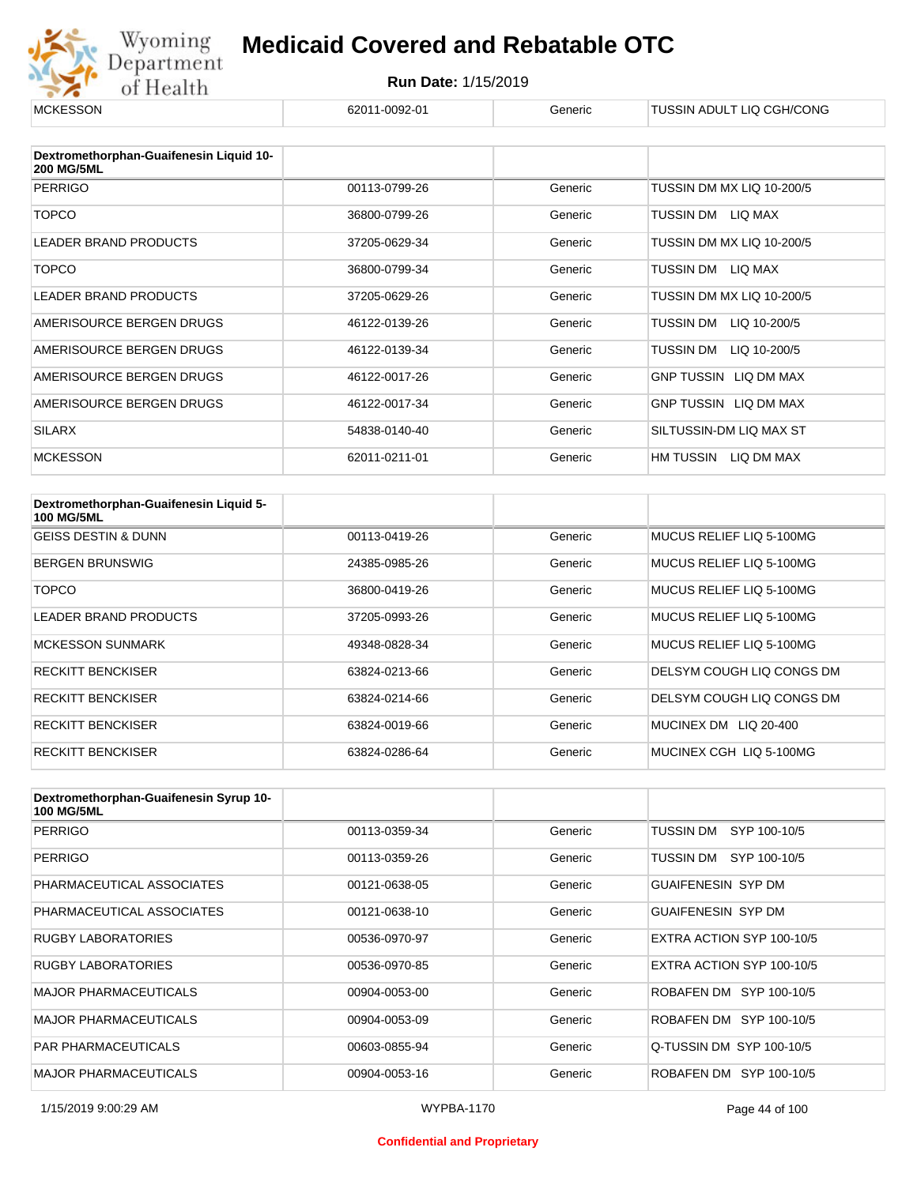

| <b>MCKESSON</b>                                              | 62011-0092-01 | Generic | TUSSIN ADULT LIQ CGH/CONG |
|--------------------------------------------------------------|---------------|---------|---------------------------|
|                                                              |               |         |                           |
| Dextromethorphan-Guaifenesin Liquid 10-<br><b>200 MG/5ML</b> |               |         |                           |
| <b>PERRIGO</b>                                               | 00113-0799-26 | Generic | TUSSIN DM MX LIQ 10-200/5 |
| <b>TOPCO</b>                                                 | 36800-0799-26 | Generic | TUSSIN DM<br>LIQ MAX      |
| <b>LEADER BRAND PRODUCTS</b>                                 | 37205-0629-34 | Generic | TUSSIN DM MX LIQ 10-200/5 |
| <b>TOPCO</b>                                                 | 36800-0799-34 | Generic | TUSSIN DM LIQ MAX         |
| LEADER BRAND PRODUCTS                                        | 37205-0629-26 | Generic | TUSSIN DM MX LIQ 10-200/5 |
| AMERISOURCE BERGEN DRUGS                                     | 46122-0139-26 | Generic | LIQ 10-200/5<br>TUSSIN DM |
| AMERISOURCE BERGEN DRUGS                                     | 46122-0139-34 | Generic | LIQ 10-200/5<br>TUSSIN DM |
| AMERISOURCE BERGEN DRUGS                                     | 46122-0017-26 | Generic | GNP TUSSIN LIQ DM MAX     |
| AMERISOURCE BERGEN DRUGS                                     | 46122-0017-34 | Generic | GNP TUSSIN LIQ DM MAX     |
| <b>SILARX</b>                                                | 54838-0140-40 | Generic | SILTUSSIN-DM LIQ MAX ST   |
| <b>MCKESSON</b>                                              | 62011-0211-01 | Generic | HM TUSSIN<br>LIQ DM MAX   |

| Dextromethorphan-Guaifenesin Liquid 5-<br><b>100 MG/5ML</b> |               |         |                                 |
|-------------------------------------------------------------|---------------|---------|---------------------------------|
| <b>GEISS DESTIN &amp; DUNN</b>                              | 00113-0419-26 | Generic | MUCUS RELIEF LIO 5-100MG        |
| <b>BERGEN BRUNSWIG</b>                                      | 24385-0985-26 | Generic | MUCUS RELIEF LIQ 5-100MG        |
| <b>TOPCO</b>                                                | 36800-0419-26 | Generic | MUCUS RELIEF LIO 5-100MG        |
| LEADER BRAND PRODUCTS                                       | 37205-0993-26 | Generic | MUCUS RELIEF LIQ 5-100MG        |
| <b>MCKESSON SUNMARK</b>                                     | 49348-0828-34 | Generic | MUCUS RELIEF LIQ 5-100MG        |
| <b>RECKITT BENCKISER</b>                                    | 63824-0213-66 | Generic | DELSYM COUGH LIQ CONGS DM       |
| <b>RECKITT BENCKISER</b>                                    | 63824-0214-66 | Generic | DELSYM COUGH LIQ CONGS DM       |
| <b>RECKITT BENCKISER</b>                                    | 63824-0019-66 | Generic | LIQ 20-400<br><b>MUCINEX DM</b> |
| <b>RECKITT BENCKISER</b>                                    | 63824-0286-64 | Generic | MUCINEX CGH LIQ 5-100MG         |

| Dextromethorphan-Guaifenesin Syrup 10-<br><b>100 MG/5ML</b> |               |         |                           |
|-------------------------------------------------------------|---------------|---------|---------------------------|
| <b>PERRIGO</b>                                              | 00113-0359-34 | Generic | TUSSIN DM<br>SYP 100-10/5 |
| <b>PERRIGO</b>                                              | 00113-0359-26 | Generic | TUSSIN DM SYP 100-10/5    |
| PHARMACEUTICAL ASSOCIATES                                   | 00121-0638-05 | Generic | <b>GUAIFENESIN SYP DM</b> |
| PHARMACEUTICAL ASSOCIATES                                   | 00121-0638-10 | Generic | <b>GUAIFENESIN SYP DM</b> |
| RUGBY LABORATORIES                                          | 00536-0970-97 | Generic | EXTRA ACTION SYP 100-10/5 |
| <b>RUGBY LABORATORIES</b>                                   | 00536-0970-85 | Generic | EXTRA ACTION SYP 100-10/5 |
| <b>MAJOR PHARMACEUTICALS</b>                                | 00904-0053-00 | Generic | ROBAFEN DM SYP 100-10/5   |
| <b>MAJOR PHARMACEUTICALS</b>                                | 00904-0053-09 | Generic | ROBAFEN DM SYP 100-10/5   |
| <b>PAR PHARMACEUTICALS</b>                                  | 00603-0855-94 | Generic | Q-TUSSIN DM SYP 100-10/5  |
| <b>MAJOR PHARMACEUTICALS</b>                                | 00904-0053-16 | Generic | ROBAFEN DM SYP 100-10/5   |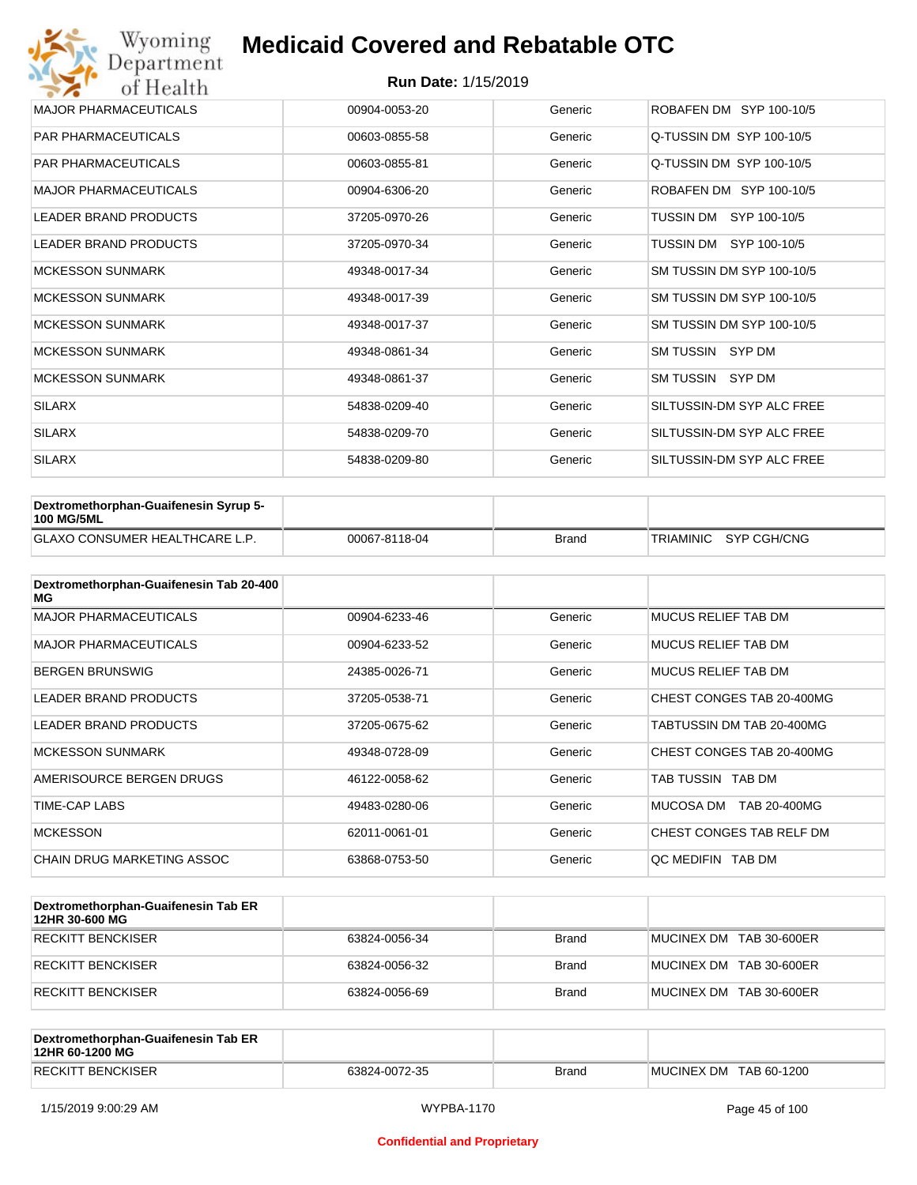| Wyoming<br>Department        | <b>Medicaid Covered and Rebatable OTC</b> |         |                           |  |  |  |
|------------------------------|-------------------------------------------|---------|---------------------------|--|--|--|
| of Health                    | <b>Run Date: 1/15/2019</b>                |         |                           |  |  |  |
| <b>MAJOR PHARMACEUTICALS</b> | 00904-0053-20                             | Generic | ROBAFEN DM SYP 100-10/5   |  |  |  |
| <b>PAR PHARMACEUTICALS</b>   | 00603-0855-58                             | Generic | Q-TUSSIN DM SYP 100-10/5  |  |  |  |
| <b>PAR PHARMACEUTICALS</b>   | 00603-0855-81                             | Generic | Q-TUSSIN DM SYP 100-10/5  |  |  |  |
| <b>MAJOR PHARMACEUTICALS</b> | 00904-6306-20                             | Generic | ROBAFEN DM SYP 100-10/5   |  |  |  |
| <b>LEADER BRAND PRODUCTS</b> | 37205-0970-26                             | Generic | SYP 100-10/5<br>TUSSIN DM |  |  |  |
| <b>LEADER BRAND PRODUCTS</b> | 37205-0970-34                             | Generic | TUSSIN DM SYP 100-10/5    |  |  |  |
| <b>MCKESSON SUNMARK</b>      | 49348-0017-34                             | Generic | SM TUSSIN DM SYP 100-10/5 |  |  |  |
| <b>MCKESSON SUNMARK</b>      | 49348-0017-39                             | Generic | SM TUSSIN DM SYP 100-10/5 |  |  |  |
| <b>MCKESSON SUNMARK</b>      | 49348-0017-37                             | Generic | SM TUSSIN DM SYP 100-10/5 |  |  |  |
| <b>MCKESSON SUNMARK</b>      | 49348-0861-34                             | Generic | SM TUSSIN SYP DM          |  |  |  |
| <b>MCKESSON SUNMARK</b>      | 49348-0861-37                             | Generic | SM TUSSIN SYP DM          |  |  |  |
| <b>SILARX</b>                | 54838-0209-40                             | Generic | SILTUSSIN-DM SYP ALC FREE |  |  |  |
| <b>SILARX</b>                | 54838-0209-70                             | Generic | SILTUSSIN-DM SYP ALC FREE |  |  |  |
| <b>SILARX</b>                | 54838-0209-80                             | Generic | SILTUSSIN-DM SYP ALC FREE |  |  |  |

| Dextromethorphan-Guaifenesin Syrup 5-<br><b>100 MG/5ML</b> |               |              |                       |
|------------------------------------------------------------|---------------|--------------|-----------------------|
| <b>GLAXO CONSUMER HEALTHCARE L.P.</b>                      | 00067-8118-04 | <b>Brand</b> | TRIAMINIC SYP CGH/CNG |

| Dextromethorphan-Guaifenesin Tab 20-400<br>MG |               |         |                           |
|-----------------------------------------------|---------------|---------|---------------------------|
| <b>MAJOR PHARMACEUTICALS</b>                  | 00904-6233-46 | Generic | MUCUS RELIEF TAB DM       |
| <b>MAJOR PHARMACEUTICALS</b>                  | 00904-6233-52 | Generic | MUCUS RELIEF TAB DM       |
| <b>BERGEN BRUNSWIG</b>                        | 24385-0026-71 | Generic | MUCUS RELIEF TAB DM       |
| <b>LEADER BRAND PRODUCTS</b>                  | 37205-0538-71 | Generic | CHEST CONGES TAB 20-400MG |
| LEADER BRAND PRODUCTS                         | 37205-0675-62 | Generic | TABTUSSIN DM TAB 20-400MG |
| <b>MCKESSON SUNMARK</b>                       | 49348-0728-09 | Generic | CHEST CONGES TAB 20-400MG |
| AMERISOURCE BERGEN DRUGS                      | 46122-0058-62 | Generic | TAB TUSSIN TAB DM         |
| <b>TIME-CAP LABS</b>                          | 49483-0280-06 | Generic | MUCOSA DM<br>TAB 20-400MG |
| <b>MCKESSON</b>                               | 62011-0061-01 | Generic | CHEST CONGES TAB RELF DM  |
| CHAIN DRUG MARKETING ASSOC                    | 63868-0753-50 | Generic | OC MEDIFIN TAB DM         |

| Dextromethorphan-Guaifenesin Tab ER<br>12HR 30-600 MG |               |              |                         |
|-------------------------------------------------------|---------------|--------------|-------------------------|
| RECKITT BENCKISER                                     | 63824-0056-34 | Brand        | MUCINEX DM TAB 30-600ER |
| RECKITT BENCKISER                                     | 63824-0056-32 | <b>Brand</b> | MUCINEX DM TAB 30-600ER |
| RECKITT BENCKISER                                     | 63824-0056-69 | <b>Brand</b> | MUCINEX DM TAB 30-600ER |

| Dextromethorphan-Guaifenesin Tab ER<br>12HR 60-1200 MG |               |       |                        |
|--------------------------------------------------------|---------------|-------|------------------------|
| <b>RECKITT BENCKISER</b>                               | 63824-0072-35 | Brand | MUCINEX DM TAB 60-1200 |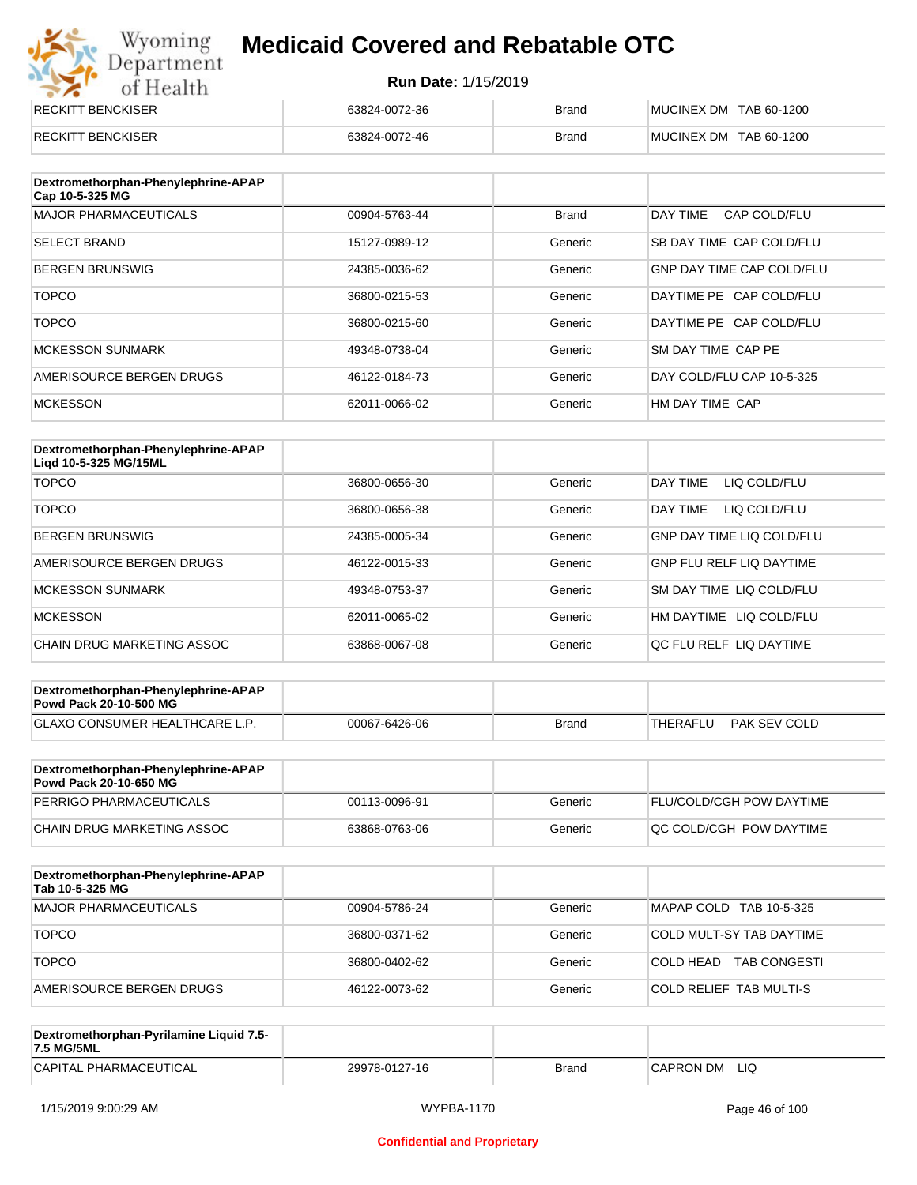# Wyoming<br>Department<br>of Health

## **Medicaid Covered and Rebatable OTC**

| RECKITT BENCKISER | 63824-0072-36 | <b>Brand</b> | MUCINEX DM TAB 60-1200 |
|-------------------|---------------|--------------|------------------------|
| RECKITT BENCKISER | 63824-0072-46 | <b>Brand</b> | MUCINEX DM TAB 60-1200 |

| Dextromethorphan-Phenylephrine-APAP<br>Cap 10-5-325 MG |               |              |                                  |
|--------------------------------------------------------|---------------|--------------|----------------------------------|
| <b>MAJOR PHARMACEUTICALS</b>                           | 00904-5763-44 | <b>Brand</b> | DAY TIME<br>CAP COLD/FLU         |
| <b>SELECT BRAND</b>                                    | 15127-0989-12 | Generic      | SB DAY TIME CAP COLD/FLU         |
| <b>BERGEN BRUNSWIG</b>                                 | 24385-0036-62 | Generic      | <b>GNP DAY TIME CAP COLD/FLU</b> |
| <b>TOPCO</b>                                           | 36800-0215-53 | Generic      | DAYTIME PE CAP COLD/FLU          |
| <b>TOPCO</b>                                           | 36800-0215-60 | Generic      | DAYTIME PE CAP COLD/FLU          |
| <b>MCKESSON SUNMARK</b>                                | 49348-0738-04 | Generic      | SM DAY TIME CAP PE               |
| AMERISOURCE BERGEN DRUGS                               | 46122-0184-73 | Generic      | DAY COLD/FLU CAP 10-5-325        |
| <b>MCKESSON</b>                                        | 62011-0066-02 | Generic      | HM DAY TIME CAP                  |

| Dextromethorphan-Phenylephrine-APAP<br>Ligd 10-5-325 MG/15ML |               |         |                                  |
|--------------------------------------------------------------|---------------|---------|----------------------------------|
| <b>TOPCO</b>                                                 | 36800-0656-30 | Generic | DAY TIME<br>LIQ COLD/FLU         |
| <b>TOPCO</b>                                                 | 36800-0656-38 | Generic | LIQ COLD/FLU<br>DAY TIME         |
| <b>BERGEN BRUNSWIG</b>                                       | 24385-0005-34 | Generic | <b>GNP DAY TIME LIQ COLD/FLU</b> |
| AMERISOURCE BERGEN DRUGS                                     | 46122-0015-33 | Generic | <b>GNP FLU RELF LIQ DAYTIME</b>  |
| <b>MCKESSON SUNMARK</b>                                      | 49348-0753-37 | Generic | <b>SM DAY TIME LIQ COLD/FLU</b>  |
| <b>MCKESSON</b>                                              | 62011-0065-02 | Generic | HM DAYTIME LIQ COLD/FLU          |
| CHAIN DRUG MARKETING ASSOC                                   | 63868-0067-08 | Generic | OC FLU RELF LIO DAYTIME          |

| Dextromethorphan-Phenylephrine-APAP<br><b>Powd Pack 20-10-500 MG</b> |               |              |          |              |
|----------------------------------------------------------------------|---------------|--------------|----------|--------------|
| <b>GLAXO CONSUMER HEALTHCARE L.P.</b>                                | 00067-6426-06 | <b>Brand</b> | THERAFLU | PAK SEV COLD |
|                                                                      |               |              |          |              |

| Dextromethorphan-Phenylephrine-APAP<br><b>Powd Pack 20-10-650 MG</b> |               |         |                                 |
|----------------------------------------------------------------------|---------------|---------|---------------------------------|
| <b>PERRIGO PHARMACEUTICALS</b>                                       | 00113-0096-91 | Generic | <b>FLU/COLD/CGH POW DAYTIME</b> |
| ICHAIN DRUG MARKETING ASSOC                                          | 63868-0763-06 | Generic | IQC COLD/CGH POW DAYTIME        |

| Dextromethorphan-Phenylephrine-APAP<br>Tab 10-5-325 MG |               |         |                                  |
|--------------------------------------------------------|---------------|---------|----------------------------------|
| <b>MAJOR PHARMACEUTICALS</b>                           | 00904-5786-24 | Generic | MAPAP COLD TAB 10-5-325          |
| <b>TOPCO</b>                                           | 36800-0371-62 | Generic | COLD MULT-SY TAB DAYTIME         |
| <b>TOPCO</b>                                           | 36800-0402-62 | Generic | COLD HEAD<br><b>TAB CONGESTI</b> |
| AMERISOURCE BERGEN DRUGS                               | 46122-0073-62 | Generic | COLD RELIEF TAB MULTI-S          |

| Dextromethorphan-Pyrilamine Liquid 7.5-<br>7.5 MG/5ML |               |       |                  |
|-------------------------------------------------------|---------------|-------|------------------|
| CAPITAL PHARMACEUTICAL                                | 29978-0127-16 | Brand | LIQ<br>CAPRON DM |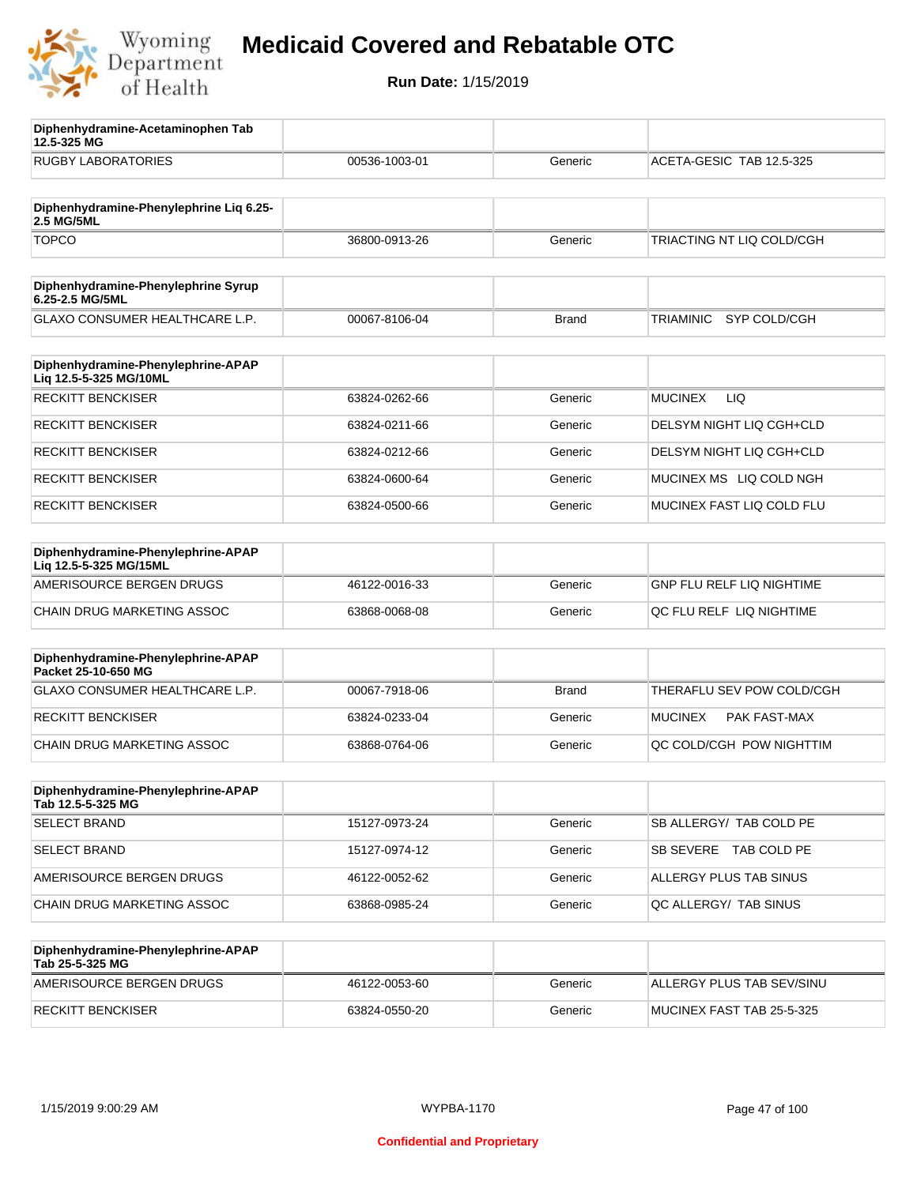

**12.5-325 MG**

**Diphenhydramine-Acetaminophen Tab** 

## **Medicaid Covered and Rebatable OTC**

| <b>RUGBY LABORATORIES</b>                                    | 00536-1003-01 | Generic      | ACETA-GESIC TAB 12.5-325         |
|--------------------------------------------------------------|---------------|--------------|----------------------------------|
|                                                              |               |              |                                  |
| Diphenhydramine-Phenylephrine Liq 6.25-<br>2.5 MG/5ML        |               |              |                                  |
| <b>TOPCO</b>                                                 | 36800-0913-26 | Generic      | TRIACTING NT LIQ COLD/CGH        |
| Diphenhydramine-Phenylephrine Syrup<br>6.25-2.5 MG/5ML       |               |              |                                  |
| GLAXO CONSUMER HEALTHCARE L.P.                               | 00067-8106-04 | <b>Brand</b> | SYP COLD/CGH<br><b>TRIAMINIC</b> |
| Diphenhydramine-Phenylephrine-APAP<br>Liq 12.5-5-325 MG/10ML |               |              |                                  |
| <b>RECKITT BENCKISER</b>                                     | 63824-0262-66 | Generic      | <b>MUCINEX</b><br>LIQ            |
| <b>RECKITT BENCKISER</b>                                     | 63824-0211-66 | Generic      | DELSYM NIGHT LIQ CGH+CLD         |
| <b>RECKITT BENCKISER</b>                                     | 63824-0212-66 | Generic      | DELSYM NIGHT LIQ CGH+CLD         |
| <b>RECKITT BENCKISER</b>                                     | 63824-0600-64 | Generic      | MUCINEX MS LIQ COLD NGH          |
| <b>RECKITT BENCKISER</b>                                     | 63824-0500-66 | Generic      | MUCINEX FAST LIQ COLD FLU        |
| Diphenhydramine-Phenylephrine-APAP<br>Lig 12.5-5-325 MG/15ML |               |              |                                  |
| AMERISOURCE BERGEN DRUGS                                     | 46122-0016-33 | Generic      | <b>GNP FLU RELF LIQ NIGHTIME</b> |
| CHAIN DRUG MARKETING ASSOC                                   | 63868-0068-08 | Generic      | QC FLU RELF LIQ NIGHTIME         |
| Diphenhydramine-Phenylephrine-APAP<br>Packet 25-10-650 MG    |               |              |                                  |
| GLAXO CONSUMER HEALTHCARE L.P.                               | 00067-7918-06 | <b>Brand</b> | THERAFLU SEV POW COLD/CGH        |
| <b>RECKITT BENCKISER</b>                                     | 63824-0233-04 | Generic      | <b>MUCINEX</b><br>PAK FAST-MAX   |
| CHAIN DRUG MARKETING ASSOC                                   | 63868-0764-06 | Generic      | QC COLD/CGH POW NIGHTTIM         |
| Diphenhydramine-Phenylephrine-APAP<br>Tab 12.5-5-325 MG      |               |              |                                  |
| <b>SELECT BRAND</b>                                          | 15127-0973-24 | Generic      | SB ALLERGY/ TAB COLD PE          |
| <b>SELECT BRAND</b>                                          | 15127-0974-12 | Generic      | SB SEVERE TAB COLD PE            |
| AMERISOURCE BERGEN DRUGS                                     | 46122-0052-62 | Generic      | ALLERGY PLUS TAB SINUS           |
| CHAIN DRUG MARKETING ASSOC                                   | 63868-0985-24 | Generic      | QC ALLERGY/ TAB SINUS            |
| Diphenhydramine-Phenylephrine-APAP<br>Tab 25-5-325 MG        |               |              |                                  |
| AMERISOURCE BERGEN DRUGS                                     | 46122-0053-60 | Generic      | ALLERGY PLUS TAB SEV/SINU        |
| <b>RECKITT BENCKISER</b>                                     | 63824-0550-20 | Generic      | MUCINEX FAST TAB 25-5-325        |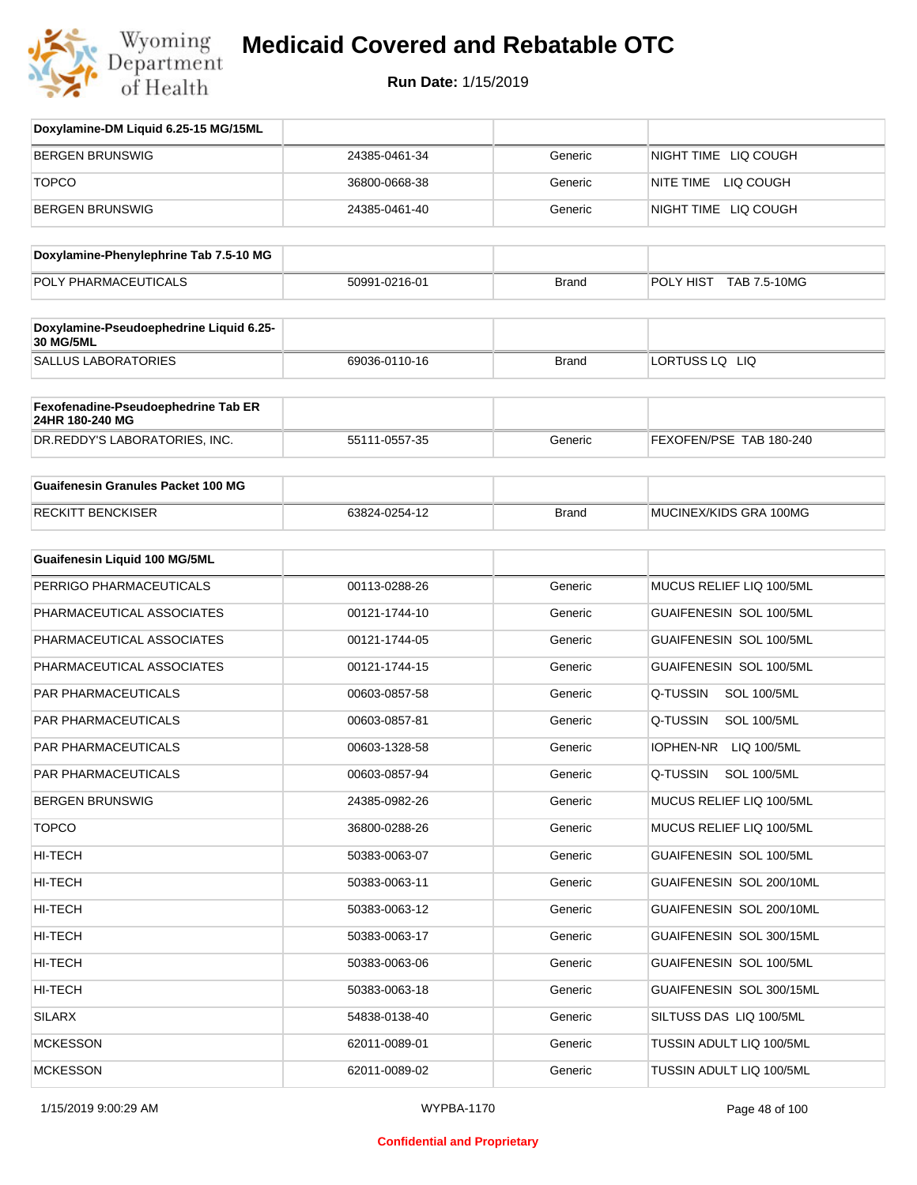

| Doxylamine-DM Liquid 6.25-15 MG/15ML                   |               |              |                                |
|--------------------------------------------------------|---------------|--------------|--------------------------------|
| <b>BERGEN BRUNSWIG</b>                                 | 24385-0461-34 | Generic      | NIGHT TIME LIQ COUGH           |
| <b>TOPCO</b>                                           | 36800-0668-38 | Generic      | NITE TIME LIQ COUGH            |
| <b>BERGEN BRUNSWIG</b>                                 | 24385-0461-40 | Generic      | NIGHT TIME LIQ COUGH           |
| Doxylamine-Phenylephrine Tab 7.5-10 MG                 |               |              |                                |
| POLY PHARMACEUTICALS                                   | 50991-0216-01 | <b>Brand</b> | POLY HIST TAB 7.5-10MG         |
| Doxylamine-Pseudoephedrine Liquid 6.25-<br>30 MG/5ML   |               |              |                                |
| <b>SALLUS LABORATORIES</b>                             | 69036-0110-16 | <b>Brand</b> | LORTUSS LQ LIQ                 |
| Fexofenadine-Pseudoephedrine Tab ER<br>24HR 180-240 MG |               |              |                                |
| DR.REDDY'S LABORATORIES, INC.                          | 55111-0557-35 | Generic      | FEXOFEN/PSE TAB 180-240        |
| <b>Guaifenesin Granules Packet 100 MG</b>              |               |              |                                |
| <b>RECKITT BENCKISER</b>                               | 63824-0254-12 | <b>Brand</b> | MUCINEX/KIDS GRA 100MG         |
| <b>Guaifenesin Liquid 100 MG/5ML</b>                   |               |              |                                |
| PERRIGO PHARMACEUTICALS                                | 00113-0288-26 | Generic      | MUCUS RELIEF LIQ 100/5ML       |
| PHARMACEUTICAL ASSOCIATES                              | 00121-1744-10 | Generic      | GUAIFENESIN SOL 100/5ML        |
| PHARMACEUTICAL ASSOCIATES                              | 00121-1744-05 | Generic      | GUAIFENESIN SOL 100/5ML        |
| PHARMACEUTICAL ASSOCIATES                              | 00121-1744-15 | Generic      | GUAIFENESIN SOL 100/5ML        |
| PAR PHARMACEUTICALS                                    | 00603-0857-58 | Generic      | Q-TUSSIN<br><b>SOL 100/5ML</b> |
| PAR PHARMACEUTICALS                                    | 00603-0857-81 | Generic      | Q-TUSSIN<br><b>SOL 100/5ML</b> |
| PAR PHARMACEUTICALS                                    | 00603-1328-58 | Generic      | IOPHEN-NR LIQ 100/5ML          |
| <b>PAR PHARMACEUTICALS</b>                             | 00603-0857-94 | Generic      | Q-TUSSIN<br><b>SOL 100/5ML</b> |
| <b>BERGEN BRUNSWIG</b>                                 | 24385-0982-26 | Generic      | MUCUS RELIEF LIQ 100/5ML       |
| <b>TOPCO</b>                                           | 36800-0288-26 | Generic      | MUCUS RELIEF LIQ 100/5ML       |
| HI-TECH                                                | 50383-0063-07 | Generic      | GUAIFENESIN SOL 100/5ML        |
| HI-TECH                                                | 50383-0063-11 | Generic      | GUAIFENESIN SOL 200/10ML       |
| HI-TECH                                                | 50383-0063-12 | Generic      | GUAIFENESIN SOL 200/10ML       |
| HI-TECH                                                | 50383-0063-17 | Generic      | GUAIFENESIN SOL 300/15ML       |
| HI-TECH                                                | 50383-0063-06 | Generic      | GUAIFENESIN SOL 100/5ML        |
| HI-TECH                                                | 50383-0063-18 | Generic      | GUAIFENESIN SOL 300/15ML       |
| SILARX                                                 | 54838-0138-40 | Generic      | SILTUSS DAS LIQ 100/5ML        |
| <b>MCKESSON</b>                                        | 62011-0089-01 | Generic      | TUSSIN ADULT LIQ 100/5ML       |
| <b>MCKESSON</b>                                        | 62011-0089-02 | Generic      | TUSSIN ADULT LIQ 100/5ML       |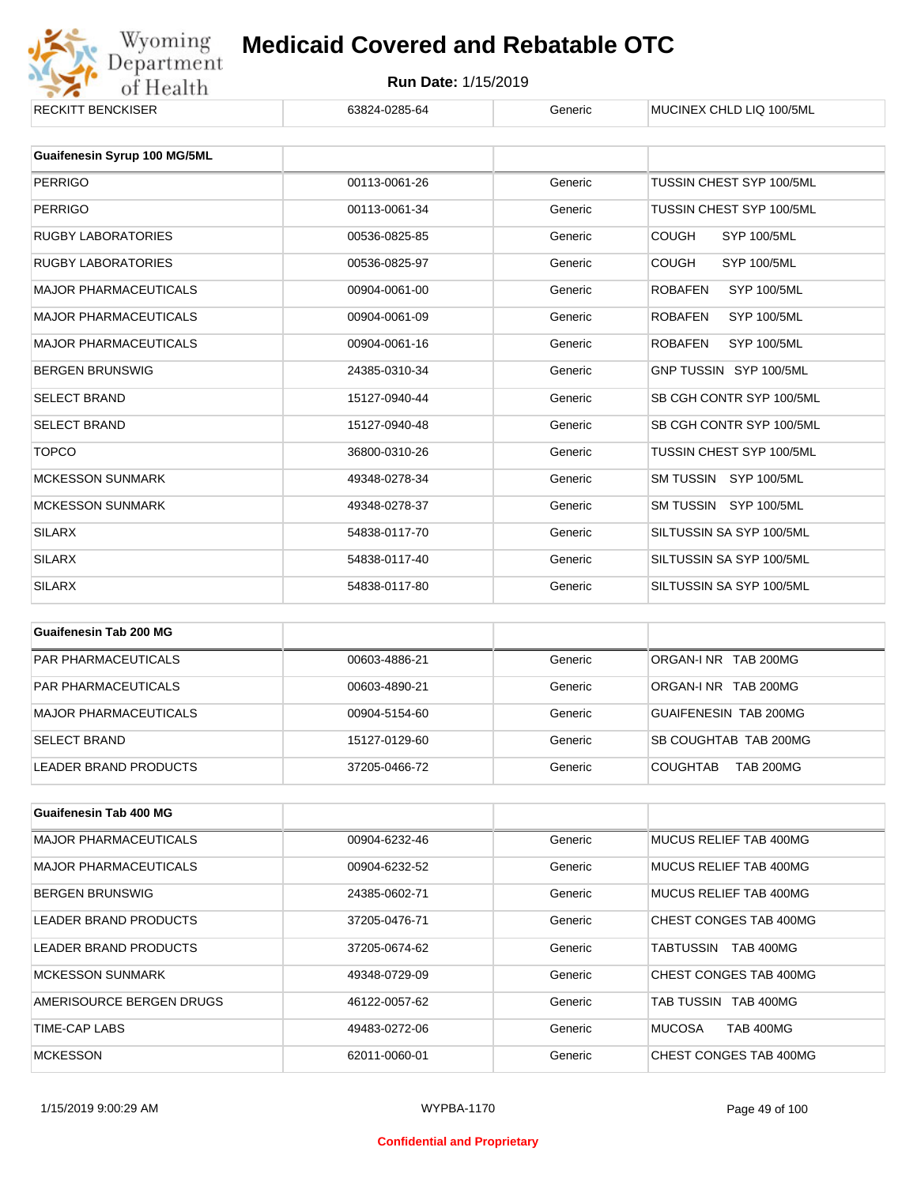

## Wyoming **Medicaid Covered and Rebatable OTC**<br>
Of Health **Run Date:** 1/15/2019<br>
ENCKISER G3824-0285-64 Generic MUCINEX CHLD LIQ 100/5ML **Medicaid Covered and Rebatable OTC**

| RECKII I BENCKISER                  | 63824-0285-64 | Generic | MUCINEX CHLD LIQ 100/5ML             |
|-------------------------------------|---------------|---------|--------------------------------------|
| <b>Guaifenesin Syrup 100 MG/5ML</b> |               |         |                                      |
| <b>PERRIGO</b>                      | 00113-0061-26 | Generic | TUSSIN CHEST SYP 100/5ML             |
| <b>PERRIGO</b>                      | 00113-0061-34 | Generic | TUSSIN CHEST SYP 100/5ML             |
| <b>RUGBY LABORATORIES</b>           | 00536-0825-85 | Generic | <b>COUGH</b><br><b>SYP 100/5ML</b>   |
| RUGBY LABORATORIES                  | 00536-0825-97 | Generic | <b>COUGH</b><br><b>SYP 100/5ML</b>   |
| <b>MAJOR PHARMACEUTICALS</b>        | 00904-0061-00 | Generic | <b>SYP 100/5ML</b><br><b>ROBAFEN</b> |
| <b>MAJOR PHARMACEUTICALS</b>        | 00904-0061-09 | Generic | <b>ROBAFEN</b><br><b>SYP 100/5ML</b> |
| <b>MAJOR PHARMACEUTICALS</b>        | 00904-0061-16 | Generic | <b>ROBAFEN</b><br><b>SYP 100/5ML</b> |
| <b>BERGEN BRUNSWIG</b>              | 24385-0310-34 | Generic | GNP TUSSIN SYP 100/5ML               |
| <b>SELECT BRAND</b>                 | 15127-0940-44 | Generic | SB CGH CONTR SYP 100/5ML             |
| <b>SELECT BRAND</b>                 | 15127-0940-48 | Generic | SB CGH CONTR SYP 100/5ML             |
| <b>TOPCO</b>                        | 36800-0310-26 | Generic | TUSSIN CHEST SYP 100/5ML             |
| <b>MCKESSON SUNMARK</b>             | 49348-0278-34 | Generic | SM TUSSIN SYP 100/5ML                |
| <b>MCKESSON SUNMARK</b>             | 49348-0278-37 | Generic | SM TUSSIN SYP 100/5ML                |
| <b>SILARX</b>                       | 54838-0117-70 | Generic | SILTUSSIN SA SYP 100/5ML             |
| <b>SILARX</b>                       | 54838-0117-40 | Generic | SILTUSSIN SA SYP 100/5ML             |
| <b>SILARX</b>                       | 54838-0117-80 | Generic | SILTUSSIN SA SYP 100/5ML             |

| Guaifenesin Tab 200 MG     |               |         |                                     |
|----------------------------|---------------|---------|-------------------------------------|
| <b>PAR PHARMACEUTICALS</b> | 00603-4886-21 | Generic | ORGAN-LNR TAB 200MG                 |
| <b>PAR PHARMACEUTICALS</b> | 00603-4890-21 | Generic | ORGAN-LNR TAB 200MG                 |
| MAJOR PHARMACEUTICALS      | 00904-5154-60 | Generic | GUAIFENESIN TAB 200MG               |
| <b>SELECT BRAND</b>        | 15127-0129-60 | Generic | SB COUGHTAB TAB 200MG               |
| LEADER BRAND PRODUCTS      | 37205-0466-72 | Generic | <b>TAB 200MG</b><br><b>COUGHTAB</b> |

| <b>Guaifenesin Tab 400 MG</b> |               |         |                                   |
|-------------------------------|---------------|---------|-----------------------------------|
| <b>MAJOR PHARMACEUTICALS</b>  | 00904-6232-46 | Generic | MUCUS RELIEF TAB 400MG            |
| <b>MAJOR PHARMACEUTICALS</b>  | 00904-6232-52 | Generic | MUCUS RELIEF TAB 400MG            |
| <b>BERGEN BRUNSWIG</b>        | 24385-0602-71 | Generic | MUCUS RELIEF TAB 400MG            |
| LEADER BRAND PRODUCTS         | 37205-0476-71 | Generic | CHEST CONGES TAB 400MG            |
| LEADER BRAND PRODUCTS         | 37205-0674-62 | Generic | <b>TAB 400MG</b><br>TABTUSSIN     |
| <b>MCKESSON SUNMARK</b>       | 49348-0729-09 | Generic | CHEST CONGES TAB 400MG            |
| AMERISOURCE BERGEN DRUGS      | 46122-0057-62 | Generic | TAB TUSSIN TAB 400MG              |
| TIME-CAP LABS                 | 49483-0272-06 | Generic | <b>MUCOSA</b><br><b>TAB 400MG</b> |
| <b>MCKESSON</b>               | 62011-0060-01 | Generic | CHEST CONGES TAB 400MG            |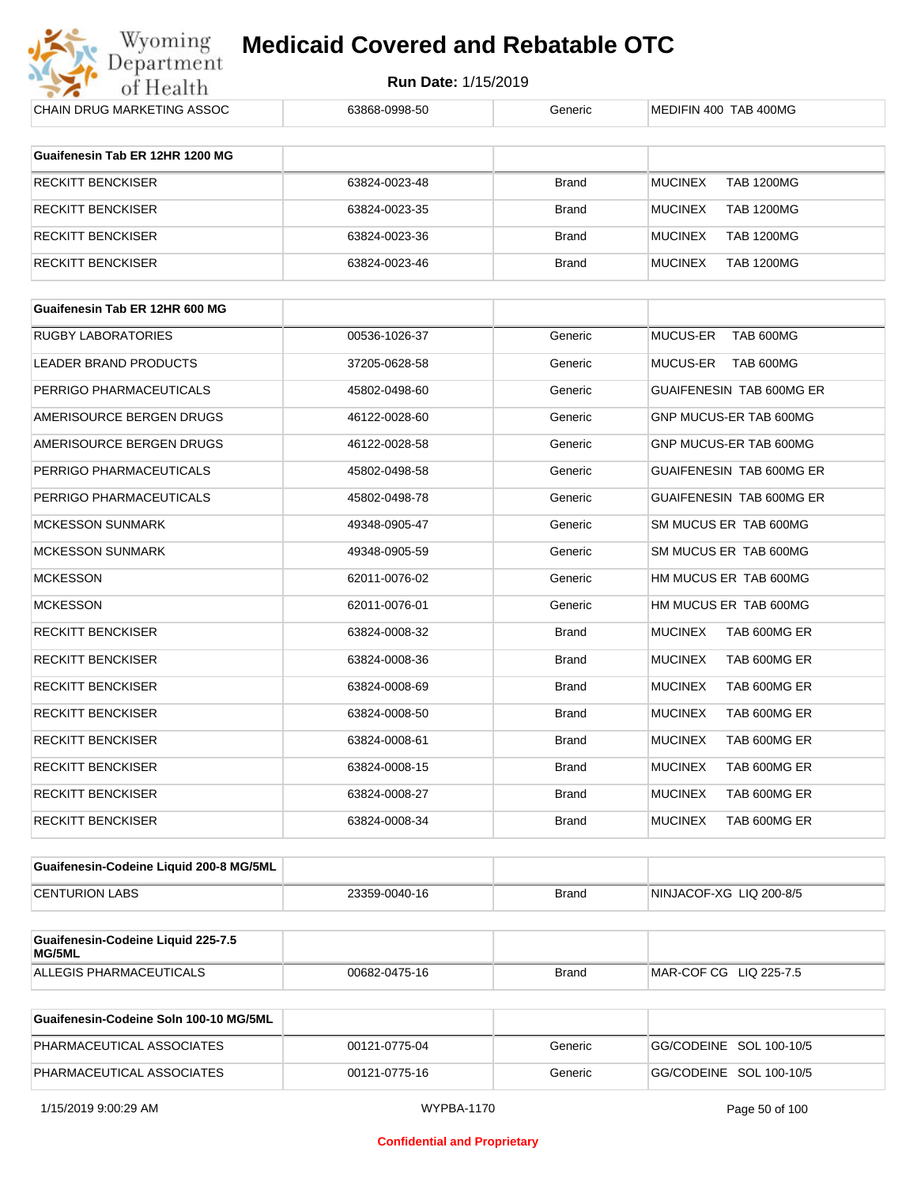

**Run Date:** 1/15/2019

| CHAIN DRUG MARKETING ASSOC                   | 63868-0998-50 | Generic      | MEDIFIN 400 TAB 400MG               |
|----------------------------------------------|---------------|--------------|-------------------------------------|
| Guaifenesin Tab ER 12HR 1200 MG              |               |              |                                     |
|                                              |               |              |                                     |
| <b>RECKITT BENCKISER</b>                     | 63824-0023-48 | Brand        | <b>TAB 1200MG</b><br><b>MUCINEX</b> |
| <b>RECKITT BENCKISER</b>                     | 63824-0023-35 | Brand        | <b>MUCINEX</b><br><b>TAB 1200MG</b> |
| <b>RECKITT BENCKISER</b>                     | 63824-0023-36 | Brand        | <b>MUCINEX</b><br><b>TAB 1200MG</b> |
| <b>RECKITT BENCKISER</b>                     | 63824-0023-46 | Brand        | <b>MUCINEX</b><br><b>TAB 1200MG</b> |
| Guaifenesin Tab ER 12HR 600 MG               |               |              |                                     |
| <b>RUGBY LABORATORIES</b>                    | 00536-1026-37 | Generic      | TAB 600MG<br><b>MUCUS-ER</b>        |
| LEADER BRAND PRODUCTS                        | 37205-0628-58 | Generic      | MUCUS-ER<br>TAB 600MG               |
| PERRIGO PHARMACEUTICALS                      | 45802-0498-60 | Generic      | GUAIFENESIN TAB 600MG ER            |
| AMERISOURCE BERGEN DRUGS                     | 46122-0028-60 | Generic      | GNP MUCUS-ER TAB 600MG              |
| AMERISOURCE BERGEN DRUGS                     | 46122-0028-58 | Generic      | GNP MUCUS-ER TAB 600MG              |
| PERRIGO PHARMACEUTICALS                      | 45802-0498-58 | Generic      | GUAIFENESIN TAB 600MG ER            |
| PERRIGO PHARMACEUTICALS                      | 45802-0498-78 | Generic      | <b>GUAIFENESIN TAB 600MG ER</b>     |
| <b>MCKESSON SUNMARK</b>                      | 49348-0905-47 | Generic      | SM MUCUS ER TAB 600MG               |
| <b>MCKESSON SUNMARK</b>                      | 49348-0905-59 | Generic      | SM MUCUS ER TAB 600MG               |
| <b>MCKESSON</b>                              | 62011-0076-02 | Generic      | HM MUCUS ER TAB 600MG               |
| <b>MCKESSON</b>                              | 62011-0076-01 | Generic      | HM MUCUS ER TAB 600MG               |
| <b>RECKITT BENCKISER</b>                     | 63824-0008-32 | Brand        | <b>MUCINEX</b><br>TAB 600MG ER      |
| <b>RECKITT BENCKISER</b>                     | 63824-0008-36 | Brand        | <b>MUCINEX</b><br>TAB 600MG ER      |
| <b>RECKITT BENCKISER</b>                     | 63824-0008-69 | Brand        | <b>MUCINEX</b><br>TAB 600MG ER      |
| <b>RECKITT BENCKISER</b>                     | 63824-0008-50 | Brand        | <b>MUCINEX</b><br>TAB 600MG ER      |
| <b>RECKITT BENCKISER</b>                     | 63824-0008-61 | Brand        | <b>MUCINEX</b><br>TAB 600MG ER      |
| RECKITT BENCKISER                            | 63824-0008-15 | <b>Brand</b> | <b>MUCINEX</b><br>TAB 600MG ER      |
| <b>RECKITT BENCKISER</b>                     | 63824-0008-27 | Brand        | TAB 600MG ER<br><b>MUCINEX</b>      |
| <b>RECKITT BENCKISER</b>                     | 63824-0008-34 | Brand        | <b>MUCINEX</b><br>TAB 600MG ER      |
| Guaifenesin-Codeine Liquid 200-8 MG/5ML      |               |              |                                     |
| <b>CENTURION LABS</b>                        | 23359-0040-16 | Brand        | NINJACOF-XG LIQ 200-8/5             |
|                                              |               |              |                                     |
| Guaifenesin-Codeine Liquid 225-7.5<br>MG/5ML |               |              |                                     |
| ALLEGIS PHARMACEUTICALS                      | 00682-0475-16 | Brand        | MAR-COF CG LIQ 225-7.5              |
| Guaifenesin-Codeine Soln 100-10 MG/5ML       |               |              |                                     |
| PHARMACEUTICAL ASSOCIATES                    | 00121-0775-04 | Generic      | GG/CODEINE SOL 100-10/5             |

PHARMACEUTICAL ASSOCIATES 00121-0775-16 Generic GG/CODEINE SOL 100-10/5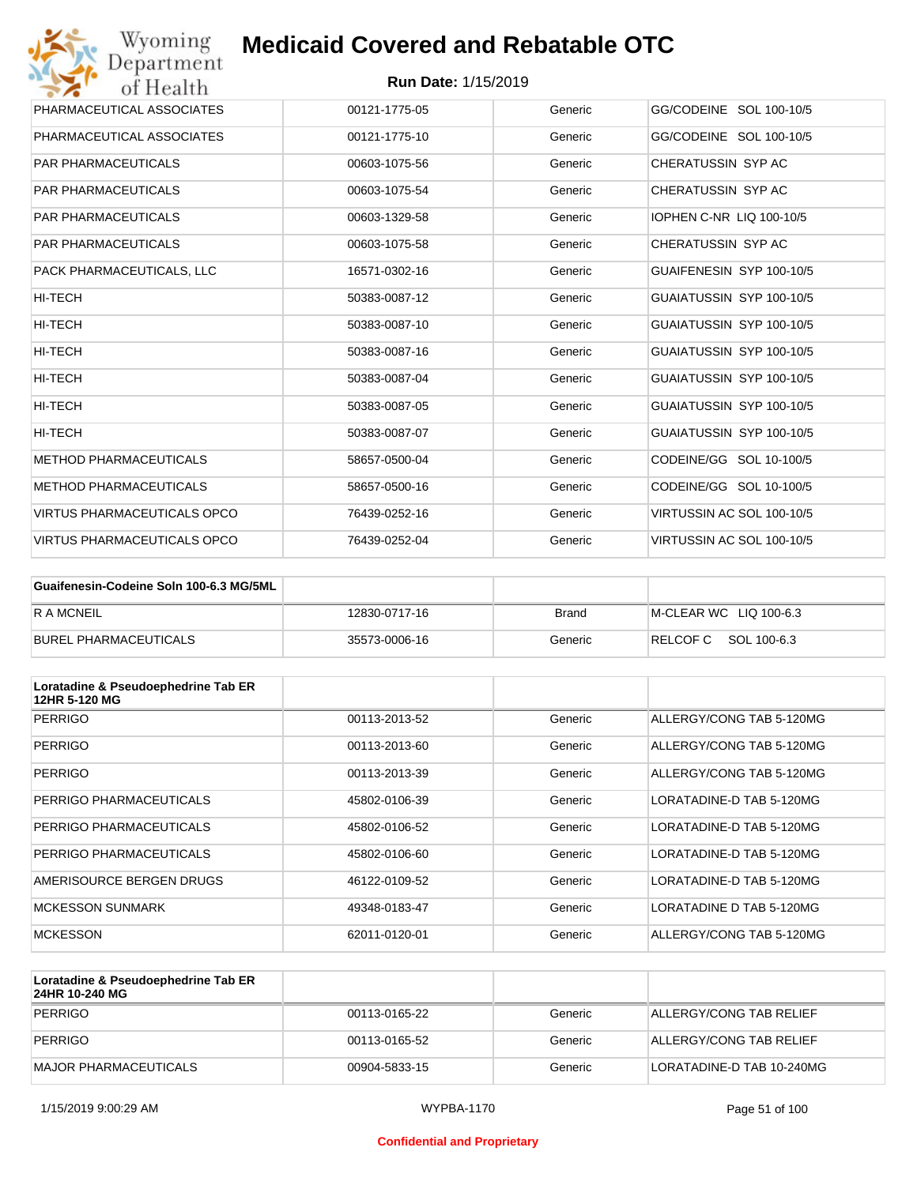| Wyoming<br><b>Medicaid Covered and Rebatable OTC</b><br>Department |                            |         |                           |  |
|--------------------------------------------------------------------|----------------------------|---------|---------------------------|--|
| of Health                                                          | <b>Run Date: 1/15/2019</b> |         |                           |  |
| PHARMACEUTICAL ASSOCIATES                                          | 00121-1775-05              | Generic | GG/CODEINE SOL 100-10/5   |  |
| PHARMACEUTICAL ASSOCIATES                                          | 00121-1775-10              | Generic | GG/CODEINE SOL 100-10/5   |  |
| <b>PAR PHARMACEUTICALS</b>                                         | 00603-1075-56              | Generic | CHERATUSSIN SYP AC        |  |
| <b>PAR PHARMACEUTICALS</b>                                         | 00603-1075-54              | Generic | CHERATUSSIN SYP AC        |  |
| <b>PAR PHARMACEUTICALS</b>                                         | 00603-1329-58              | Generic | IOPHEN C-NR LIQ 100-10/5  |  |
| <b>PAR PHARMACEUTICALS</b>                                         | 00603-1075-58              | Generic | CHERATUSSIN SYP AC        |  |
| PACK PHARMACEUTICALS, LLC                                          | 16571-0302-16              | Generic | GUAIFENESIN SYP 100-10/5  |  |
| <b>HI-TECH</b>                                                     | 50383-0087-12              | Generic | GUAIATUSSIN SYP 100-10/5  |  |
| HI-TECH                                                            | 50383-0087-10              | Generic | GUAIATUSSIN SYP 100-10/5  |  |
| HI-TECH                                                            | 50383-0087-16              | Generic | GUAIATUSSIN SYP 100-10/5  |  |
| HI-TECH                                                            | 50383-0087-04              | Generic | GUAIATUSSIN SYP 100-10/5  |  |
| <b>HI-TECH</b>                                                     | 50383-0087-05              | Generic | GUAIATUSSIN SYP 100-10/5  |  |
| HI-TECH                                                            | 50383-0087-07              | Generic | GUAIATUSSIN SYP 100-10/5  |  |
| <b>METHOD PHARMACEUTICALS</b>                                      | 58657-0500-04              | Generic | CODEINE/GG SOL 10-100/5   |  |
| <b>METHOD PHARMACEUTICALS</b>                                      | 58657-0500-16              | Generic | CODEINE/GG SOL 10-100/5   |  |
| <b>VIRTUS PHARMACEUTICALS OPCO</b>                                 | 76439-0252-16              | Generic | VIRTUSSIN AC SOL 100-10/5 |  |
| <b>VIRTUS PHARMACEUTICALS OPCO</b>                                 | 76439-0252-04              | Generic | VIRTUSSIN AC SOL 100-10/5 |  |

| Guaifenesin-Codeine Soln 100-6.3 MG/5ML |               |         |                        |
|-----------------------------------------|---------------|---------|------------------------|
| <b>RAMCNEIL</b>                         | 12830-0717-16 | Brand   | M-CLEAR WC LIQ 100-6.3 |
| BUREL PHARMACEUTICALS                   | 35573-0006-16 | Generic | RELCOFC SOL 100-6.3    |

| Loratadine & Pseudoephedrine Tab ER<br>12HR 5-120 MG |               |         |                          |
|------------------------------------------------------|---------------|---------|--------------------------|
| <b>PERRIGO</b>                                       | 00113-2013-52 | Generic | ALLERGY/CONG TAB 5-120MG |
| <b>PERRIGO</b>                                       | 00113-2013-60 | Generic | ALLERGY/CONG TAB 5-120MG |
| <b>PERRIGO</b>                                       | 00113-2013-39 | Generic | ALLERGY/CONG TAB 5-120MG |
| PERRIGO PHARMACEUTICALS                              | 45802-0106-39 | Generic | LORATADINE-D TAB 5-120MG |
| PERRIGO PHARMACEUTICALS                              | 45802-0106-52 | Generic | LORATADINE-D TAB 5-120MG |
| PERRIGO PHARMACEUTICALS                              | 45802-0106-60 | Generic | LORATADINE-D TAB 5-120MG |
| AMERISOURCE BERGEN DRUGS                             | 46122-0109-52 | Generic | LORATADINE-D TAB 5-120MG |
| <b>MCKESSON SUNMARK</b>                              | 49348-0183-47 | Generic | LORATADINE D TAB 5-120MG |
| <b>MCKESSON</b>                                      | 62011-0120-01 | Generic | ALLERGY/CONG TAB 5-120MG |

| Loratadine & Pseudoephedrine Tab ER<br>24HR 10-240 MG |               |         |                           |
|-------------------------------------------------------|---------------|---------|---------------------------|
| PERRIGO                                               | 00113-0165-22 | Generic | ALLERGY/CONG TAB RELIEF   |
| PERRIGO                                               | 00113-0165-52 | Generic | ALLERGY/CONG TAB RELIEF   |
| MAJOR PHARMACEUTICALS                                 | 00904-5833-15 | Generic | LORATADINE-D TAB 10-240MG |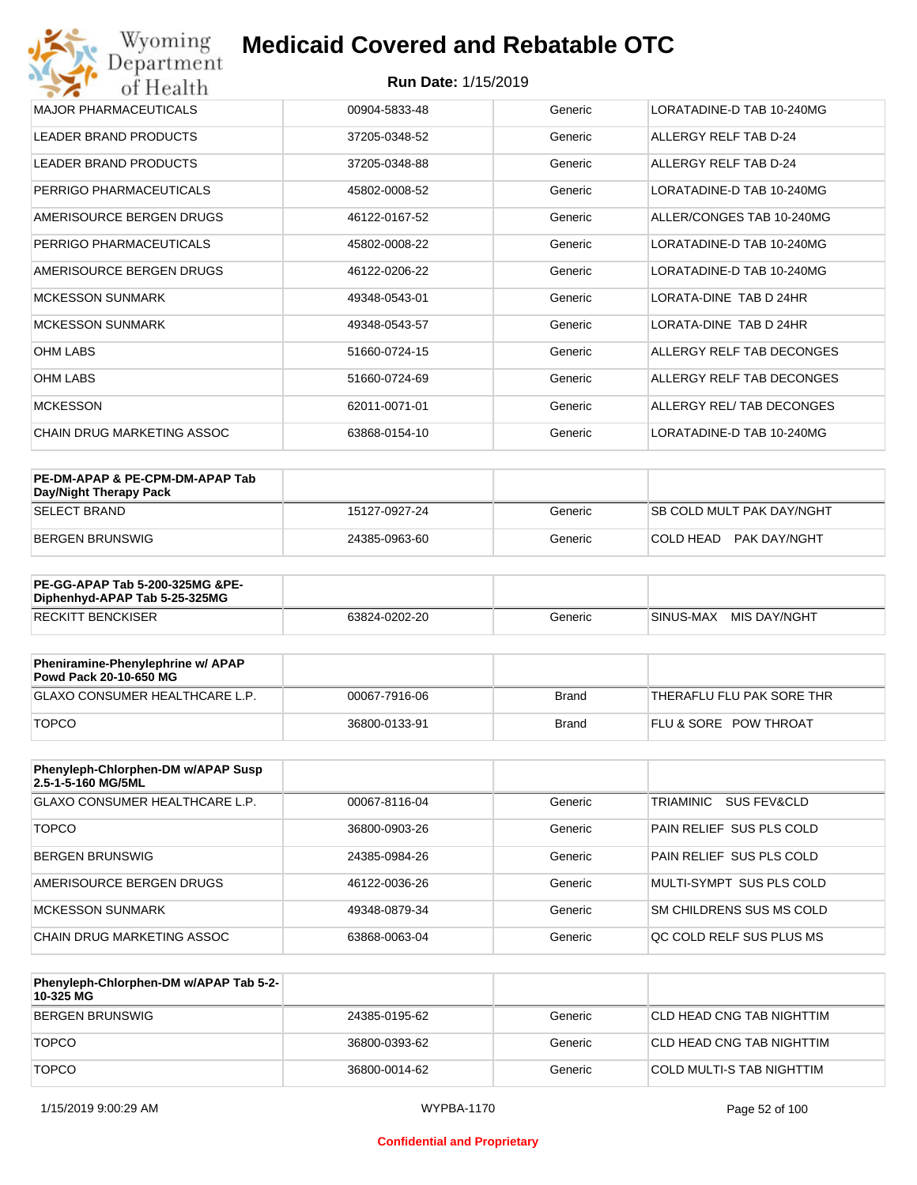| Wyoming<br>Department        | <b>Medicaid Covered and Rebatable OTC</b> |         |                               |
|------------------------------|-------------------------------------------|---------|-------------------------------|
| of Health                    | <b>Run Date: 1/15/2019</b>                |         |                               |
| <b>MAJOR PHARMACEUTICALS</b> | 00904-5833-48                             | Generic | LORATADINE-D TAB 10-240MG     |
| <b>LEADER BRAND PRODUCTS</b> | 37205-0348-52                             | Generic | ALLERGY RELF TAB D-24         |
| <b>LEADER BRAND PRODUCTS</b> | 37205-0348-88                             | Generic | ALLERGY RELF TAB D-24         |
| PERRIGO PHARMACEUTICALS      | 45802-0008-52                             | Generic | LORATADINE-D TAB 10-240MG     |
| AMERISOURCE BERGEN DRUGS     | 46122-0167-52                             | Generic | ALLER/CONGES TAB 10-240MG     |
| PERRIGO PHARMACEUTICALS      | 45802-0008-22                             | Generic | LORATADINE-D TAB 10-240MG     |
| AMERISOURCE BERGEN DRUGS     | 46122-0206-22                             | Generic | LORATADINE-D TAB 10-240MG     |
| MCKESSON SUNMARK             | 49348-0543-01                             | Generic | <b>LORATA-DINE TAB D 24HR</b> |
| <b>MCKESSON SUNMARK</b>      | 49348-0543-57                             | Generic | LORATA-DINE TAB D 24HR        |
| <b>OHM LABS</b>              | 51660-0724-15                             | Generic | ALLERGY RELF TAB DECONGES     |
| <b>OHM LABS</b>              | 51660-0724-69                             | Generic | ALLERGY RELF TAB DECONGES     |
| <b>MCKESSON</b>              | 62011-0071-01                             | Generic | ALLERGY REL/ TAB DECONGES     |
| CHAIN DRUG MARKETING ASSOC   | 63868-0154-10                             | Generic | LORATADINE-D TAB 10-240MG     |

| PE-DM-APAP & PE-CPM-DM-APAP Tab<br>Day/Night Therapy Pack |               |         |                                  |
|-----------------------------------------------------------|---------------|---------|----------------------------------|
| <b>SELECT BRAND</b>                                       | 15127-0927-24 | Generic | <b>SB COLD MULT PAK DAY/NGHT</b> |
| BERGEN BRUNSWIG                                           | 24385-0963-60 | Generic | COLD HEAD PAK DAY/NGHT           |

| <b>PE-GG-APAP Tab 5-200-325MG &amp;PE-</b><br>Diphenhyd-APAP Tab 5-25-325MG |               |         |                           |
|-----------------------------------------------------------------------------|---------------|---------|---------------------------|
| <b>RECKITT BENCKISER</b>                                                    | 63824-0202-20 | Generic | MIS DAY/NGHT<br>SINUS-MAX |

| Pheniramine-Phenylephrine w/ APAP<br>Powd Pack 20-10-650 MG |               |       |                                  |
|-------------------------------------------------------------|---------------|-------|----------------------------------|
| GLAXO CONSUMER HEALTHCARE L.P.                              | 00067-7916-06 | Brand | 'THERAFLU FLU PAK SORE THR       |
| <b>TOPCO</b>                                                | 36800-0133-91 | Brand | <b>FLU &amp; SORE POW THROAT</b> |

| Phenyleph-Chlorphen-DM w/APAP Susp<br>2.5-1-5-160 MG/5ML |               |         |                                     |
|----------------------------------------------------------|---------------|---------|-------------------------------------|
| <b>GLAXO CONSUMER HEALTHCARE L.P.</b>                    | 00067-8116-04 | Generic | TRIAMINIC<br><b>SUS FEV&amp;CLD</b> |
| <b>TOPCO</b>                                             | 36800-0903-26 | Generic | PAIN RELIEF SUS PLS COLD            |
| <b>BERGEN BRUNSWIG</b>                                   | 24385-0984-26 | Generic | PAIN RELIEF SUS PLS COLD            |
| AMERISOURCE BERGEN DRUGS                                 | 46122-0036-26 | Generic | MULTI-SYMPT SUS PLS COLD            |
| MCKESSON SUNMARK                                         | 49348-0879-34 | Generic | SM CHILDRENS SUS MS COLD            |
| CHAIN DRUG MARKETING ASSOC                               | 63868-0063-04 | Generic | OC COLD RELF SUS PLUS MS            |

| Phenyleph-Chlorphen-DM w/APAP Tab 5-2-<br>10-325 MG |               |         |                            |
|-----------------------------------------------------|---------------|---------|----------------------------|
| BERGEN BRUNSWIG                                     | 24385-0195-62 | Generic | ICLD HEAD CNG TAB NIGHTTIM |
| <b>TOPCO</b>                                        | 36800-0393-62 | Generic | CLD HEAD CNG TAB NIGHTTIM  |
| <b>TOPCO</b>                                        | 36800-0014-62 | Generic | COLD MULTI-S TAB NIGHTTIM  |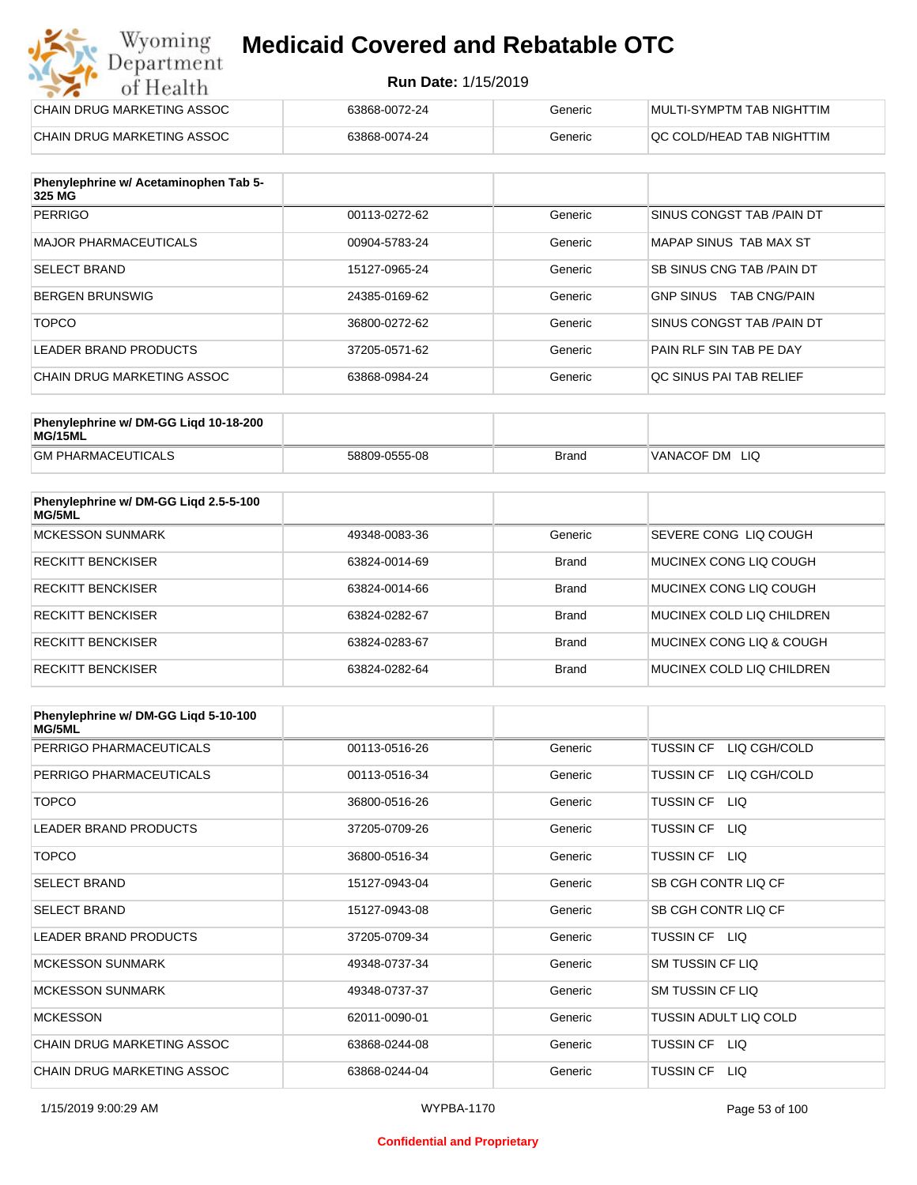#### **Run Date:** 1/15/2019

| Wyoming<br>Department      | <b>Medicaid Covered and Rebatable OTC</b> |         |                           |
|----------------------------|-------------------------------------------|---------|---------------------------|
| of Health                  | <b>Run Date: 1/15/2019</b>                |         |                           |
| CHAIN DRUG MARKETING ASSOC | 63868-0072-24                             | Generic | MULTI-SYMPTM TAB NIGHTTIM |
| CHAIN DRUG MARKETING ASSOC | 63868-0074-24                             | Generic | QC COLD/HEAD TAB NIGHTTIM |

| Phenylephrine w/ Acetaminophen Tab 5-<br>325 MG |               |         |                                         |
|-------------------------------------------------|---------------|---------|-----------------------------------------|
| <b>PERRIGO</b>                                  | 00113-0272-62 | Generic | SINUS CONGST TAB /PAIN DT               |
| MAJOR PHARMACEUTICALS                           | 00904-5783-24 | Generic | MAPAP SINUS TAB MAX ST                  |
| <b>SELECT BRAND</b>                             | 15127-0965-24 | Generic | SB SINUS CNG TAB / PAIN DT              |
| BERGEN BRUNSWIG                                 | 24385-0169-62 | Generic | <b>TAB CNG/PAIN</b><br><b>GNP SINUS</b> |
| <b>TOPCO</b>                                    | 36800-0272-62 | Generic | SINUS CONGST TAB /PAIN DT               |
| LEADER BRAND PRODUCTS                           | 37205-0571-62 | Generic | PAIN RLF SIN TAB PE DAY                 |
| CHAIN DRUG MARKETING ASSOC                      | 63868-0984-24 | Generic | QC SINUS PAI TAB RELIEF                 |

| Phenylephrine w/ DM-GG Ligd 10-18-200<br>MG/15ML |               |       |                |
|--------------------------------------------------|---------------|-------|----------------|
| <b>GM PHARMACEUTICALS</b>                        | 58809-0555-08 | Brand | VANACOF DM LIQ |

| Phenylephrine w/ DM-GG Ligd 2.5-5-100<br>MG/5ML |               |              |                           |
|-------------------------------------------------|---------------|--------------|---------------------------|
| MCKESSON SUNMARK                                | 49348-0083-36 | Generic      | SEVERE CONG LIQ COUGH     |
| <b>RECKITT BENCKISER</b>                        | 63824-0014-69 | <b>Brand</b> | MUCINEX CONG LIO COUGH    |
| <b>RECKITT BENCKISER</b>                        | 63824-0014-66 | <b>Brand</b> | MUCINEX CONG LIO COUGH    |
| <b>RECKITT BENCKISER</b>                        | 63824-0282-67 | <b>Brand</b> | MUCINEX COLD LIQ CHILDREN |
| <b>RECKITT BENCKISER</b>                        | 63824-0283-67 | <b>Brand</b> | MUCINEX CONG LIO & COUGH  |
| <b>RECKITT BENCKISER</b>                        | 63824-0282-64 | <b>Brand</b> | MUCINEX COLD LIQ CHILDREN |

| Phenylephrine w/ DM-GG Ligd 5-10-100<br><b>MG/5ML</b> |               |         |                                  |
|-------------------------------------------------------|---------------|---------|----------------------------------|
| PERRIGO PHARMACEUTICALS                               | 00113-0516-26 | Generic | <b>TUSSIN CF</b><br>LIQ CGH/COLD |
| PERRIGO PHARMACEUTICALS                               | 00113-0516-34 | Generic | LIQ CGH/COLD<br><b>TUSSIN CF</b> |
| <b>TOPCO</b>                                          | 36800-0516-26 | Generic | <b>TUSSIN CF</b><br>LIQ.         |
| <b>LEADER BRAND PRODUCTS</b>                          | 37205-0709-26 | Generic | <b>TUSSIN CF</b><br>LIQ.         |
| <b>TOPCO</b>                                          | 36800-0516-34 | Generic | <b>TUSSIN CF</b><br>LIQ.         |
| <b>SELECT BRAND</b>                                   | 15127-0943-04 | Generic | SB CGH CONTR LIQ CF              |
| <b>SELECT BRAND</b>                                   | 15127-0943-08 | Generic | SB CGH CONTR LIQ CF              |
| <b>LEADER BRAND PRODUCTS</b>                          | 37205-0709-34 | Generic | TUSSIN CF LIQ                    |
| <b>MCKESSON SUNMARK</b>                               | 49348-0737-34 | Generic | SM TUSSIN CF LIQ                 |
| <b>MCKESSON SUNMARK</b>                               | 49348-0737-37 | Generic | SM TUSSIN CF LIQ                 |
| <b>MCKESSON</b>                                       | 62011-0090-01 | Generic | TUSSIN ADULT LIQ COLD            |
| CHAIN DRUG MARKETING ASSOC                            | 63868-0244-08 | Generic | <b>TUSSIN CF</b><br><b>LIQ</b>   |
| CHAIN DRUG MARKETING ASSOC                            | 63868-0244-04 | Generic | <b>TUSSIN CF</b><br>LIQ.         |

#### **Confidential and Proprietary**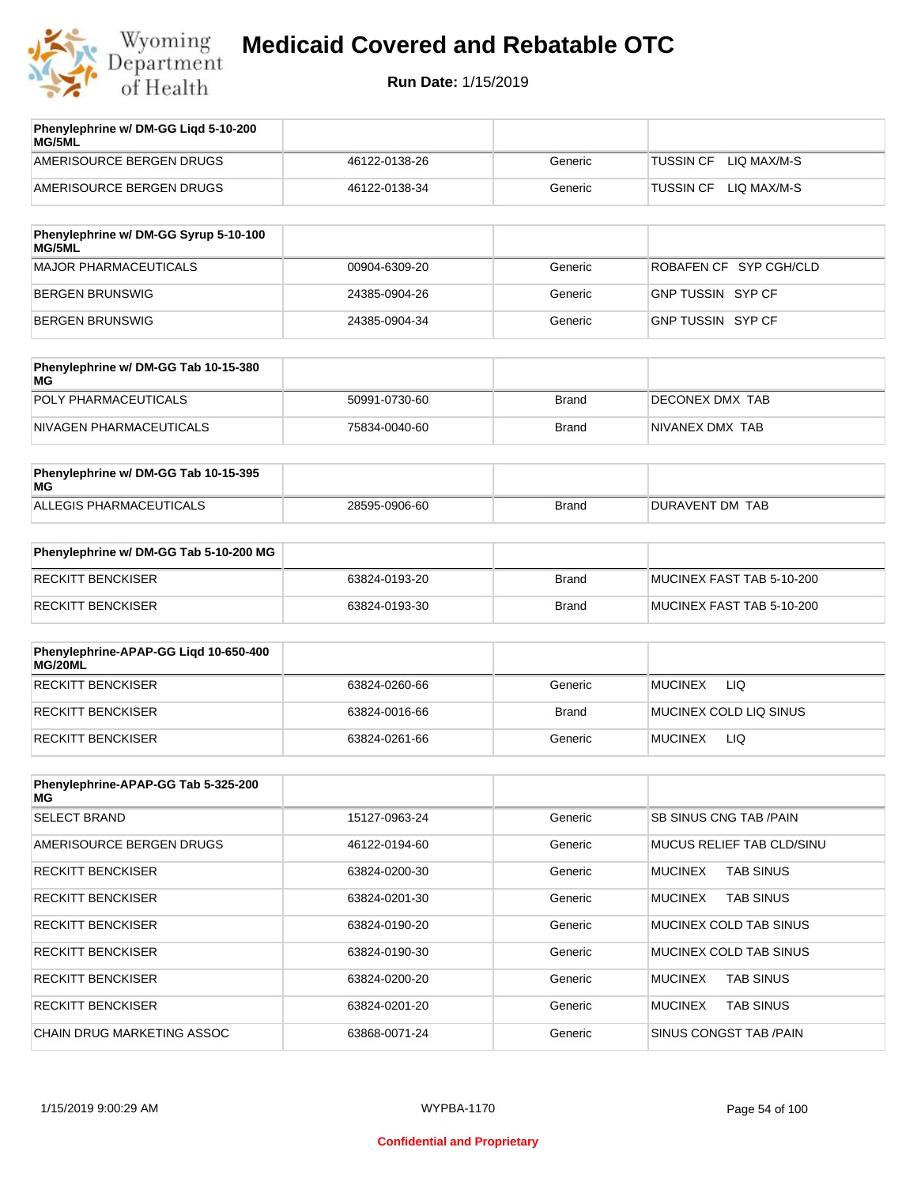

| AMERISOURCE BERGEN DRUGS<br>46122-0138-26 | Generic | LIO MAX/M-S<br><b>TUSSIN CF</b> |
|-------------------------------------------|---------|---------------------------------|
| AMERISOURCE BERGEN DRUGS<br>46122-0138-34 | Generic | LIO MAX/M-S<br>TUSSIN CF        |

| Phenylephrine w/ DM-GG Syrup 5-10-100<br>MG/5ML |               |         |                          |
|-------------------------------------------------|---------------|---------|--------------------------|
| MAJOR PHARMACEUTICALS                           | 00904-6309-20 | Generic | ROBAFEN CF SYP CGH/CLD   |
| BERGEN BRUNSWIG                                 | 24385-0904-26 | Generic | <b>GNP TUSSIN SYP CF</b> |
| BERGEN BRUNSWIG                                 | 24385-0904-34 | Generic | GNP TUSSIN SYP CF        |

| Phenylephrine w/ DM-GG Tab 10-15-380<br>MG |               |              |                 |
|--------------------------------------------|---------------|--------------|-----------------|
| POLY PHARMACEUTICALS                       | 50991-0730-60 | <b>Brand</b> | DECONEX DMX TAB |
| NIVAGEN PHARMACEUTICALS                    | 75834-0040-60 | Brand        | NIVANEX DMX TAB |

| Phenylephrine w/ DM-GG Tab 10-15-395<br>MG |               |       |                 |
|--------------------------------------------|---------------|-------|-----------------|
| ALLEGIS PHARMACEUTICALS                    | 28595-0906-60 | Brand | DURAVENT DM TAB |

| Phenylephrine w/ DM-GG Tab 5-10-200 MG |               |       |                           |
|----------------------------------------|---------------|-------|---------------------------|
| RECKITT BENCKISER                      | 63824-0193-20 | Brand | MUCINEX FAST TAB 5-10-200 |
| RECKITT BENCKISER                      | 63824-0193-30 | Brand | MUCINEX FAST TAB 5-10-200 |

| Phenylephrine-APAP-GG Ligd 10-650-400<br>MG/20ML |               |              |                              |
|--------------------------------------------------|---------------|--------------|------------------------------|
| <b>RECKITT BENCKISER</b>                         | 63824-0260-66 | Generic      | LIQ<br><b>MUCINEX</b>        |
| <b>RECKITT BENCKISER</b>                         | 63824-0016-66 | <b>Brand</b> | MUCINEX COLD LIQ SINUS       |
| RECKITT BENCKISER                                | 63824-0261-66 | Generic      | <b>LIQ</b><br><b>MUCINEX</b> |

| Phenylephrine-APAP-GG Tab 5-325-200<br>MG |               |         |                                    |
|-------------------------------------------|---------------|---------|------------------------------------|
| <b>SELECT BRAND</b>                       | 15127-0963-24 | Generic | <b>SB SINUS CNG TAB /PAIN</b>      |
| AMERISOURCE BERGEN DRUGS                  | 46122-0194-60 | Generic | MUCUS RELIEF TAB CLD/SINU          |
| <b>RECKITT BENCKISER</b>                  | 63824-0200-30 | Generic | <b>TAB SINUS</b><br><b>MUCINEX</b> |
| <b>RECKITT BENCKISER</b>                  | 63824-0201-30 | Generic | <b>MUCINEX</b><br><b>TAB SINUS</b> |
| <b>RECKITT BENCKISER</b>                  | 63824-0190-20 | Generic | MUCINEX COLD TAB SINUS             |
| <b>RECKITT BENCKISER</b>                  | 63824-0190-30 | Generic | MUCINEX COLD TAB SINUS             |
| <b>RECKITT BENCKISER</b>                  | 63824-0200-20 | Generic | <b>TAB SINUS</b><br><b>MUCINEX</b> |
| <b>RECKITT BENCKISER</b>                  | 63824-0201-20 | Generic | <b>MUCINEX</b><br><b>TAB SINUS</b> |
| CHAIN DRUG MARKETING ASSOC                | 63868-0071-24 | Generic | SINUS CONGST TAB /PAIN             |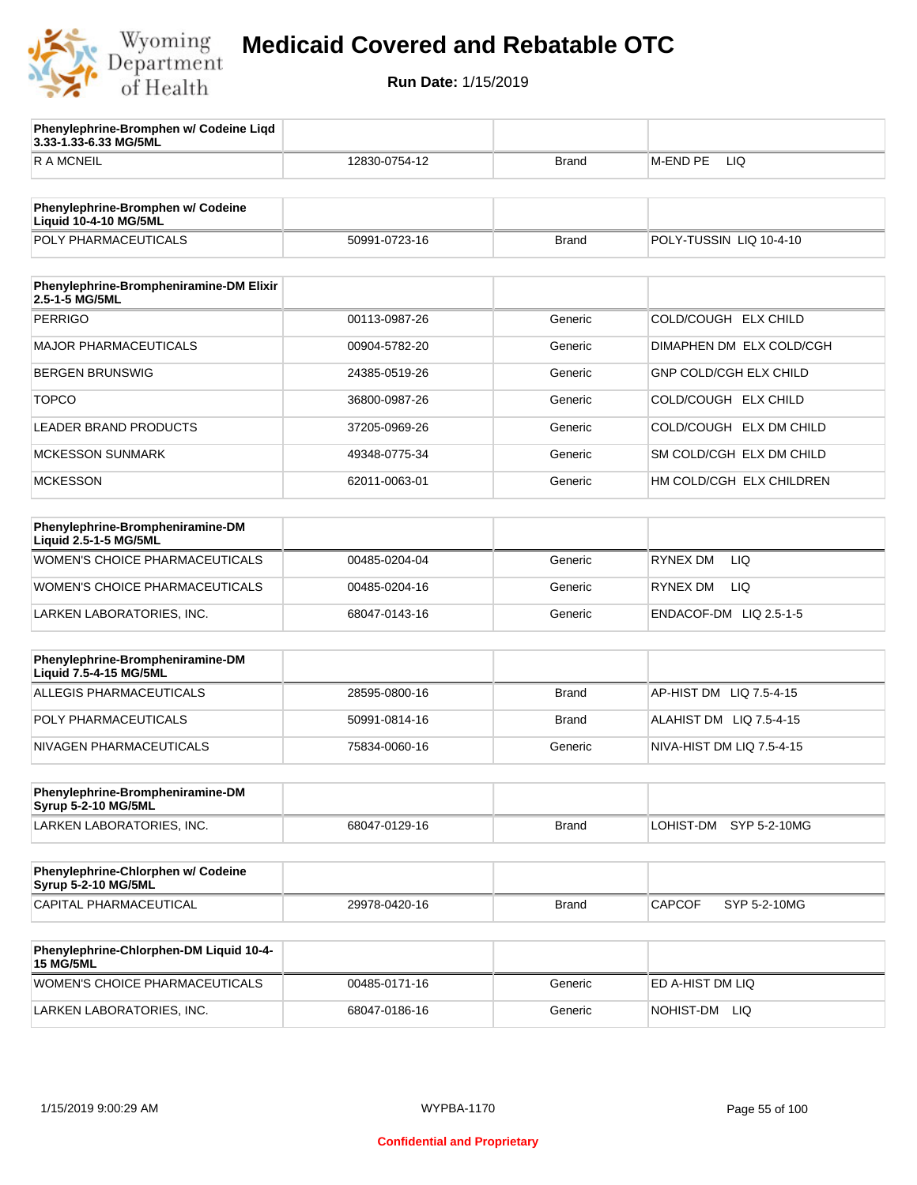

**3.33-1.33-6.33 MG/5ML**

**Phenylephrine-Bromphen w/ Codeine Liqd** 

## **Medicaid Covered and Rebatable OTC**

| <b>RAMCNEIL</b>                                                   | 12830-0754-12 | Brand        | <b>M-END PE</b><br>LIQ        |
|-------------------------------------------------------------------|---------------|--------------|-------------------------------|
|                                                                   |               |              |                               |
| Phenylephrine-Bromphen w/ Codeine<br><b>Liquid 10-4-10 MG/5ML</b> |               |              |                               |
| POLY PHARMACEUTICALS                                              | 50991-0723-16 | <b>Brand</b> | POLY-TUSSIN LIQ 10-4-10       |
|                                                                   |               |              |                               |
| Phenylephrine-Brompheniramine-DM Elixir<br>2.5-1-5 MG/5ML         |               |              |                               |
| <b>PERRIGO</b>                                                    | 00113-0987-26 | Generic      | COLD/COUGH ELX CHILD          |
| <b>MAJOR PHARMACEUTICALS</b>                                      | 00904-5782-20 | Generic      | DIMAPHEN DM ELX COLD/CGH      |
| <b>BERGEN BRUNSWIG</b>                                            | 24385-0519-26 | Generic      | GNP COLD/CGH ELX CHILD        |
| <b>TOPCO</b>                                                      | 36800-0987-26 | Generic      | COLD/COUGH ELX CHILD          |
| <b>LEADER BRAND PRODUCTS</b>                                      | 37205-0969-26 | Generic      | COLD/COUGH ELX DM CHILD       |
| <b>MCKESSON SUNMARK</b>                                           | 49348-0775-34 | Generic      | SM COLD/CGH ELX DM CHILD      |
| <b>MCKESSON</b>                                                   | 62011-0063-01 | Generic      | HM COLD/CGH ELX CHILDREN      |
|                                                                   |               |              |                               |
| Phenylephrine-Brompheniramine-DM<br>Liquid 2.5-1-5 MG/5ML         |               |              |                               |
| WOMEN'S CHOICE PHARMACEUTICALS                                    | 00485-0204-04 | Generic      | LIQ<br><b>RYNEX DM</b>        |
| WOMEN'S CHOICE PHARMACEUTICALS                                    | 00485-0204-16 | Generic      | <b>RYNEX DM</b><br>LIQ        |
| LARKEN LABORATORIES, INC.                                         | 68047-0143-16 | Generic      | ENDACOF-DM LIQ 2.5-1-5        |
|                                                                   |               |              |                               |
| Phenylephrine-Brompheniramine-DM<br>Liquid 7.5-4-15 MG/5ML        |               |              |                               |
| ALLEGIS PHARMACEUTICALS                                           | 28595-0800-16 | <b>Brand</b> | AP-HIST DM<br>LIQ 7.5-4-15    |
| POLY PHARMACEUTICALS                                              | 50991-0814-16 | <b>Brand</b> | ALAHIST DM LIQ 7.5-4-15       |
| NIVAGEN PHARMACEUTICALS                                           | 75834-0060-16 | Generic      | NIVA-HIST DM LIQ 7.5-4-15     |
|                                                                   |               |              |                               |
| Phenylephrine-Brompheniramine-DM<br><b>Syrup 5-2-10 MG/5ML</b>    |               |              |                               |
| LARKEN LABORATORIES, INC.                                         | 68047-0129-16 | <b>Brand</b> | LOHIST-DM<br>SYP 5-2-10MG     |
|                                                                   |               |              |                               |
| Phenylephrine-Chlorphen w/ Codeine<br><b>Syrup 5-2-10 MG/5ML</b>  |               |              |                               |
| CAPITAL PHARMACEUTICAL                                            | 29978-0420-16 | <b>Brand</b> | SYP 5-2-10MG<br><b>CAPCOF</b> |
|                                                                   |               |              |                               |
| Phenylephrine-Chlorphen-DM Liquid 10-4-<br><b>15 MG/5ML</b>       |               |              |                               |
| WOMEN'S CHOICE PHARMACEUTICALS                                    | 00485-0171-16 | Generic      | ED A-HIST DM LIQ              |
| LARKEN LABORATORIES, INC.                                         | 68047-0186-16 | Generic      | NOHIST-DM LIQ                 |
|                                                                   |               |              |                               |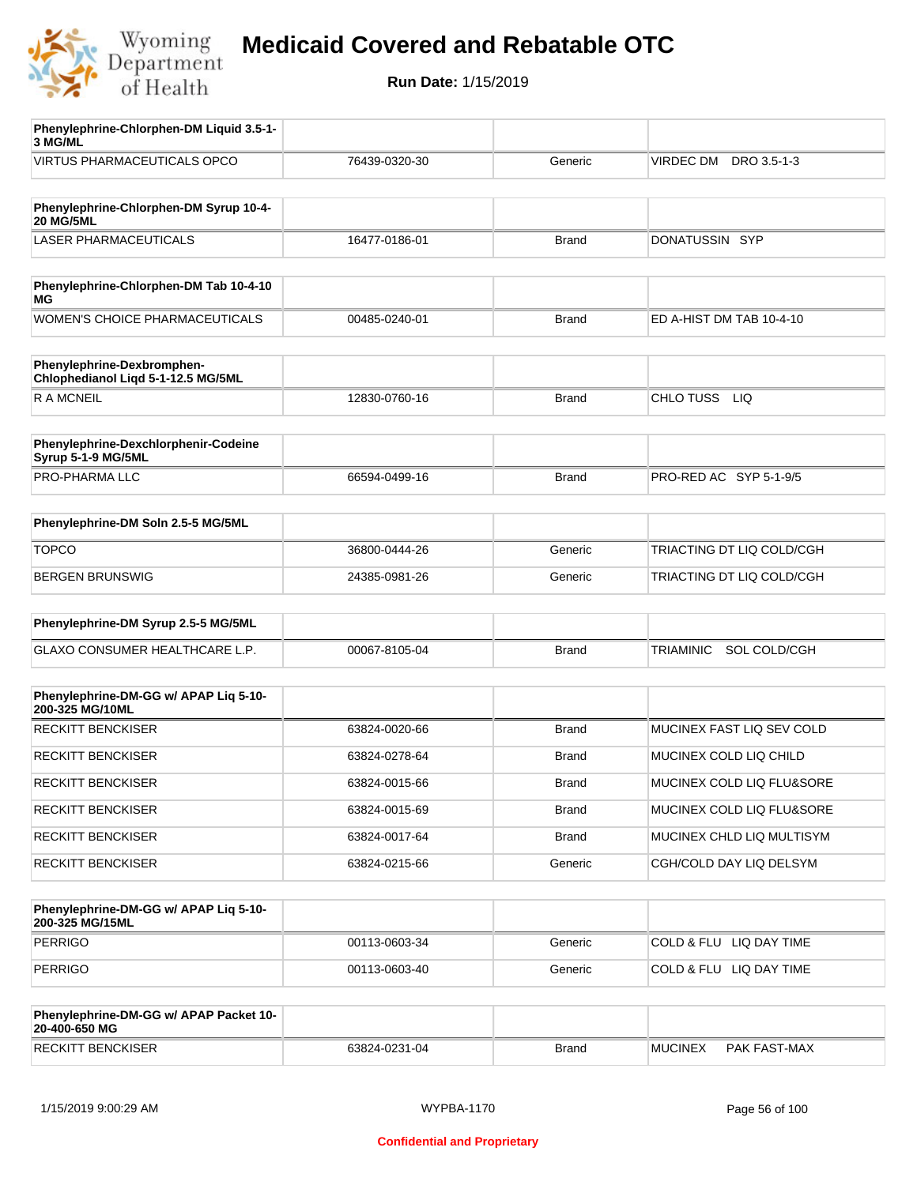

**Run Date:** 1/15/2019

| Phenylephrine-Chlorphen-DM Liquid 3.5-1-<br>3 MG/ML        |               |              |                           |
|------------------------------------------------------------|---------------|--------------|---------------------------|
| <b>VIRTUS PHARMACEUTICALS OPCO</b>                         | 76439-0320-30 | Generic      | VIRDEC DM DRO 3.5-1-3     |
|                                                            |               |              |                           |
| Phenylephrine-Chlorphen-DM Syrup 10-4-<br><b>20 MG/5ML</b> |               |              |                           |
| <b>LASER PHARMACEUTICALS</b>                               | 16477-0186-01 | <b>Brand</b> | DONATUSSIN SYP            |
|                                                            |               |              |                           |
| Phenylephrine-Chlorphen-DM Tab 10-4-10<br>ΜG               |               |              |                           |
| <b>WOMEN'S CHOICE PHARMACEUTICALS</b>                      | 00485-0240-01 | <b>Brand</b> | ED A-HIST DM TAB 10-4-10  |
| Phenylephrine-Dexbromphen-                                 |               |              |                           |
| Chlophedianol Liqd 5-1-12.5 MG/5ML                         |               |              |                           |
| <b>RAMCNEIL</b>                                            | 12830-0760-16 | <b>Brand</b> | CHLO TUSS LIQ             |
|                                                            |               |              |                           |
| Phenylephrine-Dexchlorphenir-Codeine<br>Syrup 5-1-9 MG/5ML |               |              |                           |
| PRO-PHARMA LLC                                             | 66594-0499-16 | <b>Brand</b> | PRO-RED AC SYP 5-1-9/5    |
|                                                            |               |              |                           |
| Phenylephrine-DM Soln 2.5-5 MG/5ML                         |               |              |                           |
| <b>TOPCO</b>                                               | 36800-0444-26 | Generic      | TRIACTING DT LIQ COLD/CGH |
| <b>BERGEN BRUNSWIG</b>                                     | 24385-0981-26 | Generic      | TRIACTING DT LIQ COLD/CGH |
|                                                            |               |              |                           |
| Phenylephrine-DM Syrup 2.5-5 MG/5ML                        |               |              |                           |
| GLAXO CONSUMER HEALTHCARE L.P.                             | 00067-8105-04 | <b>Brand</b> | SOL COLD/CGH<br>TRIAMINIC |
|                                                            |               |              |                           |
| Phenylephrine-DM-GG w/ APAP Liq 5-10-<br>200-325 MG/10ML   |               |              |                           |
| <b>RECKITT BENCKISER</b>                                   | 63824-0020-66 | <b>Brand</b> | MUCINEX FAST LIQ SEV COLD |
| <b>RECKITT BENCKISER</b>                                   | 63824-0278-64 | Brand        | MUCINEX COLD LIQ CHILD    |
| <b>RECKITT BENCKISER</b>                                   | 63824-0015-66 | <b>Brand</b> | MUCINEX COLD LIQ FLU&SORE |
| <b>RECKITT BENCKISER</b>                                   | 63824-0015-69 | <b>Brand</b> | MUCINEX COLD LIQ FLU&SORE |
| <b>RECKITT BENCKISER</b>                                   | 63824-0017-64 | <b>Brand</b> | MUCINEX CHLD LIQ MULTISYM |
| <b>RECKITT BENCKISER</b>                                   | 63824-0215-66 | Generic      | CGH/COLD DAY LIQ DELSYM   |
|                                                            |               |              |                           |
| Phenylephrine-DM-GG w/ APAP Liq 5-10-<br>200-325 MG/15ML   |               |              |                           |
| <b>PERRIGO</b>                                             | 00113-0603-34 | Generic      | COLD & FLU LIQ DAY TIME   |
| <b>PERRIGO</b>                                             | 00113-0603-40 | Generic      | COLD & FLU LIQ DAY TIME   |
|                                                            |               |              |                           |
| Phenylephrine-DM-GG w/ APAP Packet 10-<br>20-400-650 MG    |               |              |                           |

RECKITT BENCKISER 63824-0231-04 Brand MUCINEX PAK FAST-MAX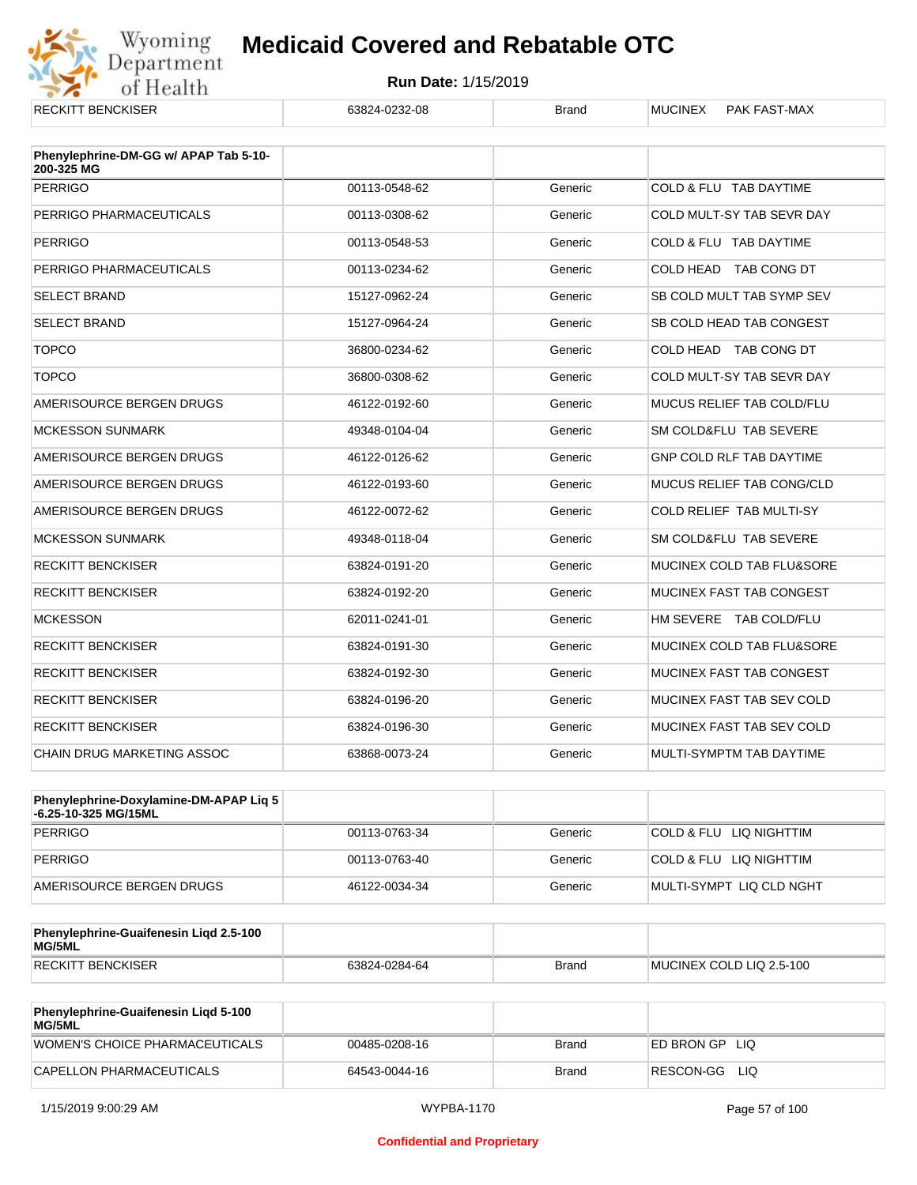

| <b>RECKITT BENCKISER</b>                            | 63824-0232-08 | <b>Brand</b> | <b>MUCINEX</b><br><b>PAK FAST-MAX</b> |
|-----------------------------------------------------|---------------|--------------|---------------------------------------|
| Phenylephrine-DM-GG w/ APAP Tab 5-10-<br>200-325 MG |               |              |                                       |
| <b>PERRIGO</b>                                      | 00113-0548-62 | Generic      | COLD & FLU TAB DAYTIME                |
| PERRIGO PHARMACEUTICALS                             | 00113-0308-62 | Generic      | COLD MULT-SY TAB SEVR DAY             |
| <b>PERRIGO</b>                                      | 00113-0548-53 | Generic      | COLD & FLU TAB DAYTIME                |
| PERRIGO PHARMACEUTICALS                             | 00113-0234-62 | Generic      | COLD HEAD TAB CONG DT                 |
| <b>SELECT BRAND</b>                                 | 15127-0962-24 | Generic      | SB COLD MULT TAB SYMP SEV             |
| <b>SELECT BRAND</b>                                 | 15127-0964-24 | Generic      | SB COLD HEAD TAB CONGEST              |
| <b>TOPCO</b>                                        | 36800-0234-62 | Generic      | COLD HEAD TAB CONG DT                 |
| <b>TOPCO</b>                                        | 36800-0308-62 | Generic      | COLD MULT-SY TAB SEVR DAY             |
| AMERISOURCE BERGEN DRUGS                            | 46122-0192-60 | Generic      | MUCUS RELIEF TAB COLD/FLU             |
| <b>MCKESSON SUNMARK</b>                             | 49348-0104-04 | Generic      | SM COLD&FLU TAB SEVERE                |
| AMERISOURCE BERGEN DRUGS                            | 46122-0126-62 | Generic      | <b>GNP COLD RLF TAB DAYTIME</b>       |
| AMERISOURCE BERGEN DRUGS                            | 46122-0193-60 | Generic      | MUCUS RELIEF TAB CONG/CLD             |
| AMERISOURCE BERGEN DRUGS                            | 46122-0072-62 | Generic      | COLD RELIEF TAB MULTI-SY              |
| <b>MCKESSON SUNMARK</b>                             | 49348-0118-04 | Generic      | SM COLD&FLU TAB SEVERE                |
| <b>RECKITT BENCKISER</b>                            | 63824-0191-20 | Generic      | MUCINEX COLD TAB FLU&SORE             |
| <b>RECKITT BENCKISER</b>                            | 63824-0192-20 | Generic      | MUCINEX FAST TAB CONGEST              |
| <b>MCKESSON</b>                                     | 62011-0241-01 | Generic      | HM SEVERE TAB COLD/FLU                |
| <b>RECKITT BENCKISER</b>                            | 63824-0191-30 | Generic      | MUCINEX COLD TAB FLU&SORE             |
| <b>RECKITT BENCKISER</b>                            | 63824-0192-30 | Generic      | MUCINEX FAST TAB CONGEST              |
| <b>RECKITT BENCKISER</b>                            | 63824-0196-20 | Generic      | MUCINEX FAST TAB SEV COLD             |
| <b>RECKITT BENCKISER</b>                            | 63824-0196-30 | Generic      | MUCINEX FAST TAB SEV COLD             |
| <b>CHAIN DRUG MARKETING ASSOC</b>                   | 63868-0073-24 | Generic      | MULTI-SYMPTM TAB DAYTIME              |

| Phenylephrine-Doxylamine-DM-APAP Liq 5<br>⊦6.25-10-325 MG/15ML |               |         |                           |
|----------------------------------------------------------------|---------------|---------|---------------------------|
| <b>PERRIGO</b>                                                 | 00113-0763-34 | Generic | COLD & FLU LIQ NIGHTTIM   |
| PERRIGO                                                        | 00113-0763-40 | Generic | COLD & FLU LIQ NIGHTTIM   |
| AMERISOURCE BERGEN DRUGS                                       | 46122-0034-34 | Generic | IMULTI-SYMPT LIQ CLD NGHT |

| Phenylephrine-Guaifenesin Ligd 2.5-100<br>MG/5ML |               |              |                          |
|--------------------------------------------------|---------------|--------------|--------------------------|
| RECKITT BENCKISER                                | 63824-0284-64 | <b>Brand</b> | MUCINEX COLD LIQ 2.5-100 |

| <b>Phenylephrine-Guaifenesin Ligd 5-100</b><br><b>MG/5ML</b> |               |       |                    |
|--------------------------------------------------------------|---------------|-------|--------------------|
| WOMEN'S CHOICE PHARMACEUTICALS                               | 00485-0208-16 | Brand | ED BRON GP<br>-LIQ |
| CAPELLON PHARMACEUTICALS                                     | 64543-0044-16 | Brand | RESCON-GG<br>LIQ   |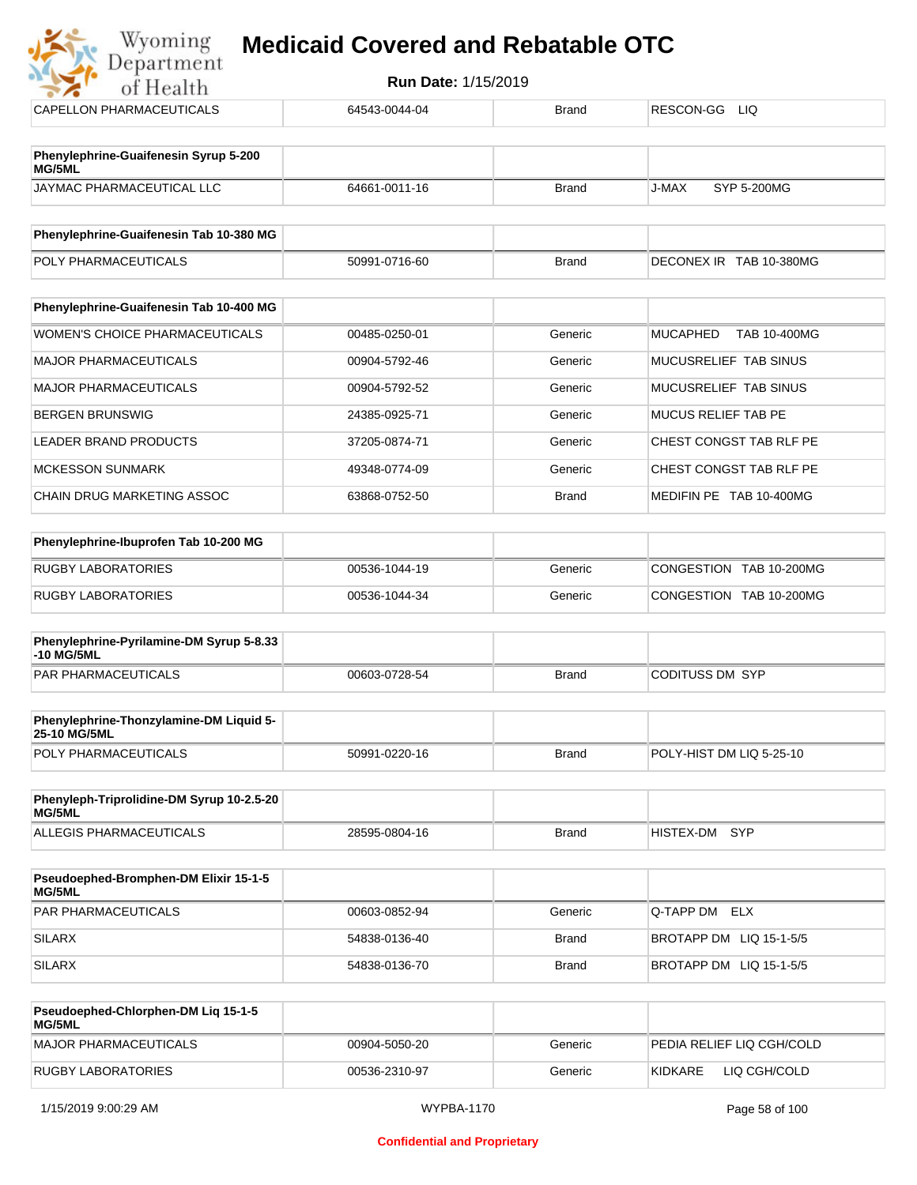| of Health                                       | <b>Run Date: 1/15/2019</b> |              |                                 |  |
|-------------------------------------------------|----------------------------|--------------|---------------------------------|--|
| CAPELLON PHARMACEUTICALS                        | 64543-0044-04              | <b>Brand</b> | RESCON-GG<br><b>LIQ</b>         |  |
|                                                 |                            |              |                                 |  |
| Phenylephrine-Guaifenesin Syrup 5-200<br>MG/5ML |                            |              |                                 |  |
| <b>JAYMAC PHARMACEUTICAL LLC</b>                | 64661-0011-16              | <b>Brand</b> | SYP 5-200MG<br>J-MAX            |  |
| Phenylephrine-Guaifenesin Tab 10-380 MG         |                            |              |                                 |  |
| POLY PHARMACEUTICALS                            | 50991-0716-60              | <b>Brand</b> | DECONEX IR TAB 10-380MG         |  |
|                                                 |                            |              |                                 |  |
| Phenylephrine-Guaifenesin Tab 10-400 MG         |                            |              |                                 |  |
| <b>WOMEN'S CHOICE PHARMACEUTICALS</b>           | 00485-0250-01              | Generic      | <b>MUCAPHED</b><br>TAB 10-400MG |  |
| <b>MAJOR PHARMACEUTICALS</b>                    | 00904-5792-46              | Generic      | MUCUSRELIEF TAB SINUS           |  |
| <b>MAJOR PHARMACEUTICALS</b>                    | 00904-5792-52              | Generic      | MUCUSRELIEF TAB SINUS           |  |
| <b>BERGEN BRUNSWIG</b>                          | 24385-0925-71              | Generic      | <b>MUCUS RELIEF TAB PE</b>      |  |
| <b>LEADER BRAND PRODUCTS</b>                    | 37205-0874-71              | Generic      | CHEST CONGST TAB RLF PE         |  |
| <b>MCKESSON SUNMARK</b>                         | 49348-0774-09              | Generic      | CHEST CONGST TAB RLF PE         |  |
| <b>CHAIN DRUG MARKETING ASSOC</b>               | 63868-0752-50              | <b>Brand</b> | MEDIFIN PE TAB 10-400MG         |  |
|                                                 |                            |              |                                 |  |
| Phenylephrine-Ibuprofen Tab 10-200 MG           |                            |              |                                 |  |

| RUGBY LABORATORIES | 00536-1044-19 | Generic | CONGESTION TAB 10-200MG |
|--------------------|---------------|---------|-------------------------|
| RUGBY LABORATORIES | 00536-1044-34 | Generic | CONGESTION TAB 10-200MG |

| Phenylephrine-Pyrilamine-DM Syrup 5-8.33<br>-10 MG/5ML |               |       |                 |
|--------------------------------------------------------|---------------|-------|-----------------|
| <b>PAR PHARMACEUTICALS</b>                             | 00603-0728-54 | Brand | CODITUSS DM SYP |

| <b>Phenylephrine-Thonzylamine-DM Liquid 5-</b><br><b>25-10 MG/5ML</b> |               |       |                          |
|-----------------------------------------------------------------------|---------------|-------|--------------------------|
| <b>POLY PHARMACEUTICALS</b>                                           | 50991-0220-16 | Brand | POLY-HIST DM LIQ 5-25-10 |

| Phenyleph-Triprolidine-DM Syrup 10-2.5-20<br>MG/5ML |               |       |               |  |
|-----------------------------------------------------|---------------|-------|---------------|--|
| ALLEGIS PHARMACEUTICALS                             | 28595-0804-16 | Brand | HISTEX-DM SYP |  |

| <b>Pseudoephed-Bromphen-DM Elixir 15-1-5</b><br><b>MG/5ML</b> |               |         |                         |
|---------------------------------------------------------------|---------------|---------|-------------------------|
| <b>PAR PHARMACEUTICALS</b>                                    | 00603-0852-94 | Generic | Q-TAPP DM ELX           |
| <b>SILARX</b>                                                 | 54838-0136-40 | Brand   | BROTAPP DM LIQ 15-1-5/5 |
| <b>SILARX</b>                                                 | 54838-0136-70 | Brand   | BROTAPP DM LIQ 15-1-5/5 |

| Pseudoephed-Chlorphen-DM Lig 15-1-5<br><b>MG/5ML</b> |               |         |                            |
|------------------------------------------------------|---------------|---------|----------------------------|
| MAJOR PHARMACEUTICALS                                | 00904-5050-20 | Generic | IPEDIA RELIEF LIQ CGH/COLD |
| RUGBY LABORATORIES                                   | 00536-2310-97 | Generic | KIDKARE<br>LIQ CGH/COLD    |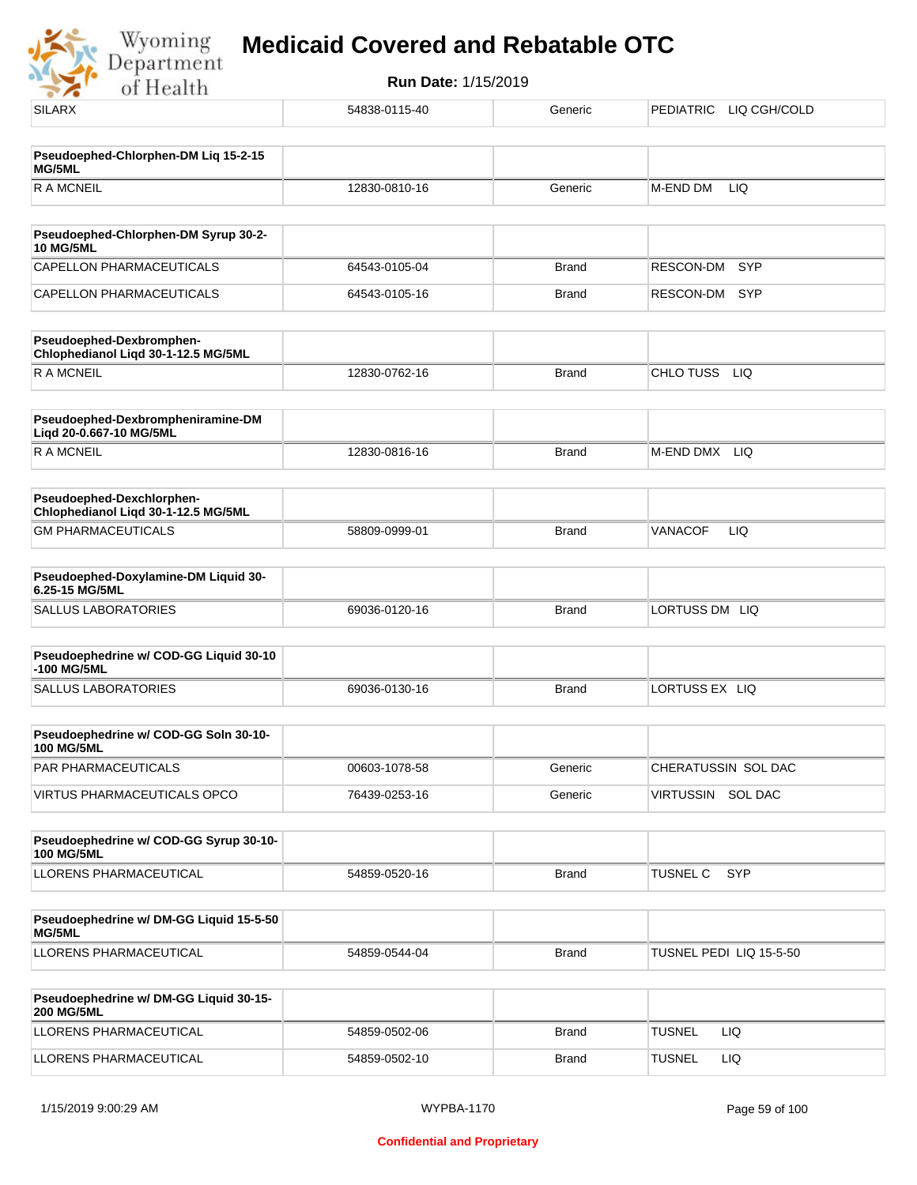Wyoming<br>Department<br>of Health

| <b>SILARX</b>                                                    | 54838-0115-40 | Generic      | <b>PEDIATRIC</b><br>LIQ CGH/COLD |
|------------------------------------------------------------------|---------------|--------------|----------------------------------|
|                                                                  |               |              |                                  |
| Pseudoephed-Chlorphen-DM Liq 15-2-15<br>MG/5ML                   |               |              |                                  |
| <b>RAMCNEIL</b>                                                  | 12830-0810-16 | Generic      | M-END DM<br>LIQ                  |
|                                                                  |               |              |                                  |
| Pseudoephed-Chlorphen-DM Syrup 30-2-<br><b>10 MG/5ML</b>         |               |              |                                  |
| <b>CAPELLON PHARMACEUTICALS</b>                                  | 64543-0105-04 | <b>Brand</b> | <b>RESCON-DM</b><br>SYP          |
| CAPELLON PHARMACEUTICALS                                         | 64543-0105-16 | Brand        | RESCON-DM<br>SYP                 |
| Pseudoephed-Dexbromphen-<br>Chlophedianol Liqd 30-1-12.5 MG/5ML  |               |              |                                  |
| <b>RAMCNEIL</b>                                                  | 12830-0762-16 | Brand        | CHLO TUSS LIQ                    |
| Pseudoephed-Dexbrompheniramine-DM<br>Liqd 20-0.667-10 MG/5ML     |               |              |                                  |
| <b>RAMCNEIL</b>                                                  | 12830-0816-16 | <b>Brand</b> | M-END DMX<br><b>LIQ</b>          |
| Pseudoephed-Dexchlorphen-<br>Chlophedianol Liqd 30-1-12.5 MG/5ML |               |              |                                  |
| <b>GM PHARMACEUTICALS</b>                                        | 58809-0999-01 | <b>Brand</b> | LIQ<br><b>VANACOF</b>            |
| Pseudoephed-Doxylamine-DM Liquid 30-<br>6.25-15 MG/5ML           |               |              |                                  |
| <b>SALLUS LABORATORIES</b>                                       | 69036-0120-16 | <b>Brand</b> | LORTUSS DM LIQ                   |
| Pseudoephedrine w/ COD-GG Liquid 30-10                           |               |              |                                  |
| -100 MG/5ML                                                      |               |              |                                  |
| <b>SALLUS LABORATORIES</b>                                       | 69036-0130-16 | <b>Brand</b> | LORTUSS EX LIQ                   |
| Pseudoephedrine w/ COD-GG Soln 30-10-<br><b>100 MG/5ML</b>       |               |              |                                  |
| PAR PHARMACEUTICALS                                              | 00603-1078-58 | Generic      | CHERATUSSIN SOL DAC              |
| VIRTUS PHARMACEUTICALS OPCO                                      | 76439-0253-16 | Generic      | VIRTUSSIN SOL DAC                |
| Pseudoephedrine w/ COD-GG Syrup 30-10-                           |               |              |                                  |
| <b>100 MG/5ML</b>                                                |               |              |                                  |
| LLORENS PHARMACEUTICAL                                           | 54859-0520-16 | <b>Brand</b> | <b>TUSNEL C</b><br><b>SYP</b>    |
| Pseudoephedrine w/ DM-GG Liquid 15-5-50<br>MG/5ML                |               |              |                                  |
| LLORENS PHARMACEUTICAL                                           | 54859-0544-04 | <b>Brand</b> | TUSNEL PEDI LIQ 15-5-50          |
| Pseudoephedrine w/ DM-GG Liquid 30-15-                           |               |              |                                  |
| <b>200 MG/5ML</b>                                                |               |              |                                  |
| LLORENS PHARMACEUTICAL                                           | 54859-0502-06 | <b>Brand</b> | <b>TUSNEL</b><br>LIQ.            |
| LLORENS PHARMACEUTICAL                                           | 54859-0502-10 | <b>Brand</b> | <b>TUSNEL</b><br>LIQ             |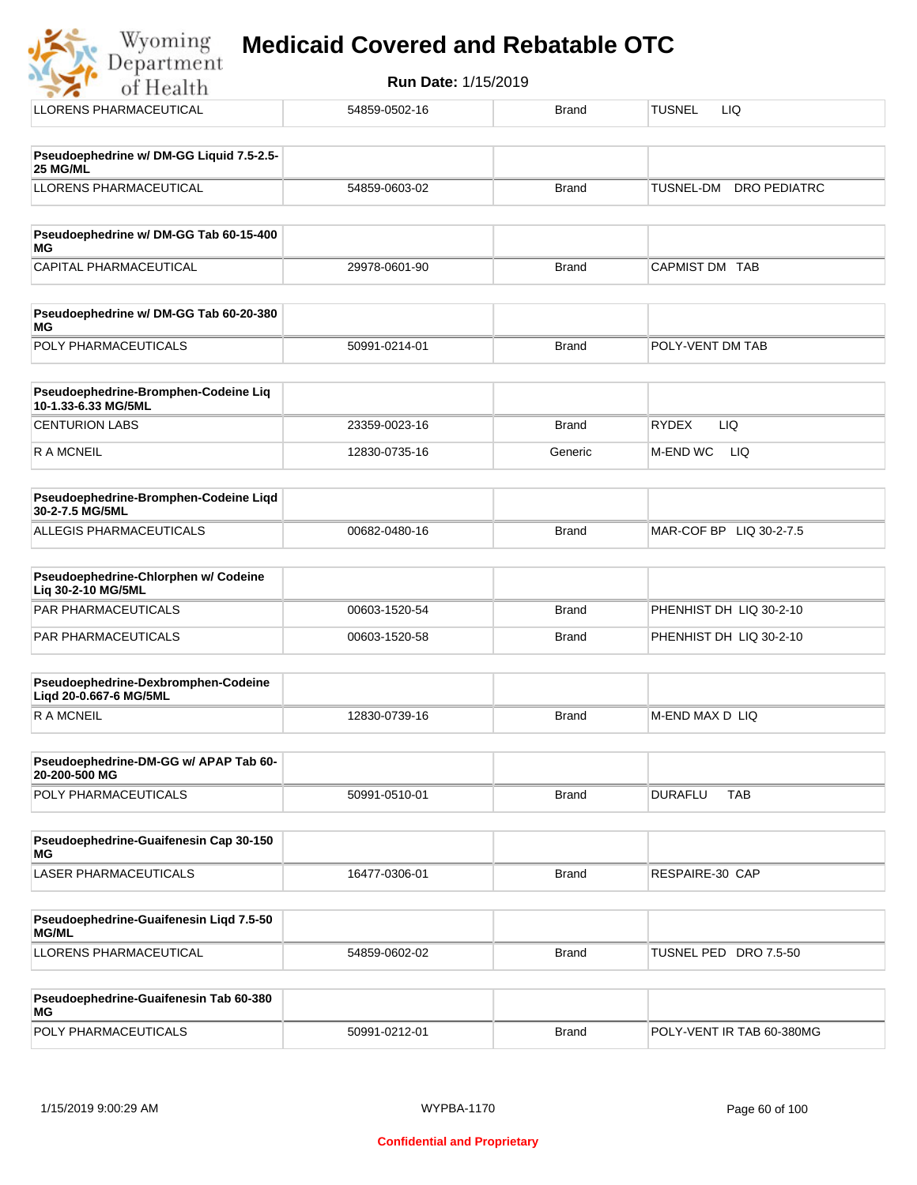| Wyoming<br><b>Medicaid Covered and Rebatable OTC</b><br>Department |                            |              |                                 |  |  |
|--------------------------------------------------------------------|----------------------------|--------------|---------------------------------|--|--|
| of Health                                                          | <b>Run Date: 1/15/2019</b> |              |                                 |  |  |
| LLORENS PHARMACEUTICAL                                             | 54859-0502-16              | <b>Brand</b> | <b>TUSNEL</b><br>LIQ            |  |  |
|                                                                    |                            |              |                                 |  |  |
| Pseudoephedrine w/ DM-GG Liquid 7.5-2.5-<br>25 MG/ML               |                            |              |                                 |  |  |
| LLORENS PHARMACEUTICAL                                             | 54859-0603-02              | <b>Brand</b> | TUSNEL-DM<br>DRO PEDIATRC       |  |  |
|                                                                    |                            |              |                                 |  |  |
| Pseudoephedrine w/ DM-GG Tab 60-15-400<br>MG                       |                            |              |                                 |  |  |
| <b>CAPITAL PHARMACEUTICAL</b>                                      | 29978-0601-90              | <b>Brand</b> | <b>CAPMIST DM</b><br><b>TAB</b> |  |  |
|                                                                    |                            |              |                                 |  |  |
| Pseudoephedrine w/ DM-GG Tab 60-20-380<br>MG                       |                            |              |                                 |  |  |

| POLY PHARMACEUTICALS                                        | 50991-0214-01 | <b>Brand</b> | <b>IPOLY-VENT DM TAB</b> |
|-------------------------------------------------------------|---------------|--------------|--------------------------|
|                                                             |               |              |                          |
| Pseudoephedrine-Bromphen-Codeine Liq<br>10-1.33-6.33 MG/5ML |               |              |                          |

| 10-1.33-0.33 MUJOML   |               |              |                 |
|-----------------------|---------------|--------------|-----------------|
| <b>CENTURION LABS</b> | 23359-0023-16 | <b>Brand</b> | LIQ<br>'RYDEX   |
| R A MCNEIL            | 12830-0735-16 | Generic      | M-END WC<br>LIQ |

| <b>Pseudoephedrine-Bromphen-Codeine Ligd</b><br>30-2-7.5 MG/5ML |               |       |                         |
|-----------------------------------------------------------------|---------------|-------|-------------------------|
| ALLEGIS PHARMACEUTICALS                                         | 00682-0480-16 | Brand | MAR-COF BP LIQ 30-2-7.5 |

| <b>Pseudoephedrine-Chlorphen w/ Codeine</b><br>Lia 30-2-10 MG/5ML |               |       |                         |
|-------------------------------------------------------------------|---------------|-------|-------------------------|
| PAR PHARMACEUTICALS                                               | 00603-1520-54 | Brand | PHENHIST DH LIQ 30-2-10 |
| PAR PHARMACEUTICALS                                               | 00603-1520-58 | Brand | PHENHIST DH LIQ 30-2-10 |

| Pseudoephedrine-Dexbromphen-Codeine<br>Liad 20-0.667-6 MG/5ML |               |              |                  |
|---------------------------------------------------------------|---------------|--------------|------------------|
| R A MCNEIL                                                    | 12830-0739-16 | <b>Brand</b> | IM-END MAX D LIQ |

| <b>Pseudoephedrine-DM-GG w/ APAP Tab 60-</b><br>20-200-500 MG |               |              |         |            |
|---------------------------------------------------------------|---------------|--------------|---------|------------|
| <b>POLY PHARMACEUTICALS</b>                                   | 50991-0510-01 | <b>Brand</b> | DURAFLU | <b>TAB</b> |

| Pseudoephedrine-Guaifenesin Cap 30-150<br>MG |               |       |                 |
|----------------------------------------------|---------------|-------|-----------------|
| LASER PHARMACEUTICALS                        | 16477-0306-01 | Brand | RESPAIRE-30 CAP |

| Pseudoephedrine-Guaifenesin Ligd 7.5-50<br><b>MG/ML</b> |               |       |                          |
|---------------------------------------------------------|---------------|-------|--------------------------|
| LLORENS PHARMACEUTICAL                                  | 54859-0602-02 | Brand | TUSNEL PED<br>DRO 7.5-50 |

| <b>Pseudoephedrine-Guaifenesin Tab 60-380</b><br>MG |               |       |                           |
|-----------------------------------------------------|---------------|-------|---------------------------|
| <b>POLY PHARMACEUTICALS</b>                         | 50991-0212-01 | Brand | POLY-VENT IR TAB 60-380MG |

٠.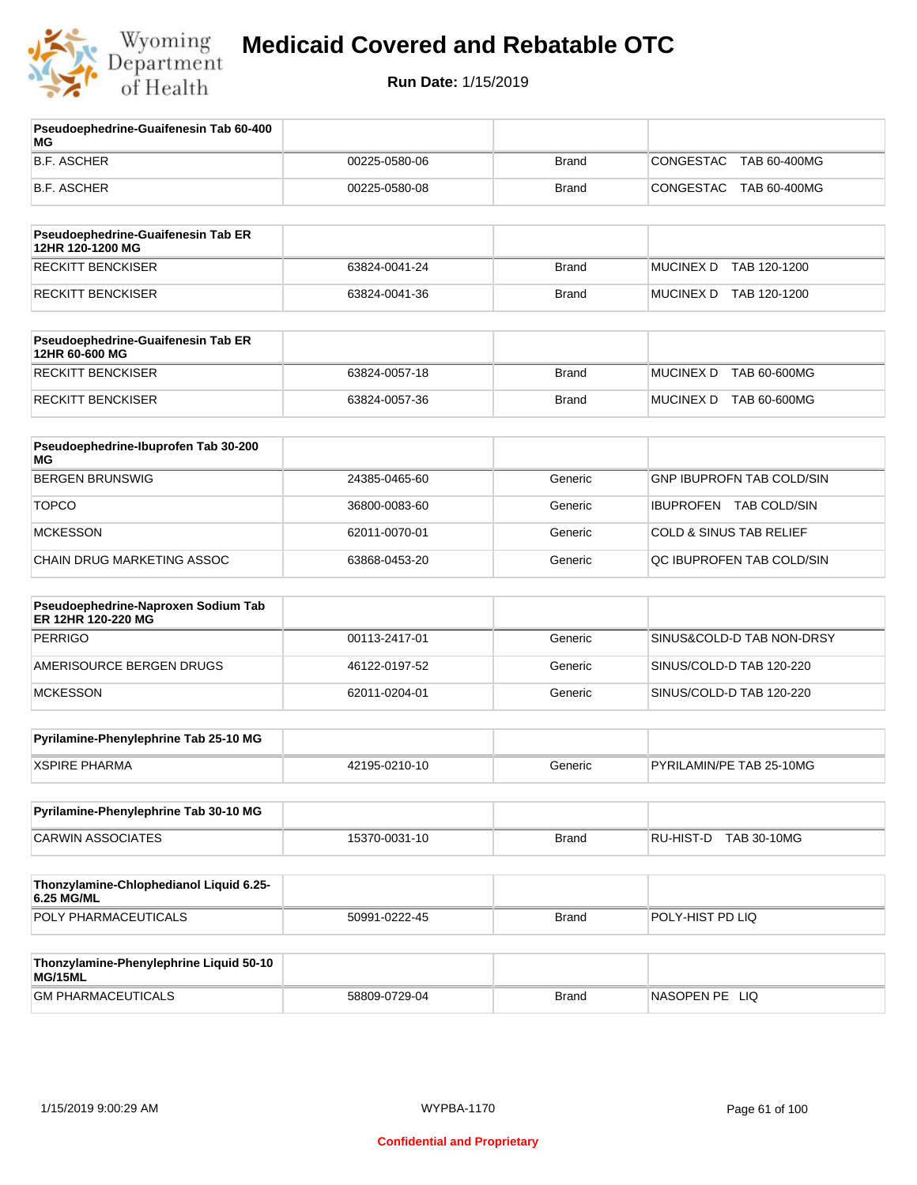

| Pseudoephedrine-Guaifenesin Tab 60-400<br>МG              |               |              |                                    |
|-----------------------------------------------------------|---------------|--------------|------------------------------------|
| <b>B.F. ASCHER</b>                                        | 00225-0580-06 | <b>Brand</b> | CONGESTAC<br>TAB 60-400MG          |
| <b>B.F. ASCHER</b>                                        | 00225-0580-08 | <b>Brand</b> | CONGESTAC<br>TAB 60-400MG          |
| Pseudoephedrine-Guaifenesin Tab ER                        |               |              |                                    |
| 12HR 120-1200 MG                                          |               |              |                                    |
| <b>RECKITT BENCKISER</b>                                  | 63824-0041-24 | <b>Brand</b> | MUCINEX D TAB 120-1200             |
| <b>RECKITT BENCKISER</b>                                  | 63824-0041-36 | <b>Brand</b> | MUCINEX D TAB 120-1200             |
| Pseudoephedrine-Guaifenesin Tab ER<br>12HR 60-600 MG      |               |              |                                    |
| <b>RECKITT BENCKISER</b>                                  | 63824-0057-18 | <b>Brand</b> | <b>MUCINEX D</b><br>TAB 60-600MG   |
| <b>RECKITT BENCKISER</b>                                  | 63824-0057-36 | <b>Brand</b> | MUCINEX D TAB 60-600MG             |
| Pseudoephedrine-Ibuprofen Tab 30-200<br>ΜG                |               |              |                                    |
| <b>BERGEN BRUNSWIG</b>                                    | 24385-0465-60 | Generic      | <b>GNP IBUPROFN TAB COLD/SIN</b>   |
| <b>TOPCO</b>                                              | 36800-0083-60 | Generic      | IBUPROFEN TAB COLD/SIN             |
| <b>MCKESSON</b>                                           | 62011-0070-01 | Generic      | <b>COLD &amp; SINUS TAB RELIEF</b> |
| CHAIN DRUG MARKETING ASSOC                                | 63868-0453-20 | Generic      | QC IBUPROFEN TAB COLD/SIN          |
| Pseudoephedrine-Naproxen Sodium Tab<br>ER 12HR 120-220 MG |               |              |                                    |
| <b>PERRIGO</b>                                            | 00113-2417-01 | Generic      | SINUS&COLD-D TAB NON-DRSY          |
| AMERISOURCE BERGEN DRUGS                                  | 46122-0197-52 | Generic      | SINUS/COLD-D TAB 120-220           |
| <b>MCKESSON</b>                                           | 62011-0204-01 | Generic      | SINUS/COLD-D TAB 120-220           |
| Pyrilamine-Phenylephrine Tab 25-10 MG                     |               |              |                                    |
| <b>XSPIRE PHARMA</b>                                      | 42195-0210-10 | Generic      | PYRILAMIN/PE TAB 25-10MG           |
| Pyrilamine-Phenylephrine Tab 30-10 MG                     |               |              |                                    |
| <b>CARWIN ASSOCIATES</b>                                  | 15370-0031-10 | <b>Brand</b> | RU-HIST-D TAB 30-10MG              |
|                                                           |               |              |                                    |
| Thonzylamine-Chlophedianol Liquid 6.25-<br>6.25 MG/ML     |               |              |                                    |
| POLY PHARMACEUTICALS                                      | 50991-0222-45 | Brand        | POLY-HIST PD LIQ                   |
| Thonzylamine-Phenylephrine Liquid 50-10                   |               |              |                                    |
| MG/15ML<br><b>GM PHARMACEUTICALS</b>                      | 58809-0729-04 | <b>Brand</b> | NASOPEN PE LIQ                     |
|                                                           |               |              |                                    |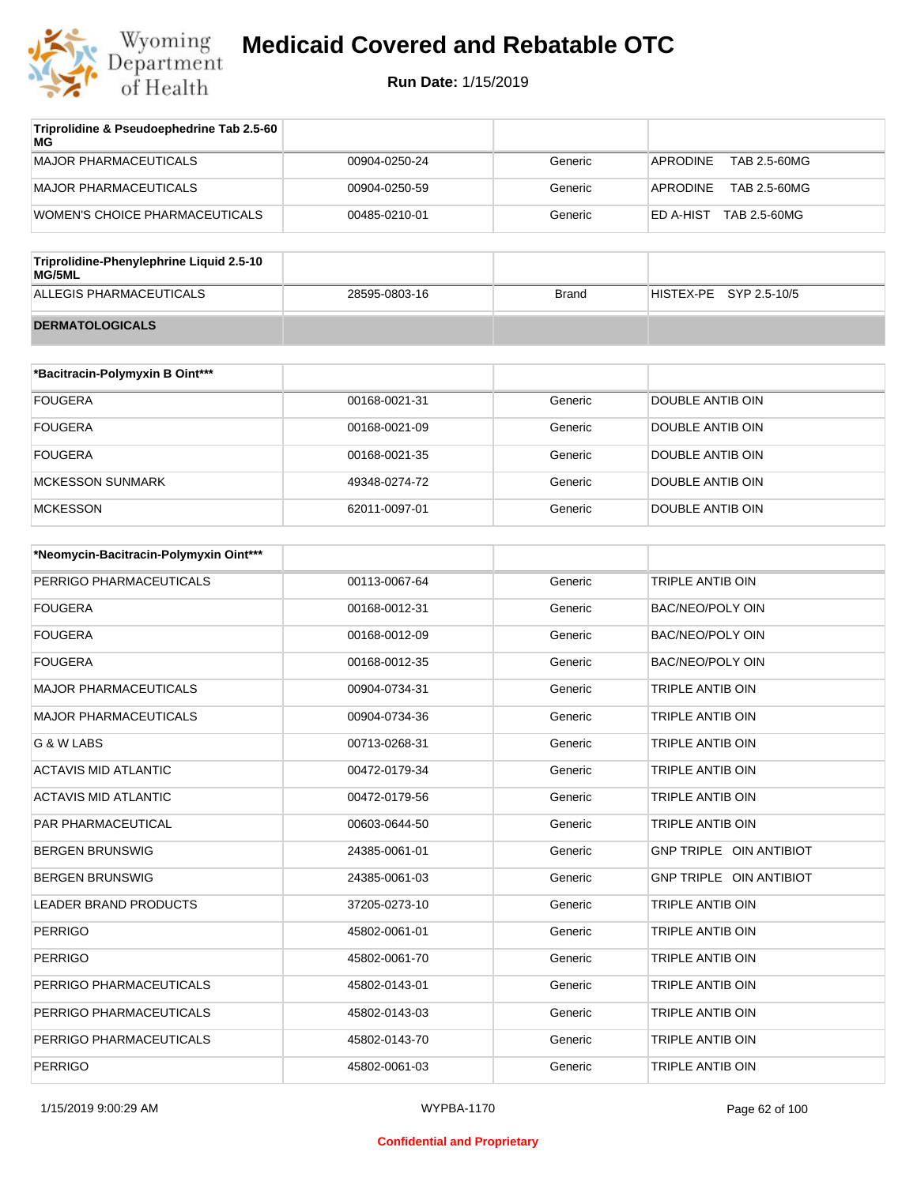

| Triprolidine & Pseudoephedrine Tab 2.5-60<br>MG |               |         |                           |
|-------------------------------------------------|---------------|---------|---------------------------|
| MAJOR PHARMACEUTICALS                           | 00904-0250-24 | Generic | TAB 2.5-60MG<br>APRODINE  |
| MAJOR PHARMACEUTICALS                           | 00904-0250-59 | Generic | TAB 2.5-60MG<br>APRODINE  |
| WOMEN'S CHOICE PHARMACEUTICALS                  | 00485-0210-01 | Generic | TAB 2.5-60MG<br>ED A-HIST |

| Triprolidine-Phenylephrine Liquid 2.5-10<br>MG/5ML |               |       |                        |
|----------------------------------------------------|---------------|-------|------------------------|
| ALLEGIS PHARMACEUTICALS                            | 28595-0803-16 | Brand | HISTEX-PE SYP 2.5-10/5 |
| <b>DERMATOLOGICALS</b>                             |               |       |                        |

| *Bacitracin-Polymyxin B Oint*** |               |         |                  |
|---------------------------------|---------------|---------|------------------|
| <b>FOUGERA</b>                  | 00168-0021-31 | Generic | DOUBLE ANTIB OIN |
| <b>FOUGERA</b>                  | 00168-0021-09 | Generic | DOUBLE ANTIB OIN |
| <b>FOUGERA</b>                  | 00168-0021-35 | Generic | DOUBLE ANTIB OIN |
| MCKESSON SUNMARK                | 49348-0274-72 | Generic | DOUBLE ANTIB OIN |
| <b>MCKESSON</b>                 | 62011-0097-01 | Generic | DOUBLE ANTIB OIN |

| *Neomycin-Bacitracin-Polymyxin Oint*** |               |         |                         |
|----------------------------------------|---------------|---------|-------------------------|
| PERRIGO PHARMACEUTICALS                | 00113-0067-64 | Generic | <b>TRIPLE ANTIB OIN</b> |
| <b>FOUGERA</b>                         | 00168-0012-31 | Generic | <b>BAC/NEO/POLY OIN</b> |
| <b>FOUGERA</b>                         | 00168-0012-09 | Generic | <b>BAC/NEO/POLY OIN</b> |
| <b>FOUGERA</b>                         | 00168-0012-35 | Generic | <b>BAC/NEO/POLY OIN</b> |
| <b>MAJOR PHARMACEUTICALS</b>           | 00904-0734-31 | Generic | <b>TRIPLE ANTIB OIN</b> |
| <b>MAJOR PHARMACEUTICALS</b>           | 00904-0734-36 | Generic | <b>TRIPLE ANTIB OIN</b> |
| G & W LABS                             | 00713-0268-31 | Generic | <b>TRIPLE ANTIB OIN</b> |
| <b>ACTAVIS MID ATLANTIC</b>            | 00472-0179-34 | Generic | TRIPLE ANTIB OIN        |
| <b>ACTAVIS MID ATLANTIC</b>            | 00472-0179-56 | Generic | TRIPLE ANTIB OIN        |
| <b>PAR PHARMACEUTICAL</b>              | 00603-0644-50 | Generic | TRIPLE ANTIB OIN        |
| <b>BERGEN BRUNSWIG</b>                 | 24385-0061-01 | Generic | GNP TRIPLE OIN ANTIBIOT |
| <b>BERGEN BRUNSWIG</b>                 | 24385-0061-03 | Generic | GNP TRIPLE OIN ANTIBIOT |
| <b>LEADER BRAND PRODUCTS</b>           | 37205-0273-10 | Generic | TRIPLE ANTIB OIN        |
| <b>PERRIGO</b>                         | 45802-0061-01 | Generic | TRIPLE ANTIB OIN        |
| <b>PERRIGO</b>                         | 45802-0061-70 | Generic | <b>TRIPLE ANTIB OIN</b> |
| PERRIGO PHARMACEUTICALS                | 45802-0143-01 | Generic | TRIPLE ANTIB OIN        |
| PERRIGO PHARMACEUTICALS                | 45802-0143-03 | Generic | TRIPLE ANTIB OIN        |
| PERRIGO PHARMACEUTICALS                | 45802-0143-70 | Generic | TRIPLE ANTIB OIN        |
| <b>PERRIGO</b>                         | 45802-0061-03 | Generic | TRIPLE ANTIB OIN        |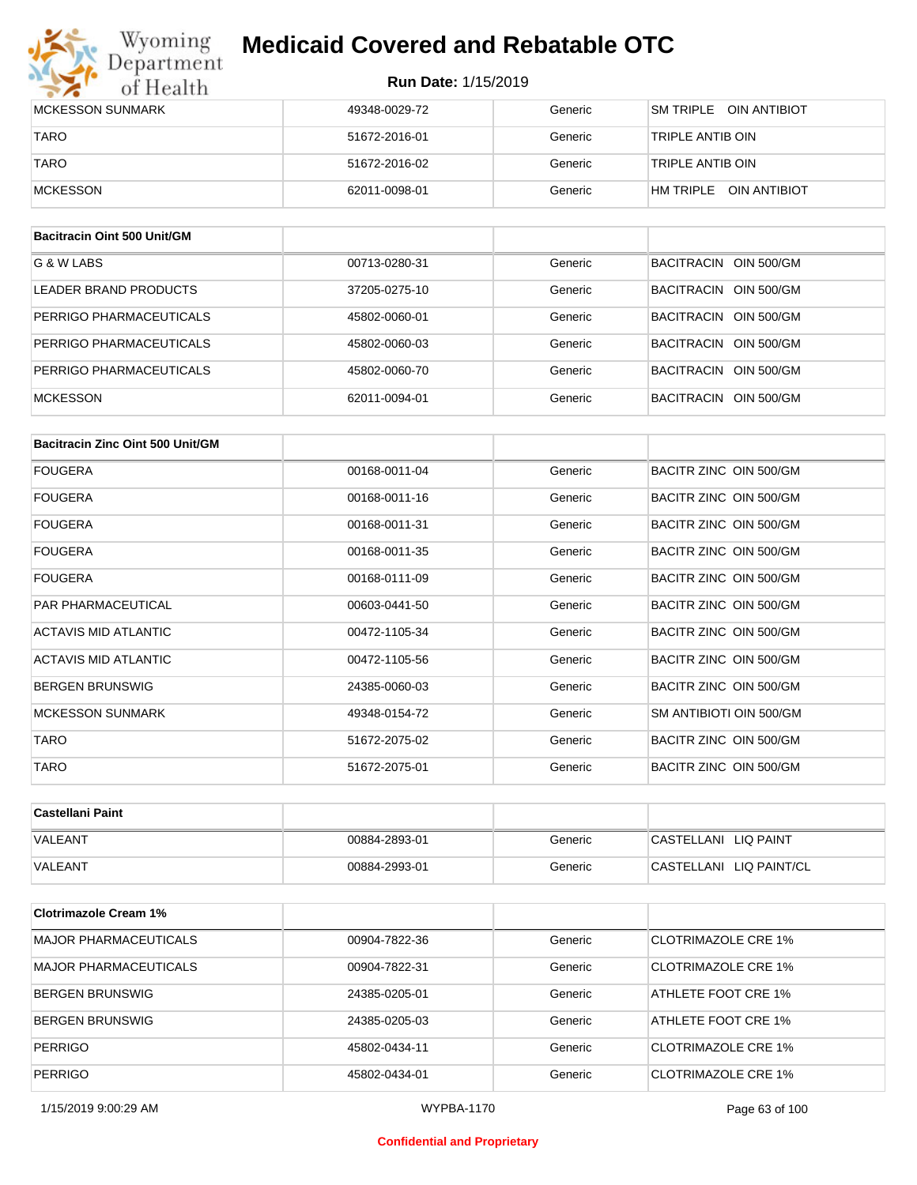## Wyoming<br>Department<br>of Health

## **Medicaid Covered and Rebatable OTC**

| MCKESSON SUNMARK | 49348-0029-72 | Generic | <b>SM TRIPLE</b><br>OIN ANTIBIOT |
|------------------|---------------|---------|----------------------------------|
| <b>TARO</b>      | 51672-2016-01 | Generic | TRIPLE ANTIB OIN                 |
| <b>TARO</b>      | 51672-2016-02 | Generic | TRIPLE ANTIB OIN                 |
| MCKESSON         | 62011-0098-01 | Generic | OIN ANTIBIOT<br>HM TRIPLE        |

| Bacitracin Oint 500 Unit/GM |               |         |                          |
|-----------------------------|---------------|---------|--------------------------|
| G & W LABS                  | 00713-0280-31 | Generic | BACITRACIN OIN 500/GM    |
| LEADER BRAND PRODUCTS       | 37205-0275-10 | Generic | OIN 500/GM<br>BACITRACIN |
| PERRIGO PHARMACEUTICALS     | 45802-0060-01 | Generic | OIN 500/GM<br>BACITRACIN |
| PERRIGO PHARMACEUTICALS     | 45802-0060-03 | Generic | BACITRACIN<br>OIN 500/GM |
| PERRIGO PHARMACEUTICALS     | 45802-0060-70 | Generic | BACITRACIN OIN 500/GM    |
| <b>MCKESSON</b>             | 62011-0094-01 | Generic | BACITRACIN OIN 500/GM    |

| Bacitracin Zinc Oint 500 Unit/GM |               |         |                         |
|----------------------------------|---------------|---------|-------------------------|
| <b>FOUGERA</b>                   | 00168-0011-04 | Generic | BACITR ZINC OIN 500/GM  |
| <b>FOUGERA</b>                   | 00168-0011-16 | Generic | BACITR ZINC OIN 500/GM  |
| <b>FOUGERA</b>                   | 00168-0011-31 | Generic | BACITR ZINC OIN 500/GM  |
| <b>FOUGERA</b>                   | 00168-0011-35 | Generic | BACITR ZINC OIN 500/GM  |
| <b>FOUGERA</b>                   | 00168-0111-09 | Generic | BACITR ZINC OIN 500/GM  |
| <b>PAR PHARMACEUTICAL</b>        | 00603-0441-50 | Generic | BACITR ZINC OIN 500/GM  |
| ACTAVIS MID ATLANTIC             | 00472-1105-34 | Generic | BACITR ZINC OIN 500/GM  |
| ACTAVIS MID ATLANTIC             | 00472-1105-56 | Generic | BACITR ZINC OIN 500/GM  |
| <b>BERGEN BRUNSWIG</b>           | 24385-0060-03 | Generic | BACITR ZINC OIN 500/GM  |
| <b>MCKESSON SUNMARK</b>          | 49348-0154-72 | Generic | SM ANTIBIOTI OIN 500/GM |
| TARO                             | 51672-2075-02 | Generic | BACITR ZINC OIN 500/GM  |
| <b>TARO</b>                      | 51672-2075-01 | Generic | BACITR ZINC OIN 500/GM  |

| ∣Castellani Paint |               |         |                         |
|-------------------|---------------|---------|-------------------------|
| <b>VALEANT</b>    | 00884-2893-01 | Generic | CASTELLANI LIQ PAINT    |
| <b>VALEANT</b>    | 00884-2993-01 | Generic | CASTELLANI LIQ PAINT/CL |

| <b>Clotrimazole Cream 1%</b> |               |         |                     |
|------------------------------|---------------|---------|---------------------|
| <b>MAJOR PHARMACEUTICALS</b> | 00904-7822-36 | Generic | CLOTRIMAZOLE CRE 1% |
| <b>MAJOR PHARMACEUTICALS</b> | 00904-7822-31 | Generic | CLOTRIMAZOLE CRE 1% |
| <b>BERGEN BRUNSWIG</b>       | 24385-0205-01 | Generic | ATHLETE FOOT CRE 1% |
| <b>BERGEN BRUNSWIG</b>       | 24385-0205-03 | Generic | ATHLETE FOOT CRE 1% |
| <b>PERRIGO</b>               | 45802-0434-11 | Generic | CLOTRIMAZOLE CRE 1% |
| <b>PERRIGO</b>               | 45802-0434-01 | Generic | CLOTRIMAZOLE CRE 1% |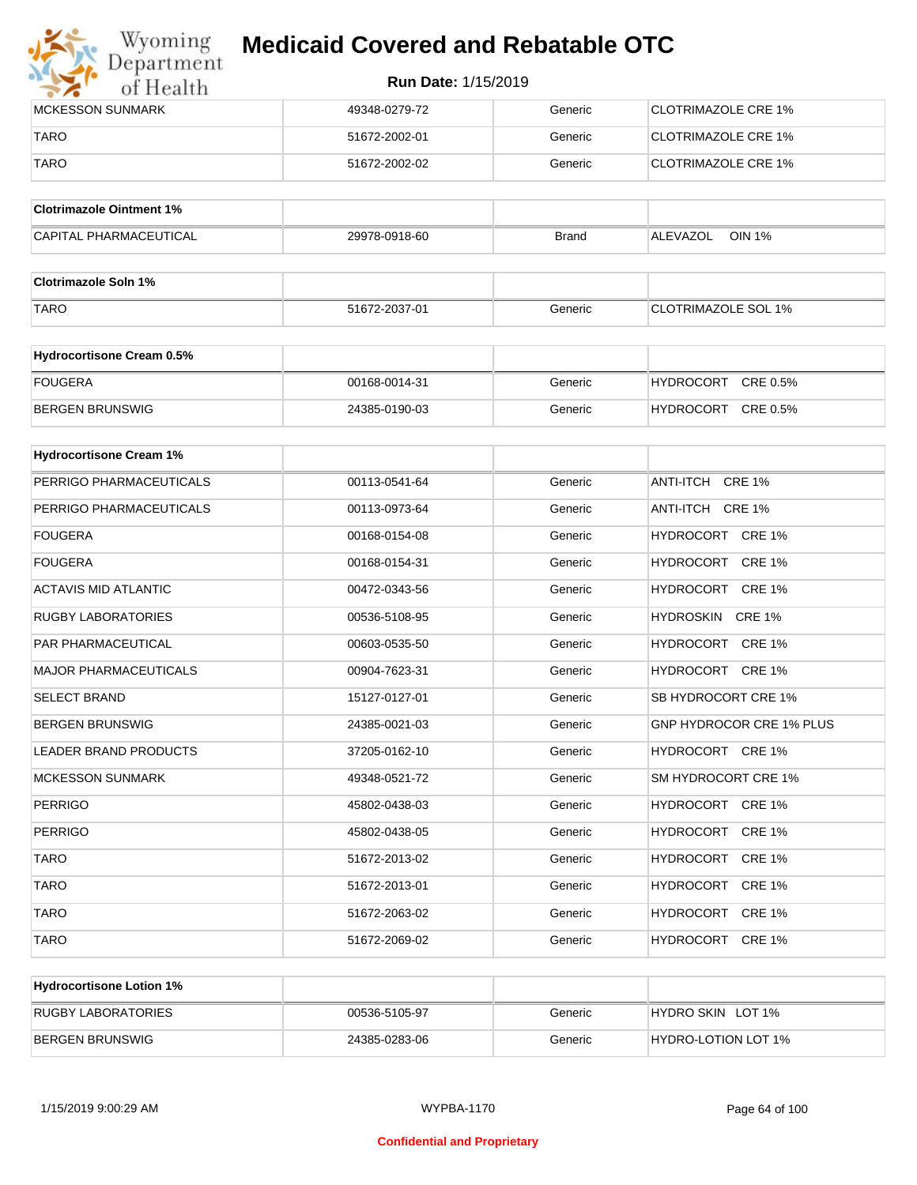

| <b>IMCKESSON SUNMARK</b> | 49348-0279-72 | Generic | CLOTRIMAZOLE CRE 1% |
|--------------------------|---------------|---------|---------------------|
| <b>TARO</b>              | 51672-2002-01 | Generic | CLOTRIMAZOLE CRE 1% |
| <b>TARO</b>              | 51672-2002-02 | Generic | CLOTRIMAZOLE CRE 1% |

| <b>Clotrimazole Ointment 1%</b> |               |              |                    |
|---------------------------------|---------------|--------------|--------------------|
| <b>CAPITAL PHARMACEUTICAL</b>   | 29978-0918-60 | <b>Brand</b> | OIN 1%<br>ALEVAZOL |

| <b>Clotrimazole Soln 1%</b> |               |         |                            |
|-----------------------------|---------------|---------|----------------------------|
| <b>TARO</b>                 | 51672-2037-01 | Generic | <b>CLOTRIMAZOLE SOL 1%</b> |

| <b>Hydrocortisone Cream 0.5%</b> |               |         |                              |
|----------------------------------|---------------|---------|------------------------------|
| FOUGERA                          | 00168-0014-31 | Generic | CRE 0.5%<br><b>HYDROCORT</b> |
| BERGEN BRUNSWIG                  | 24385-0190-03 | Generic | CRE 0.5%<br><b>HYDROCORT</b> |

| <b>Hydrocortisone Cream 1%</b> |               |         |                                 |
|--------------------------------|---------------|---------|---------------------------------|
| PERRIGO PHARMACEUTICALS        | 00113-0541-64 | Generic | ANTI-ITCH CRE 1%                |
| PERRIGO PHARMACEUTICALS        | 00113-0973-64 | Generic | ANTI-ITCH CRE 1%                |
| <b>FOUGERA</b>                 | 00168-0154-08 | Generic | HYDROCORT CRE 1%                |
| <b>FOUGERA</b>                 | 00168-0154-31 | Generic | HYDROCORT CRE 1%                |
| <b>ACTAVIS MID ATLANTIC</b>    | 00472-0343-56 | Generic | HYDROCORT CRE 1%                |
| <b>RUGBY LABORATORIES</b>      | 00536-5108-95 | Generic | HYDROSKIN CRE 1%                |
| <b>PAR PHARMACEUTICAL</b>      | 00603-0535-50 | Generic | HYDROCORT CRE 1%                |
| <b>MAJOR PHARMACEUTICALS</b>   | 00904-7623-31 | Generic | HYDROCORT CRE 1%                |
| <b>SELECT BRAND</b>            | 15127-0127-01 | Generic | SB HYDROCORT CRE 1%             |
| <b>BERGEN BRUNSWIG</b>         | 24385-0021-03 | Generic | <b>GNP HYDROCOR CRE 1% PLUS</b> |
| <b>LEADER BRAND PRODUCTS</b>   | 37205-0162-10 | Generic | HYDROCORT CRE 1%                |
| <b>MCKESSON SUNMARK</b>        | 49348-0521-72 | Generic | SM HYDROCORT CRE 1%             |
| <b>PERRIGO</b>                 | 45802-0438-03 | Generic | HYDROCORT CRE 1%                |
| <b>PERRIGO</b>                 | 45802-0438-05 | Generic | HYDROCORT CRE 1%                |
| <b>TARO</b>                    | 51672-2013-02 | Generic | HYDROCORT CRE 1%                |
| <b>TARO</b>                    | 51672-2013-01 | Generic | HYDROCORT CRE 1%                |
| <b>TARO</b>                    | 51672-2063-02 | Generic | HYDROCORT CRE 1%                |
| <b>TARO</b>                    | 51672-2069-02 | Generic | HYDROCORT CRE 1%                |

| <b>Hydrocortisone Lotion 1%</b> |               |         |                     |
|---------------------------------|---------------|---------|---------------------|
| RUGBY LABORATORIES              | 00536-5105-97 | Generic | HYDRO SKIN LOT 1%   |
| <b>BERGEN BRUNSWIG</b>          | 24385-0283-06 | Generic | HYDRO-LOTION LOT 1% |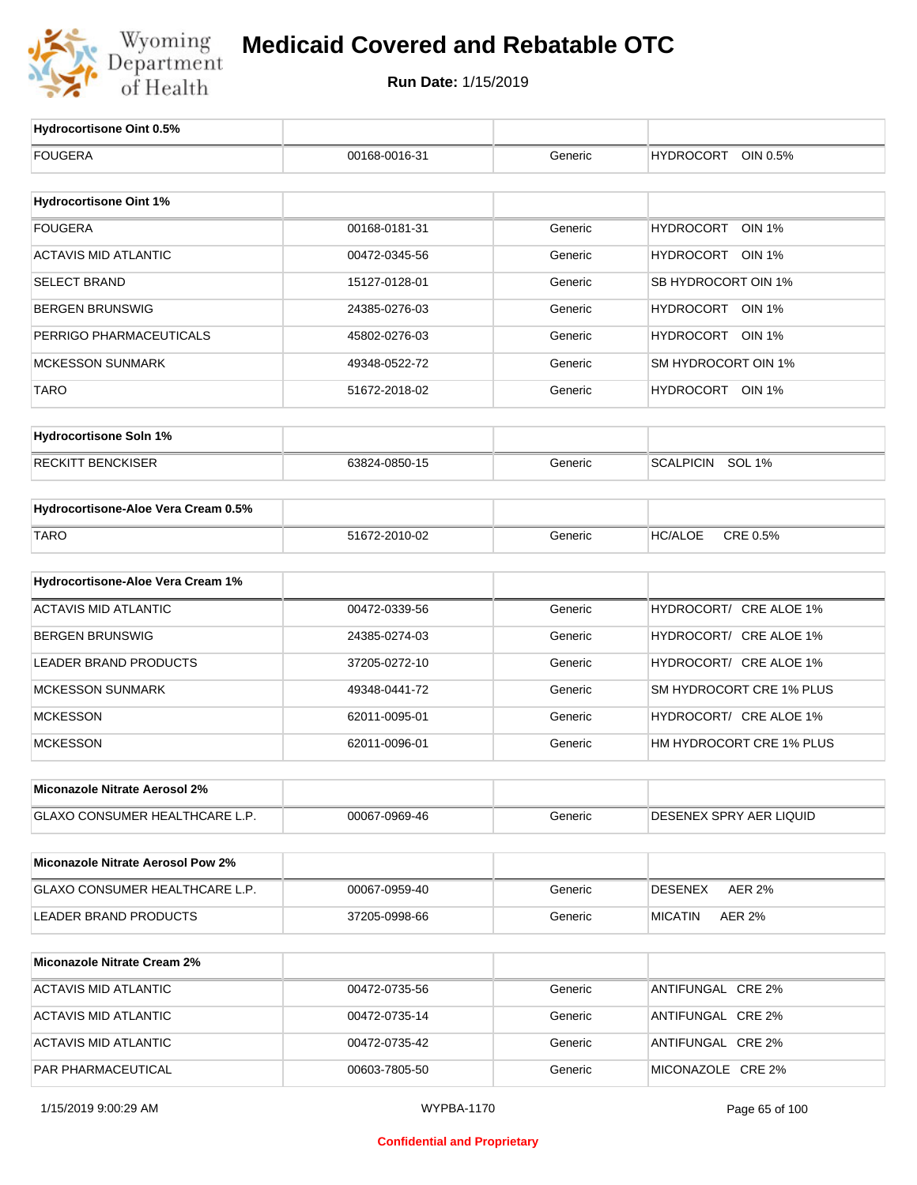

| Hydrocortisone Oint 0.5%                 |               |         |                                   |
|------------------------------------------|---------------|---------|-----------------------------------|
| <b>FOUGERA</b>                           | 00168-0016-31 | Generic | <b>HYDROCORT</b><br>OIN 0.5%      |
|                                          |               |         |                                   |
| <b>Hydrocortisone Oint 1%</b>            |               |         |                                   |
| <b>FOUGERA</b>                           | 00168-0181-31 | Generic | <b>HYDROCORT</b><br><b>OIN 1%</b> |
| <b>ACTAVIS MID ATLANTIC</b>              | 00472-0345-56 | Generic | HYDROCORT OIN 1%                  |
| <b>SELECT BRAND</b>                      | 15127-0128-01 | Generic | SB HYDROCORT OIN 1%               |
| <b>BERGEN BRUNSWIG</b>                   | 24385-0276-03 | Generic | HYDROCORT OIN 1%                  |
| PERRIGO PHARMACEUTICALS                  | 45802-0276-03 | Generic | HYDROCORT OIN 1%                  |
| <b>MCKESSON SUNMARK</b>                  | 49348-0522-72 | Generic | SM HYDROCORT OIN 1%               |
| <b>TARO</b>                              | 51672-2018-02 | Generic | HYDROCORT OIN 1%                  |
|                                          |               |         |                                   |
| <b>Hydrocortisone Soln 1%</b>            |               |         |                                   |
| <b>RECKITT BENCKISER</b>                 | 63824-0850-15 | Generic | <b>SCALPICIN</b><br><b>SOL 1%</b> |
| Hydrocortisone-Aloe Vera Cream 0.5%      |               |         |                                   |
| <b>TARO</b>                              | 51672-2010-02 | Generic | CRE 0.5%<br><b>HC/ALOE</b>        |
|                                          |               |         |                                   |
| Hydrocortisone-Aloe Vera Cream 1%        |               |         |                                   |
| <b>ACTAVIS MID ATLANTIC</b>              | 00472-0339-56 | Generic | HYDROCORT/ CRE ALOE 1%            |
| <b>BERGEN BRUNSWIG</b>                   | 24385-0274-03 | Generic | HYDROCORT/ CRE ALOE 1%            |
| <b>LEADER BRAND PRODUCTS</b>             | 37205-0272-10 | Generic | HYDROCORT/ CRE ALOE 1%            |
| <b>MCKESSON SUNMARK</b>                  | 49348-0441-72 | Generic | SM HYDROCORT CRE 1% PLUS          |
| <b>MCKESSON</b>                          | 62011-0095-01 | Generic | HYDROCORT/ CRE ALOE 1%            |
| <b>MCKESSON</b>                          | 62011-0096-01 | Generic | HM HYDROCORT CRE 1% PLUS          |
|                                          |               |         |                                   |
| Miconazole Nitrate Aerosol 2%            |               |         |                                   |
| <b>GLAXO CONSUMER HEALTHCARE L.P.</b>    | 00067-0969-46 | Generic | DESENEX SPRY AER LIQUID           |
| <b>Miconazole Nitrate Aerosol Pow 2%</b> |               |         |                                   |
| GLAXO CONSUMER HEALTHCARE L.P.           | 00067-0959-40 | Generic | <b>AER 2%</b><br>DESENEX          |
| LEADER BRAND PRODUCTS                    | 37205-0998-66 | Generic | <b>AER 2%</b><br>MICATIN          |
|                                          |               |         |                                   |
| <b>Miconazole Nitrate Cream 2%</b>       |               |         |                                   |
| <b>ACTAVIS MID ATLANTIC</b>              | 00472-0735-56 | Generic | ANTIFUNGAL CRE 2%                 |
| <b>ACTAVIS MID ATLANTIC</b>              | 00472-0735-14 | Generic | ANTIFUNGAL CRE 2%                 |
| <b>ACTAVIS MID ATLANTIC</b>              | 00472-0735-42 | Generic | ANTIFUNGAL CRE 2%                 |
| PAR PHARMACEUTICAL                       | 00603-7805-50 | Generic | MICONAZOLE CRE 2%                 |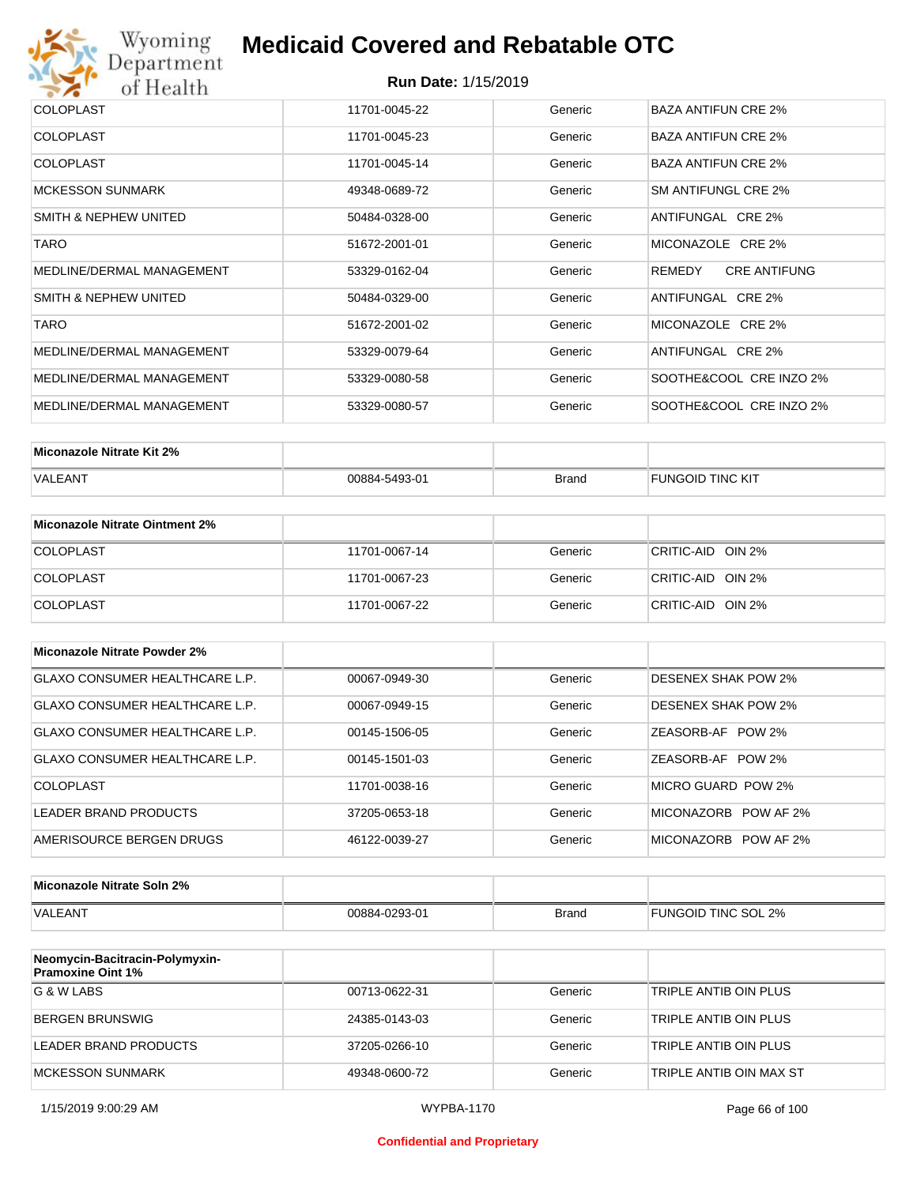

| <b>COLOPLAST</b>          | 11701-0045-22 | Generic | BAZA ANTIFUN CRE 2%           |
|---------------------------|---------------|---------|-------------------------------|
| <b>COLOPLAST</b>          | 11701-0045-23 | Generic | <b>BAZA ANTIFUN CRE 2%</b>    |
| <b>COLOPLAST</b>          | 11701-0045-14 | Generic | <b>BAZA ANTIFUN CRE 2%</b>    |
| <b>MCKESSON SUNMARK</b>   | 49348-0689-72 | Generic | SM ANTIFUNGL CRE 2%           |
| SMITH & NEPHEW UNITED     | 50484-0328-00 | Generic | ANTIFUNGAL CRE 2%             |
| <b>TARO</b>               | 51672-2001-01 | Generic | MICONAZOLE CRE 2%             |
| MEDLINE/DERMAL MANAGEMENT | 53329-0162-04 | Generic | <b>CRE ANTIFUNG</b><br>REMEDY |
| SMITH & NEPHEW UNITED     | 50484-0329-00 | Generic | ANTIFUNGAL CRE 2%             |
| <b>TARO</b>               | 51672-2001-02 | Generic | MICONAZOLE CRE 2%             |
| MEDLINE/DERMAL MANAGEMENT | 53329-0079-64 | Generic | ANTIFUNGAL CRE 2%             |
| MEDLINE/DERMAL MANAGEMENT | 53329-0080-58 | Generic | SOOTHE&COOL CRE INZO 2%       |
| MEDLINE/DERMAL MANAGEMENT | 53329-0080-57 | Generic | SOOTHE&COOL CRE INZO 2%       |

| Miconazole Nitrate Kit 2% |               |              |                         |
|---------------------------|---------------|--------------|-------------------------|
| VALEANT                   | 00884-5493-01 | <b>Brand</b> | <b>FUNGOID TINC KIT</b> |

| Miconazole Nitrate Ointment 2% |               |         |                   |
|--------------------------------|---------------|---------|-------------------|
| <b>COLOPLAST</b>               | 11701-0067-14 | Generic | CRITIC-AID OIN 2% |
| <b>COLOPLAST</b>               | 11701-0067-23 | Generic | CRITIC-AID OIN 2% |
| <b>COLOPLAST</b>               | 11701-0067-22 | Generic | CRITIC-AID OIN 2% |

| Miconazole Nitrate Powder 2%   |               |         |                            |
|--------------------------------|---------------|---------|----------------------------|
| GLAXO CONSUMER HEALTHCARE L.P. | 00067-0949-30 | Generic | DESENEX SHAK POW 2%        |
| GLAXO CONSUMER HEALTHCARE L.P. | 00067-0949-15 | Generic | <b>DESENEX SHAK POW 2%</b> |
| GLAXO CONSUMER HEALTHCARE L.P. | 00145-1506-05 | Generic | ZEASORB-AF POW 2%          |
| GLAXO CONSUMER HEALTHCARE L.P. | 00145-1501-03 | Generic | ZEASORB-AF POW 2%          |
| COLOPLAST                      | 11701-0038-16 | Generic | MICRO GUARD POW 2%         |
| LEADER BRAND PRODUCTS          | 37205-0653-18 | Generic | MICONAZORB POW AF 2%       |
| AMERISOURCE BERGEN DRUGS       | 46122-0039-27 | Generic | MICONAZORB POW AF 2%       |

| Miconazole Nitrate Soln 2% |               |              |                     |
|----------------------------|---------------|--------------|---------------------|
| <b>VALEANT</b>             | 00884-0293-01 | <b>Brand</b> | FUNGOID TINC SOL 2% |

| Neomycin-Bacitracin-Polymyxin-<br><b>Pramoxine Oint 1%</b> |               |         |                         |
|------------------------------------------------------------|---------------|---------|-------------------------|
| G & W LABS                                                 | 00713-0622-31 | Generic | TRIPLE ANTIB OIN PLUS   |
| <b>BERGEN BRUNSWIG</b>                                     | 24385-0143-03 | Generic | TRIPLE ANTIB OIN PLUS   |
| LEADER BRAND PRODUCTS                                      | 37205-0266-10 | Generic | TRIPLE ANTIB OIN PLUS   |
| MCKESSON SUNMARK                                           | 49348-0600-72 | Generic | TRIPLE ANTIB OIN MAX ST |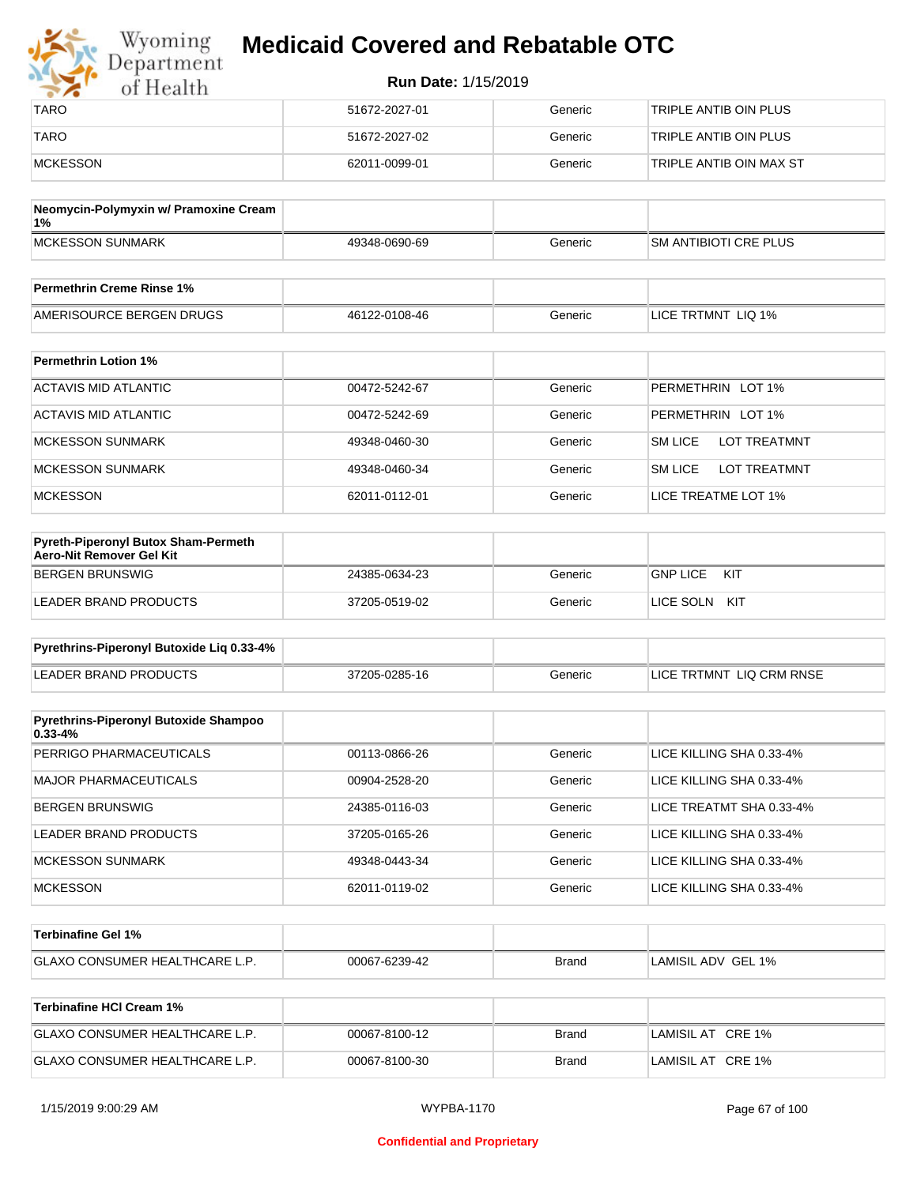| Wyoming<br>Department | <b>Medicaid Covered and Rebatable OTC</b> |         |                         |  |
|-----------------------|-------------------------------------------|---------|-------------------------|--|
| of Health             | <b>Run Date: 1/15/2019</b>                |         |                         |  |
| <b>TARO</b>           | 51672-2027-01                             | Generic | TRIPLE ANTIB OIN PLUS   |  |
| <b>TARO</b>           | 51672-2027-02                             | Generic | TRIPLE ANTIB OIN PLUS   |  |
| MCKESSON              | 62011-0099-01                             | Generic | TRIPLE ANTIB OIN MAX ST |  |

| Neomycin-Polymyxin w/ Pramoxine Cream<br>1% |               |         |                              |
|---------------------------------------------|---------------|---------|------------------------------|
| <b>IMCKESSON SUNMARK</b>                    | 49348-0690-69 | Generic | <b>SM ANTIBIOTI CRE PLUS</b> |
|                                             |               |         |                              |
| <b>Permethrin Creme Rinse 1%</b>            |               |         |                              |

| AMERISOURCE BERGEN DRUGS    | 46122-0108-46 | Generic | LICE TRTMNT LIQ 1% |
|-----------------------------|---------------|---------|--------------------|
|                             |               |         |                    |
| <b>Permethrin Lotion 1%</b> |               |         |                    |

| ACTAVIS MID ATLANTIC | 00472-5242-67 | Generic | PERMETHRIN LOT 1%                     |
|----------------------|---------------|---------|---------------------------------------|
| ACTAVIS MID ATLANTIC | 00472-5242-69 | Generic | PERMETHRIN LOT 1%                     |
| MCKESSON SUNMARK     | 49348-0460-30 | Generic | <b>SM LICE</b><br><b>LOT TREATMNT</b> |
| MCKESSON SUNMARK     | 49348-0460-34 | Generic | SM LICE<br>LOT TREATMNT               |
| MCKESSON             | 62011-0112-01 | Generic | LICE TREATME LOT 1%                   |

| <b>Pyreth-Piperonyl Butox Sham-Permeth</b><br>Aero-Nit Remover Gel Kit |               |         |                        |
|------------------------------------------------------------------------|---------------|---------|------------------------|
| BERGEN BRUNSWIG                                                        | 24385-0634-23 | Generic | <b>GNP LICE</b><br>KIT |
| LEADER BRAND PRODUCTS                                                  | 37205-0519-02 | Generic | LICE SOLN<br>KIT       |

| Pyrethrins-Piperonyl Butoxide Lig 0.33-4% |               |         |                          |
|-------------------------------------------|---------------|---------|--------------------------|
| LEADER BRAND PRODUCTS                     | 37205-0285-16 | Generic | LICE TRTMNT LIQ CRM RNSE |

| <b>Pyrethrins-Piperonyl Butoxide Shampoo</b><br>$0.33 - 4%$ |               |         |                          |
|-------------------------------------------------------------|---------------|---------|--------------------------|
| PERRIGO PHARMACEUTICALS                                     | 00113-0866-26 | Generic | LICE KILLING SHA 0.33-4% |
| MAJOR PHARMACEUTICALS                                       | 00904-2528-20 | Generic | LICE KILLING SHA 0.33-4% |
| BERGEN BRUNSWIG                                             | 24385-0116-03 | Generic | LICE TREATMT SHA 0.33-4% |
| LEADER BRAND PRODUCTS                                       | 37205-0165-26 | Generic | LICE KILLING SHA 0.33-4% |
| MCKESSON SUNMARK                                            | 49348-0443-34 | Generic | LICE KILLING SHA 0.33-4% |
| <b>MCKESSON</b>                                             | 62011-0119-02 | Generic | LICE KILLING SHA 0.33-4% |

| <b>⊺Terbinafine Gel 1%</b>           |               |              |                    |
|--------------------------------------|---------------|--------------|--------------------|
| <b>GLAXO CONSUMER HEALTHCARE L.P</b> | 00067-6239-42 | <b>Brand</b> | LAMISIL ADV GEL 1% |

| Terbinafine HCI Cream 1%              |               |       |                   |
|---------------------------------------|---------------|-------|-------------------|
| <b>GLAXO CONSUMER HEALTHCARE L.P.</b> | 00067-8100-12 | Brand | LAMISIL AT CRE 1% |
| <b>GLAXO CONSUMER HEALTHCARE L.P.</b> | 00067-8100-30 | Brand | LAMISIL AT CRE 1% |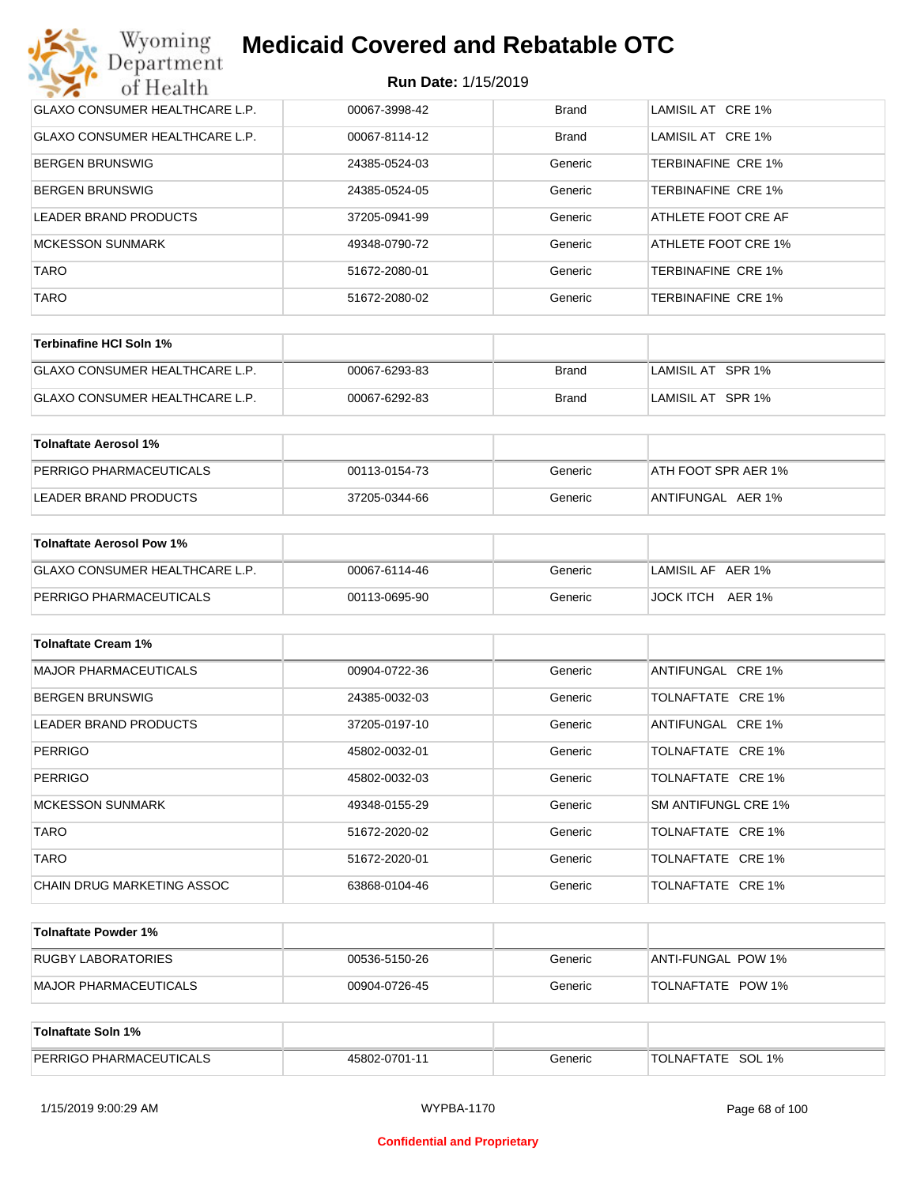| Wyoming<br><b>Medicaid Covered and Rebatable OTC</b><br>Department |               |              |                           |  |  |
|--------------------------------------------------------------------|---------------|--------------|---------------------------|--|--|
| <b>Run Date: 1/15/2019</b><br>of Health                            |               |              |                           |  |  |
| <b>GLAXO CONSUMER HEALTHCARE L.P.</b>                              | 00067-3998-42 | <b>Brand</b> | LAMISIL AT CRE 1%         |  |  |
| <b>GLAXO CONSUMER HEALTHCARE L.P.</b>                              | 00067-8114-12 | Brand        | LAMISIL AT CRE 1%         |  |  |
| BERGEN BRUNSWIG                                                    | 24385-0524-03 | Generic      | TERBINAFINE CRE 1%        |  |  |
| <b>BERGEN BRUNSWIG</b>                                             | 24385-0524-05 | Generic      | TERBINAFINE CRE 1%        |  |  |
| LEADER BRAND PRODUCTS                                              | 37205-0941-99 | Generic      | ATHLETE FOOT CRE AF       |  |  |
| <b>MCKESSON SUNMARK</b>                                            | 49348-0790-72 | Generic      | ATHLETE FOOT CRE 1%       |  |  |
| <b>TARO</b>                                                        | 51672-2080-01 | Generic      | TERBINAFINE CRE 1%        |  |  |
| <b>TARO</b>                                                        | 51672-2080-02 | Generic      | <b>TERBINAFINE CRE 1%</b> |  |  |

| Terbinafine HCI Soln 1%               |               |       |                   |
|---------------------------------------|---------------|-------|-------------------|
| <b>GLAXO CONSUMER HEALTHCARE L.P.</b> | 00067-6293-83 | Brand | LAMISIL AT SPR 1% |
| <b>GLAXO CONSUMER HEALTHCARE L.P.</b> | 00067-6292-83 | Brand | LAMISIL AT SPR 1% |

| Tolnaftate Aerosol 1%   |               |         |                     |
|-------------------------|---------------|---------|---------------------|
| PERRIGO PHARMACEUTICALS | 00113-0154-73 | Generic | ATH FOOT SPR AER 1% |
| LEADER BRAND PRODUCTS   | 37205-0344-66 | Generic | ANTIFUNGAL AER 1%   |

| Tolnaftate Aerosol Pow 1%      |               |         |                     |
|--------------------------------|---------------|---------|---------------------|
| GLAXO CONSUMER HEALTHCARE L.P. | 00067-6114-46 | Generic | LAMISIL AF AER 1%   |
| PERRIGO PHARMACEUTICALS        | 00113-0695-90 | Generic | JOCK ITCH<br>AER 1% |

| <b>Tolnaftate Cream 1%</b>   |               |         |                     |
|------------------------------|---------------|---------|---------------------|
| <b>MAJOR PHARMACEUTICALS</b> | 00904-0722-36 | Generic | ANTIFUNGAL CRE 1%   |
| <b>BERGEN BRUNSWIG</b>       | 24385-0032-03 | Generic | TOLNAFTATE CRE 1%   |
| <b>LEADER BRAND PRODUCTS</b> | 37205-0197-10 | Generic | ANTIFUNGAL CRE 1%   |
| <b>PERRIGO</b>               | 45802-0032-01 | Generic | TOLNAFTATE CRE 1%   |
| <b>PERRIGO</b>               | 45802-0032-03 | Generic | TOLNAFTATE CRE 1%   |
| <b>MCKESSON SUNMARK</b>      | 49348-0155-29 | Generic | SM ANTIFUNGL CRE 1% |
| <b>TARO</b>                  | 51672-2020-02 | Generic | TOLNAFTATE CRE 1%   |
| <b>TARO</b>                  | 51672-2020-01 | Generic | TOLNAFTATE CRE 1%   |
| CHAIN DRUG MARKETING ASSOC   | 63868-0104-46 | Generic | TOLNAFTATE CRE 1%   |

| Tolnaftate Powder 1%  |               |         |                    |
|-----------------------|---------------|---------|--------------------|
| RUGBY LABORATORIES    | 00536-5150-26 | Generic | ANTI-FUNGAL POW 1% |
| MAJOR PHARMACEUTICALS | 00904-0726-45 | Generic | TOLNAFTATE POW 1%  |

| Tolnaftate Soln 1%             |               |         |                      |
|--------------------------------|---------------|---------|----------------------|
| <b>PERRIGO PHARMACEUTICALS</b> | 45802-0701-11 | Generic | SOL 1%<br>TOLNAFTATE |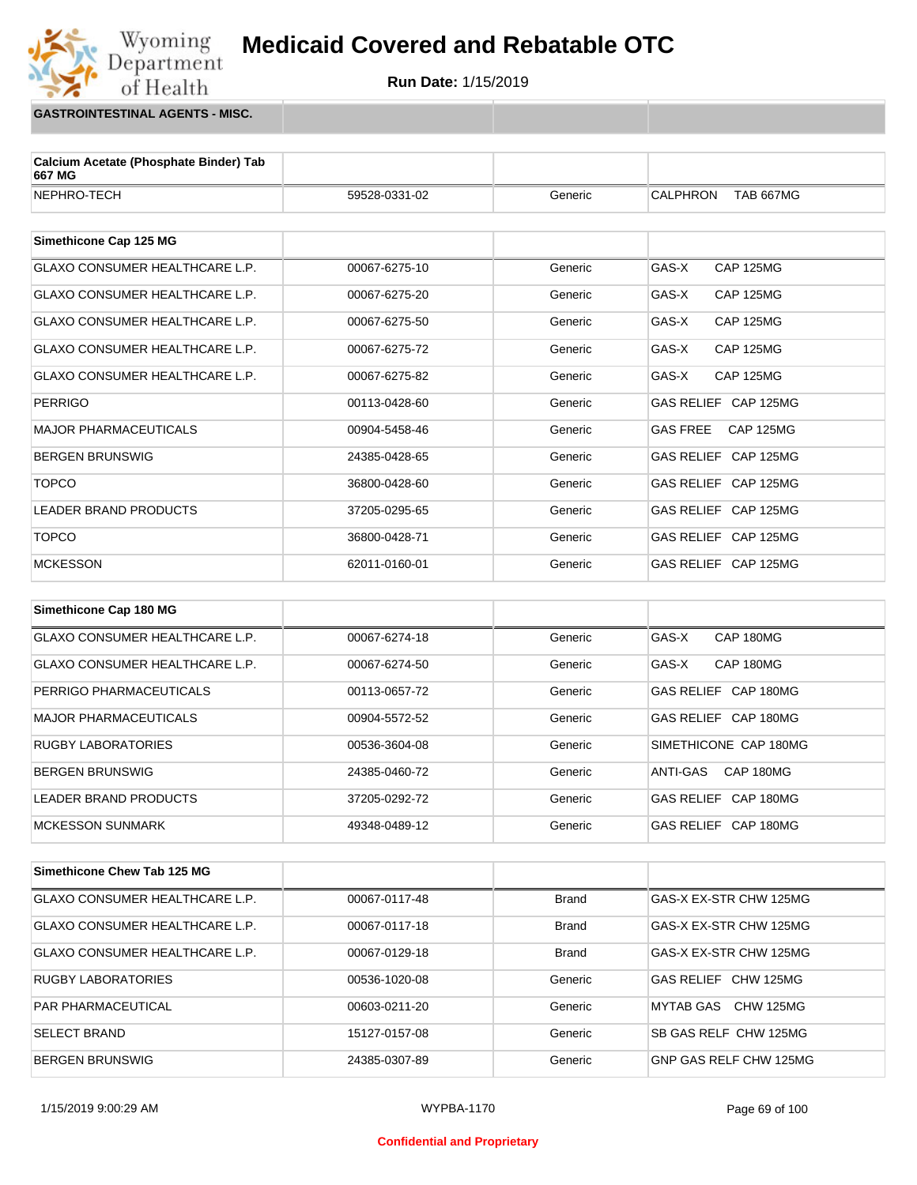

**GASTROINTESTINAL AGENTS - MISC.**

Wyoming<br>Department

of Health

| Calcium Acetate (Phosphate Binder) Tab<br>667 MG |               |         |                                     |
|--------------------------------------------------|---------------|---------|-------------------------------------|
| NEPHRO-TECH                                      | 59528-0331-02 | Generic | <b>CALPHRON</b><br><b>TAB 667MG</b> |
|                                                  |               |         |                                     |
| Simethicone Cap 125 MG                           |               |         |                                     |
| GLAXO CONSUMER HEALTHCARE L.P.                   | 00067-6275-10 | Generic | GAS-X<br><b>CAP 125MG</b>           |
| <b>GLAXO CONSUMER HEALTHCARE L.P.</b>            | 00067-6275-20 | Generic | GAS-X<br><b>CAP 125MG</b>           |
| GLAXO CONSUMER HEALTHCARE L.P.                   | 00067-6275-50 | Generic | GAS-X<br><b>CAP 125MG</b>           |
| <b>GLAXO CONSUMER HEALTHCARE L.P.</b>            | 00067-6275-72 | Generic | GAS-X<br><b>CAP 125MG</b>           |
| <b>GLAXO CONSUMER HEALTHCARE L.P.</b>            | 00067-6275-82 | Generic | GAS-X<br><b>CAP 125MG</b>           |
| <b>PERRIGO</b>                                   | 00113-0428-60 | Generic | GAS RELIEF CAP 125MG                |
| <b>MAJOR PHARMACEUTICALS</b>                     | 00904-5458-46 | Generic | <b>GAS FREE</b><br><b>CAP 125MG</b> |
| <b>BERGEN BRUNSWIG</b>                           | 24385-0428-65 | Generic | GAS RELIEF CAP 125MG                |
| <b>TOPCO</b>                                     | 36800-0428-60 | Generic | GAS RELIEF CAP 125MG                |
| <b>LEADER BRAND PRODUCTS</b>                     | 37205-0295-65 | Generic | GAS RELIEF CAP 125MG                |
| <b>TOPCO</b>                                     | 36800-0428-71 | Generic | GAS RELIEF CAP 125MG                |
| <b>MCKESSON</b>                                  | 62011-0160-01 | Generic | GAS RELIEF CAP 125MG                |
|                                                  |               |         |                                     |
| Simethicone Cap 180 MG                           |               |         |                                     |
| <b>GLAXO CONSUMER HEALTHCARE L.P.</b>            | 00067-6274-18 | Generic | GAS-X<br>CAP 180MG                  |
| GLAXO CONSUMER HEALTHCARE L.P.                   | 00067-6274-50 | Generic | GAS-X<br>CAP 180MG                  |
| PERRIGO PHARMACEUTICALS                          | 00113-0657-72 | Generic | GAS RELIEF CAP 180MG                |
| <b>MAJOR PHARMACEUTICALS</b>                     | 00904-5572-52 | Generic | GAS RELIEF CAP 180MG                |
| <b>RUGBY LABORATORIES</b>                        | 00536-3604-08 | Generic | SIMETHICONE CAP 180MG               |
| <b>BERGEN BRUNSWIG</b>                           | 24385-0460-72 | Generic | ANTI-GAS<br>CAP 180MG               |

| Simethicone Chew Tab 125 MG    |               |              |                        |
|--------------------------------|---------------|--------------|------------------------|
| GLAXO CONSUMER HEALTHCARE L.P. | 00067-0117-48 | Brand        | GAS-X EX-STR CHW 125MG |
| GLAXO CONSUMER HEALTHCARE L.P. | 00067-0117-18 | <b>Brand</b> | GAS-X EX-STR CHW 125MG |
| GLAXO CONSUMER HEALTHCARE L.P. | 00067-0129-18 | <b>Brand</b> | GAS-X EX-STR CHW 125MG |
| <b>RUGBY LABORATORIES</b>      | 00536-1020-08 | Generic      | GAS RELIEF CHW 125MG   |
| <b>PAR PHARMACEUTICAL</b>      | 00603-0211-20 | Generic      | MYTAB GAS CHW 125MG    |
| <b>SELECT BRAND</b>            | 15127-0157-08 | Generic      | SB GAS RELF CHW 125MG  |
| BERGEN BRUNSWIG                | 24385-0307-89 | Generic      | GNP GAS RELF CHW 125MG |

LEADER BRAND PRODUCTS 37205-0292-72 Generic GAS RELIEF CAP 180MG MCKESSON SUNMARK 
A9348-0489-12 
Generic 
GAS RELIEF CAP 180MG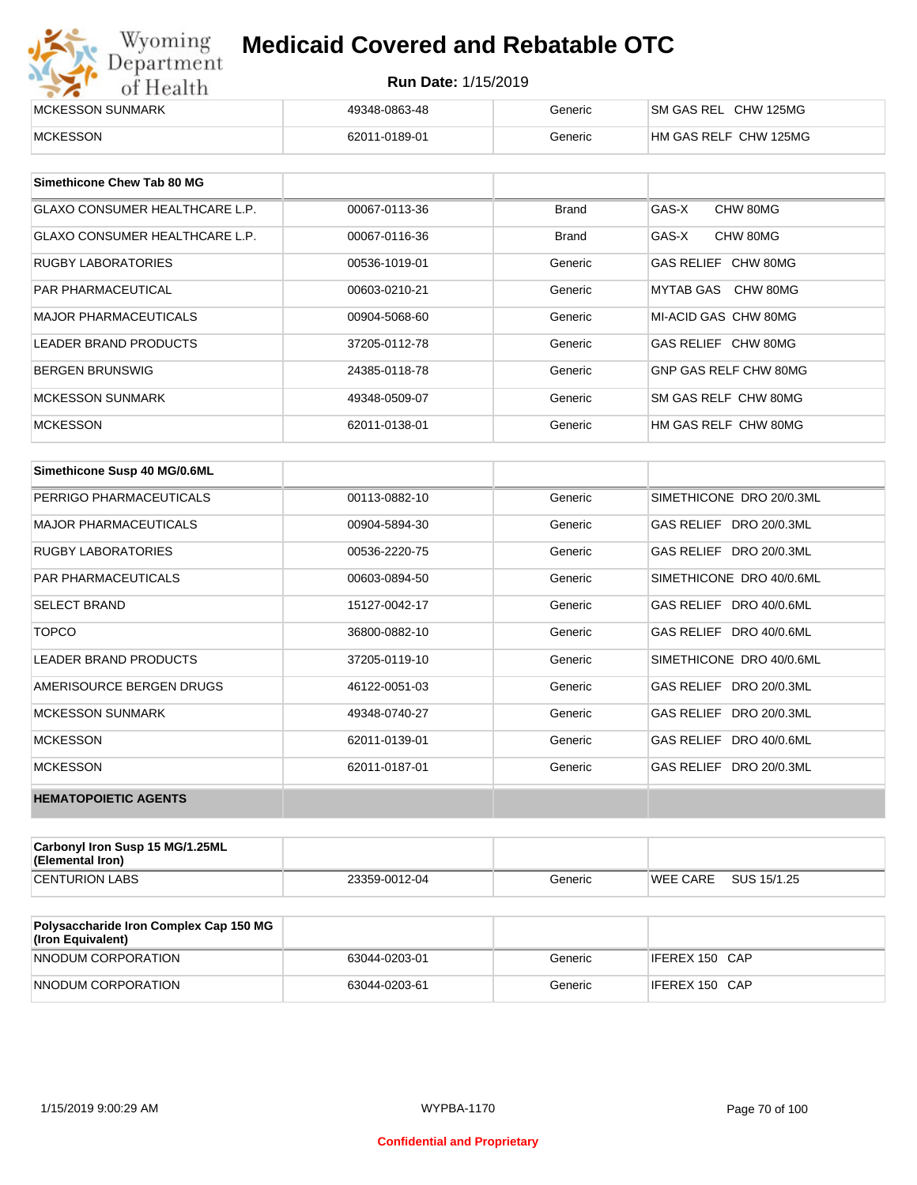| Wyoming                  | <b>Medicaid Covered and Rebatable OTC</b><br>Department<br><b>Run Date: 1/15/2019</b><br>of Health |         |                       |  |
|--------------------------|----------------------------------------------------------------------------------------------------|---------|-----------------------|--|
|                          |                                                                                                    |         |                       |  |
| <b>IMCKESSON SUNMARK</b> | 49348-0863-48                                                                                      | Generic | SM GAS REL CHW 125MG  |  |
| <b>MCKESSON</b>          | 62011-0189-01                                                                                      | Generic | HM GAS RELF CHW 125MG |  |

| Simethicone Chew Tab 80 MG     |               |              |                       |
|--------------------------------|---------------|--------------|-----------------------|
| GLAXO CONSUMER HEALTHCARE L.P. | 00067-0113-36 | <b>Brand</b> | GAS-X<br>CHW 80MG     |
| GLAXO CONSUMER HEALTHCARE L.P. | 00067-0116-36 | <b>Brand</b> | GAS-X<br>CHW 80MG     |
| RUGBY LABORATORIES             | 00536-1019-01 | Generic      | GAS RELIEF CHW 80MG   |
| <b>PAR PHARMACEUTICAL</b>      | 00603-0210-21 | Generic      | MYTAB GAS CHW 80MG    |
| <b>MAJOR PHARMACEUTICALS</b>   | 00904-5068-60 | Generic      | MI-ACID GAS CHW 80MG  |
| <b>LEADER BRAND PRODUCTS</b>   | 37205-0112-78 | Generic      | GAS RELIEF CHW 80MG   |
| <b>BERGEN BRUNSWIG</b>         | 24385-0118-78 | Generic      | GNP GAS RELF CHW 80MG |
| <b>MCKESSON SUNMARK</b>        | 49348-0509-07 | Generic      | SM GAS RELF CHW 80MG  |
| <b>MCKESSON</b>                | 62011-0138-01 | Generic      | HM GAS RELF CHW 80MG  |

| Simethicone Susp 40 MG/0.6ML |               |         |                          |
|------------------------------|---------------|---------|--------------------------|
| PERRIGO PHARMACEUTICALS      | 00113-0882-10 | Generic | SIMETHICONE DRO 20/0.3ML |
| <b>MAJOR PHARMACEUTICALS</b> | 00904-5894-30 | Generic | GAS RELIEF DRO 20/0.3ML  |
| <b>RUGBY LABORATORIES</b>    | 00536-2220-75 | Generic | GAS RELIEF DRO 20/0.3ML  |
| <b>PAR PHARMACEUTICALS</b>   | 00603-0894-50 | Generic | SIMETHICONE DRO 40/0.6ML |
| <b>SELECT BRAND</b>          | 15127-0042-17 | Generic | GAS RELIEF DRO 40/0.6ML  |
| <b>TOPCO</b>                 | 36800-0882-10 | Generic | GAS RELIEF DRO 40/0.6ML  |
| <b>LEADER BRAND PRODUCTS</b> | 37205-0119-10 | Generic | SIMETHICONE DRO 40/0.6ML |
| AMERISOURCE BERGEN DRUGS     | 46122-0051-03 | Generic | GAS RELIEF DRO 20/0.3ML  |
| <b>MCKESSON SUNMARK</b>      | 49348-0740-27 | Generic | GAS RELIEF DRO 20/0.3ML  |
| <b>MCKESSON</b>              | 62011-0139-01 | Generic | GAS RELIEF DRO 40/0.6ML  |
| <b>MCKESSON</b>              | 62011-0187-01 | Generic | GAS RELIEF DRO 20/0.3ML  |
| <b>HEMATOPOIETIC AGENTS</b>  |               |         |                          |

| Carbonyl Iron Susp 15 MG/1.25ML<br>(Elemental Iron) |               |         |                 |             |
|-----------------------------------------------------|---------------|---------|-----------------|-------------|
| <b>CENTURION LABS</b>                               | 23359-0012-04 | Generic | <b>WEE CARE</b> | SUS 15/1.25 |

| <b>Polysaccharide Iron Complex Cap 150 MG</b><br>(Iron Equivalent) |               |         |                |
|--------------------------------------------------------------------|---------------|---------|----------------|
| NNODUM CORPORATION                                                 | 63044-0203-01 | Generic | IFEREX 150 CAP |
| NNODUM CORPORATION                                                 | 63044-0203-61 | Generic | IFEREX 150 CAP |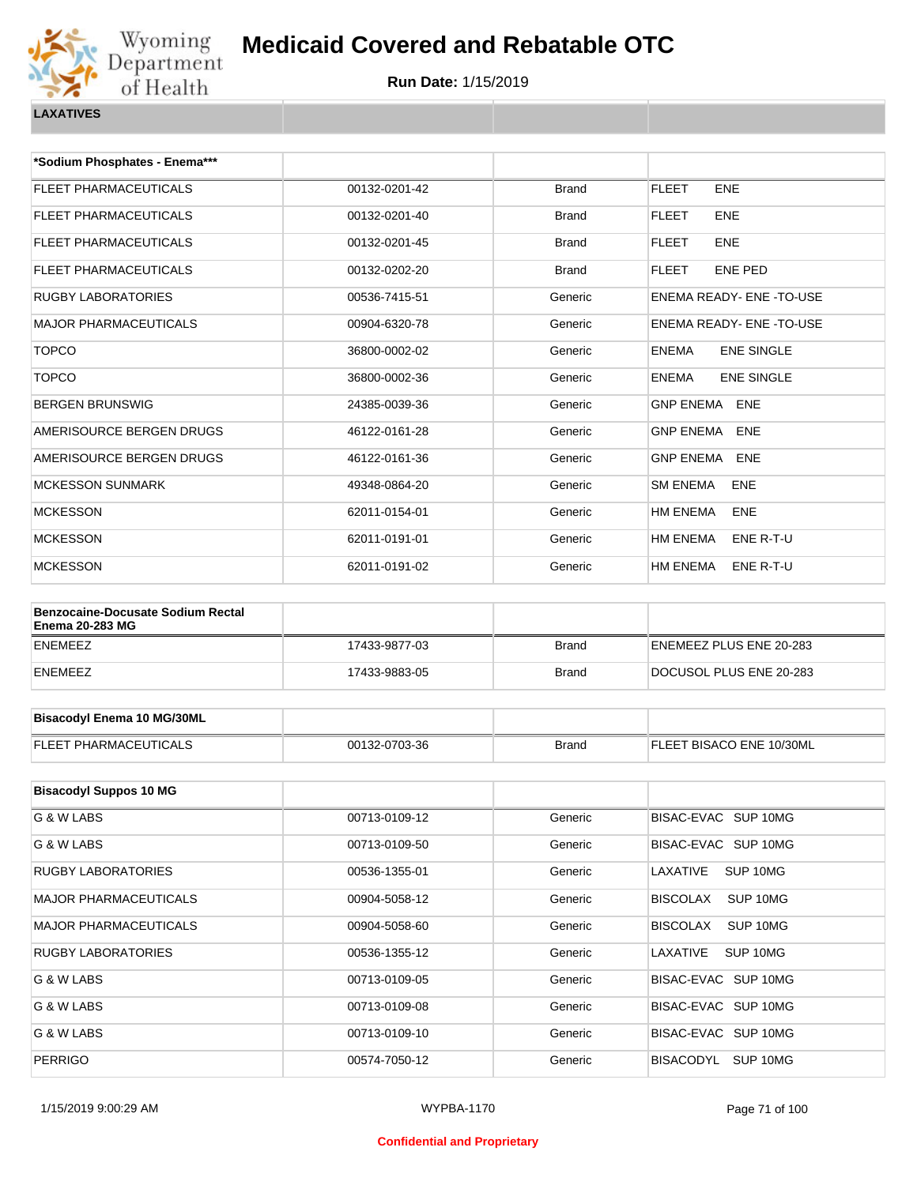

**Run Date:** 1/15/2019

| *Sodium Phosphates - Enema***                                      |               |              |                                   |
|--------------------------------------------------------------------|---------------|--------------|-----------------------------------|
| FLEET PHARMACEUTICALS                                              | 00132-0201-42 | <b>Brand</b> | <b>FLEET</b><br><b>ENE</b>        |
| FLEET PHARMACEUTICALS                                              | 00132-0201-40 | <b>Brand</b> | <b>FLEET</b><br><b>ENE</b>        |
| FLEET PHARMACEUTICALS                                              | 00132-0201-45 | Brand        | <b>FLEET</b><br><b>ENE</b>        |
| FLEET PHARMACEUTICALS                                              | 00132-0202-20 | <b>Brand</b> | <b>FLEET</b><br><b>ENE PED</b>    |
| <b>RUGBY LABORATORIES</b>                                          | 00536-7415-51 | Generic      | ENEMA READY- ENE-TO-USE           |
| <b>MAJOR PHARMACEUTICALS</b>                                       | 00904-6320-78 | Generic      | ENEMA READY- ENE -TO-USE          |
| <b>TOPCO</b>                                                       | 36800-0002-02 | Generic      | <b>ENEMA</b><br><b>ENE SINGLE</b> |
| <b>TOPCO</b>                                                       | 36800-0002-36 | Generic      | <b>ENEMA</b><br><b>ENE SINGLE</b> |
| <b>BERGEN BRUNSWIG</b>                                             | 24385-0039-36 | Generic      | GNP ENEMA ENE                     |
| AMERISOURCE BERGEN DRUGS                                           | 46122-0161-28 | Generic      | <b>GNP ENEMA</b><br><b>ENE</b>    |
| AMERISOURCE BERGEN DRUGS                                           | 46122-0161-36 | Generic      | <b>GNP ENEMA</b><br><b>ENE</b>    |
| <b>MCKESSON SUNMARK</b>                                            | 49348-0864-20 | Generic      | <b>SM ENEMA</b><br>ENE            |
| <b>MCKESSON</b>                                                    | 62011-0154-01 | Generic      | HM ENEMA<br>ENE                   |
| <b>MCKESSON</b>                                                    | 62011-0191-01 | Generic      | HM ENEMA<br>ENE R-T-U             |
| <b>MCKESSON</b>                                                    | 62011-0191-02 | Generic      | HM ENEMA<br>ENE R-T-U             |
|                                                                    |               |              |                                   |
| <b>Benzocaine-Docusate Sodium Rectal</b><br><b>Enema 20-283 MG</b> |               |              |                                   |
| <b>ENEMEEZ</b>                                                     | 17433-9877-03 | <b>Brand</b> | ENEMEEZ PLUS ENE 20-283           |
| <b>ENEMEEZ</b>                                                     | 17433-9883-05 | Brand        | DOCUSOL PLUS ENE 20-283           |
|                                                                    |               |              |                                   |
| <b>Bisacodyl Enema 10 MG/30ML</b>                                  |               |              |                                   |
| <b>FLEET PHARMACEUTICALS</b>                                       | 00132-0703-36 | <b>Brand</b> | FLEET BISACO ENE 10/30ML          |
|                                                                    |               |              |                                   |
| <b>Bisacodyl Suppos 10 MG</b>                                      |               |              |                                   |
| G & W LABS                                                         | 00713-0109-12 | Generic      | BISAC-EVAC SUP 10MG               |
| G & W LABS                                                         | 00713-0109-50 | Generic      | BISAC-EVAC SUP 10MG               |
| <b>RUGBY LABORATORIES</b>                                          | 00536-1355-01 | Generic      | LAXATIVE<br>SUP 10MG              |
| MAJOR PHARMACEUTICALS                                              | 00904-5058-12 | Generic      | <b>BISCOLAX</b><br>SUP 10MG       |
| <b>MAJOR PHARMACEUTICALS</b>                                       | 00904-5058-60 | Generic      | <b>BISCOLAX</b><br>SUP 10MG       |
| <b>RUGBY LABORATORIES</b>                                          | 00536-1355-12 | Generic      | LAXATIVE<br>SUP 10MG              |

G & W LABS **COMPUTER SUP 10MG** 00713-0109-05 **Generic** BISAC-EVAC SUP 10MG G & W LABS **COMPLETE SUP 10MG** 00713-0109-08 Generic BISAC-EVAC SUP 10MG G & W LABS CONSULTER SUP 1000713-0109-10 Consulting Generic BISAC-EVAC SUP 10MG PERRIGO 00574-7050-12 Generic BISACODYL SUP 10MG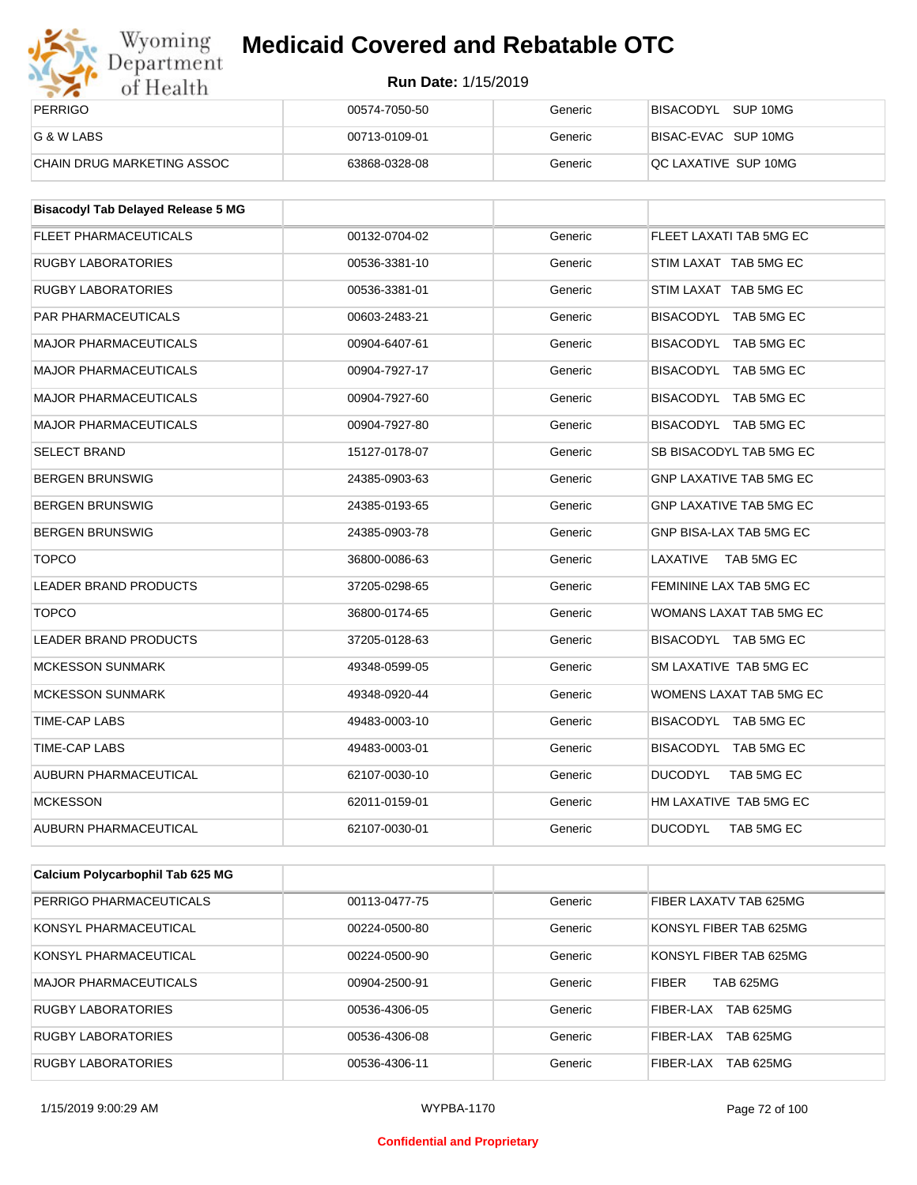

| Wyoming<br>Department      | <b>Medicaid Covered and Rebatable OTC</b><br><b>Run Date: 1/15/2019</b> |         |                      |  |
|----------------------------|-------------------------------------------------------------------------|---------|----------------------|--|
| of Health                  |                                                                         |         |                      |  |
| <b>PERRIGO</b>             | 00574-7050-50                                                           | Generic | BISACODYL SUP 10MG   |  |
| G & W LABS                 | 00713-0109-01                                                           | Generic | BISAC-EVAC SUP 10MG  |  |
| CHAIN DRUG MARKETING ASSOC | 63868-0328-08                                                           | Generic | QC LAXATIVE SUP 10MG |  |

| <b>Bisacodyl Tab Delayed Release 5 MG</b> |               |         |                                |
|-------------------------------------------|---------------|---------|--------------------------------|
| <b>FLEET PHARMACEUTICALS</b>              | 00132-0704-02 | Generic | FLEET LAXATI TAB 5MG EC        |
| <b>RUGBY LABORATORIES</b>                 | 00536-3381-10 | Generic | STIM LAXAT TAB 5MG EC          |
| <b>RUGBY LABORATORIES</b>                 | 00536-3381-01 | Generic | STIM LAXAT TAB 5MG EC          |
| <b>PAR PHARMACEUTICALS</b>                | 00603-2483-21 | Generic | BISACODYL TAB 5MG EC           |
| <b>MAJOR PHARMACEUTICALS</b>              | 00904-6407-61 | Generic | BISACODYL TAB 5MG EC           |
| <b>MAJOR PHARMACEUTICALS</b>              | 00904-7927-17 | Generic | BISACODYL TAB 5MG EC           |
| <b>MAJOR PHARMACEUTICALS</b>              | 00904-7927-60 | Generic | BISACODYL TAB 5MG EC           |
| <b>MAJOR PHARMACEUTICALS</b>              | 00904-7927-80 | Generic | BISACODYL TAB 5MG EC           |
| <b>SELECT BRAND</b>                       | 15127-0178-07 | Generic | SB BISACODYL TAB 5MG EC        |
| <b>BERGEN BRUNSWIG</b>                    | 24385-0903-63 | Generic | <b>GNP LAXATIVE TAB 5MG EC</b> |
| <b>BERGEN BRUNSWIG</b>                    | 24385-0193-65 | Generic | <b>GNP LAXATIVE TAB 5MG EC</b> |
| <b>BERGEN BRUNSWIG</b>                    | 24385-0903-78 | Generic | GNP BISA-LAX TAB 5MG EC        |
| <b>TOPCO</b>                              | 36800-0086-63 | Generic | LAXATIVE<br>TAB 5MG EC         |
| <b>LEADER BRAND PRODUCTS</b>              | 37205-0298-65 | Generic | FEMININE LAX TAB 5MG EC        |
| <b>TOPCO</b>                              | 36800-0174-65 | Generic | WOMANS LAXAT TAB 5MG EC        |
| <b>LEADER BRAND PRODUCTS</b>              | 37205-0128-63 | Generic | BISACODYL TAB 5MG EC           |
| <b>MCKESSON SUNMARK</b>                   | 49348-0599-05 | Generic | SM LAXATIVE TAB 5MG EC         |
| <b>MCKESSON SUNMARK</b>                   | 49348-0920-44 | Generic | WOMENS LAXAT TAB 5MG EC        |
| TIME-CAP LABS                             | 49483-0003-10 | Generic | BISACODYL TAB 5MG EC           |
| TIME-CAP LABS                             | 49483-0003-01 | Generic | BISACODYL TAB 5MG EC           |
| <b>AUBURN PHARMACEUTICAL</b>              | 62107-0030-10 | Generic | <b>DUCODYL</b><br>TAB 5MG EC   |
| <b>MCKESSON</b>                           | 62011-0159-01 | Generic | HM LAXATIVE TAB 5MG EC         |
| <b>AUBURN PHARMACEUTICAL</b>              | 62107-0030-01 | Generic | <b>DUCODYL</b><br>TAB 5MG EC   |

| Calcium Polycarbophil Tab 625 MG |               |         |                                  |
|----------------------------------|---------------|---------|----------------------------------|
| PERRIGO PHARMACEUTICALS          | 00113-0477-75 | Generic | FIBER LAXATV TAB 625MG           |
| KONSYL PHARMACEUTICAL            | 00224-0500-80 | Generic | KONSYL FIBER TAB 625MG           |
| KONSYL PHARMACEUTICAL            | 00224-0500-90 | Generic | KONSYL FIBER TAB 625MG           |
| MAJOR PHARMACEUTICALS            | 00904-2500-91 | Generic | <b>FIBER</b><br><b>TAB 625MG</b> |
| RUGBY LABORATORIES               | 00536-4306-05 | Generic | <b>TAB 625MG</b><br>FIBER-LAX    |
| <b>RUGBY LABORATORIES</b>        | 00536-4306-08 | Generic | <b>TAB 625MG</b><br>FIBER-LAX    |
| RUGBY LABORATORIES               | 00536-4306-11 | Generic | <b>TAB 625MG</b><br>FIBER-LAX    |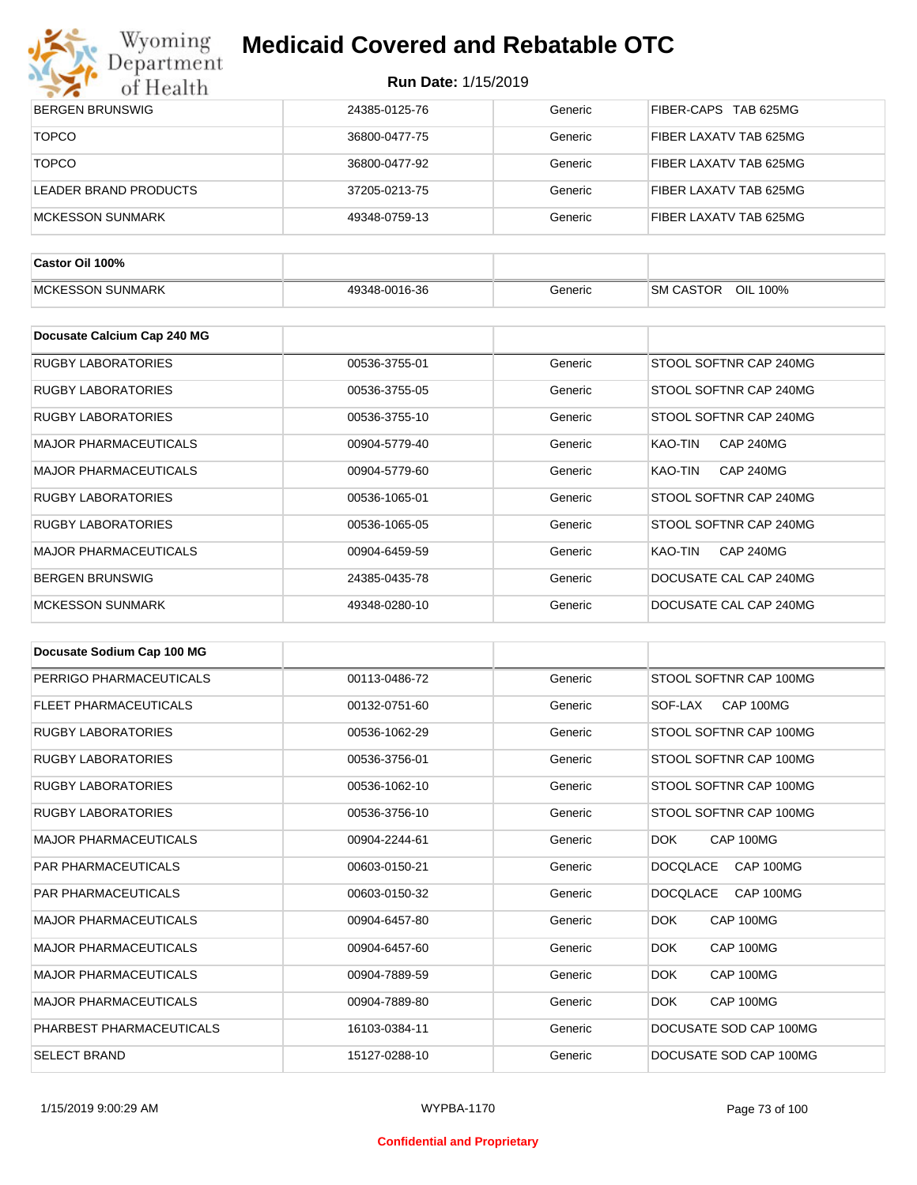

| $\sim$ $\sim$<br>01 HCalth   |               |         |                             |
|------------------------------|---------------|---------|-----------------------------|
| <b>BERGEN BRUNSWIG</b>       | 24385-0125-76 | Generic | FIBER-CAPS TAB 625MG        |
| <b>TOPCO</b>                 | 36800-0477-75 | Generic | FIBER LAXATV TAB 625MG      |
| <b>TOPCO</b>                 | 36800-0477-92 | Generic | FIBER LAXATV TAB 625MG      |
| <b>LEADER BRAND PRODUCTS</b> | 37205-0213-75 | Generic | FIBER LAXATV TAB 625MG      |
| <b>MCKESSON SUNMARK</b>      | 49348-0759-13 | Generic | FIBER LAXATV TAB 625MG      |
|                              |               |         |                             |
| Castor Oil 100%              |               |         |                             |
| <b>MCKESSON SUNMARK</b>      | 49348-0016-36 | Generic | SM CASTOR OIL 100%          |
|                              |               |         |                             |
| Docusate Calcium Cap 240 MG  |               |         |                             |
| <b>RUGBY LABORATORIES</b>    | 00536-3755-01 | Generic | STOOL SOFTNR CAP 240MG      |
| <b>RUGBY LABORATORIES</b>    | 00536-3755-05 | Generic | STOOL SOFTNR CAP 240MG      |
| <b>RUGBY LABORATORIES</b>    | 00536-3755-10 | Generic | STOOL SOFTNR CAP 240MG      |
| <b>MAJOR PHARMACEUTICALS</b> | 00904-5779-40 | Generic | KAO-TIN<br><b>CAP 240MG</b> |
| <b>MAJOR PHARMACEUTICALS</b> | 00904-5779-60 | Generic | KAO-TIN<br><b>CAP 240MG</b> |
| <b>RUGBY LABORATORIES</b>    | 00536-1065-01 | Generic | STOOL SOFTNR CAP 240MG      |
| <b>RUGBY LABORATORIES</b>    | 00536-1065-05 | Generic | STOOL SOFTNR CAP 240MG      |
| <b>MAJOR PHARMACEUTICALS</b> | 00904-6459-59 | Generic | KAO-TIN<br><b>CAP 240MG</b> |
| <b>BERGEN BRUNSWIG</b>       | 24385-0435-78 | Generic | DOCUSATE CAL CAP 240MG      |
| <b>MCKESSON SUNMARK</b>      | 49348-0280-10 | Generic | DOCUSATE CAL CAP 240MG      |

| Docusate Sodium Cap 100 MG   |               |         |                              |
|------------------------------|---------------|---------|------------------------------|
| PERRIGO PHARMACEUTICALS      | 00113-0486-72 | Generic | STOOL SOFTNR CAP 100MG       |
| <b>FLEET PHARMACEUTICALS</b> | 00132-0751-60 | Generic | CAP 100MG<br>SOF-LAX         |
| <b>RUGBY LABORATORIES</b>    | 00536-1062-29 | Generic | STOOL SOFTNR CAP 100MG       |
| <b>RUGBY LABORATORIES</b>    | 00536-3756-01 | Generic | STOOL SOFTNR CAP 100MG       |
| <b>RUGBY LABORATORIES</b>    | 00536-1062-10 | Generic | STOOL SOFTNR CAP 100MG       |
| <b>RUGBY LABORATORIES</b>    | 00536-3756-10 | Generic | STOOL SOFTNR CAP 100MG       |
| <b>MAJOR PHARMACEUTICALS</b> | 00904-2244-61 | Generic | CAP 100MG<br>DOK             |
| <b>PAR PHARMACEUTICALS</b>   | 00603-0150-21 | Generic | <b>DOCOLACE</b><br>CAP 100MG |
| <b>PAR PHARMACEUTICALS</b>   | 00603-0150-32 | Generic | <b>DOCQLACE</b><br>CAP 100MG |
| <b>MAJOR PHARMACEUTICALS</b> | 00904-6457-80 | Generic | <b>DOK</b><br>CAP 100MG      |
| <b>MAJOR PHARMACEUTICALS</b> | 00904-6457-60 | Generic | DOK<br>CAP 100MG             |
| <b>MAJOR PHARMACEUTICALS</b> | 00904-7889-59 | Generic | <b>DOK</b><br>CAP 100MG      |
| <b>MAJOR PHARMACEUTICALS</b> | 00904-7889-80 | Generic | <b>DOK</b><br>CAP 100MG      |
| PHARBEST PHARMACEUTICALS     | 16103-0384-11 | Generic | DOCUSATE SOD CAP 100MG       |
| <b>SELECT BRAND</b>          | 15127-0288-10 | Generic | DOCUSATE SOD CAP 100MG       |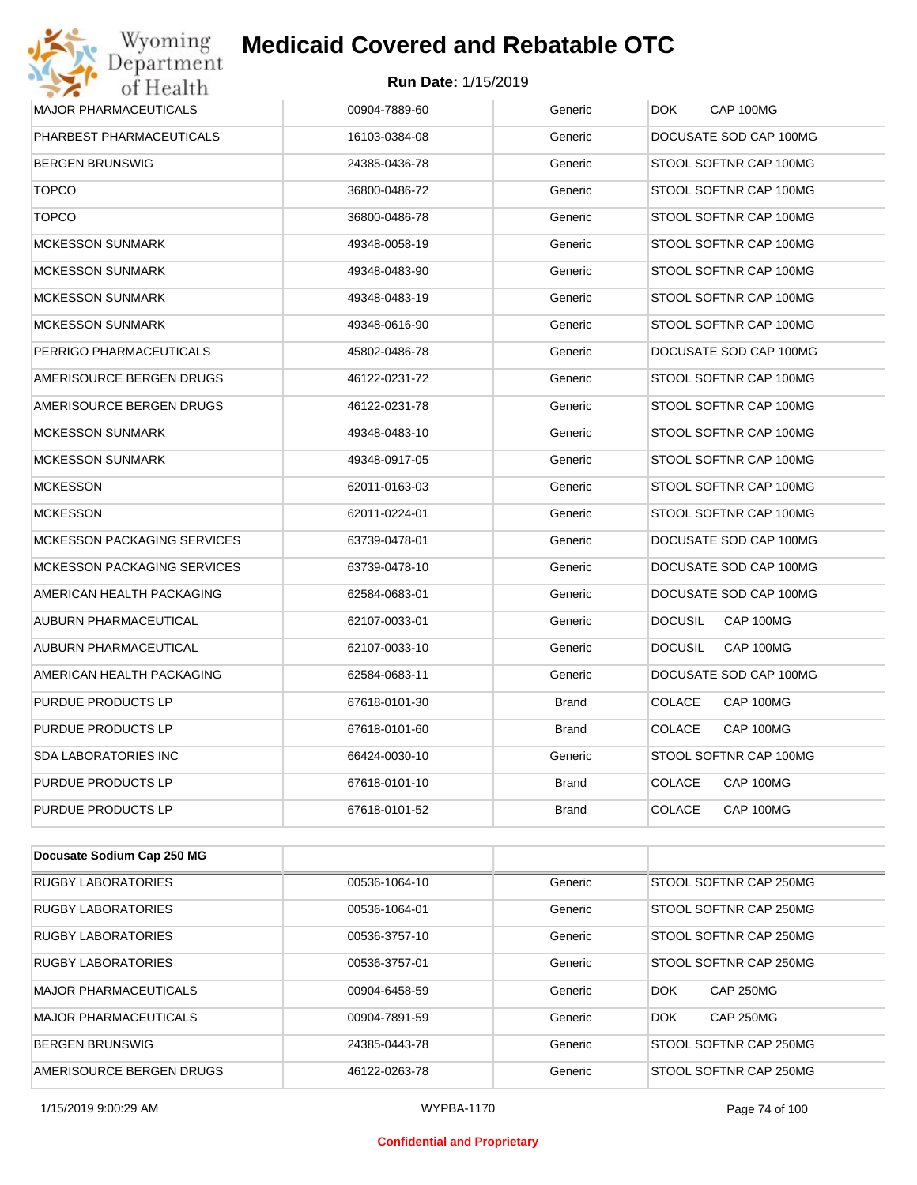#### **Run Date:** 1/15/2019

| Department<br>of Health            | <b>Run Date: 1/15/2019</b> |              |                             |
|------------------------------------|----------------------------|--------------|-----------------------------|
| <b>MAJOR PHARMACEUTICALS</b>       | 00904-7889-60              | Generic      | CAP 100MG<br>DOK.           |
| PHARBEST PHARMACEUTICALS           | 16103-0384-08              | Generic      | DOCUSATE SOD CAP 100MG      |
| <b>BERGEN BRUNSWIG</b>             | 24385-0436-78              | Generic      | STOOL SOFTNR CAP 100MG      |
| <b>TOPCO</b>                       | 36800-0486-72              | Generic      | STOOL SOFTNR CAP 100MG      |
| <b>TOPCO</b>                       | 36800-0486-78              | Generic      | STOOL SOFTNR CAP 100MG      |
| <b>MCKESSON SUNMARK</b>            | 49348-0058-19              | Generic      | STOOL SOFTNR CAP 100MG      |
| <b>MCKESSON SUNMARK</b>            | 49348-0483-90              | Generic      | STOOL SOFTNR CAP 100MG      |
| <b>MCKESSON SUNMARK</b>            | 49348-0483-19              | Generic      | STOOL SOFTNR CAP 100MG      |
| <b>MCKESSON SUNMARK</b>            | 49348-0616-90              | Generic      | STOOL SOFTNR CAP 100MG      |
| PERRIGO PHARMACEUTICALS            | 45802-0486-78              | Generic      | DOCUSATE SOD CAP 100MG      |
| AMERISOURCE BERGEN DRUGS           | 46122-0231-72              | Generic      | STOOL SOFTNR CAP 100MG      |
| AMERISOURCE BERGEN DRUGS           | 46122-0231-78              | Generic      | STOOL SOFTNR CAP 100MG      |
| <b>MCKESSON SUNMARK</b>            | 49348-0483-10              | Generic      | STOOL SOFTNR CAP 100MG      |
| <b>MCKESSON SUNMARK</b>            | 49348-0917-05              | Generic      | STOOL SOFTNR CAP 100MG      |
| <b>MCKESSON</b>                    | 62011-0163-03              | Generic      | STOOL SOFTNR CAP 100MG      |
| <b>MCKESSON</b>                    | 62011-0224-01              | Generic      | STOOL SOFTNR CAP 100MG      |
| <b>MCKESSON PACKAGING SERVICES</b> | 63739-0478-01              | Generic      | DOCUSATE SOD CAP 100MG      |
| <b>MCKESSON PACKAGING SERVICES</b> | 63739-0478-10              | Generic      | DOCUSATE SOD CAP 100MG      |
| AMERICAN HEALTH PACKAGING          | 62584-0683-01              | Generic      | DOCUSATE SOD CAP 100MG      |
| AUBURN PHARMACEUTICAL              | 62107-0033-01              | Generic      | <b>DOCUSIL</b><br>CAP 100MG |
| AUBURN PHARMACEUTICAL              | 62107-0033-10              | Generic      | <b>DOCUSIL</b><br>CAP 100MG |
| AMERICAN HEALTH PACKAGING          | 62584-0683-11              | Generic      | DOCUSATE SOD CAP 100MG      |
| PURDUE PRODUCTS LP                 | 67618-0101-30              | <b>Brand</b> | <b>COLACE</b><br>CAP 100MG  |
| PURDUE PRODUCTS LP                 | 67618-0101-60              | Brand        | <b>COLACE</b><br>CAP 100MG  |
| SDA LABORATORIES INC               | 66424-0030-10              | Generic      | STOOL SOFTNR CAP 100MG      |
| PURDUE PRODUCTS LP                 | 67618-0101-10              | Brand        | <b>COLACE</b><br>CAP 100MG  |
| PURDUE PRODUCTS LP                 | 67618-0101-52              | <b>Brand</b> | <b>COLACE</b><br>CAP 100MG  |

| Docusate Sodium Cap 250 MG   |               |         |                                |
|------------------------------|---------------|---------|--------------------------------|
| <b>RUGBY LABORATORIES</b>    | 00536-1064-10 | Generic | STOOL SOFTNR CAP 250MG         |
| <b>RUGBY LABORATORIES</b>    | 00536-1064-01 | Generic | STOOL SOFTNR CAP 250MG         |
| <b>RUGBY LABORATORIES</b>    | 00536-3757-10 | Generic | STOOL SOFTNR CAP 250MG         |
| <b>RUGBY LABORATORIES</b>    | 00536-3757-01 | Generic | STOOL SOFTNR CAP 250MG         |
| <b>MAJOR PHARMACEUTICALS</b> | 00904-6458-59 | Generic | <b>CAP 250MG</b><br><b>DOK</b> |
| MAJOR PHARMACEUTICALS        | 00904-7891-59 | Generic | <b>DOK</b><br><b>CAP 250MG</b> |
| <b>BERGEN BRUNSWIG</b>       | 24385-0443-78 | Generic | STOOL SOFTNR CAP 250MG         |
| AMERISOURCE BERGEN DRUGS     | 46122-0263-78 | Generic | STOOL SOFTNR CAP 250MG         |

#### **Confidential and Proprietary**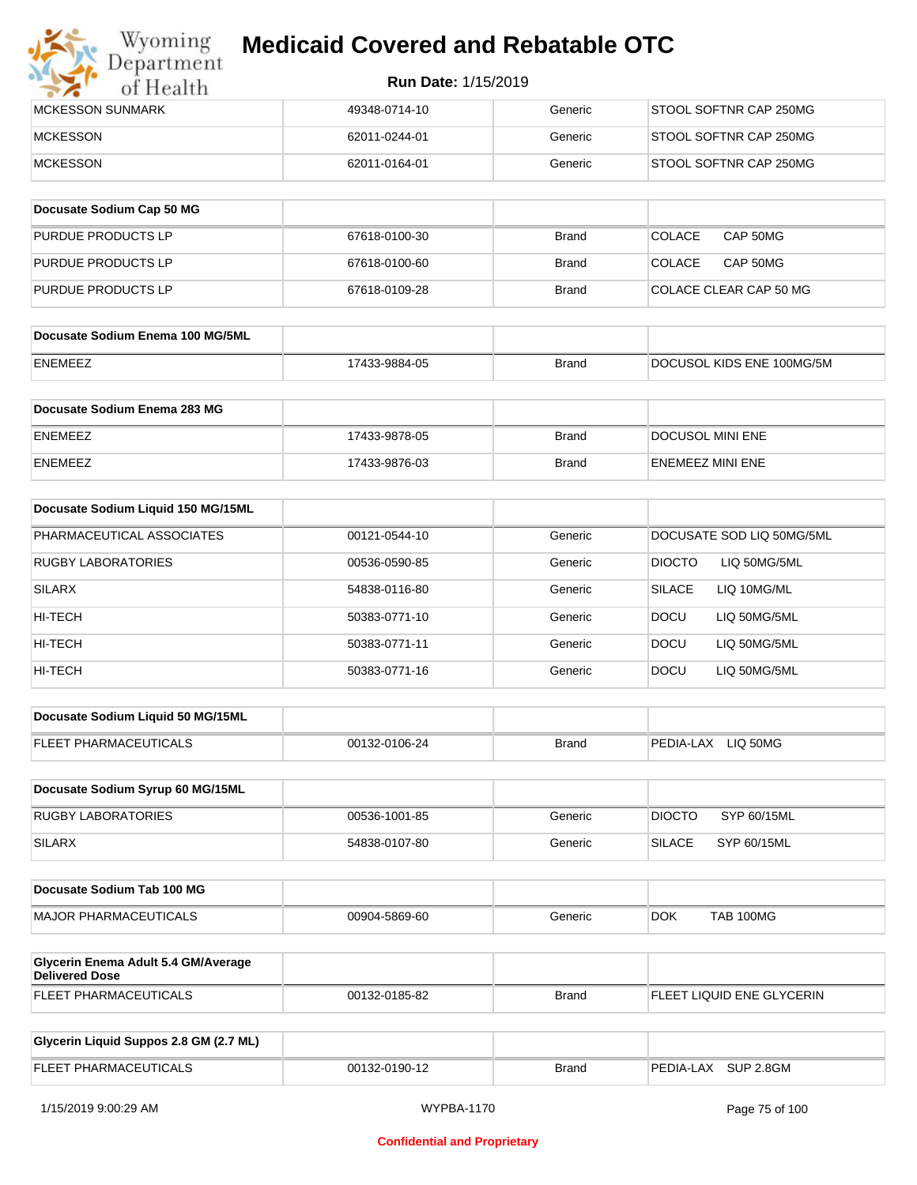

| <b>IMCKESSON SUNMARK</b> | 49348-0714-10 | Generic | STOOL SOFTNR CAP 250MG |
|--------------------------|---------------|---------|------------------------|
| <b>MCKESSON</b>          | 62011-0244-01 | Generic | STOOL SOFTNR CAP 250MG |
| <b>IMCKESSON</b>         | 62011-0164-01 | Generic | STOOL SOFTNR CAP 250MG |

| Docusate Sodium Cap 50 MG |               |              |                           |
|---------------------------|---------------|--------------|---------------------------|
| <b>PURDUE PRODUCTS LP</b> | 67618-0100-30 | <b>Brand</b> | <b>COLACE</b><br>CAP 50MG |
| <b>PURDUE PRODUCTS LP</b> | 67618-0100-60 | <b>Brand</b> | CAP 50MG<br><b>COLACE</b> |
| <b>PURDUE PRODUCTS LP</b> | 67618-0109-28 | <b>Brand</b> | COLACE CLEAR CAP 50 MG    |

| Docusate Sodium Enema 100 MG/5ML |               |              |                           |
|----------------------------------|---------------|--------------|---------------------------|
| ENEMEEZ                          | 17433-9884-05 | <b>Brand</b> | DOCUSOL KIDS ENE 100MG/5M |

| <b>Docusate Sodium Enema 283 MG</b> |               |              |                         |
|-------------------------------------|---------------|--------------|-------------------------|
| <b>ENEMEEZ</b>                      | 17433-9878-05 | <b>Brand</b> | DOCUSOL MINI ENE        |
| <b>ENEMEEZ</b>                      | 17433-9876-03 | Brand        | <b>ENEMEEZ MINI ENE</b> |

| Docusate Sodium Liquid 150 MG/15ML |               |         |                              |
|------------------------------------|---------------|---------|------------------------------|
| PHARMACEUTICAL ASSOCIATES          | 00121-0544-10 | Generic | DOCUSATE SOD LIQ 50MG/5ML    |
| <b>RUGBY LABORATORIES</b>          | 00536-0590-85 | Generic | DIOCTO<br>LIQ 50MG/5ML       |
| <b>SILARX</b>                      | 54838-0116-80 | Generic | <b>SILACE</b><br>LIQ 10MG/ML |
| HI-TECH                            | 50383-0771-10 | Generic | <b>DOCU</b><br>LIQ 50MG/5ML  |
| HI-TECH                            | 50383-0771-11 | Generic | LIO 50MG/5ML<br><b>DOCU</b>  |
| HI-TECH                            | 50383-0771-16 | Generic | <b>DOCU</b><br>LIQ 50MG/5ML  |

| Docusate Sodium Liquid 50 MG/15ML |               |       |                       |
|-----------------------------------|---------------|-------|-----------------------|
| <b>FLEET PHARMACEUTICALS</b>      | 00132-0106-24 | Brand | LIQ 50MG<br>PEDIA-LAX |

| Docusate Sodium Syrup 60 MG/15ML |               |         |               |             |
|----------------------------------|---------------|---------|---------------|-------------|
| RUGBY LABORATORIES               | 00536-1001-85 | Generic | <b>DIOCTO</b> | SYP 60/15ML |
| SILARX                           | 54838-0107-80 | Generic | <b>SILACE</b> | SYP 60/15ML |

| Docusate Sodium Tab 100 MG    |               |         |            |           |
|-------------------------------|---------------|---------|------------|-----------|
| <b>IMAJOR PHARMACEUTICALS</b> | 00904-5869-60 | Generic | <b>DOK</b> | TAB 100MG |

| <b>Glycerin Enema Adult 5.4 GM/Average</b><br>Delivered Dose |               |       |                           |
|--------------------------------------------------------------|---------------|-------|---------------------------|
| <b>FLEET PHARMACEUTICALS</b>                                 | 00132-0185-82 | Brand | FLEET LIQUID ENE GLYCERIN |

| Glycerin Liquid Suppos 2.8 GM (2.7 ML) |               |       |                     |
|----------------------------------------|---------------|-------|---------------------|
| <b>FLEET PHARMACEUTICALS</b>           | 00132-0190-12 | Brand | PEDIA-LAX SUP 2.8GM |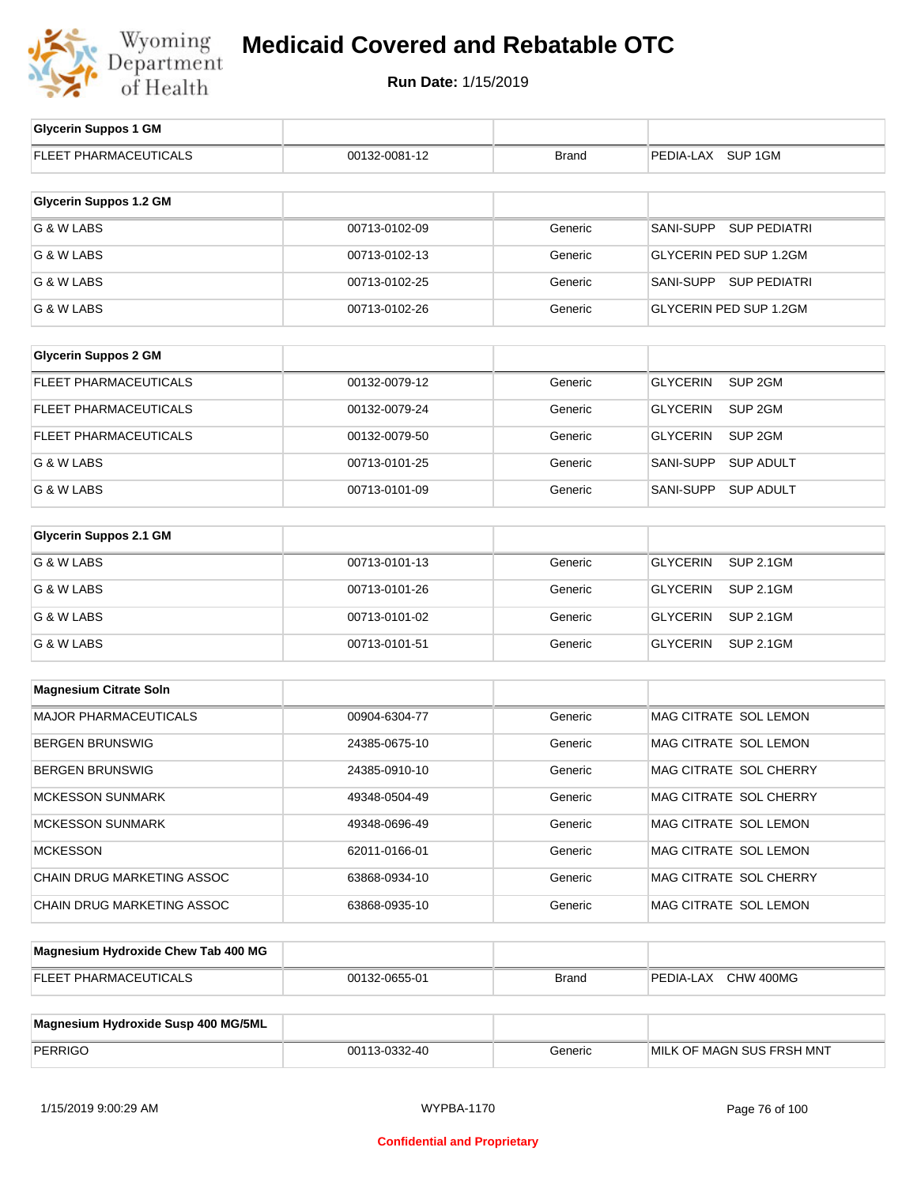

| <b>Glycerin Suppos 1 GM</b>         |               |              |                                       |
|-------------------------------------|---------------|--------------|---------------------------------------|
| <b>FLEET PHARMACEUTICALS</b>        | 00132-0081-12 | <b>Brand</b> | PEDIA-LAX SUP 1GM                     |
| <b>Glycerin Suppos 1.2 GM</b>       |               |              |                                       |
| G & W LABS                          | 00713-0102-09 | Generic      | SANI-SUPP SUP PEDIATRI                |
| G & W LABS                          | 00713-0102-13 | Generic      | GLYCERIN PED SUP 1.2GM                |
| G & W LABS                          | 00713-0102-25 | Generic      | SANI-SUPP SUP PEDIATRI                |
| G & W LABS                          | 00713-0102-26 | Generic      | GLYCERIN PED SUP 1.2GM                |
|                                     |               |              |                                       |
| <b>Glycerin Suppos 2 GM</b>         |               |              |                                       |
| FLEET PHARMACEUTICALS               | 00132-0079-12 | Generic      | <b>GLYCERIN</b><br>SUP <sub>2GM</sub> |
| <b>FLEET PHARMACEUTICALS</b>        | 00132-0079-24 | Generic      | <b>GLYCERIN</b><br>SUP <sub>2GM</sub> |
| FLEET PHARMACEUTICALS               | 00132-0079-50 | Generic      | <b>GLYCERIN</b><br>SUP <sub>2GM</sub> |
| G & W LABS                          | 00713-0101-25 | Generic      | SANI-SUPP<br><b>SUP ADULT</b>         |
| G & W LABS                          | 00713-0101-09 | Generic      | <b>SUP ADULT</b><br>SANI-SUPP         |
| <b>Glycerin Suppos 2.1 GM</b>       |               |              |                                       |
|                                     |               |              |                                       |
| G & W LABS                          | 00713-0101-13 | Generic      | <b>GLYCERIN</b><br><b>SUP 2.1GM</b>   |
| G & W LABS                          | 00713-0101-26 | Generic      | <b>GLYCERIN</b><br><b>SUP 2.1GM</b>   |
| G & W LABS                          | 00713-0101-02 | Generic      | <b>GLYCERIN</b><br><b>SUP 2.1GM</b>   |
| G & W LABS                          | 00713-0101-51 | Generic      | <b>GLYCERIN</b><br><b>SUP 2.1GM</b>   |
| <b>Magnesium Citrate Soln</b>       |               |              |                                       |
| <b>MAJOR PHARMACEUTICALS</b>        | 00904-6304-77 | Generic      | MAG CITRATE SOL LEMON                 |
| <b>BERGEN BRUNSWIG</b>              | 24385-0675-10 | Generic      | MAG CITRATE SOL LEMON                 |
| <b>BERGEN BRUNSWIG</b>              | 24385-0910-10 | Generic      | MAG CITRATE SOL CHERRY                |
| MCKESSON SUNMARK                    | 49348-0504-49 | Generic      | MAG CITRATE SOL CHERRY                |
| <b>MCKESSON SUNMARK</b>             | 49348-0696-49 | Generic      | MAG CITRATE SOL LEMON                 |
| <b>MCKESSON</b>                     | 62011-0166-01 | Generic      | MAG CITRATE SOL LEMON                 |
| CHAIN DRUG MARKETING ASSOC          | 63868-0934-10 | Generic      | MAG CITRATE SOL CHERRY                |
| CHAIN DRUG MARKETING ASSOC          | 63868-0935-10 | Generic      | MAG CITRATE SOL LEMON                 |
| Magnesium Hydrovide Chew Tab 400 MC |               |              |                                       |

| Magnesium Hydroxide Chew Tab 400 MG |               |              |                     |
|-------------------------------------|---------------|--------------|---------------------|
| <b>FLEET PHARMACEUTICALS</b>        | 00132-0655-01 | <b>Brand</b> | PEDIA-LAX CHW 400MG |
|                                     |               |              |                     |

| Magnesium Hydroxide Susp 400 MG/5ML |               |         |                           |
|-------------------------------------|---------------|---------|---------------------------|
| PERRIGO                             | 00113-0332-40 | Generic | MILK OF MAGN SUS FRSH MNT |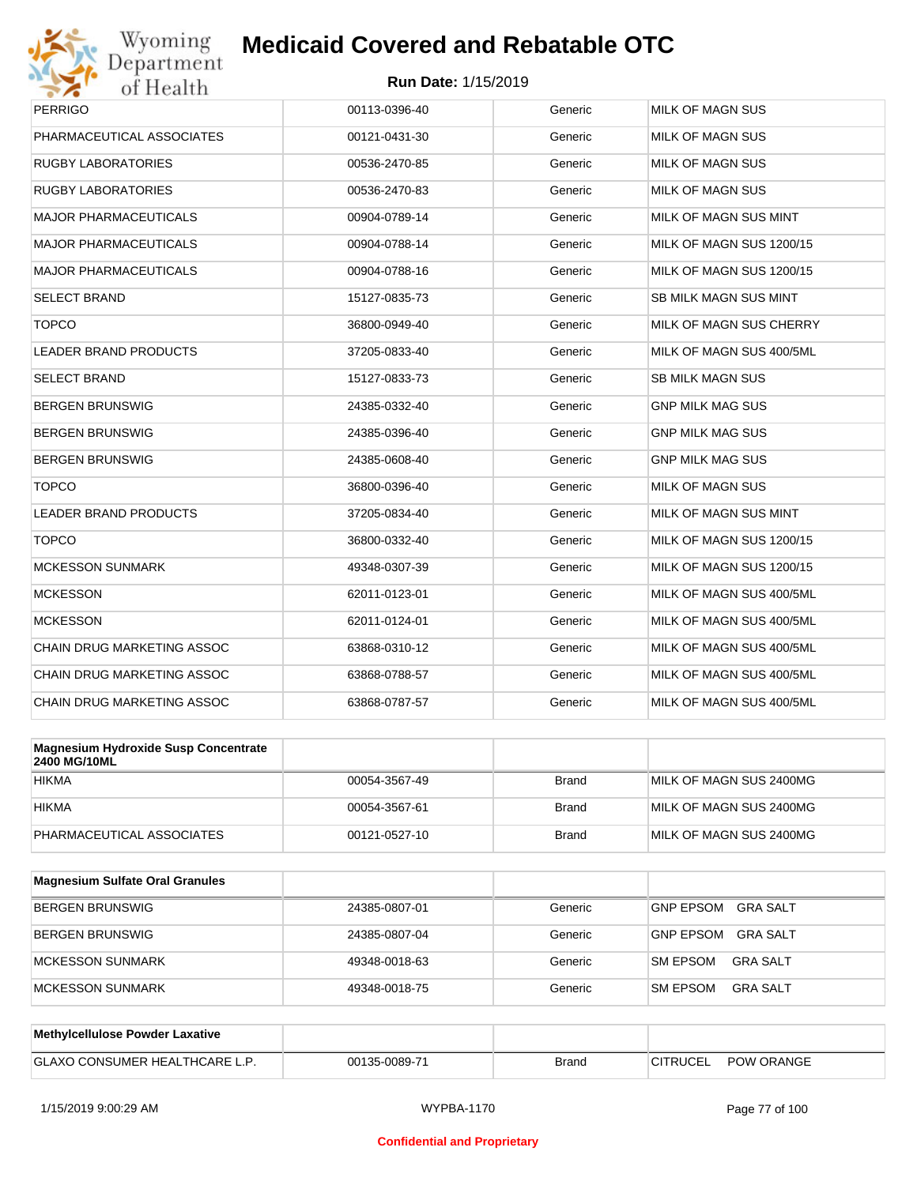

| <b>PERRIGO</b>                                              | 00113-0396-40 | Generic | <b>MILK OF MAGN SUS</b>      |
|-------------------------------------------------------------|---------------|---------|------------------------------|
| PHARMACEUTICAL ASSOCIATES                                   | 00121-0431-30 | Generic | <b>MILK OF MAGN SUS</b>      |
| RUGBY LABORATORIES                                          | 00536-2470-85 | Generic | <b>MILK OF MAGN SUS</b>      |
| RUGBY LABORATORIES                                          | 00536-2470-83 | Generic | <b>MILK OF MAGN SUS</b>      |
| <b>MAJOR PHARMACEUTICALS</b>                                | 00904-0789-14 | Generic | MILK OF MAGN SUS MINT        |
| <b>MAJOR PHARMACEUTICALS</b>                                | 00904-0788-14 | Generic | MILK OF MAGN SUS 1200/15     |
| MAJOR PHARMACEUTICALS                                       | 00904-0788-16 | Generic | MILK OF MAGN SUS 1200/15     |
| SELECT BRAND                                                | 15127-0835-73 | Generic | <b>SB MILK MAGN SUS MINT</b> |
| <b>TOPCO</b>                                                | 36800-0949-40 | Generic | MILK OF MAGN SUS CHERRY      |
| <b>LEADER BRAND PRODUCTS</b>                                | 37205-0833-40 | Generic | MILK OF MAGN SUS 400/5ML     |
| SELECT BRAND                                                | 15127-0833-73 | Generic | <b>SB MILK MAGN SUS</b>      |
| BERGEN BRUNSWIG                                             | 24385-0332-40 | Generic | <b>GNP MILK MAG SUS</b>      |
| BERGEN BRUNSWIG                                             | 24385-0396-40 | Generic | <b>GNP MILK MAG SUS</b>      |
| BERGEN BRUNSWIG                                             | 24385-0608-40 | Generic | <b>GNP MILK MAG SUS</b>      |
| <b>TOPCO</b>                                                | 36800-0396-40 | Generic | <b>MILK OF MAGN SUS</b>      |
| <b>LEADER BRAND PRODUCTS</b>                                | 37205-0834-40 | Generic | MILK OF MAGN SUS MINT        |
| <b>TOPCO</b>                                                | 36800-0332-40 | Generic | MILK OF MAGN SUS 1200/15     |
| <b>MCKESSON SUNMARK</b>                                     | 49348-0307-39 | Generic | MILK OF MAGN SUS 1200/15     |
| <b>MCKESSON</b>                                             | 62011-0123-01 | Generic | MILK OF MAGN SUS 400/5ML     |
| <b>MCKESSON</b>                                             | 62011-0124-01 | Generic | MILK OF MAGN SUS 400/5ML     |
| CHAIN DRUG MARKETING ASSOC                                  | 63868-0310-12 | Generic | MILK OF MAGN SUS 400/5ML     |
| CHAIN DRUG MARKETING ASSOC                                  | 63868-0788-57 | Generic | MILK OF MAGN SUS 400/5ML     |
| CHAIN DRUG MARKETING ASSOC                                  | 63868-0787-57 | Generic | MILK OF MAGN SUS 400/5ML     |
|                                                             |               |         |                              |
| <b>Magnesium Hydroxide Susp Concentrate</b><br>2400 MG/10ML |               |         |                              |
|                                                             |               |         |                              |

| <b>2400 IVIOLIUINIL</b>   |               |       |                         |
|---------------------------|---------------|-------|-------------------------|
| <b>HIKMA</b>              | 00054-3567-49 | Brand | MILK OF MAGN SUS 2400MG |
| <b>HIKMA</b>              | 00054-3567-61 | Brand | MILK OF MAGN SUS 2400MG |
| PHARMACEUTICAL ASSOCIATES | 00121-0527-10 | Brand | MILK OF MAGN SUS 2400MG |

| <b>Magnesium Sulfate Oral Granules</b> |               |         |                                     |
|----------------------------------------|---------------|---------|-------------------------------------|
| <b>BERGEN BRUNSWIG</b>                 | 24385-0807-01 | Generic | <b>GNP EPSOM</b><br><b>GRA SALT</b> |
| <b>BERGEN BRUNSWIG</b>                 | 24385-0807-04 | Generic | <b>GNP EPSOM</b><br>GRA SALT        |
| MCKESSON SUNMARK                       | 49348-0018-63 | Generic | <b>SM EPSOM</b><br>GRA SALT         |
| <b>IMCKESSON SUNMARK</b>               | 49348-0018-75 | Generic | <b>SM EPSOM</b><br>GRA SALT         |

| <b>Methylcellulose Powder Laxative</b>  |               |       |                 |                   |
|-----------------------------------------|---------------|-------|-----------------|-------------------|
| J CONSUMER HEALTHCARE L<br><b>GLAXO</b> | 00135-0089-71 | Brand | <b>CITRUCEI</b> | <b>POW ORANGE</b> |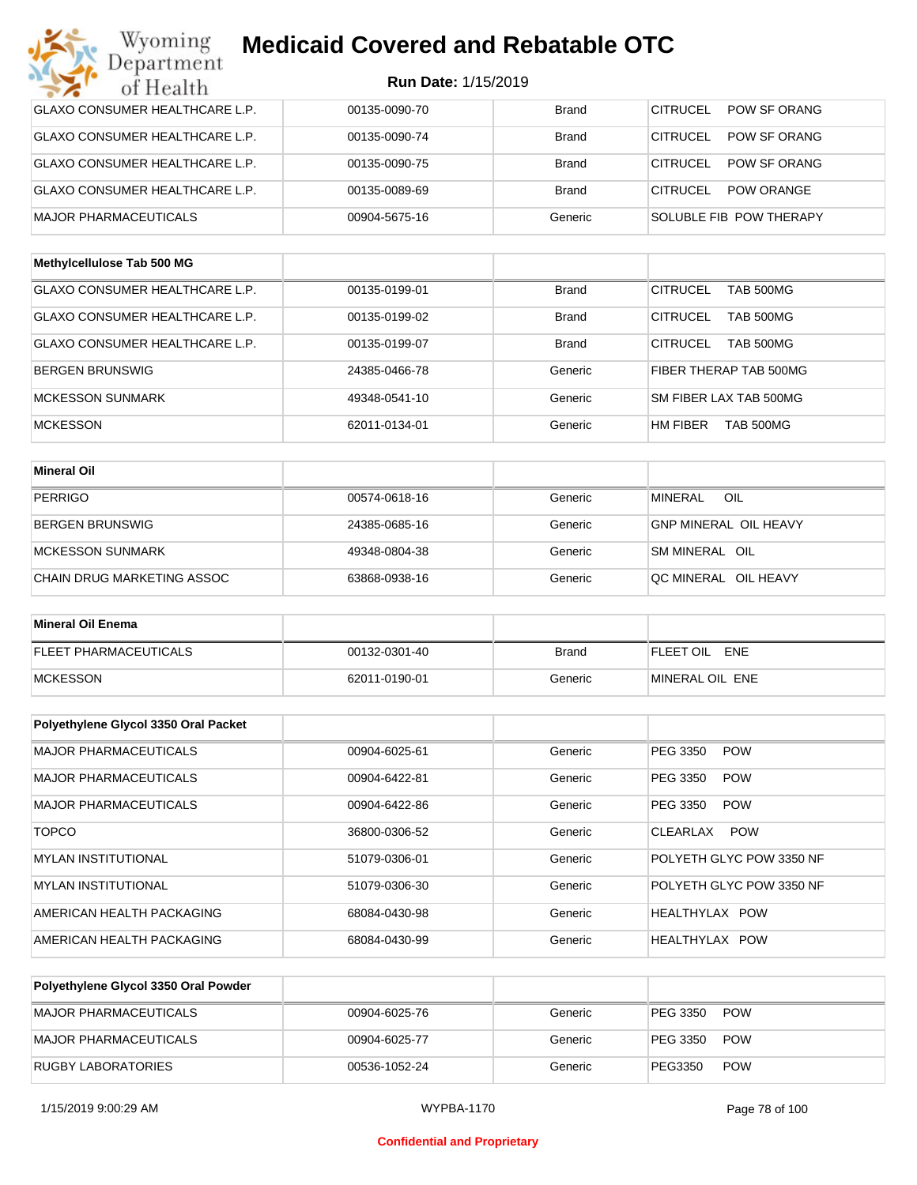| Wyoming<br>Department                 | <b>Medicaid Covered and Rebatable OTC</b> |              |                                     |
|---------------------------------------|-------------------------------------------|--------------|-------------------------------------|
| of Health                             | <b>Run Date: 1/15/2019</b>                |              |                                     |
| <b>GLAXO CONSUMER HEALTHCARE L.P.</b> | 00135-0090-70                             | <b>Brand</b> | CITRUCEL<br>POW SF ORANG            |
| <b>GLAXO CONSUMER HEALTHCARE L.P.</b> | 00135-0090-74                             | <b>Brand</b> | CITRUCEL<br>POW SF ORANG            |
| <b>GLAXO CONSUMER HEALTHCARE L.P.</b> | 00135-0090-75                             | <b>Brand</b> | CITRUCEL<br>POW SF ORANG            |
| <b>GLAXO CONSUMER HEALTHCARE L.P.</b> | 00135-0089-69                             | <b>Brand</b> | CITRUCEL<br><b>POW ORANGE</b>       |
| <b>MAJOR PHARMACEUTICALS</b>          | 00904-5675-16                             | Generic      | SOLUBLE FIB POW THERAPY             |
| Methylcellulose Tab 500 MG            |                                           |              |                                     |
| <b>GLAXO CONSUMER HEALTHCARE L.P.</b> | 00135-0199-01                             | <b>Brand</b> | <b>CITRUCEL</b><br><b>TAB 500MG</b> |
| <b>GLAXO CONSUMER HEALTHCARE L.P.</b> | 00135-0199-02                             | <b>Brand</b> | <b>CITRUCEL</b><br><b>TAB 500MG</b> |
| GLAXO CONSUMER HEALTHCARE L.P.        | 00135-0199-07                             | <b>Brand</b> | CITRUCEL<br><b>TAB 500MG</b>        |
| <b>BERGEN BRUNSWIG</b>                | 24385-0466-78                             | Generic      | FIBER THERAP TAB 500MG              |
| <b>MCKESSON SUNMARK</b>               | 49348-0541-10                             | Generic      | SM FIBER LAX TAB 500MG              |
| <b>MCKESSON</b>                       | 62011-0134-01                             | Generic      | HM FIBER<br>TAB 500MG               |
| <b>Mineral Oil</b>                    |                                           |              |                                     |
| <b>PERRIGO</b>                        | 00574-0618-16                             | Generic      | <b>MINERAL</b><br>OIL               |
| <b>BERGEN BRUNSWIG</b>                | 24385-0685-16                             | Generic      | <b>GNP MINERAL OIL HEAVY</b>        |
| <b>MCKESSON SUNMARK</b>               | 49348-0804-38                             | Generic      | SM MINERAL OIL                      |
| CHAIN DRUG MARKETING ASSOC            | 63868-0938-16                             | Generic      | QC MINERAL OIL HEAVY                |
| <b>Mineral Oil Enema</b>              |                                           |              |                                     |
| <b>FLEET PHARMACEUTICALS</b>          | 00132-0301-40                             | <b>Brand</b> | FLEET OIL<br>ENE                    |
| <b>MCKESSON</b>                       | 62011-0190-01                             | Generic      | MINERAL OIL ENE                     |
|                                       |                                           |              |                                     |
| Polyethylene Glycol 3350 Oral Packet  |                                           |              |                                     |
| MAJOR PHARMACEUTICALS                 | 00904-6025-61                             | Generic      | PEG 3350<br><b>POW</b>              |
| MAJOR PHARMACEUTICALS                 | 00904-6422-81                             | Generic      | PEG 3350<br><b>POW</b>              |
| <b>MAJOR PHARMACEUTICALS</b>          | 00904-6422-86                             | Generic      | PEG 3350<br><b>POW</b>              |
| <b>TOPCO</b>                          | 36800-0306-52                             | Generic      | <b>POW</b><br>CLEARLAX              |
| <b>MYLAN INSTITUTIONAL</b>            | 51079-0306-01                             | Generic      | POLYETH GLYC POW 3350 NF            |
| MYLAN INSTITUTIONAL                   | 51079-0306-30                             | Generic      | POLYETH GLYC POW 3350 NF            |
| AMERICAN HEALTH PACKAGING             | 68084-0430-98                             | Generic      | HEALTHYLAX POW                      |
| AMERICAN HEALTH PACKAGING             | 68084-0430-99                             | Generic      | HEALTHYLAX POW                      |

| Polyethylene Glycol 3350 Oral Powder |               |         |                        |  |
|--------------------------------------|---------------|---------|------------------------|--|
| MAJOR PHARMACEUTICALS                | 00904-6025-76 | Generic | <b>POW</b><br>PEG 3350 |  |
| MAJOR PHARMACEUTICALS                | 00904-6025-77 | Generic | <b>POW</b><br>PEG 3350 |  |
| <b>RUGBY LABORATORIES</b>            | 00536-1052-24 | Generic | <b>POW</b><br>PEG3350  |  |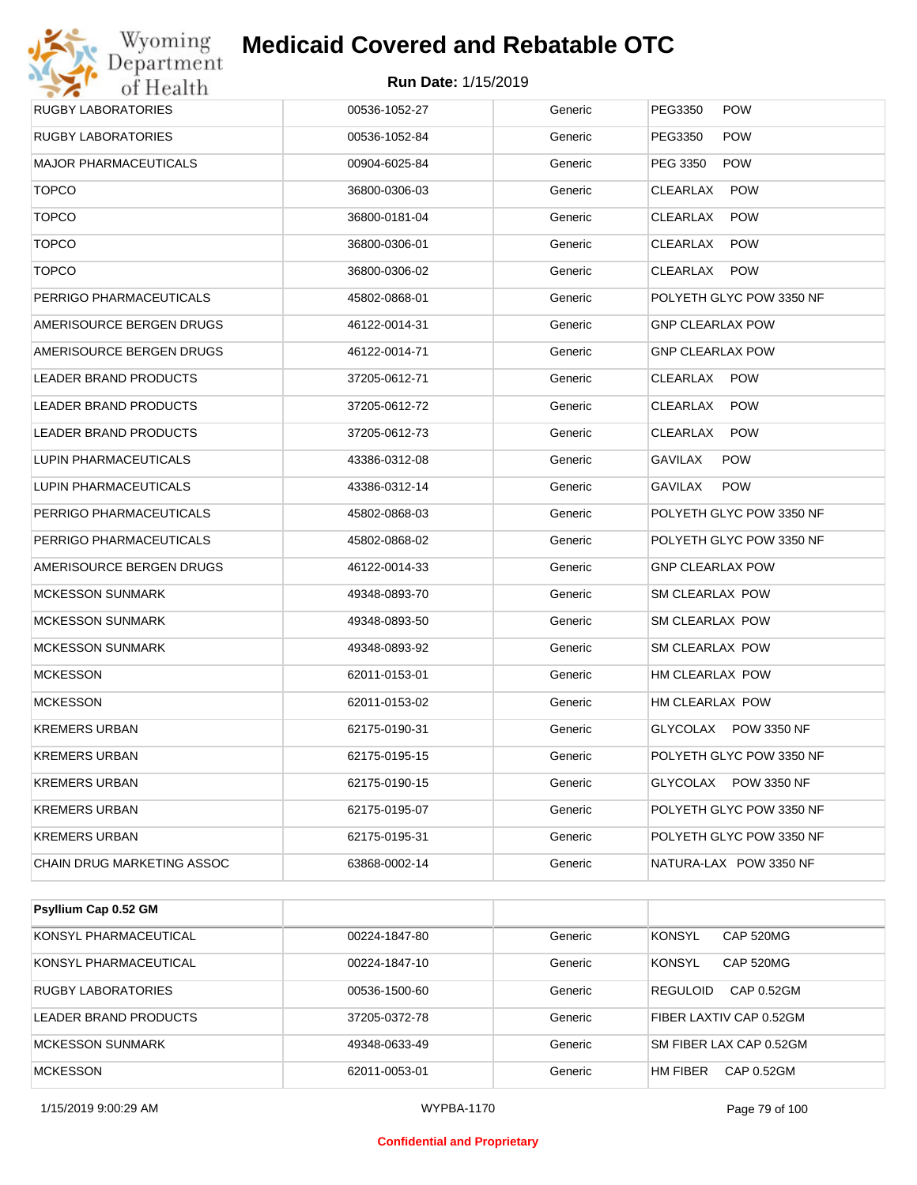## Wyoming<br>Department<br>of Health **Medicaid Covered and Rebatable OTC**

| <b>RUGBY LABORATORIES</b>    | 00536-1052-27 | Generic | PEG3350<br><b>POW</b>    |
|------------------------------|---------------|---------|--------------------------|
| <b>RUGBY LABORATORIES</b>    | 00536-1052-84 | Generic | PEG3350<br><b>POW</b>    |
| <b>MAJOR PHARMACEUTICALS</b> | 00904-6025-84 | Generic | <b>POW</b><br>PEG 3350   |
| <b>TOPCO</b>                 | 36800-0306-03 | Generic | CLEARLAX<br><b>POW</b>   |
| <b>TOPCO</b>                 | 36800-0181-04 | Generic | CLEARLAX<br><b>POW</b>   |
| <b>TOPCO</b>                 | 36800-0306-01 | Generic | CLEARLAX<br><b>POW</b>   |
| <b>TOPCO</b>                 | 36800-0306-02 | Generic | CLEARLAX<br><b>POW</b>   |
| PERRIGO PHARMACEUTICALS      | 45802-0868-01 | Generic | POLYETH GLYC POW 3350 NF |
| AMERISOURCE BERGEN DRUGS     | 46122-0014-31 | Generic | <b>GNP CLEARLAX POW</b>  |
| AMERISOURCE BERGEN DRUGS     | 46122-0014-71 | Generic | <b>GNP CLEARLAX POW</b>  |
| LEADER BRAND PRODUCTS        | 37205-0612-71 | Generic | CLEARLAX<br><b>POW</b>   |
| <b>LEADER BRAND PRODUCTS</b> | 37205-0612-72 | Generic | CLEARLAX<br><b>POW</b>   |
| LEADER BRAND PRODUCTS        | 37205-0612-73 | Generic | CLEARLAX<br><b>POW</b>   |
| LUPIN PHARMACEUTICALS        | 43386-0312-08 | Generic | GAVILAX<br><b>POW</b>    |
| LUPIN PHARMACEUTICALS        | 43386-0312-14 | Generic | <b>POW</b><br>GAVILAX    |
| PERRIGO PHARMACEUTICALS      | 45802-0868-03 | Generic | POLYETH GLYC POW 3350 NF |
| PERRIGO PHARMACEUTICALS      | 45802-0868-02 | Generic | POLYETH GLYC POW 3350 NF |
| AMERISOURCE BERGEN DRUGS     | 46122-0014-33 | Generic | <b>GNP CLEARLAX POW</b>  |
| <b>MCKESSON SUNMARK</b>      | 49348-0893-70 | Generic | SM CLEARLAX POW          |
| <b>MCKESSON SUNMARK</b>      | 49348-0893-50 | Generic | SM CLEARLAX POW          |
| <b>MCKESSON SUNMARK</b>      | 49348-0893-92 | Generic | SM CLEARLAX POW          |
| <b>MCKESSON</b>              | 62011-0153-01 | Generic | HM CLEARLAX POW          |
| <b>MCKESSON</b>              | 62011-0153-02 | Generic | HM CLEARLAX POW          |
| <b>KREMERS URBAN</b>         | 62175-0190-31 | Generic | GLYCOLAX POW 3350 NF     |
| <b>KREMERS URBAN</b>         | 62175-0195-15 | Generic | POLYETH GLYC POW 3350 NF |
| <b>KREMERS URBAN</b>         | 62175-0190-15 | Generic | GLYCOLAX POW 3350 NF     |
| <b>KREMERS URBAN</b>         | 62175-0195-07 | Generic | POLYETH GLYC POW 3350 NF |
| <b>KREMERS URBAN</b>         | 62175-0195-31 | Generic | POLYETH GLYC POW 3350 NF |
| CHAIN DRUG MARKETING ASSOC   | 63868-0002-14 | Generic | NATURA-LAX POW 3350 NF   |
|                              |               |         |                          |

| Psyllium Cap 0.52 GM    |               |         |                               |
|-------------------------|---------------|---------|-------------------------------|
| KONSYL PHARMACEUTICAL   | 00224-1847-80 | Generic | <b>KONSYL</b><br>CAP 520MG    |
| KONSYL PHARMACEUTICAL   | 00224-1847-10 | Generic | <b>KONSYL</b><br>CAP 520MG    |
| RUGBY LABORATORIES      | 00536-1500-60 | Generic | <b>REGULOID</b><br>CAP 0.52GM |
| LEADER BRAND PRODUCTS   | 37205-0372-78 | Generic | FIBER LAXTIV CAP 0.52GM       |
| <b>MCKESSON SUNMARK</b> | 49348-0633-49 | Generic | SM FIBER LAX CAP 0.52GM       |
| <b>MCKESSON</b>         | 62011-0053-01 | Generic | HM FIBER<br>CAP 0.52GM        |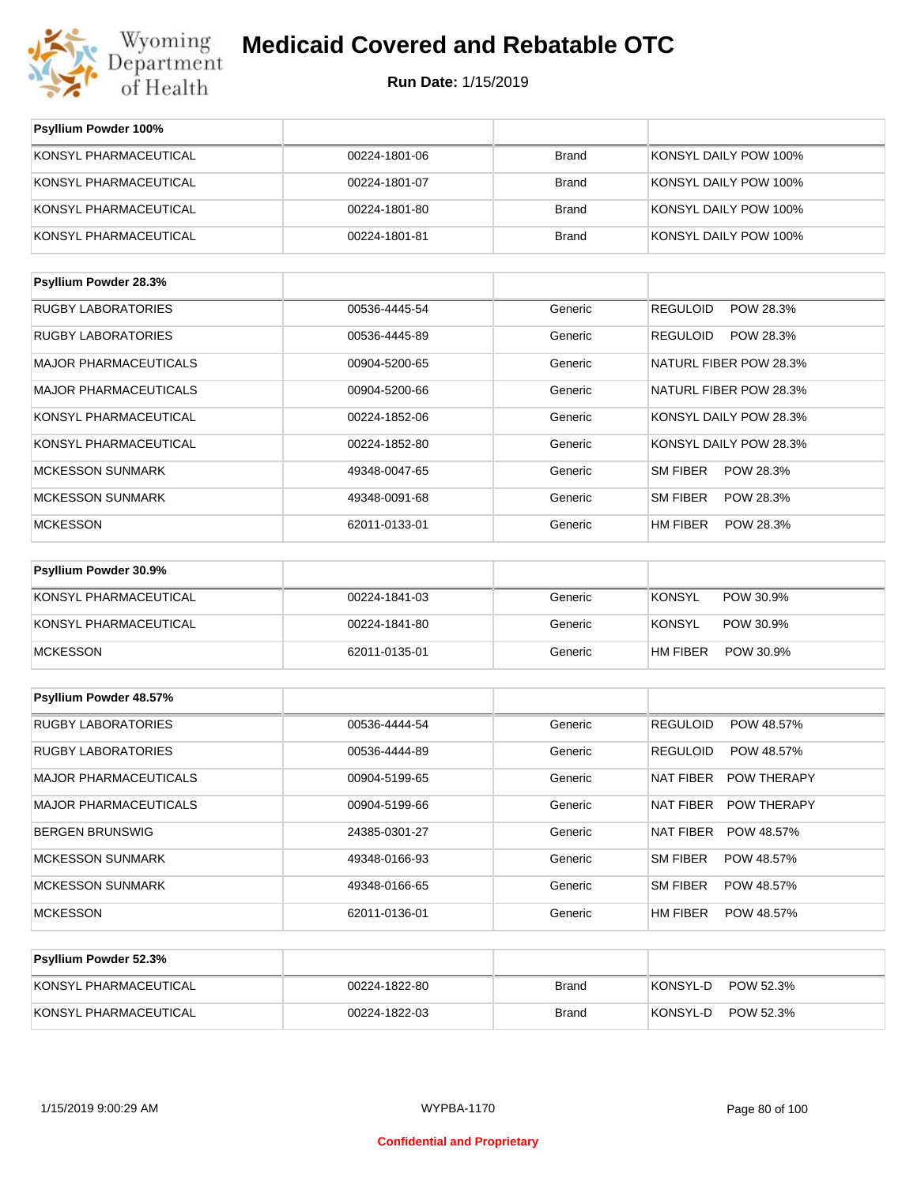

**Run Date:** 1/15/2019

| Psyllium Powder 100%         |               |              |                               |
|------------------------------|---------------|--------------|-------------------------------|
| KONSYL PHARMACEUTICAL        | 00224-1801-06 | <b>Brand</b> | KONSYL DAILY POW 100%         |
| KONSYL PHARMACEUTICAL        | 00224-1801-07 | <b>Brand</b> | KONSYL DAILY POW 100%         |
| KONSYL PHARMACEUTICAL        | 00224-1801-80 | <b>Brand</b> | KONSYL DAILY POW 100%         |
| KONSYL PHARMACEUTICAL        | 00224-1801-81 | <b>Brand</b> | KONSYL DAILY POW 100%         |
| Psyllium Powder 28.3%        |               |              |                               |
| <b>RUGBY LABORATORIES</b>    | 00536-4445-54 | Generic      | <b>REGULOID</b><br>POW 28.3%  |
| <b>RUGBY LABORATORIES</b>    | 00536-4445-89 | Generic      | <b>REGULOID</b><br>POW 28.3%  |
| <b>MAJOR PHARMACEUTICALS</b> | 00904-5200-65 | Generic      | NATURL FIBER POW 28.3%        |
| <b>MAJOR PHARMACEUTICALS</b> | 00904-5200-66 | Generic      | NATURL FIBER POW 28.3%        |
| KONSYL PHARMACEUTICAL        | 00224-1852-06 | Generic      | KONSYL DAILY POW 28.3%        |
| KONSYL PHARMACEUTICAL        | 00224-1852-80 | Generic      | KONSYL DAILY POW 28.3%        |
| <b>MCKESSON SUNMARK</b>      | 49348-0047-65 | Generic      | SM FIBER<br>POW 28.3%         |
| <b>MCKESSON SUNMARK</b>      | 49348-0091-68 | Generic      | SM FIBER<br>POW 28.3%         |
| <b>MCKESSON</b>              | 62011-0133-01 | Generic      | HM FIBER<br>POW 28.3%         |
| Psyllium Powder 30.9%        |               |              |                               |
| KONSYL PHARMACEUTICAL        | 00224-1841-03 | Generic      | <b>KONSYL</b><br>POW 30.9%    |
| KONSYL PHARMACEUTICAL        | 00224-1841-80 | Generic      | <b>KONSYL</b><br>POW 30.9%    |
| <b>MCKESSON</b>              | 62011-0135-01 | Generic      | HM FIBER<br>POW 30.9%         |
| Psyllium Powder 48.57%       |               |              |                               |
| <b>RUGBY LABORATORIES</b>    | 00536-4444-54 | Generic      | <b>REGULOID</b><br>POW 48.57% |
| <b>RUGBY LABORATORIES</b>    | 00536-4444-89 | Generic      | <b>REGULOID</b><br>POW 48.57% |
| MAJOR PHARMACEUTICALS        | 00904-5199-65 | Generic      | NAT FIBER POW THERAPY         |
| <b>MAJOR PHARMACEUTICALS</b> | 00904-5199-66 | Generic      | NAT FIBER<br>POW THERAPY      |
| <b>BERGEN BRUNSWIG</b>       | 24385-0301-27 | Generic      | NAT FIBER<br>POW 48.57%       |
| <b>MCKESSON SUNMARK</b>      | 49348-0166-93 | Generic      | SM FIBER<br>POW 48.57%        |
| MCKESSON SUNMARK             | 49348-0166-65 | Generic      | <b>SM FIBER</b><br>POW 48.57% |

| <b>Psyllium Powder 52.3%</b> |               |       |                        |
|------------------------------|---------------|-------|------------------------|
| KONSYL PHARMACEUTICAL        | 00224-1822-80 | Brand | POW 52.3%<br>KONSYL-D  |
| KONSYL PHARMACEUTICAL        | 00224-1822-03 | Brand | POW 52.3%<br> KONSYL-D |

MCKESSON 62011-0136-01 Generic HM FIBER POW 48.57%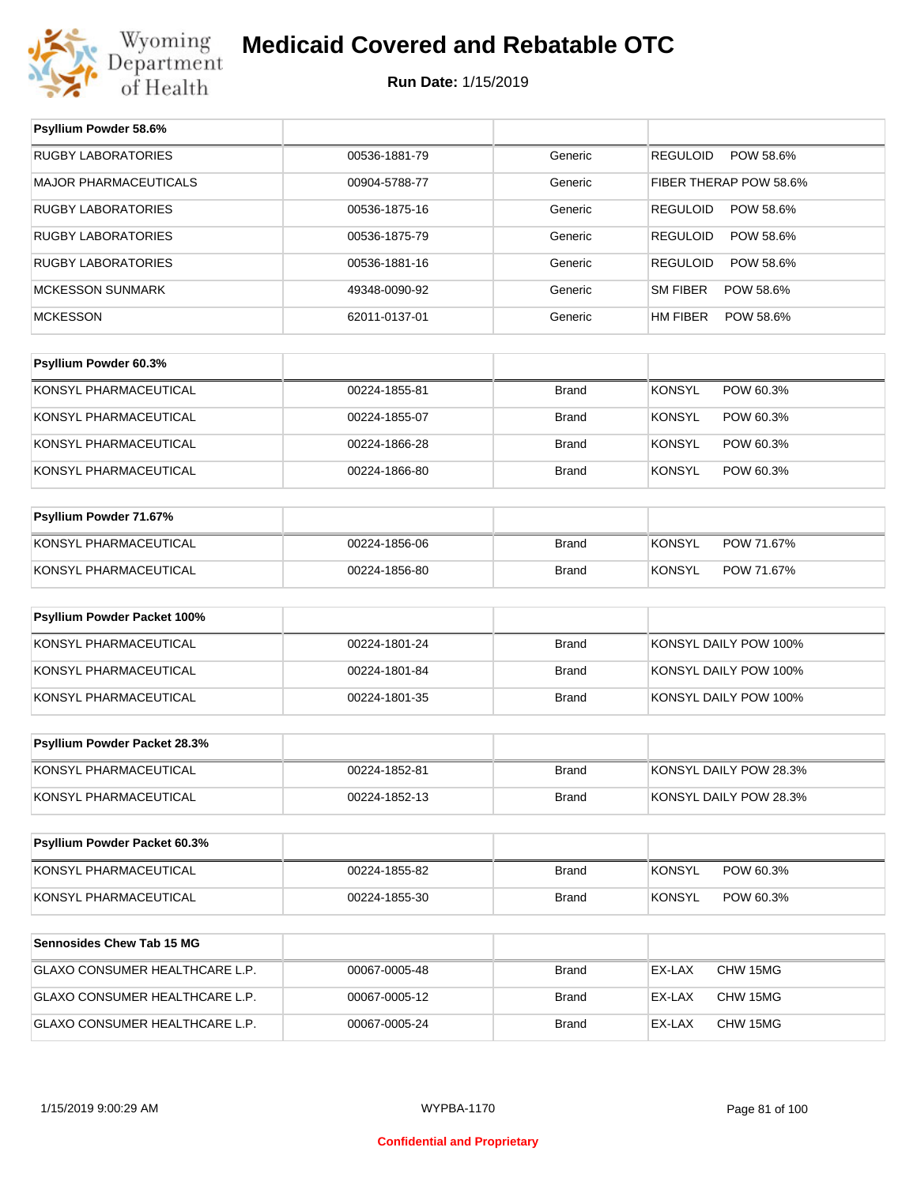

**Psyllium Powder 58.6%**

## **Medicaid Covered and Rebatable OTC**

| <b>RUGBY LABORATORIES</b>        | 00536-1881-79 | Generic      | POW 58.6%<br><b>REGULOID</b> |
|----------------------------------|---------------|--------------|------------------------------|
| MAJOR PHARMACEUTICALS            | 00904-5788-77 | Generic      | FIBER THERAP POW 58.6%       |
| <b>RUGBY LABORATORIES</b>        | 00536-1875-16 | Generic      | <b>REGULOID</b><br>POW 58.6% |
| <b>RUGBY LABORATORIES</b>        | 00536-1875-79 | Generic      | <b>REGULOID</b><br>POW 58.6% |
| <b>RUGBY LABORATORIES</b>        | 00536-1881-16 | Generic      | <b>REGULOID</b><br>POW 58.6% |
| MCKESSON SUNMARK                 | 49348-0090-92 | Generic      | <b>SM FIBER</b><br>POW 58.6% |
| <b>MCKESSON</b>                  | 62011-0137-01 | Generic      | POW 58.6%<br>HM FIBER        |
|                                  |               |              |                              |
| Psyllium Powder 60.3%            |               |              |                              |
| KONSYL PHARMACEUTICAL            | 00224-1855-81 | <b>Brand</b> | <b>KONSYL</b><br>POW 60.3%   |
| KONSYL PHARMACEUTICAL            | 00224-1855-07 | <b>Brand</b> | <b>KONSYL</b><br>POW 60.3%   |
| KONSYL PHARMACEUTICAL            | 00224-1866-28 | <b>Brand</b> | <b>KONSYL</b><br>POW 60.3%   |
| KONSYL PHARMACEUTICAL            | 00224-1866-80 | <b>Brand</b> | <b>KONSYL</b><br>POW 60.3%   |
|                                  |               |              |                              |
| Psyllium Powder 71.67%           |               |              |                              |
| KONSYL PHARMACEUTICAL            | 00224-1856-06 | <b>Brand</b> | <b>KONSYL</b><br>POW 71.67%  |
| KONSYL PHARMACEUTICAL            | 00224-1856-80 | <b>Brand</b> | <b>KONSYL</b><br>POW 71.67%  |
|                                  |               |              |                              |
| Psyllium Powder Packet 100%      |               |              |                              |
| KONSYL PHARMACEUTICAL            | 00224-1801-24 | <b>Brand</b> | KONSYL DAILY POW 100%        |
| KONSYL PHARMACEUTICAL            | 00224-1801-84 | <b>Brand</b> | KONSYL DAILY POW 100%        |
| KONSYL PHARMACEUTICAL            | 00224-1801-35 | <b>Brand</b> | KONSYL DAILY POW 100%        |
|                                  |               |              |                              |
| Psyllium Powder Packet 28.3%     |               |              |                              |
| KONSYL PHARMACEUTICAL            | 00224-1852-81 | <b>Brand</b> | KONSYL DAILY POW 28.3%       |
| KONSYL PHARMACEUTICAL            | 00224-1852-13 | <b>Brand</b> | KONSYL DAILY POW 28.3%       |
|                                  |               |              |                              |
| Psyllium Powder Packet 60.3%     |               |              |                              |
| KONSYL PHARMACEUTICAL            | 00224-1855-82 | <b>Brand</b> | <b>KONSYL</b><br>POW 60.3%   |
| KONSYL PHARMACEUTICAL            | 00224-1855-30 | <b>Brand</b> | <b>KONSYL</b><br>POW 60.3%   |
|                                  |               |              |                              |
| <b>Sennosides Chew Tab 15 MG</b> |               |              |                              |
| GLAXO CONSUMER HEALTHCARE L.P.   | 00067-0005-48 | <b>Brand</b> | CHW 15MG<br>EX-LAX           |
| GLAXO CONSUMER HEALTHCARE L.P.   | 00067-0005-12 | Brand        | EX-LAX<br>CHW 15MG           |
| GLAXO CONSUMER HEALTHCARE L.P.   | 00067-0005-24 | <b>Brand</b> | CHW 15MG<br>EX-LAX           |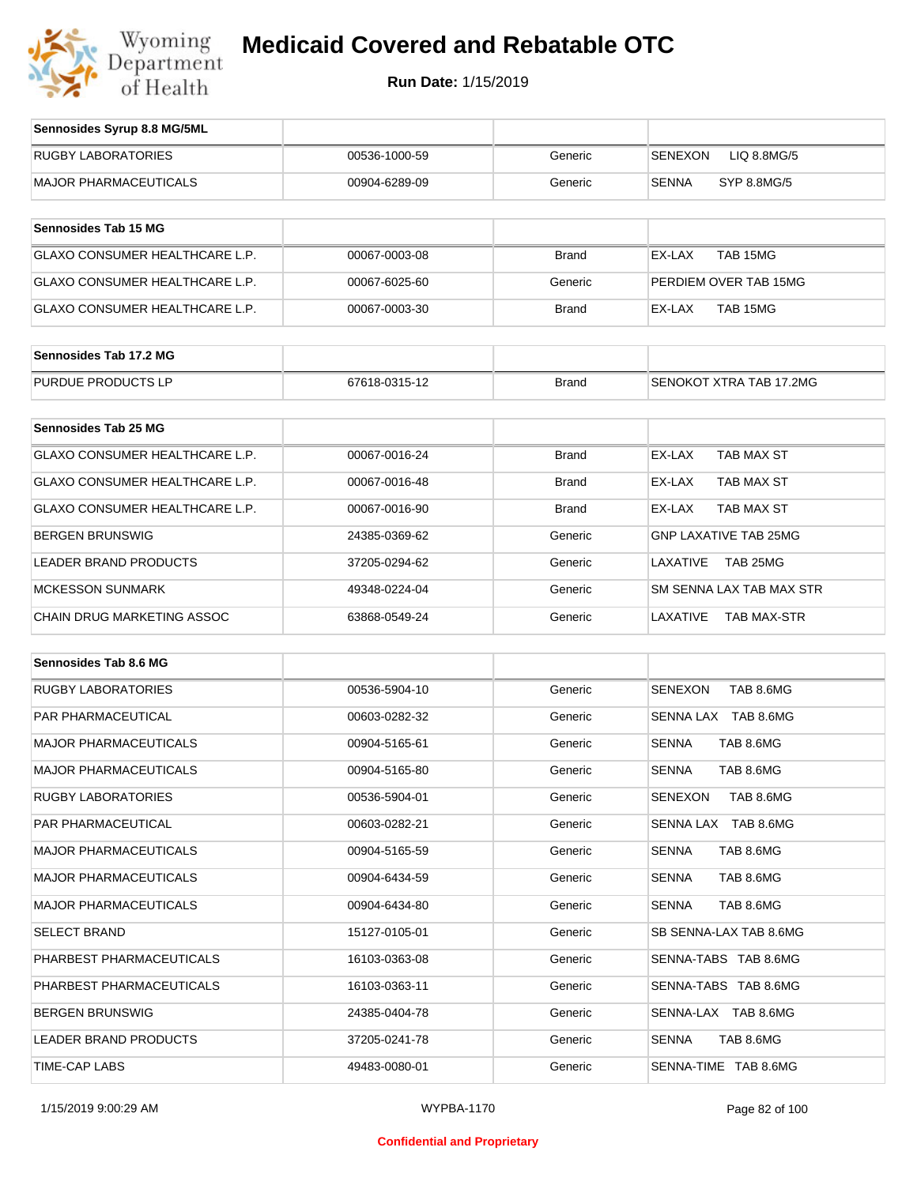

| Sennosides Syrup 8.8 MG/5ML           |               |              |                               |
|---------------------------------------|---------------|--------------|-------------------------------|
| <b>RUGBY LABORATORIES</b>             | 00536-1000-59 | Generic      | <b>SENEXON</b><br>LIQ 8.8MG/5 |
| <b>MAJOR PHARMACEUTICALS</b>          | 00904-6289-09 | Generic      | <b>SENNA</b><br>SYP 8.8MG/5   |
| Sennosides Tab 15 MG                  |               |              |                               |
| GLAXO CONSUMER HEALTHCARE L.P.        | 00067-0003-08 | <b>Brand</b> | TAB 15MG<br>EX-LAX            |
| <b>GLAXO CONSUMER HEALTHCARE L.P.</b> | 00067-6025-60 | Generic      | PERDIEM OVER TAB 15MG         |
| GLAXO CONSUMER HEALTHCARE L.P.        | 00067-0003-30 | <b>Brand</b> | TAB 15MG<br>EX-LAX            |
| Sennosides Tab 17.2 MG                |               |              |                               |
| PURDUE PRODUCTS LP                    | 67618-0315-12 | <b>Brand</b> | SENOKOT XTRA TAB 17,2MG       |
| <b>Sennosides Tab 25 MG</b>           |               |              |                               |
| <b>GLAXO CONSUMER HEALTHCARE L.P.</b> | 00067-0016-24 | <b>Brand</b> | EX-LAX<br>TAB MAX ST          |
| <b>GLAXO CONSUMER HEALTHCARE L.P.</b> | 00067-0016-48 | <b>Brand</b> | EX-LAX<br>TAB MAX ST          |
| GLAXO CONSUMER HEALTHCARE L.P.        | 00067-0016-90 | <b>Brand</b> | EX-LAX<br>TAB MAX ST          |
| <b>BERGEN BRUNSWIG</b>                | 24385-0369-62 | Generic      | <b>GNP LAXATIVE TAB 25MG</b>  |
| <b>LEADER BRAND PRODUCTS</b>          | 37205-0294-62 | Generic      | LAXATIVE<br>TAB 25MG          |
| <b>MCKESSON SUNMARK</b>               | 49348-0224-04 | Generic      | SM SENNA LAX TAB MAX STR      |
| <b>CHAIN DRUG MARKETING ASSOC</b>     | 63868-0549-24 | Generic      | LAXATIVE<br>TAB MAX-STR       |
| <b>Sennosides Tab 8.6 MG</b>          |               |              |                               |
| <b>RUGBY LABORATORIES</b>             | 00536-5904-10 | Generic      | TAB 8.6MG<br><b>SENEXON</b>   |
| PAR PHARMACEUTICAL                    | 00603-0282-32 | Generic      | SENNA LAX TAB 8.6MG           |
| <b>MAJOR PHARMACEUTICALS</b>          | 00904-5165-61 | Generic      | <b>SENNA</b><br>TAB 8.6MG     |
| <b>MAJOR PHARMACEUTICALS</b>          | 00904-5165-80 | Generic      | <b>SENNA</b><br>TAB 8.6MG     |

| <b>PAR PHARMACEUTICAL</b>    | 00603-0282-32 | Generic | SENNA LAX TAB 8.6MG         |
|------------------------------|---------------|---------|-----------------------------|
| <b>MAJOR PHARMACEUTICALS</b> | 00904-5165-61 | Generic | SENNA<br>TAB 8.6MG          |
| <b>MAJOR PHARMACEUTICALS</b> | 00904-5165-80 | Generic | <b>SENNA</b><br>TAB 8.6MG   |
| <b>RUGBY LABORATORIES</b>    | 00536-5904-01 | Generic | <b>SENEXON</b><br>TAB 8.6MG |
| PAR PHARMACEUTICAL           | 00603-0282-21 | Generic | SENNA LAX TAB 8.6MG         |
| <b>MAJOR PHARMACEUTICALS</b> | 00904-5165-59 | Generic | <b>SENNA</b><br>TAB 8.6MG   |
| <b>MAJOR PHARMACEUTICALS</b> | 00904-6434-59 | Generic | <b>SENNA</b><br>TAB 8.6MG   |
| <b>MAJOR PHARMACEUTICALS</b> | 00904-6434-80 | Generic | <b>SENNA</b><br>TAB 8.6MG   |
| <b>SELECT BRAND</b>          | 15127-0105-01 | Generic | SB SENNA-LAX TAB 8.6MG      |
| PHARBEST PHARMACEUTICALS     | 16103-0363-08 | Generic | SENNA-TABS TAB 8.6MG        |
| PHARBEST PHARMACEUTICALS     | 16103-0363-11 | Generic | SENNA-TABS TAB 8.6MG        |
| <b>BERGEN BRUNSWIG</b>       | 24385-0404-78 | Generic | SENNA-LAX TAB 8.6MG         |
| <b>LEADER BRAND PRODUCTS</b> | 37205-0241-78 | Generic | <b>SENNA</b><br>TAB 8.6MG   |
| <b>TIME-CAP LABS</b>         | 49483-0080-01 | Generic | SENNA-TIME TAB 8.6MG        |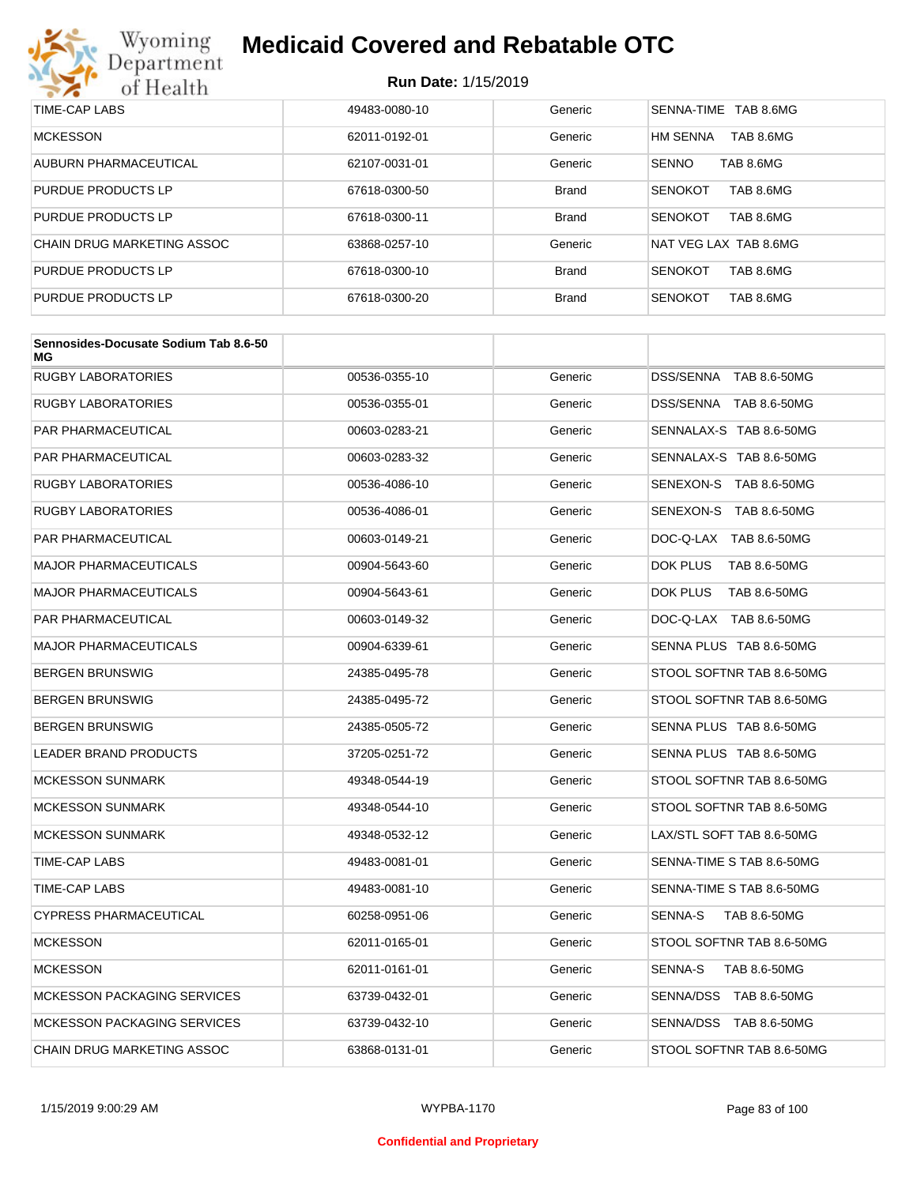

| TIME-CAP LABS              | 49483-0080-10 | Generic      | SENNA-TIME TAB 8.6MG         |
|----------------------------|---------------|--------------|------------------------------|
| <b>MCKESSON</b>            | 62011-0192-01 | Generic      | <b>HM SENNA</b><br>TAB 8.6MG |
| AUBURN PHARMACEUTICAL      | 62107-0031-01 | Generic      | <b>SENNO</b><br>TAB 8.6MG    |
| <b>PURDUE PRODUCTS LP</b>  | 67618-0300-50 | <b>Brand</b> | TAB 8.6MG<br><b>SENOKOT</b>  |
| <b>PURDUE PRODUCTS LP</b>  | 67618-0300-11 | <b>Brand</b> | <b>SENOKOT</b><br>TAB 8.6MG  |
| CHAIN DRUG MARKETING ASSOC | 63868-0257-10 | Generic      | NAT VEG LAX TAB 8.6MG        |
| <b>PURDUE PRODUCTS LP</b>  | 67618-0300-10 | <b>Brand</b> | TAB 8.6MG<br><b>SENOKOT</b>  |
| <b>PURDUE PRODUCTS LP</b>  | 67618-0300-20 | <b>Brand</b> | <b>SENOKOT</b><br>TAB 8.6MG  |

| Sennosides-Docusate Sodium Tab 8.6-50<br>МG |               |         |                           |
|---------------------------------------------|---------------|---------|---------------------------|
| <b>RUGBY LABORATORIES</b>                   | 00536-0355-10 | Generic | DSS/SENNA TAB 8.6-50MG    |
| <b>RUGBY LABORATORIES</b>                   | 00536-0355-01 | Generic | DSS/SENNA TAB 8.6-50MG    |
| <b>PAR PHARMACEUTICAL</b>                   | 00603-0283-21 | Generic | SENNALAX-S TAB 8.6-50MG   |
| <b>PAR PHARMACEUTICAL</b>                   | 00603-0283-32 | Generic | SENNALAX-S TAB 8.6-50MG   |
| <b>RUGBY LABORATORIES</b>                   | 00536-4086-10 | Generic | SENEXON-S TAB 8.6-50MG    |
| <b>RUGBY LABORATORIES</b>                   | 00536-4086-01 | Generic | SENEXON-S TAB 8.6-50MG    |
| PAR PHARMACEUTICAL                          | 00603-0149-21 | Generic | DOC-Q-LAX TAB 8.6-50MG    |
| <b>MAJOR PHARMACEUTICALS</b>                | 00904-5643-60 | Generic | DOK PLUS<br>TAB 8.6-50MG  |
| <b>MAJOR PHARMACEUTICALS</b>                | 00904-5643-61 | Generic | DOK PLUS<br>TAB 8.6-50MG  |
| <b>PAR PHARMACEUTICAL</b>                   | 00603-0149-32 | Generic | DOC-Q-LAX TAB 8.6-50MG    |
| <b>MAJOR PHARMACEUTICALS</b>                | 00904-6339-61 | Generic | SENNA PLUS TAB 8.6-50MG   |
| <b>BERGEN BRUNSWIG</b>                      | 24385-0495-78 | Generic | STOOL SOFTNR TAB 8.6-50MG |
| <b>BERGEN BRUNSWIG</b>                      | 24385-0495-72 | Generic | STOOL SOFTNR TAB 8.6-50MG |
| <b>BERGEN BRUNSWIG</b>                      | 24385-0505-72 | Generic | SENNA PLUS TAB 8.6-50MG   |
| <b>LEADER BRAND PRODUCTS</b>                | 37205-0251-72 | Generic | SENNA PLUS TAB 8.6-50MG   |
| <b>MCKESSON SUNMARK</b>                     | 49348-0544-19 | Generic | STOOL SOFTNR TAB 8.6-50MG |
| <b>MCKESSON SUNMARK</b>                     | 49348-0544-10 | Generic | STOOL SOFTNR TAB 8.6-50MG |
| <b>MCKESSON SUNMARK</b>                     | 49348-0532-12 | Generic | LAX/STL SOFT TAB 8.6-50MG |
| TIME-CAP LABS                               | 49483-0081-01 | Generic | SENNA-TIME S TAB 8.6-50MG |
| TIME-CAP LABS                               | 49483-0081-10 | Generic | SENNA-TIME S TAB 8.6-50MG |
| <b>CYPRESS PHARMACEUTICAL</b>               | 60258-0951-06 | Generic | TAB 8.6-50MG<br>SENNA-S   |
| <b>MCKESSON</b>                             | 62011-0165-01 | Generic | STOOL SOFTNR TAB 8.6-50MG |
| <b>MCKESSON</b>                             | 62011-0161-01 | Generic | SENNA-S<br>TAB 8.6-50MG   |
| <b>MCKESSON PACKAGING SERVICES</b>          | 63739-0432-01 | Generic | SENNA/DSS TAB 8.6-50MG    |
| <b>MCKESSON PACKAGING SERVICES</b>          | 63739-0432-10 | Generic | SENNA/DSS TAB 8.6-50MG    |
| CHAIN DRUG MARKETING ASSOC                  | 63868-0131-01 | Generic | STOOL SOFTNR TAB 8.6-50MG |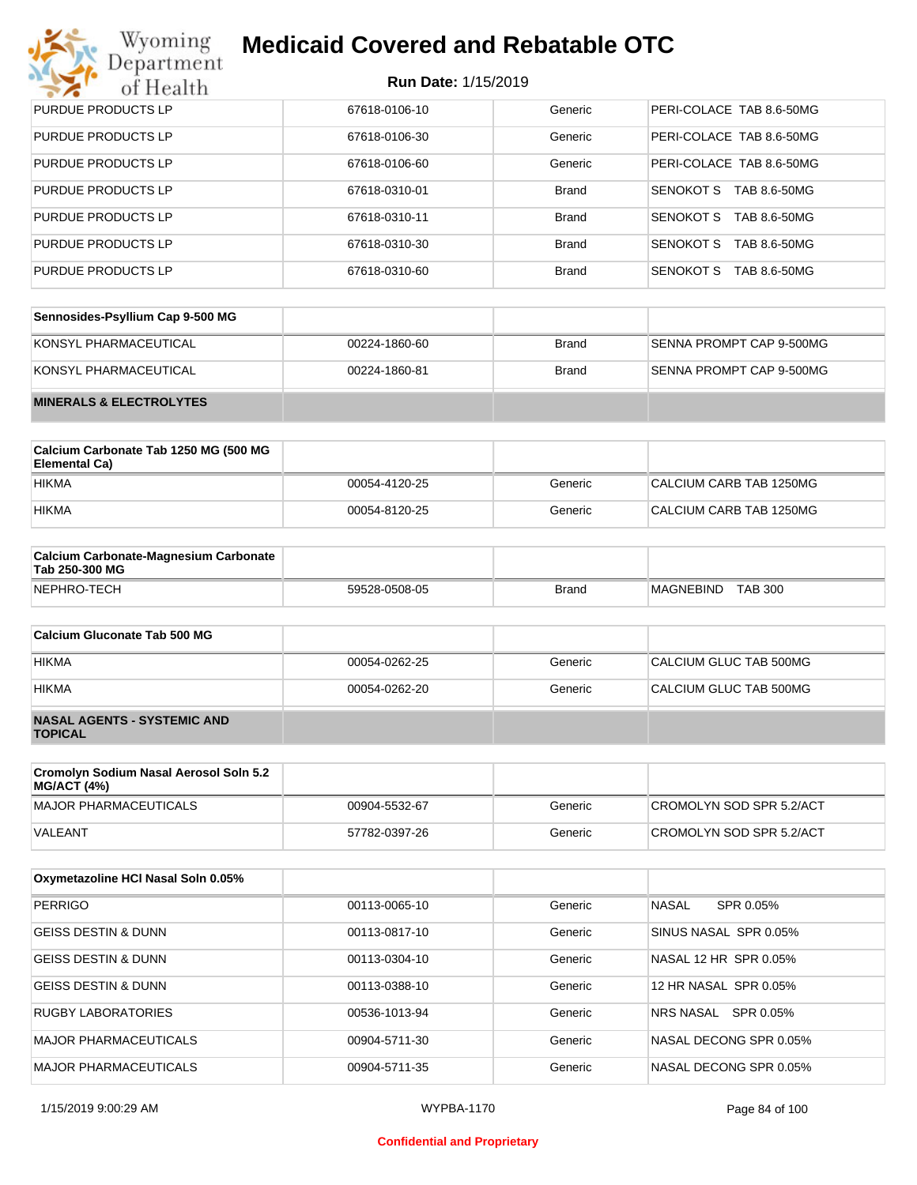## Wyoming<br>Department<br>of Health

## **Medicaid Covered and Rebatable OTC**

| PURDUE PRODUCTS LP        | 67618-0106-10 | Generic      | PERI-COLACE TAB 8.6-50MG  |
|---------------------------|---------------|--------------|---------------------------|
| PURDUE PRODUCTS LP        | 67618-0106-30 | Generic      | PERI-COLACE TAB 8.6-50MG  |
| <b>PURDUE PRODUCTS LP</b> | 67618-0106-60 | Generic      | PERI-COLACE TAB 8.6-50MG  |
| PURDUE PRODUCTS LP        | 67618-0310-01 | <b>Brand</b> | SENOKOT S<br>TAB 8.6-50MG |
| PURDUE PRODUCTS LP        | 67618-0310-11 | <b>Brand</b> | SENOKOT S<br>TAB 8.6-50MG |
| PURDUE PRODUCTS LP        | 67618-0310-30 | <b>Brand</b> | SENOKOT S<br>TAB 8.6-50MG |
| PURDUE PRODUCTS LP        | 67618-0310-60 | <b>Brand</b> | SENOKOT S<br>TAB 8.6-50MG |

| Sennosides-Psyllium Cap 9-500 MG   |               |       |                          |
|------------------------------------|---------------|-------|--------------------------|
| KONSYL PHARMACEUTICAL              | 00224-1860-60 | Brand | SENNA PROMPT CAP 9-500MG |
| KONSYL PHARMACEUTICAL              | 00224-1860-81 | Brand | SENNA PROMPT CAP 9-500MG |
| <b>MINERALS &amp; ELECTROLYTES</b> |               |       |                          |

| Calcium Carbonate Tab 1250 MG (500 MG<br>Elemental Ca) |               |         |                         |
|--------------------------------------------------------|---------------|---------|-------------------------|
| <b>HIKMA</b>                                           | 00054-4120-25 | Generic | CALCIUM CARB TAB 1250MG |
| <b>HIKMA</b>                                           | 00054-8120-25 | Generic | CALCIUM CARB TAB 1250MG |

| <b>Calcium Carbonate-Magnesium Carbonate</b><br>Tab 250-300 MG |               |       |                                    |  |
|----------------------------------------------------------------|---------------|-------|------------------------------------|--|
| NEPHRO-TECH                                                    | 59528-0508-05 | Brand | <b>TAB 300</b><br><b>MAGNEBIND</b> |  |

| Calcium Gluconate Tab 500 MG                         |               |         |                        |
|------------------------------------------------------|---------------|---------|------------------------|
| <b>HIKMA</b>                                         | 00054-0262-25 | Generic | CALCIUM GLUC TAB 500MG |
| <b>HIKMA</b>                                         | 00054-0262-20 | Generic | CALCIUM GLUC TAB 500MG |
| <b>NASAL AGENTS - SYSTEMIC AND</b><br><b>TOPICAL</b> |               |         |                        |

| Cromolyn Sodium Nasal Aerosol Soln 5.2<br>MG/ACT (4%) |               |         |                          |
|-------------------------------------------------------|---------------|---------|--------------------------|
| MAJOR PHARMACEUTICALS                                 | 00904-5532-67 | Generic | CROMOLYN SOD SPR 5.2/ACT |
| VALEANT                                               | 57782-0397-26 | Generic | CROMOLYN SOD SPR 5.2/ACT |

| Oxymetazoline HCI Nasal Soln 0.05% |               |         |                           |
|------------------------------------|---------------|---------|---------------------------|
| <b>PERRIGO</b>                     | 00113-0065-10 | Generic | <b>NASAL</b><br>SPR 0.05% |
| <b>GEISS DESTIN &amp; DUNN</b>     | 00113-0817-10 | Generic | SINUS NASAL SPR 0.05%     |
| <b>GEISS DESTIN &amp; DUNN</b>     | 00113-0304-10 | Generic | NASAL 12 HR SPR 0.05%     |
| <b>GEISS DESTIN &amp; DUNN</b>     | 00113-0388-10 | Generic | 12 HR NASAL SPR 0.05%     |
| RUGBY LABORATORIES                 | 00536-1013-94 | Generic | SPR 0.05%<br>NRS NASAL    |
| <b>MAJOR PHARMACEUTICALS</b>       | 00904-5711-30 | Generic | NASAL DECONG SPR 0.05%    |
| MAJOR PHARMACEUTICALS              | 00904-5711-35 | Generic | NASAL DECONG SPR 0.05%    |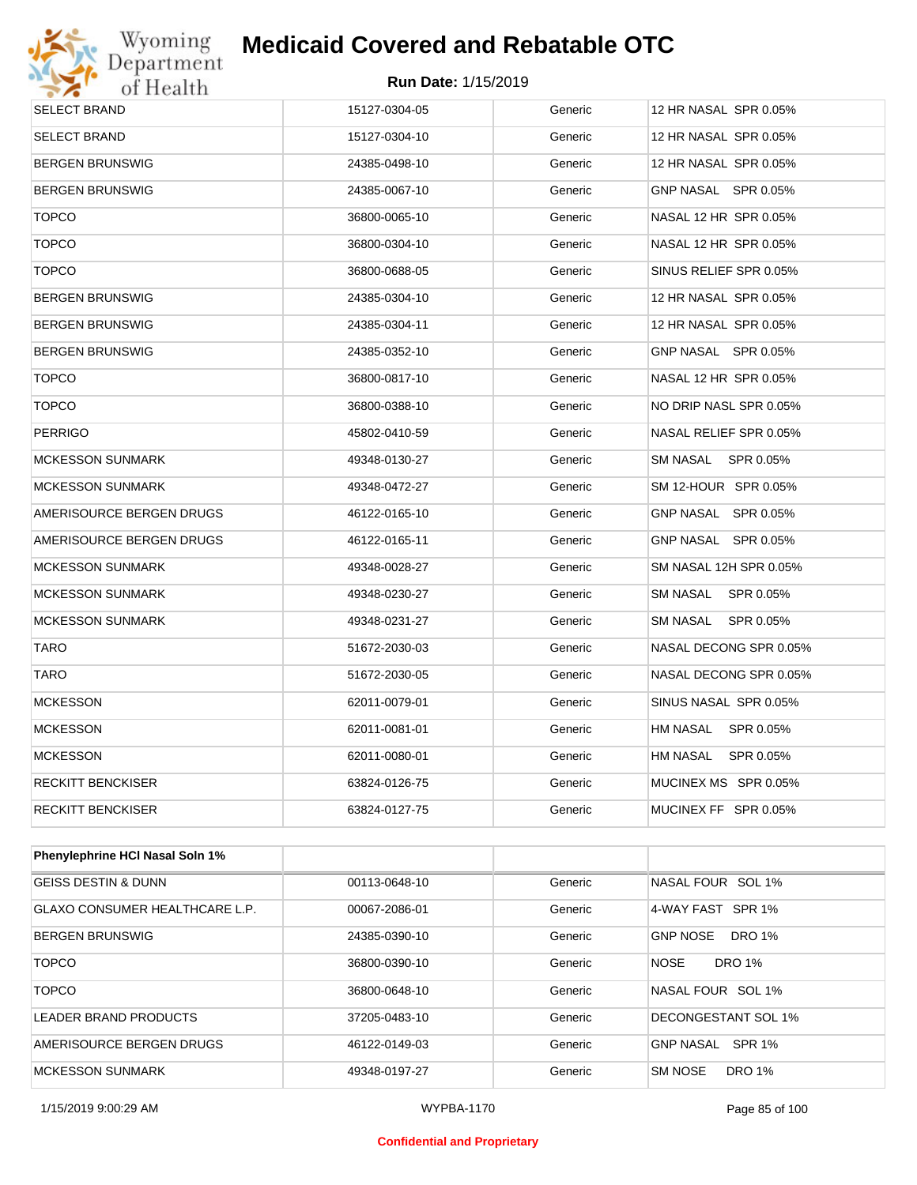

| <b>SELECT BRAND</b>             | 15127-0304-05 | Generic | 12 HR NASAL SPR 0.05%  |
|---------------------------------|---------------|---------|------------------------|
| SELECT BRAND                    | 15127-0304-10 | Generic | 12 HR NASAL SPR 0.05%  |
| BERGEN BRUNSWIG                 | 24385-0498-10 | Generic | 12 HR NASAL SPR 0.05%  |
| BERGEN BRUNSWIG                 | 24385-0067-10 | Generic | GNP NASAL SPR 0.05%    |
| <b>TOPCO</b>                    | 36800-0065-10 | Generic | NASAL 12 HR SPR 0.05%  |
| <b>TOPCO</b>                    | 36800-0304-10 | Generic | NASAL 12 HR SPR 0.05%  |
| <b>TOPCO</b>                    | 36800-0688-05 | Generic | SINUS RELIEF SPR 0.05% |
| BERGEN BRUNSWIG                 | 24385-0304-10 | Generic | 12 HR NASAL SPR 0.05%  |
| BERGEN BRUNSWIG                 | 24385-0304-11 | Generic | 12 HR NASAL SPR 0.05%  |
| BERGEN BRUNSWIG                 | 24385-0352-10 | Generic | GNP NASAL SPR 0.05%    |
| <b>TOPCO</b>                    | 36800-0817-10 | Generic | NASAL 12 HR SPR 0.05%  |
| <b>TOPCO</b>                    | 36800-0388-10 | Generic | NO DRIP NASL SPR 0.05% |
| PERRIGO                         | 45802-0410-59 | Generic | NASAL RELIEF SPR 0.05% |
| <b>MCKESSON SUNMARK</b>         | 49348-0130-27 | Generic | SM NASAL SPR 0.05%     |
| MCKESSON SUNMARK                | 49348-0472-27 | Generic | SM 12-HOUR SPR 0.05%   |
| AMERISOURCE BERGEN DRUGS        | 46122-0165-10 | Generic | GNP NASAL SPR 0.05%    |
| AMERISOURCE BERGEN DRUGS        | 46122-0165-11 | Generic | GNP NASAL SPR 0.05%    |
| <b>MCKESSON SUNMARK</b>         | 49348-0028-27 | Generic | SM NASAL 12H SPR 0.05% |
| MCKESSON SUNMARK                | 49348-0230-27 | Generic | SM NASAL SPR 0.05%     |
| MCKESSON SUNMARK                | 49348-0231-27 | Generic | SM NASAL SPR 0.05%     |
| <b>TARO</b>                     | 51672-2030-03 | Generic | NASAL DECONG SPR 0.05% |
| <b>TARO</b>                     | 51672-2030-05 | Generic | NASAL DECONG SPR 0.05% |
| <b>MCKESSON</b>                 | 62011-0079-01 | Generic | SINUS NASAL SPR 0.05%  |
| <b>MCKESSON</b>                 | 62011-0081-01 | Generic | HM NASAL SPR 0.05%     |
| <b>MCKESSON</b>                 | 62011-0080-01 | Generic | HM NASAL<br>SPR 0.05%  |
| <b>RECKITT BENCKISER</b>        | 63824-0126-75 | Generic | MUCINEX MS SPR 0.05%   |
| <b>RECKITT BENCKISER</b>        | 63824-0127-75 | Generic | MUCINEX FF SPR 0.05%   |
|                                 |               |         |                        |
| Phenylephrine HCI Nasal Soln 1% |               |         |                        |
| <b>GEISS DESTIN &amp; DUNN</b>  | 00113-0648-10 | Generic | NASAL FOUR SOL 1%      |

| <b>GEISS DESTIN &amp; DUNN</b>        | 00113-0648-10 | Generic | NASAL FOUR SOL 1%                |
|---------------------------------------|---------------|---------|----------------------------------|
| <b>GLAXO CONSUMER HEALTHCARE L.P.</b> | 00067-2086-01 | Generic | 4-WAY FAST SPR 1%                |
| <b>BERGEN BRUNSWIG</b>                | 24385-0390-10 | Generic | <b>DRO 1%</b><br><b>GNP NOSE</b> |
| <b>TOPCO</b>                          | 36800-0390-10 | Generic | <b>NOSE</b><br><b>DRO 1%</b>     |
| <b>TOPCO</b>                          | 36800-0648-10 | Generic | NASAL FOUR SOL 1%                |
| LEADER BRAND PRODUCTS                 | 37205-0483-10 | Generic | DECONGESTANT SOL 1%              |
| AMERISOURCE BERGEN DRUGS              | 46122-0149-03 | Generic | SPR 1%<br><b>GNP NASAL</b>       |
| <b>MCKESSON SUNMARK</b>               | 49348-0197-27 | Generic | <b>DRO 1%</b><br><b>SM NOSE</b>  |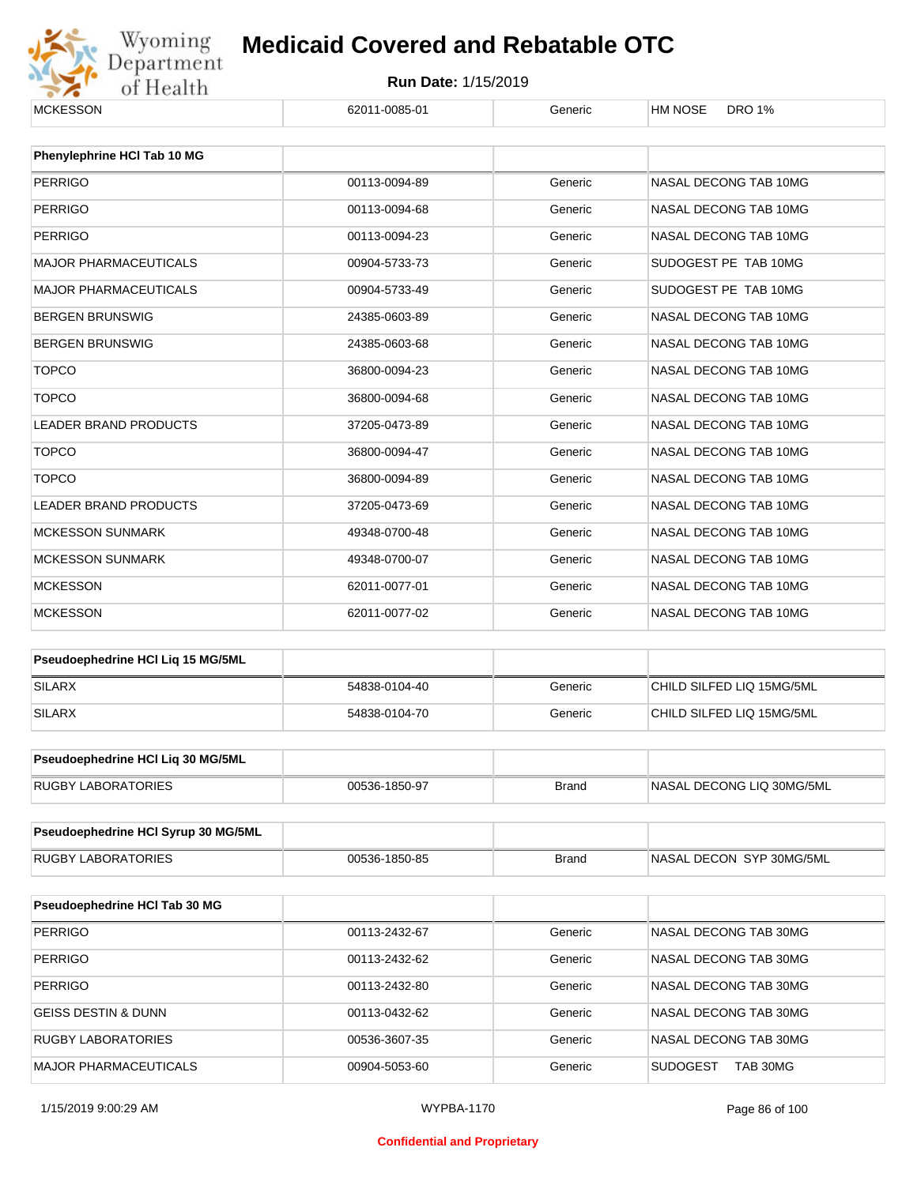

| <b>MCKESSON</b>                     | 62011-0085-01 | Generic      | <b>HM NOSE</b><br><b>DRO 1%</b> |  |  |
|-------------------------------------|---------------|--------------|---------------------------------|--|--|
| Phenylephrine HCI Tab 10 MG         |               |              |                                 |  |  |
| <b>PERRIGO</b>                      | 00113-0094-89 | Generic      | NASAL DECONG TAB 10MG           |  |  |
| <b>PERRIGO</b>                      | 00113-0094-68 | Generic      | NASAL DECONG TAB 10MG           |  |  |
|                                     |               |              | NASAL DECONG TAB 10MG           |  |  |
| <b>PERRIGO</b>                      | 00113-0094-23 | Generic      |                                 |  |  |
| <b>MAJOR PHARMACEUTICALS</b>        | 00904-5733-73 | Generic      | SUDOGEST PE TAB 10MG            |  |  |
| <b>MAJOR PHARMACEUTICALS</b>        | 00904-5733-49 | Generic      | SUDOGEST PE TAB 10MG            |  |  |
| <b>BERGEN BRUNSWIG</b>              | 24385-0603-89 | Generic      | NASAL DECONG TAB 10MG           |  |  |
| <b>BERGEN BRUNSWIG</b>              | 24385-0603-68 | Generic      | NASAL DECONG TAB 10MG           |  |  |
| <b>TOPCO</b>                        | 36800-0094-23 | Generic      | NASAL DECONG TAB 10MG           |  |  |
| <b>TOPCO</b>                        | 36800-0094-68 | Generic      | NASAL DECONG TAB 10MG           |  |  |
| <b>LEADER BRAND PRODUCTS</b>        | 37205-0473-89 | Generic      | NASAL DECONG TAB 10MG           |  |  |
| <b>TOPCO</b>                        | 36800-0094-47 | Generic      | NASAL DECONG TAB 10MG           |  |  |
| <b>TOPCO</b>                        | 36800-0094-89 | Generic      | NASAL DECONG TAB 10MG           |  |  |
| <b>LEADER BRAND PRODUCTS</b>        | 37205-0473-69 | Generic      | NASAL DECONG TAB 10MG           |  |  |
| <b>MCKESSON SUNMARK</b>             | 49348-0700-48 | Generic      | NASAL DECONG TAB 10MG           |  |  |
| <b>MCKESSON SUNMARK</b>             | 49348-0700-07 | Generic      | NASAL DECONG TAB 10MG           |  |  |
| <b>MCKESSON</b>                     | 62011-0077-01 | Generic      | NASAL DECONG TAB 10MG           |  |  |
| <b>MCKESSON</b>                     | 62011-0077-02 | Generic      | NASAL DECONG TAB 10MG           |  |  |
| Pseudoephedrine HCI Liq 15 MG/5ML   |               |              |                                 |  |  |
| <b>SILARX</b>                       | 54838-0104-40 | Generic      | CHILD SILFED LIQ 15MG/5ML       |  |  |
| <b>SILARX</b>                       | 54838-0104-70 | Generic      | CHILD SILFED LIQ 15MG/5ML       |  |  |
| Pseudoephedrine HCl Liq 30 MG/5ML   |               |              |                                 |  |  |
| <b>RUGBY LABORATORIES</b>           | 00536-1850-97 | <b>Brand</b> | NASAL DECONG LIQ 30MG/5ML       |  |  |
|                                     |               |              |                                 |  |  |
| Pseudoephedrine HCI Syrup 30 MG/5ML |               |              |                                 |  |  |
| <b>RUGBY LABORATORIES</b>           | 00536-1850-85 | <b>Brand</b> | NASAL DECON SYP 30MG/5ML        |  |  |
| Pseudoephedrine HCI Tab 30 MG       |               |              |                                 |  |  |
| <b>PERRIGO</b>                      | 00113-2432-67 | Generic      | NASAL DECONG TAB 30MG           |  |  |
| PERRIGO                             | 00113-2432-62 | Generic      | NASAL DECONG TAB 30MG           |  |  |
| <b>PERRIGO</b>                      | 00113-2432-80 | Generic      | NASAL DECONG TAB 30MG           |  |  |
| <b>GEISS DESTIN &amp; DUNN</b>      | 00113-0432-62 | Generic      | NASAL DECONG TAB 30MG           |  |  |
| RUGBY LABORATORIES                  | 00536-3607-35 | Generic      | NASAL DECONG TAB 30MG           |  |  |
| MAJOR PHARMACEUTICALS               | 00904-5053-60 | Generic      | <b>SUDOGEST</b><br>TAB 30MG     |  |  |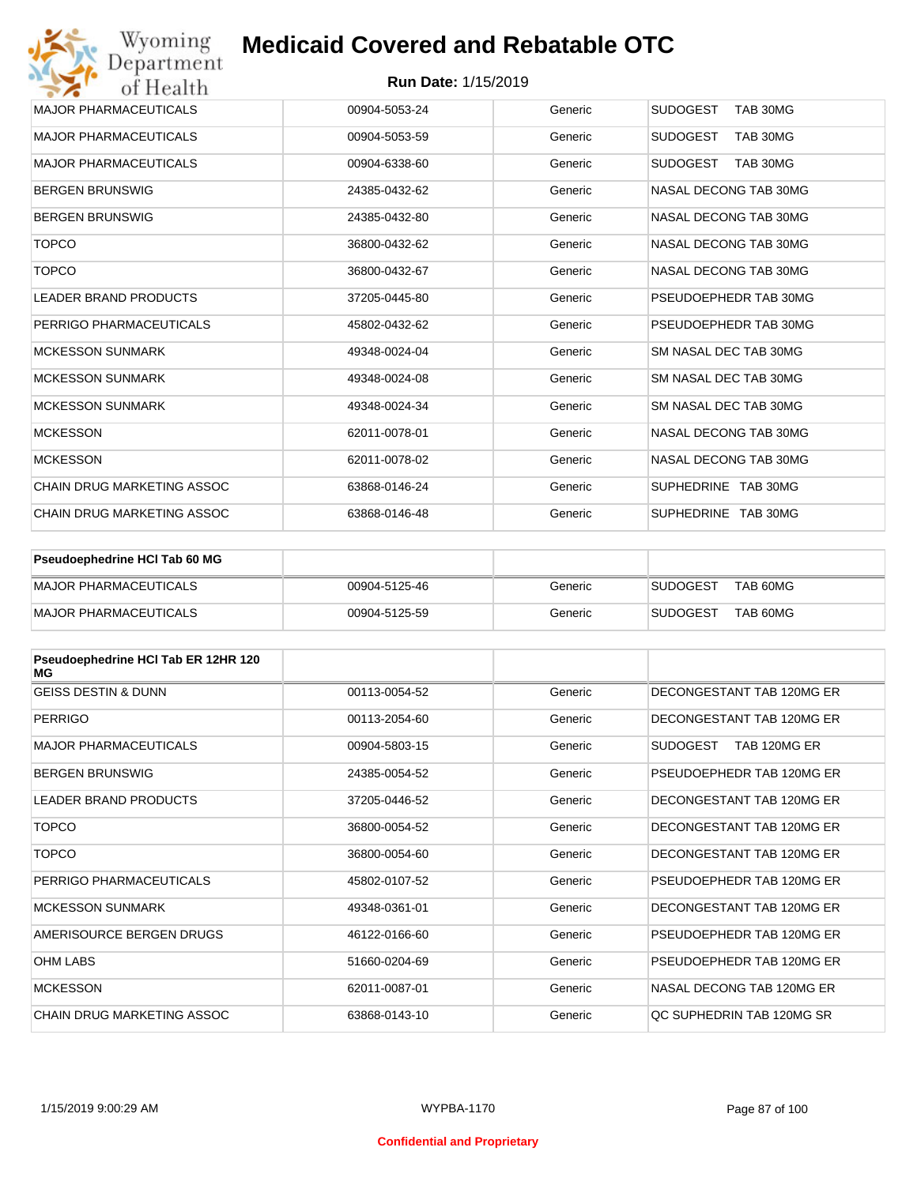| Wyoming<br>Department             | <b>Medicaid Covered and Rebatable OTC</b> |         |                             |
|-----------------------------------|-------------------------------------------|---------|-----------------------------|
| of Health                         | <b>Run Date: 1/15/2019</b>                |         |                             |
| <b>MAJOR PHARMACEUTICALS</b>      | 00904-5053-24                             | Generic | <b>SUDOGEST</b><br>TAB 30MG |
| <b>MAJOR PHARMACEUTICALS</b>      | 00904-5053-59                             | Generic | <b>SUDOGEST</b><br>TAB 30MG |
| <b>MAJOR PHARMACEUTICALS</b>      | 00904-6338-60                             | Generic | <b>SUDOGEST</b><br>TAB 30MG |
| <b>BERGEN BRUNSWIG</b>            | 24385-0432-62                             | Generic | NASAL DECONG TAB 30MG       |
| <b>BERGEN BRUNSWIG</b>            | 24385-0432-80                             | Generic | NASAL DECONG TAB 30MG       |
| <b>TOPCO</b>                      | 36800-0432-62                             | Generic | NASAL DECONG TAB 30MG       |
| <b>TOPCO</b>                      | 36800-0432-67                             | Generic | NASAL DECONG TAB 30MG       |
| <b>LEADER BRAND PRODUCTS</b>      | 37205-0445-80                             | Generic | PSEUDOEPHEDR TAB 30MG       |
| PERRIGO PHARMACEUTICALS           | 45802-0432-62                             | Generic | PSEUDOEPHEDR TAB 30MG       |
| <b>MCKESSON SUNMARK</b>           | 49348-0024-04                             | Generic | SM NASAL DEC TAB 30MG       |
| <b>MCKESSON SUNMARK</b>           | 49348-0024-08                             | Generic | SM NASAL DEC TAB 30MG       |
| <b>MCKESSON SUNMARK</b>           | 49348-0024-34                             | Generic | SM NASAL DEC TAB 30MG       |
| <b>MCKESSON</b>                   | 62011-0078-01                             | Generic | NASAL DECONG TAB 30MG       |
| <b>MCKESSON</b>                   | 62011-0078-02                             | Generic | NASAL DECONG TAB 30MG       |
| <b>CHAIN DRUG MARKETING ASSOC</b> | 63868-0146-24                             | Generic | SUPHEDRINE TAB 30MG         |
| <b>CHAIN DRUG MARKETING ASSOC</b> | 63868-0146-48                             | Generic | SUPHEDRINE TAB 30MG         |

| <b>Pseudoephedrine HCI Tab 60 MG</b> |               |         |                 |          |
|--------------------------------------|---------------|---------|-----------------|----------|
| <b>IMAJOR PHARMACEUTICALS</b>        | 00904-5125-46 | Generic | <b>SUDOGEST</b> | TAB 60MG |
| <b>IMAJOR PHARMACEUTICALS</b>        | 00904-5125-59 | Generic | <b>SUDOGEST</b> | TAB 60MG |

| Pseudoephedrine HCI Tab ER 12HR 120<br>МG |               |         |                                 |
|-------------------------------------------|---------------|---------|---------------------------------|
| <b>GEISS DESTIN &amp; DUNN</b>            | 00113-0054-52 | Generic | DECONGESTANT TAB 120MG ER       |
| PERRIGO                                   | 00113-2054-60 | Generic | DECONGESTANT TAB 120MG ER       |
| <b>MAJOR PHARMACEUTICALS</b>              | 00904-5803-15 | Generic | <b>SUDOGEST</b><br>TAB 120MG ER |
| <b>BERGEN BRUNSWIG</b>                    | 24385-0054-52 | Generic | PSEUDOEPHEDR TAB 120MG ER       |
| <b>LEADER BRAND PRODUCTS</b>              | 37205-0446-52 | Generic | DECONGESTANT TAB 120MG ER       |
| <b>TOPCO</b>                              | 36800-0054-52 | Generic | DECONGESTANT TAB 120MG ER       |
| <b>TOPCO</b>                              | 36800-0054-60 | Generic | DECONGESTANT TAB 120MG ER       |
| PERRIGO PHARMACEUTICALS                   | 45802-0107-52 | Generic | PSEUDOFPHEDR TAB 120MG FR       |
| <b>MCKESSON SUNMARK</b>                   | 49348-0361-01 | Generic | DECONGESTANT TAB 120MG ER       |
| AMERISOURCE BERGEN DRUGS                  | 46122-0166-60 | Generic | PSEUDOEPHEDR TAB 120MG ER       |
| <b>OHM LABS</b>                           | 51660-0204-69 | Generic | PSEUDOEPHEDR TAB 120MG ER       |
| <b>MCKESSON</b>                           | 62011-0087-01 | Generic | NASAL DECONG TAB 120MG ER       |
| CHAIN DRUG MARKETING ASSOC                | 63868-0143-10 | Generic | QC SUPHEDRIN TAB 120MG SR       |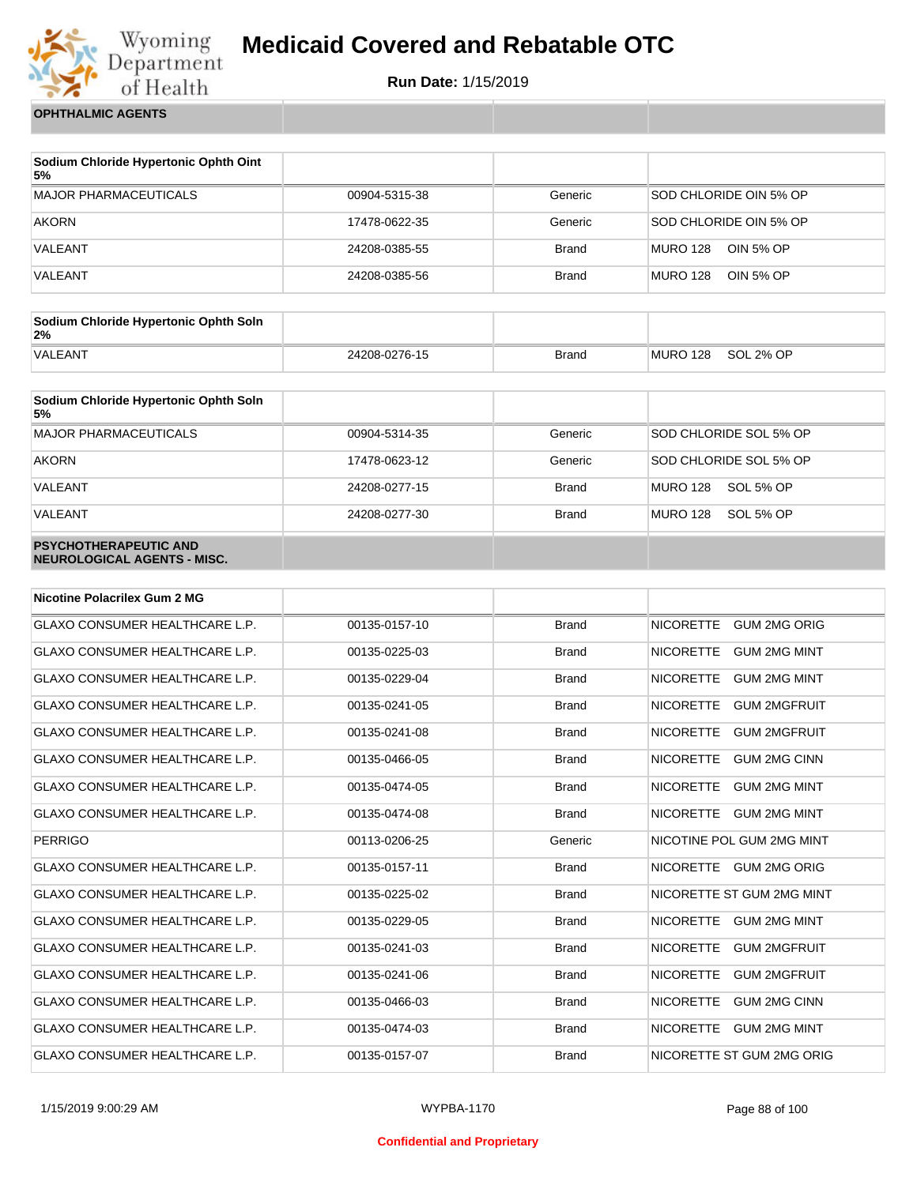

**Run Date:** 1/15/2019

**OPHTHALMIC AGENTS**

| Sodium Chloride Hypertonic Ophth Oint<br>5% |               |              |                                     |
|---------------------------------------------|---------------|--------------|-------------------------------------|
| <b>MAJOR PHARMACEUTICALS</b>                | 00904-5315-38 | Generic      | SOD CHLORIDE OIN 5% OP              |
| <b>AKORN</b>                                | 17478-0622-35 | Generic      | SOD CHLORIDE OIN 5% OP              |
| VALEANT                                     | 24208-0385-55 | <b>Brand</b> | <b>MURO 128</b><br>OIN 5% OP        |
| VALEANT                                     | 24208-0385-56 | <b>Brand</b> | <b>MURO 128</b><br><b>OIN 5% OP</b> |

| Sodium Chloride Hypertonic Ophth Soln<br>2% |               |              |          |           |
|---------------------------------------------|---------------|--------------|----------|-----------|
| <b>VALEANT</b>                              | 24208-0276-15 | <b>Brand</b> | MURO 128 | SOL 2% OP |

| Sodium Chloride Hypertonic Ophth Soln<br>5%                 |               |              |                              |
|-------------------------------------------------------------|---------------|--------------|------------------------------|
| <b>MAJOR PHARMACEUTICALS</b>                                | 00904-5314-35 | Generic      | SOD CHLORIDE SOL 5% OP       |
| <b>AKORN</b>                                                | 17478-0623-12 | Generic      | SOD CHLORIDE SOL 5% OP       |
| VALEANT                                                     | 24208-0277-15 | <b>Brand</b> | SOL 5% OP<br><b>MURO 128</b> |
| VALEANT                                                     | 24208-0277-30 | <b>Brand</b> | MURO 128<br>SOL 5% OP        |
| <b>PSYCHOTHERAPEUTIC AND</b><br>NEUROLOGICAL AGENTS - MISC. |               |              |                              |

| <b>Nicotine Polacrilex Gum 2 MG</b>   |               |              |                                         |
|---------------------------------------|---------------|--------------|-----------------------------------------|
| <b>GLAXO CONSUMER HEALTHCARE L.P.</b> | 00135-0157-10 | <b>Brand</b> | <b>GUM 2MG ORIG</b><br><b>NICORETTE</b> |
| <b>GLAXO CONSUMER HEALTHCARE L.P.</b> | 00135-0225-03 | <b>Brand</b> | <b>GUM 2MG MINT</b><br><b>NICORETTE</b> |
| <b>GLAXO CONSUMER HEALTHCARE L.P.</b> | 00135-0229-04 | <b>Brand</b> | <b>NICORETTE</b><br><b>GUM 2MG MINT</b> |
| <b>GLAXO CONSUMER HEALTHCARE L.P.</b> | 00135-0241-05 | <b>Brand</b> | <b>GUM 2MGFRUIT</b><br><b>NICORETTE</b> |
| GLAXO CONSUMER HEALTHCARE L.P.        | 00135-0241-08 | <b>Brand</b> | <b>NICORETTE</b><br><b>GUM 2MGFRUIT</b> |
| GLAXO CONSUMER HEALTHCARE L.P.        | 00135-0466-05 | <b>Brand</b> | <b>NICORETTE</b><br><b>GUM 2MG CINN</b> |
| GLAXO CONSUMER HEALTHCARE L.P.        | 00135-0474-05 | <b>Brand</b> | <b>NICORETTE</b><br><b>GUM 2MG MINT</b> |
| <b>GLAXO CONSUMER HEALTHCARE L.P.</b> | 00135-0474-08 | <b>Brand</b> | <b>NICORETTE</b><br><b>GUM 2MG MINT</b> |
| <b>PERRIGO</b>                        | 00113-0206-25 | Generic      | NICOTINE POL GUM 2MG MINT               |
| <b>GLAXO CONSUMER HEALTHCARE L.P.</b> | 00135-0157-11 | <b>Brand</b> | NICORETTE GUM 2MG ORIG                  |
| <b>GLAXO CONSUMER HEALTHCARE L.P.</b> | 00135-0225-02 | <b>Brand</b> | NICORETTE ST GUM 2MG MINT               |
| <b>GLAXO CONSUMER HEALTHCARE L.P.</b> | 00135-0229-05 | <b>Brand</b> | <b>NICORETTE</b><br><b>GUM 2MG MINT</b> |
| GLAXO CONSUMER HEALTHCARE L.P.        | 00135-0241-03 | <b>Brand</b> | <b>NICORETTE</b><br><b>GUM 2MGFRUIT</b> |
| <b>GLAXO CONSUMER HEALTHCARE L.P.</b> | 00135-0241-06 | <b>Brand</b> | <b>NICORETTE</b><br><b>GUM 2MGFRUIT</b> |
| GLAXO CONSUMER HEALTHCARE L.P.        | 00135-0466-03 | <b>Brand</b> | <b>NICORETTE</b><br><b>GUM 2MG CINN</b> |
| <b>GLAXO CONSUMER HEALTHCARE L.P.</b> | 00135-0474-03 | <b>Brand</b> | <b>NICORETTE</b><br><b>GUM 2MG MINT</b> |
| <b>GLAXO CONSUMER HEALTHCARE L.P.</b> | 00135-0157-07 | <b>Brand</b> | NICORETTE ST GUM 2MG ORIG               |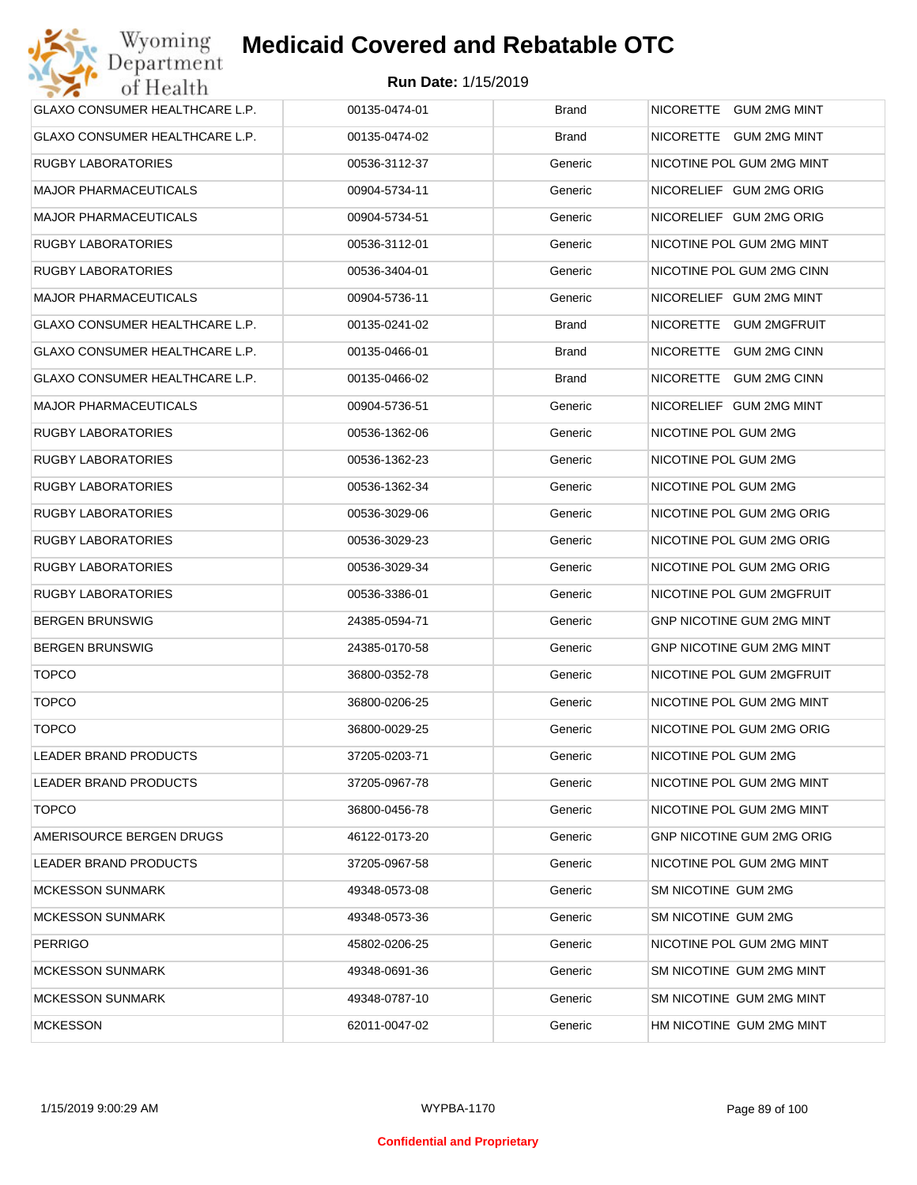| GLAXO CONSUMER HEALTHCARE L.P.        | 00135-0474-01 | <b>Brand</b> | NICORETTE GUM 2MG MINT           |
|---------------------------------------|---------------|--------------|----------------------------------|
| <b>GLAXO CONSUMER HEALTHCARE L.P.</b> | 00135-0474-02 | <b>Brand</b> | NICORETTE GUM 2MG MINT           |
| <b>RUGBY LABORATORIES</b>             | 00536-3112-37 | Generic      | NICOTINE POL GUM 2MG MINT        |
| <b>MAJOR PHARMACEUTICALS</b>          | 00904-5734-11 | Generic      | NICORELIEF GUM 2MG ORIG          |
| <b>MAJOR PHARMACEUTICALS</b>          | 00904-5734-51 | Generic      | NICORELIEF GUM 2MG ORIG          |
| <b>RUGBY LABORATORIES</b>             | 00536-3112-01 | Generic      | NICOTINE POL GUM 2MG MINT        |
| <b>RUGBY LABORATORIES</b>             | 00536-3404-01 | Generic      | NICOTINE POL GUM 2MG CINN        |
| <b>MAJOR PHARMACEUTICALS</b>          | 00904-5736-11 | Generic      | NICORELIEF GUM 2MG MINT          |
| GLAXO CONSUMER HEALTHCARE L.P.        | 00135-0241-02 | <b>Brand</b> | NICORETTE GUM 2MGFRUIT           |
| GLAXO CONSUMER HEALTHCARE L.P.        | 00135-0466-01 | <b>Brand</b> | NICORETTE GUM 2MG CINN           |
| GLAXO CONSUMER HEALTHCARE L.P.        | 00135-0466-02 | <b>Brand</b> | NICORETTE GUM 2MG CINN           |
| <b>MAJOR PHARMACEUTICALS</b>          | 00904-5736-51 | Generic      | NICORELIEF GUM 2MG MINT          |
| <b>RUGBY LABORATORIES</b>             | 00536-1362-06 | Generic      | NICOTINE POL GUM 2MG             |
| <b>RUGBY LABORATORIES</b>             | 00536-1362-23 | Generic      | NICOTINE POL GUM 2MG             |
| <b>RUGBY LABORATORIES</b>             | 00536-1362-34 | Generic      | NICOTINE POL GUM 2MG             |
| <b>RUGBY LABORATORIES</b>             | 00536-3029-06 | Generic      | NICOTINE POL GUM 2MG ORIG        |
| <b>RUGBY LABORATORIES</b>             | 00536-3029-23 | Generic      | NICOTINE POL GUM 2MG ORIG        |
| <b>RUGBY LABORATORIES</b>             | 00536-3029-34 | Generic      | NICOTINE POL GUM 2MG ORIG        |
| <b>RUGBY LABORATORIES</b>             | 00536-3386-01 | Generic      | NICOTINE POL GUM 2MGFRUIT        |
| <b>BERGEN BRUNSWIG</b>                | 24385-0594-71 | Generic      | <b>GNP NICOTINE GUM 2MG MINT</b> |
| <b>BERGEN BRUNSWIG</b>                | 24385-0170-58 | Generic      | GNP NICOTINE GUM 2MG MINT        |
| <b>TOPCO</b>                          | 36800-0352-78 | Generic      | NICOTINE POL GUM 2MGFRUIT        |
| <b>TOPCO</b>                          | 36800-0206-25 | Generic      | NICOTINE POL GUM 2MG MINT        |
| <b>TOPCO</b>                          | 36800-0029-25 | Generic      | NICOTINE POL GUM 2MG ORIG        |
| <b>LEADER BRAND PRODUCTS</b>          | 37205-0203-71 | Generic      | NICOTINE POL GUM 2MG             |
| LEADER BRAND PRODUCTS                 | 37205-0967-78 | Generic      | NICOTINE POL GUM 2MG MINT        |
| <b>TOPCO</b>                          | 36800-0456-78 | Generic      | NICOTINE POL GUM 2MG MINT        |
| AMERISOURCE BERGEN DRUGS              | 46122-0173-20 | Generic      | <b>GNP NICOTINE GUM 2MG ORIG</b> |
| LEADER BRAND PRODUCTS                 | 37205-0967-58 | Generic      | NICOTINE POL GUM 2MG MINT        |
| <b>MCKESSON SUNMARK</b>               | 49348-0573-08 | Generic      | SM NICOTINE GUM 2MG              |
| <b>MCKESSON SUNMARK</b>               | 49348-0573-36 | Generic      | SM NICOTINE GUM 2MG              |
| <b>PERRIGO</b>                        | 45802-0206-25 | Generic      | NICOTINE POL GUM 2MG MINT        |
| <b>MCKESSON SUNMARK</b>               | 49348-0691-36 | Generic      | SM NICOTINE GUM 2MG MINT         |
| <b>MCKESSON SUNMARK</b>               | 49348-0787-10 | Generic      | SM NICOTINE GUM 2MG MINT         |
| <b>MCKESSON</b>                       | 62011-0047-02 | Generic      | HM NICOTINE GUM 2MG MINT         |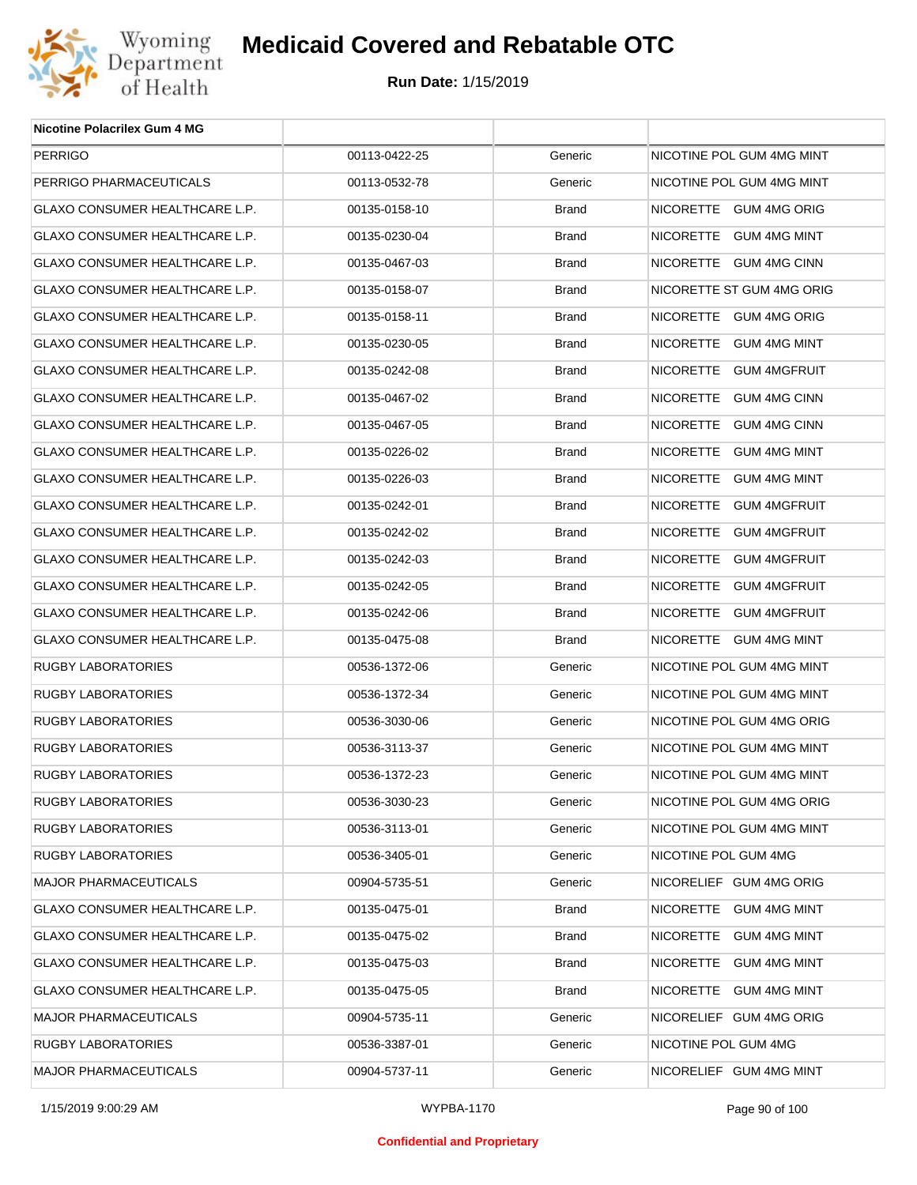

| <b>Nicotine Polacrilex Gum 4 MG</b>   |               |              |                           |
|---------------------------------------|---------------|--------------|---------------------------|
| <b>PERRIGO</b>                        | 00113-0422-25 | Generic      | NICOTINE POL GUM 4MG MINT |
| PERRIGO PHARMACEUTICALS               | 00113-0532-78 | Generic      | NICOTINE POL GUM 4MG MINT |
| GLAXO CONSUMER HEALTHCARE L.P.        | 00135-0158-10 | <b>Brand</b> | NICORETTE GUM 4MG ORIG    |
| GLAXO CONSUMER HEALTHCARE L.P.        | 00135-0230-04 | <b>Brand</b> | NICORETTE GUM 4MG MINT    |
| GLAXO CONSUMER HEALTHCARE L.P.        | 00135-0467-03 | <b>Brand</b> | NICORETTE GUM 4MG CINN    |
| <b>GLAXO CONSUMER HEALTHCARE L.P.</b> | 00135-0158-07 | <b>Brand</b> | NICORETTE ST GUM 4MG ORIG |
| GLAXO CONSUMER HEALTHCARE L.P.        | 00135-0158-11 | <b>Brand</b> | NICORETTE GUM 4MG ORIG    |
| GLAXO CONSUMER HEALTHCARE L.P.        | 00135-0230-05 | <b>Brand</b> | NICORETTE GUM 4MG MINT    |
| GLAXO CONSUMER HEALTHCARE L.P.        | 00135-0242-08 | <b>Brand</b> | NICORETTE GUM 4MGFRUIT    |
| GLAXO CONSUMER HEALTHCARE L.P.        | 00135-0467-02 | <b>Brand</b> | NICORETTE GUM 4MG CINN    |
| GLAXO CONSUMER HEALTHCARE L.P.        | 00135-0467-05 | <b>Brand</b> | NICORETTE GUM 4MG CINN    |
| GLAXO CONSUMER HEALTHCARE L.P.        | 00135-0226-02 | <b>Brand</b> | NICORETTE GUM 4MG MINT    |
| GLAXO CONSUMER HEALTHCARE L.P.        | 00135-0226-03 | <b>Brand</b> | NICORETTE GUM 4MG MINT    |
| GLAXO CONSUMER HEALTHCARE L.P.        | 00135-0242-01 | <b>Brand</b> | NICORETTE GUM 4MGFRUIT    |
| GLAXO CONSUMER HEALTHCARE L.P.        | 00135-0242-02 | <b>Brand</b> | NICORETTE GUM 4MGFRUIT    |
| GLAXO CONSUMER HEALTHCARE L.P.        | 00135-0242-03 | <b>Brand</b> | NICORETTE GUM 4MGFRUIT    |
| GLAXO CONSUMER HEALTHCARE L.P.        | 00135-0242-05 | <b>Brand</b> | NICORETTE GUM 4MGFRUIT    |
| GLAXO CONSUMER HEALTHCARE L.P.        | 00135-0242-06 | <b>Brand</b> | NICORETTE GUM 4MGFRUIT    |
| GLAXO CONSUMER HEALTHCARE L.P.        | 00135-0475-08 | <b>Brand</b> | NICORETTE GUM 4MG MINT    |
| RUGBY LABORATORIES                    | 00536-1372-06 | Generic      | NICOTINE POL GUM 4MG MINT |
| RUGBY LABORATORIES                    | 00536-1372-34 | Generic      | NICOTINE POL GUM 4MG MINT |
| RUGBY LABORATORIES                    | 00536-3030-06 | Generic      | NICOTINE POL GUM 4MG ORIG |
| <b>RUGBY LABORATORIES</b>             | 00536-3113-37 | Generic      | NICOTINE POL GUM 4MG MINT |
| RUGBY LABORATORIES                    | 00536-1372-23 | Generic      | NICOTINE POL GUM 4MG MINT |
| RUGBY LABORATORIES                    | 00536-3030-23 | Generic      | NICOTINE POL GUM 4MG ORIG |
| RUGBY LABORATORIES                    | 00536-3113-01 | Generic      | NICOTINE POL GUM 4MG MINT |
| <b>RUGBY LABORATORIES</b>             | 00536-3405-01 | Generic      | NICOTINE POL GUM 4MG      |
| <b>MAJOR PHARMACEUTICALS</b>          | 00904-5735-51 | Generic      | NICORELIEF GUM 4MG ORIG   |
| GLAXO CONSUMER HEALTHCARE L.P.        | 00135-0475-01 | Brand        | NICORETTE GUM 4MG MINT    |
| GLAXO CONSUMER HEALTHCARE L.P.        | 00135-0475-02 | <b>Brand</b> | NICORETTE GUM 4MG MINT    |
| GLAXO CONSUMER HEALTHCARE L.P.        | 00135-0475-03 | Brand        | NICORETTE GUM 4MG MINT    |
| GLAXO CONSUMER HEALTHCARE L.P.        | 00135-0475-05 | <b>Brand</b> | NICORETTE GUM 4MG MINT    |
| MAJOR PHARMACEUTICALS                 | 00904-5735-11 | Generic      | NICORELIEF GUM 4MG ORIG   |
| RUGBY LABORATORIES                    | 00536-3387-01 | Generic      | NICOTINE POL GUM 4MG      |
| MAJOR PHARMACEUTICALS                 | 00904-5737-11 | Generic      | NICORELIEF GUM 4MG MINT   |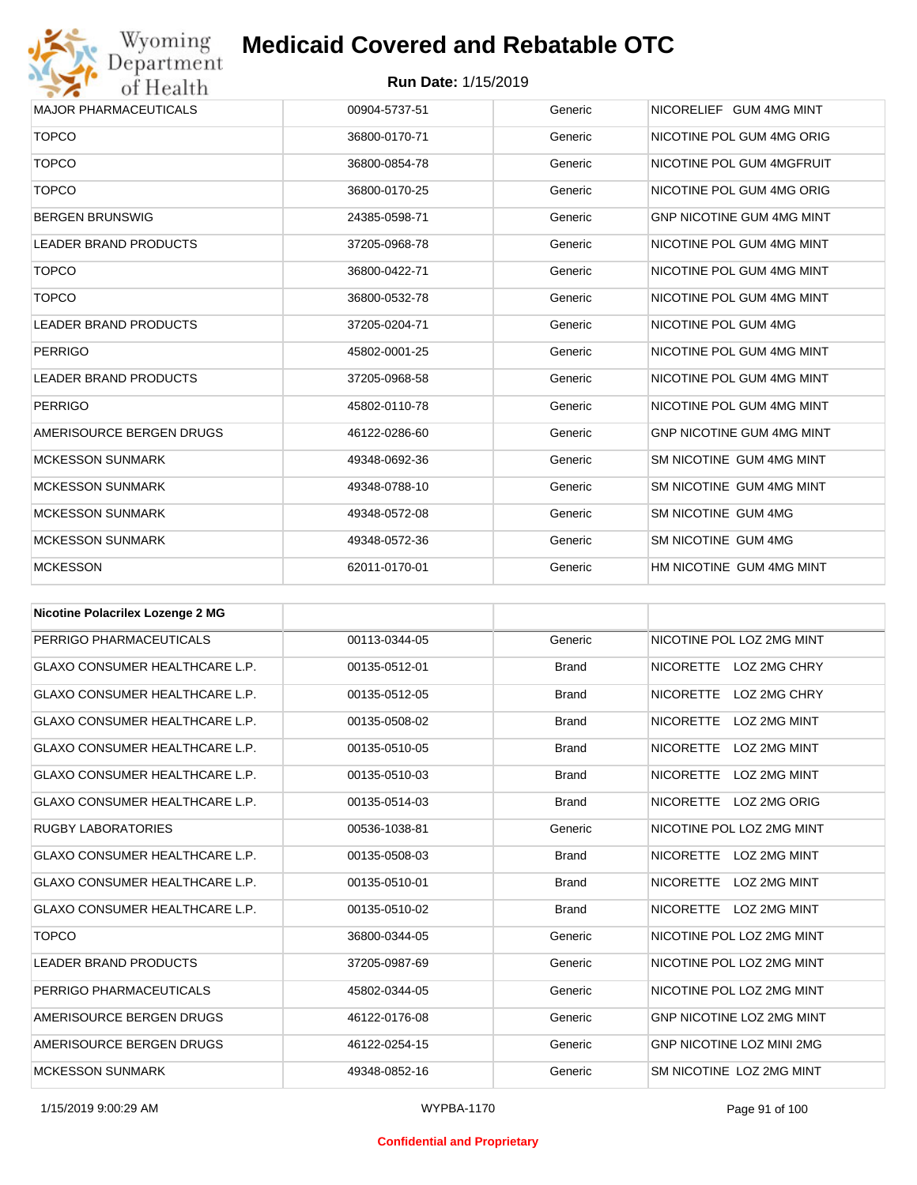

| <b>MAJOR PHARMACEUTICALS</b> | 00904-5737-51 | Generic | NICORELIEF GUM 4MG MINT          |
|------------------------------|---------------|---------|----------------------------------|
| <b>TOPCO</b>                 | 36800-0170-71 | Generic | NICOTINE POL GUM 4MG ORIG        |
| <b>TOPCO</b>                 | 36800-0854-78 | Generic | NICOTINE POL GUM 4MGFRUIT        |
| <b>TOPCO</b>                 | 36800-0170-25 | Generic | NICOTINE POL GUM 4MG ORIG        |
| <b>BERGEN BRUNSWIG</b>       | 24385-0598-71 | Generic | <b>GNP NICOTINE GUM 4MG MINT</b> |
| <b>LEADER BRAND PRODUCTS</b> | 37205-0968-78 | Generic | NICOTINE POL GUM 4MG MINT        |
| <b>TOPCO</b>                 | 36800-0422-71 | Generic | NICOTINE POL GUM 4MG MINT        |
| <b>TOPCO</b>                 | 36800-0532-78 | Generic | NICOTINE POL GUM 4MG MINT        |
| <b>LEADER BRAND PRODUCTS</b> | 37205-0204-71 | Generic | NICOTINE POL GUM 4MG             |
| <b>PERRIGO</b>               | 45802-0001-25 | Generic | NICOTINE POL GUM 4MG MINT        |
| <b>LEADER BRAND PRODUCTS</b> | 37205-0968-58 | Generic | NICOTINE POL GUM 4MG MINT        |
| <b>PERRIGO</b>               | 45802-0110-78 | Generic | NICOTINE POL GUM 4MG MINT        |
| AMERISOURCE BERGEN DRUGS     | 46122-0286-60 | Generic | <b>GNP NICOTINE GUM 4MG MINT</b> |
| <b>MCKESSON SUNMARK</b>      | 49348-0692-36 | Generic | SM NICOTINE GUM 4MG MINT         |
| <b>MCKESSON SUNMARK</b>      | 49348-0788-10 | Generic | SM NICOTINE GUM 4MG MINT         |
| <b>MCKESSON SUNMARK</b>      | 49348-0572-08 | Generic | SM NICOTINE GUM 4MG              |
| <b>MCKESSON SUNMARK</b>      | 49348-0572-36 | Generic | SM NICOTINE GUM 4MG              |
| <b>MCKESSON</b>              | 62011-0170-01 | Generic | HM NICOTINE GUM 4MG MINT         |

| <b>Nicotine Polacrilex Lozenge 2 MG</b> |               |              |                                  |
|-----------------------------------------|---------------|--------------|----------------------------------|
| PERRIGO PHARMACEUTICALS                 | 00113-0344-05 | Generic      | NICOTINE POL LOZ 2MG MINT        |
| GLAXO CONSUMER HEALTHCARE L.P.          | 00135-0512-01 | <b>Brand</b> | NICORETTE LOZ 2MG CHRY           |
| <b>GLAXO CONSUMER HEALTHCARE L.P.</b>   | 00135-0512-05 | <b>Brand</b> | <b>NICORETTE</b><br>LOZ 2MG CHRY |
| <b>GLAXO CONSUMER HEALTHCARE L.P.</b>   | 00135-0508-02 | <b>Brand</b> | <b>NICORETTE</b><br>LOZ 2MG MINT |
| <b>GLAXO CONSUMER HEALTHCARE L.P.</b>   | 00135-0510-05 | <b>Brand</b> | LOZ 2MG MINT<br><b>NICORETTE</b> |
| <b>GLAXO CONSUMER HEALTHCARE L.P.</b>   | 00135-0510-03 | <b>Brand</b> | <b>NICORETTE</b><br>LOZ 2MG MINT |
| <b>GLAXO CONSUMER HEALTHCARE L.P.</b>   | 00135-0514-03 | <b>Brand</b> | NICORETTE<br>LOZ 2MG ORIG        |
| <b>RUGBY LABORATORIES</b>               | 00536-1038-81 | Generic      | NICOTINE POL LOZ 2MG MINT        |
| <b>GLAXO CONSUMER HEALTHCARE L.P.</b>   | 00135-0508-03 | <b>Brand</b> | <b>NICORETTE</b><br>LOZ 2MG MINT |
| <b>GLAXO CONSUMER HEALTHCARE L.P.</b>   | 00135-0510-01 | <b>Brand</b> | <b>NICORETTE</b><br>LOZ 2MG MINT |
| <b>GLAXO CONSUMER HEALTHCARE L.P.</b>   | 00135-0510-02 | <b>Brand</b> | NICORETTE LOZ 2MG MINT           |
| <b>TOPCO</b>                            | 36800-0344-05 | Generic      | NICOTINE POL LOZ 2MG MINT        |
| LEADER BRAND PRODUCTS                   | 37205-0987-69 | Generic      | NICOTINE POL LOZ 2MG MINT        |
| PERRIGO PHARMACEUTICALS                 | 45802-0344-05 | Generic      | NICOTINE POL LOZ 2MG MINT        |
| AMERISOURCE BERGEN DRUGS                | 46122-0176-08 | Generic      | GNP NICOTINE LOZ 2MG MINT        |
| AMERISOURCE BERGEN DRUGS                | 46122-0254-15 | Generic      | <b>GNP NICOTINE LOZ MINI 2MG</b> |
| <b>MCKESSON SUNMARK</b>                 | 49348-0852-16 | Generic      | SM NICOTINE LOZ 2MG MINT         |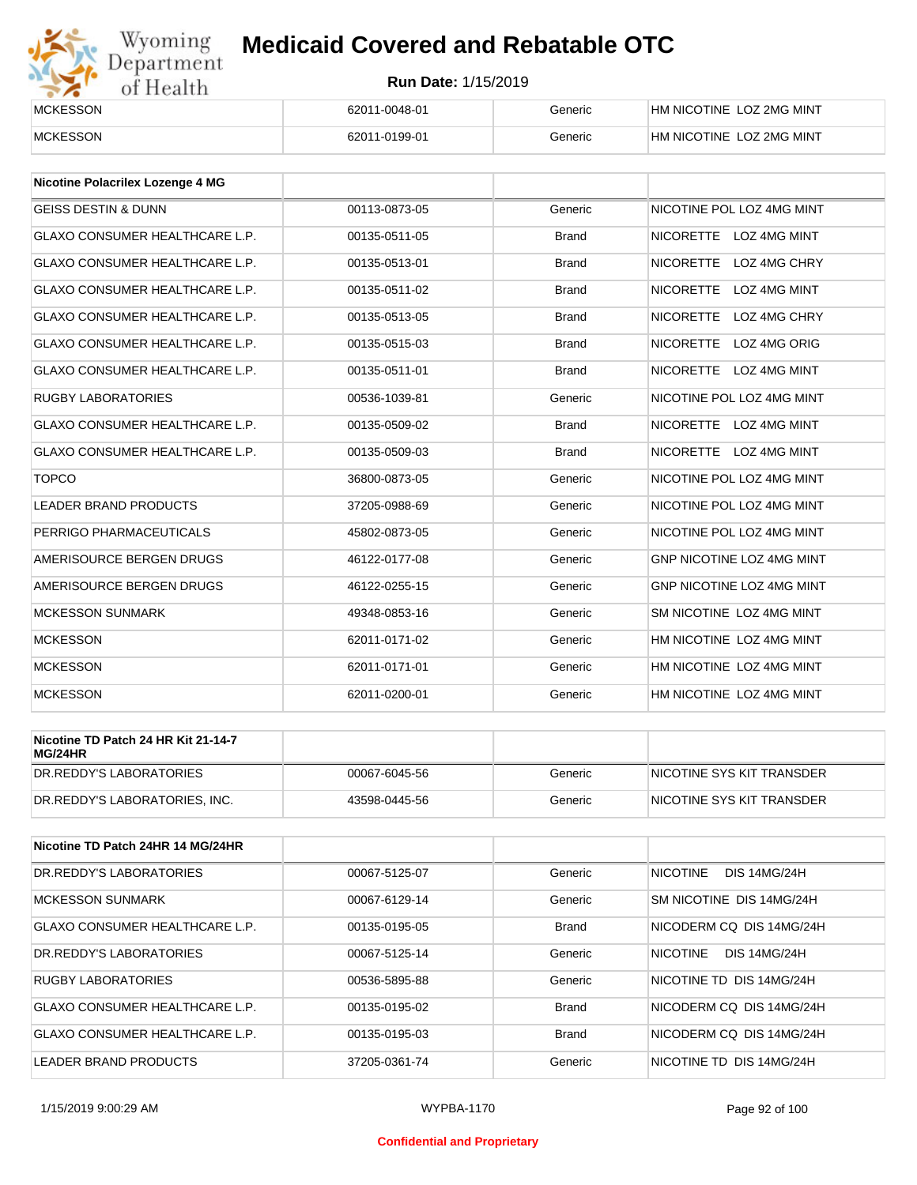# Wyoming<br>Department<br>of Health

## **Medicaid Covered and Rebatable OTC**

| <b>MCKESSON</b> | 62011-0048-01 | Generic | HM NICOTINE LOZ 2MG MINT |
|-----------------|---------------|---------|--------------------------|
| <b>MCKESSON</b> | 62011-0199-01 | Generic | HM NICOTINE LOZ 2MG MINT |

| <b>Nicotine Polacrilex Lozenge 4 MG</b> |               |              |                                  |
|-----------------------------------------|---------------|--------------|----------------------------------|
| <b>GEISS DESTIN &amp; DUNN</b>          | 00113-0873-05 | Generic      | NICOTINE POL LOZ 4MG MINT        |
| <b>GLAXO CONSUMER HEALTHCARE L.P.</b>   | 00135-0511-05 | <b>Brand</b> | <b>NICORETTE</b><br>LOZ 4MG MINT |
| <b>GLAXO CONSUMER HEALTHCARE L.P.</b>   | 00135-0513-01 | <b>Brand</b> | <b>NICORETTE</b><br>LOZ 4MG CHRY |
| <b>GLAXO CONSUMER HEALTHCARE L.P.</b>   | 00135-0511-02 | <b>Brand</b> | <b>NICORETTE</b><br>LOZ 4MG MINT |
| <b>GLAXO CONSUMER HEALTHCARE L.P.</b>   | 00135-0513-05 | <b>Brand</b> | <b>NICORETTE</b><br>LOZ 4MG CHRY |
| <b>GLAXO CONSUMER HEALTHCARE L.P.</b>   | 00135-0515-03 | <b>Brand</b> | <b>NICORETTE</b><br>LOZ 4MG ORIG |
| <b>GLAXO CONSUMER HEALTHCARE L.P.</b>   | 00135-0511-01 | <b>Brand</b> | NICORETTE LOZ 4MG MINT           |
| <b>RUGBY LABORATORIES</b>               | 00536-1039-81 | Generic      | NICOTINE POL LOZ 4MG MINT        |
| <b>GLAXO CONSUMER HEALTHCARE L.P.</b>   | 00135-0509-02 | <b>Brand</b> | NICORETTE LOZ 4MG MINT           |
| <b>GLAXO CONSUMER HEALTHCARE L.P.</b>   | 00135-0509-03 | <b>Brand</b> | NICORETTE LOZ 4MG MINT           |
| <b>TOPCO</b>                            | 36800-0873-05 | Generic      | NICOTINE POL LOZ 4MG MINT        |
| <b>LEADER BRAND PRODUCTS</b>            | 37205-0988-69 | Generic      | NICOTINE POL LOZ 4MG MINT        |
| PERRIGO PHARMACEUTICALS                 | 45802-0873-05 | Generic      | NICOTINE POL LOZ 4MG MINT        |
| AMERISOURCE BERGEN DRUGS                | 46122-0177-08 | Generic      | <b>GNP NICOTINE LOZ 4MG MINT</b> |
| AMERISOURCE BERGEN DRUGS                | 46122-0255-15 | Generic      | GNP NICOTINE LOZ 4MG MINT        |
| <b>MCKESSON SUNMARK</b>                 | 49348-0853-16 | Generic      | SM NICOTINE LOZ 4MG MINT         |
| <b>MCKESSON</b>                         | 62011-0171-02 | Generic      | HM NICOTINE LOZ 4MG MINT         |
| <b>MCKESSON</b>                         | 62011-0171-01 | Generic      | HM NICOTINE LOZ 4MG MINT         |
| <b>MCKESSON</b>                         | 62011-0200-01 | Generic      | HM NICOTINE LOZ 4MG MINT         |

| Nicotine TD Patch 24 HR Kit 21-14-7<br>MG/24HR |               |         |                            |
|------------------------------------------------|---------------|---------|----------------------------|
| IDR.REDDY'S LABORATORIES                       | 00067-6045-56 | Generic | INICOTINE SYS KIT TRANSDER |
| DR.REDDY'S LABORATORIES, INC.                  | 43598-0445-56 | Generic | NICOTINE SYS KIT TRANSDER  |

| Nicotine TD Patch 24HR 14 MG/24HR |               |              |                                        |
|-----------------------------------|---------------|--------------|----------------------------------------|
| DR.REDDY'S LABORATORIES           | 00067-5125-07 | Generic      | <b>NICOTINE</b><br><b>DIS 14MG/24H</b> |
| <b>MCKESSON SUNMARK</b>           | 00067-6129-14 | Generic      | SM NICOTINE DIS 14MG/24H               |
| GLAXO CONSUMER HEALTHCARE L.P.    | 00135-0195-05 | <b>Brand</b> | NICODERM CO DIS 14MG/24H               |
| DR.REDDY'S LABORATORIES           | 00067-5125-14 | Generic      | <b>NICOTINE</b><br><b>DIS 14MG/24H</b> |
| RUGBY LABORATORIES                | 00536-5895-88 | Generic      | NICOTINE TD DIS 14MG/24H               |
| GLAXO CONSUMER HEALTHCARE L.P.    | 00135-0195-02 | <b>Brand</b> | NICODERM CO DIS 14MG/24H               |
| GLAXO CONSUMER HEALTHCARE L.P.    | 00135-0195-03 | <b>Brand</b> | NICODERM CO DIS 14MG/24H               |
| LEADER BRAND PRODUCTS             | 37205-0361-74 | Generic      | NICOTINE TD DIS 14MG/24H               |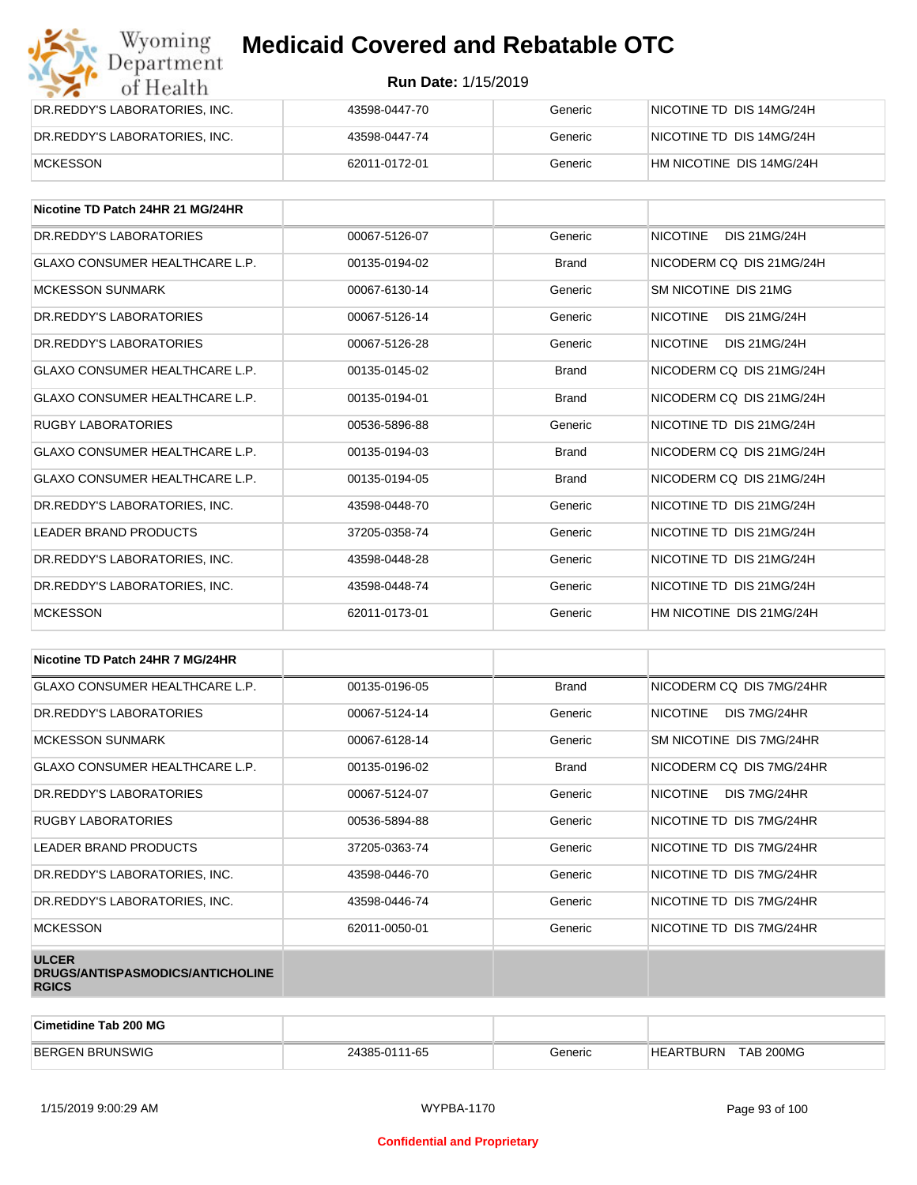| Wyoming<br><b>Medicaid Covered and Rebatable OTC</b><br>Department |                            |         |                          |  |
|--------------------------------------------------------------------|----------------------------|---------|--------------------------|--|
| of Health                                                          | <b>Run Date: 1/15/2019</b> |         |                          |  |
| DR.REDDY'S LABORATORIES, INC.                                      | 43598-0447-70              | Generic | NICOTINE TD DIS 14MG/24H |  |
| DR.REDDY'S LABORATORIES, INC.                                      | 43598-0447-74              | Generic | NICOTINE TD DIS 14MG/24H |  |
| <b>MCKESSON</b>                                                    | 62011-0172-01              | Generic | HM NICOTINE DIS 14MG/24H |  |

| Nicotine TD Patch 24HR 21 MG/24HR     |               |              |                                        |
|---------------------------------------|---------------|--------------|----------------------------------------|
| DR.REDDY'S LABORATORIES               | 00067-5126-07 | Generic      | <b>DIS 21MG/24H</b><br><b>NICOTINE</b> |
| <b>GLAXO CONSUMER HEALTHCARE L.P.</b> | 00135-0194-02 | <b>Brand</b> | NICODERM CQ DIS 21MG/24H               |
| <b>MCKESSON SUNMARK</b>               | 00067-6130-14 | Generic      | SM NICOTINE DIS 21MG                   |
| DR. REDDY'S LABORATORIES              | 00067-5126-14 | Generic      | <b>NICOTINE</b><br><b>DIS 21MG/24H</b> |
| DR.REDDY'S LABORATORIES               | 00067-5126-28 | Generic      | <b>NICOTINE</b><br><b>DIS 21MG/24H</b> |
| <b>GLAXO CONSUMER HEALTHCARE L.P.</b> | 00135-0145-02 | <b>Brand</b> | NICODERM CO DIS 21MG/24H               |
| <b>GLAXO CONSUMER HEALTHCARE L.P.</b> | 00135-0194-01 | <b>Brand</b> | NICODERM CO DIS 21MG/24H               |
| <b>RUGBY LABORATORIES</b>             | 00536-5896-88 | Generic      | NICOTINE TD DIS 21MG/24H               |
| <b>GLAXO CONSUMER HEALTHCARE L.P.</b> | 00135-0194-03 | <b>Brand</b> | NICODERM CO DIS 21MG/24H               |
| <b>GLAXO CONSUMER HEALTHCARE L.P.</b> | 00135-0194-05 | <b>Brand</b> | NICODERM CO DIS 21MG/24H               |
| DR.REDDY'S LABORATORIES, INC.         | 43598-0448-70 | Generic      | NICOTINE TD DIS 21MG/24H               |
| <b>LEADER BRAND PRODUCTS</b>          | 37205-0358-74 | Generic      | NICOTINE TD DIS 21MG/24H               |
| DR.REDDY'S LABORATORIES, INC.         | 43598-0448-28 | Generic      | NICOTINE TD DIS 21MG/24H               |
| DR.REDDY'S LABORATORIES, INC.         | 43598-0448-74 | Generic      | NICOTINE TD DIS 21MG/24H               |
| <b>MCKESSON</b>                       | 62011-0173-01 | Generic      | HM NICOTINE DIS 21MG/24H               |

| Nicotine TD Patch 24HR 7 MG/24HR                                 |               |              |                                 |
|------------------------------------------------------------------|---------------|--------------|---------------------------------|
| <b>GLAXO CONSUMER HEALTHCARE L.P.</b>                            | 00135-0196-05 | <b>Brand</b> | NICODERM CQ DIS 7MG/24HR        |
| DR. REDDY'S LABORATORIES                                         | 00067-5124-14 | Generic      | <b>NICOTINE</b><br>DIS 7MG/24HR |
| <b>MCKESSON SUNMARK</b>                                          | 00067-6128-14 | Generic      | SM NICOTINE DIS 7MG/24HR        |
| GLAXO CONSUMER HEALTHCARE L.P.                                   | 00135-0196-02 | <b>Brand</b> | NICODERM CQ DIS 7MG/24HR        |
| DR. REDDY'S LABORATORIES                                         | 00067-5124-07 | Generic      | NICOTINE<br>DIS 7MG/24HR        |
| <b>RUGBY LABORATORIES</b>                                        | 00536-5894-88 | Generic      | NICOTINE TD DIS 7MG/24HR        |
| <b>LEADER BRAND PRODUCTS</b>                                     | 37205-0363-74 | Generic      | NICOTINE TD DIS 7MG/24HR        |
| DR.REDDY'S LABORATORIES, INC.                                    | 43598-0446-70 | Generic      | NICOTINE TD DIS 7MG/24HR        |
| DR.REDDY'S LABORATORIES, INC.                                    | 43598-0446-74 | Generic      | NICOTINE TD DIS 7MG/24HR        |
| <b>MCKESSON</b>                                                  | 62011-0050-01 | Generic      | NICOTINE TD DIS 7MG/24HR        |
| <b>ULCER</b><br>DRUGS/ANTISPASMODICS/ANTICHOLINE<br><b>RGICS</b> |               |              |                                 |

| <b>Cimetidine Tab 200 MG</b> |               |         |                                    |
|------------------------------|---------------|---------|------------------------------------|
| <b>BERGEN</b><br>I BRUNSWIG  | 24385-0111-65 | ∃eneric | <b>TAB 200MG</b><br>ARTBURN:<br>HF |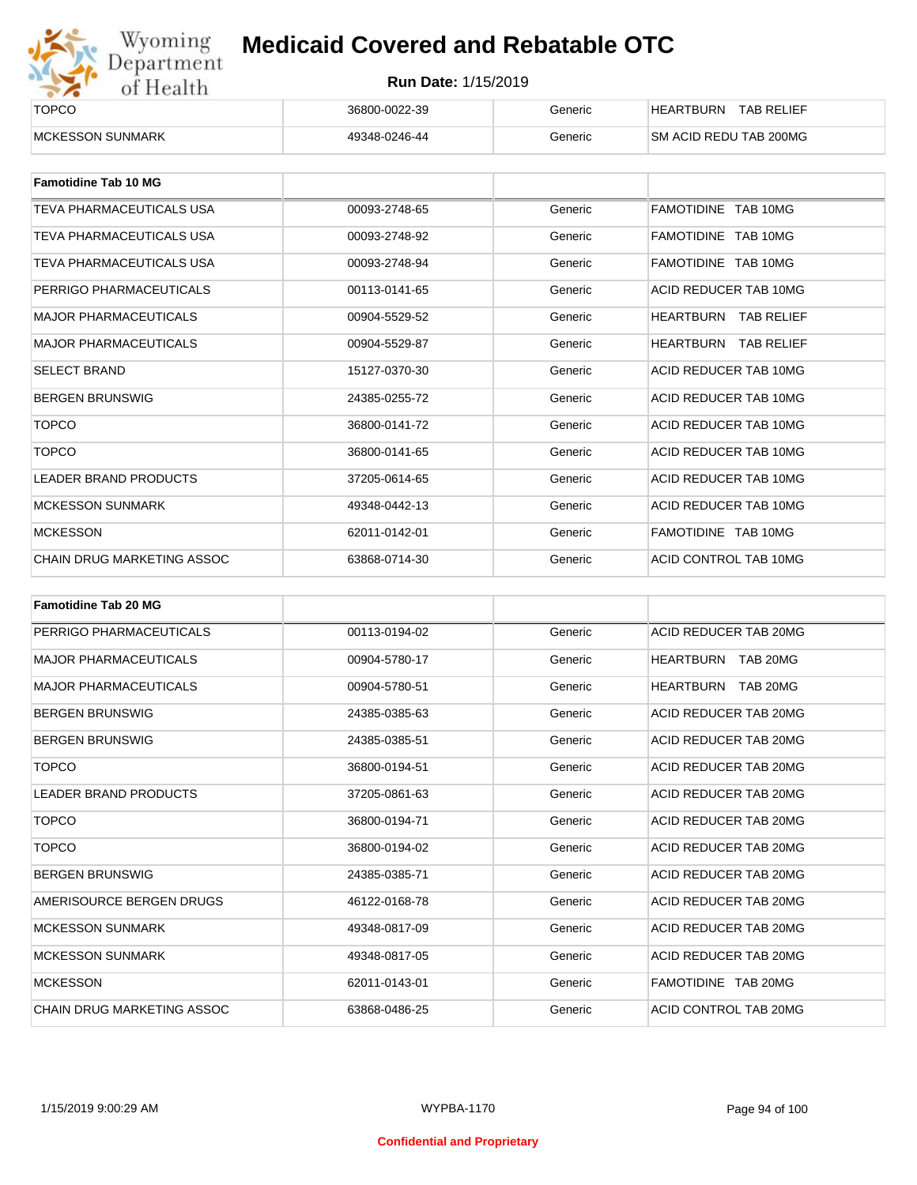

| _______<br><b>TOPCO</b> | 36800-0022-39 | Generic | <b>TAB RELIEF</b><br>HEARTBURN |
|-------------------------|---------------|---------|--------------------------------|
| <b>MCKESSON SUNMARK</b> | 49348-0246-44 | Generic | <b>SM ACID REDU TAB 200MG</b>  |

| <b>Famotidine Tab 10 MG</b>  |               |         |                             |
|------------------------------|---------------|---------|-----------------------------|
| TEVA PHARMACEUTICALS USA     | 00093-2748-65 | Generic | FAMOTIDINE TAB 10MG         |
| TEVA PHARMACEUTICALS USA     | 00093-2748-92 | Generic | FAMOTIDINE TAB 10MG         |
| TEVA PHARMACEUTICALS USA     | 00093-2748-94 | Generic | FAMOTIDINE TAB 10MG         |
| PERRIGO PHARMACEUTICALS      | 00113-0141-65 | Generic | ACID REDUCER TAB 10MG       |
| <b>MAJOR PHARMACEUTICALS</b> | 00904-5529-52 | Generic | HEARTBURN<br>TAB RELIEF     |
| <b>MAJOR PHARMACEUTICALS</b> | 00904-5529-87 | Generic | <b>HEARTBURN TAB RELIEF</b> |
| <b>SELECT BRAND</b>          | 15127-0370-30 | Generic | ACID REDUCER TAB 10MG       |
| <b>BERGEN BRUNSWIG</b>       | 24385-0255-72 | Generic | ACID REDUCER TAB 10MG       |
| <b>TOPCO</b>                 | 36800-0141-72 | Generic | ACID REDUCER TAB 10MG       |
| <b>TOPCO</b>                 | 36800-0141-65 | Generic | ACID REDUCER TAB 10MG       |
| <b>LEADER BRAND PRODUCTS</b> | 37205-0614-65 | Generic | ACID REDUCER TAB 10MG       |
| <b>MCKESSON SUNMARK</b>      | 49348-0442-13 | Generic | ACID REDUCER TAB 10MG       |
| <b>MCKESSON</b>              | 62011-0142-01 | Generic | FAMOTIDINE TAB 10MG         |
| CHAIN DRUG MARKETING ASSOC   | 63868-0714-30 | Generic | ACID CONTROL TAB 10MG       |

| <b>Famotidine Tab 20 MG</b>  |               |         |                              |
|------------------------------|---------------|---------|------------------------------|
| PERRIGO PHARMACEUTICALS      | 00113-0194-02 | Generic | ACID REDUCER TAB 20MG        |
| <b>MAJOR PHARMACEUTICALS</b> | 00904-5780-17 | Generic | HEARTBURN TAB 20MG           |
| <b>MAJOR PHARMACEUTICALS</b> | 00904-5780-51 | Generic | <b>HEARTBURN</b><br>TAB 20MG |
| <b>BERGEN BRUNSWIG</b>       | 24385-0385-63 | Generic | ACID REDUCER TAB 20MG        |
| <b>BERGEN BRUNSWIG</b>       | 24385-0385-51 | Generic | ACID REDUCER TAB 20MG        |
| <b>TOPCO</b>                 | 36800-0194-51 | Generic | ACID REDUCER TAB 20MG        |
| <b>LEADER BRAND PRODUCTS</b> | 37205-0861-63 | Generic | ACID REDUCER TAB 20MG        |
| <b>TOPCO</b>                 | 36800-0194-71 | Generic | ACID REDUCER TAB 20MG        |
| <b>TOPCO</b>                 | 36800-0194-02 | Generic | ACID REDUCER TAB 20MG        |
| <b>BERGEN BRUNSWIG</b>       | 24385-0385-71 | Generic | ACID REDUCER TAB 20MG        |
| AMERISOURCE BERGEN DRUGS     | 46122-0168-78 | Generic | ACID REDUCER TAB 20MG        |
| <b>MCKESSON SUNMARK</b>      | 49348-0817-09 | Generic | ACID REDUCER TAB 20MG        |
| <b>MCKESSON SUNMARK</b>      | 49348-0817-05 | Generic | ACID REDUCER TAB 20MG        |
| <b>MCKESSON</b>              | 62011-0143-01 | Generic | FAMOTIDINE TAB 20MG          |
| CHAIN DRUG MARKETING ASSOC   | 63868-0486-25 | Generic | ACID CONTROL TAB 20MG        |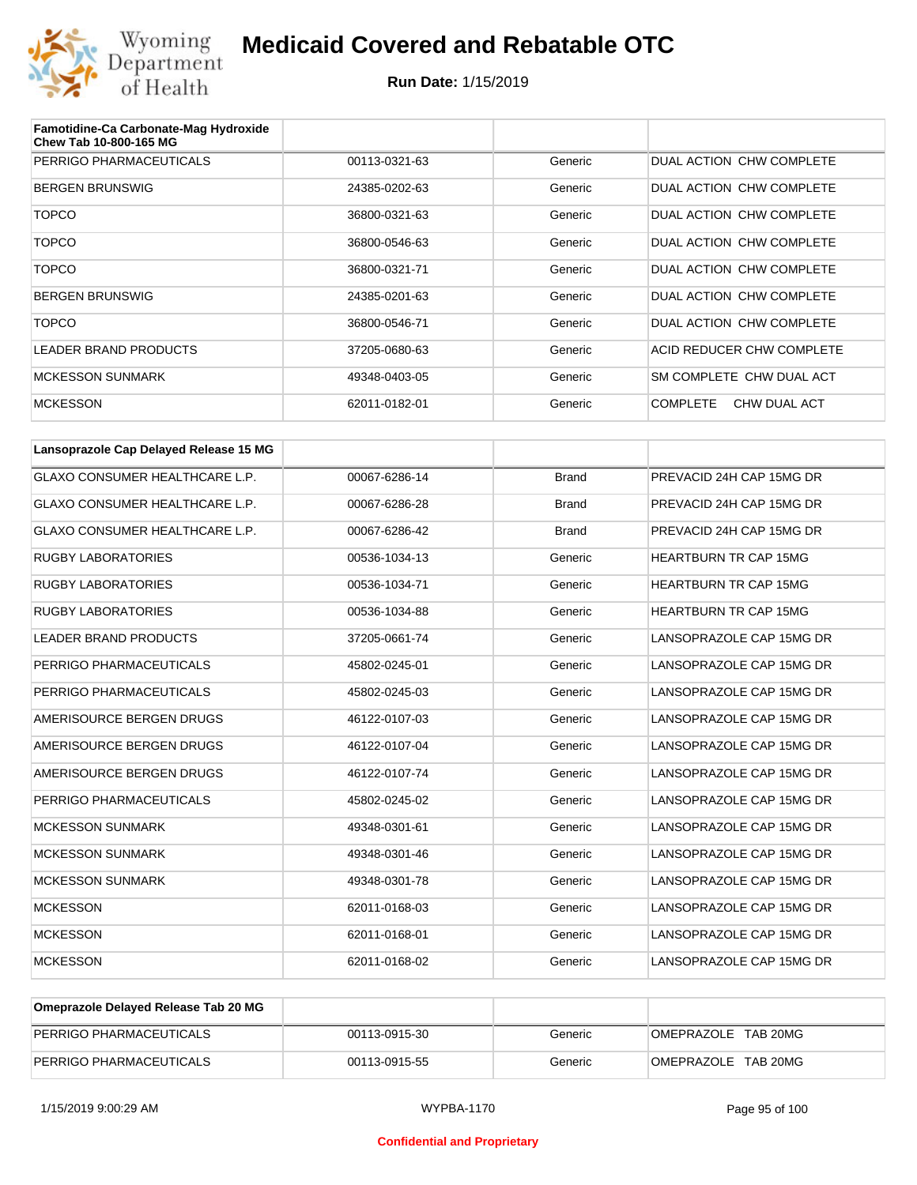

| Famotidine-Ca Carbonate-Mag Hydroxide<br>Chew Tab 10-800-165 MG |               |         |                                 |
|-----------------------------------------------------------------|---------------|---------|---------------------------------|
| PERRIGO PHARMACEUTICALS                                         | 00113-0321-63 | Generic | DUAL ACTION CHW COMPLETE        |
| <b>BERGEN BRUNSWIG</b>                                          | 24385-0202-63 | Generic | DUAL ACTION CHW COMPLETE        |
| <b>TOPCO</b>                                                    | 36800-0321-63 | Generic | DUAL ACTION CHW COMPLETE        |
| <b>TOPCO</b>                                                    | 36800-0546-63 | Generic | DUAL ACTION CHW COMPLETE        |
| <b>TOPCO</b>                                                    | 36800-0321-71 | Generic | DUAL ACTION CHW COMPLETE        |
| <b>BERGEN BRUNSWIG</b>                                          | 24385-0201-63 | Generic | DUAL ACTION CHW COMPLETE        |
| <b>TOPCO</b>                                                    | 36800-0546-71 | Generic | DUAL ACTION CHW COMPLETE        |
| LEADER BRAND PRODUCTS                                           | 37205-0680-63 | Generic | ACID REDUCER CHW COMPLETE       |
| <b>MCKESSON SUNMARK</b>                                         | 49348-0403-05 | Generic | SM COMPLETE CHW DUAL ACT        |
| <b>MCKESSON</b>                                                 | 62011-0182-01 | Generic | <b>COMPLETE</b><br>CHW DUAL ACT |

| Lansoprazole Cap Delayed Release 15 MG |               |              |                              |
|----------------------------------------|---------------|--------------|------------------------------|
| <b>GLAXO CONSUMER HEALTHCARE L.P.</b>  | 00067-6286-14 | <b>Brand</b> | PREVACID 24H CAP 15MG DR     |
| <b>GLAXO CONSUMER HEALTHCARE L.P.</b>  | 00067-6286-28 | <b>Brand</b> | PREVACID 24H CAP 15MG DR     |
| <b>GLAXO CONSUMER HEALTHCARE L.P.</b>  | 00067-6286-42 | <b>Brand</b> | PREVACID 24H CAP 15MG DR     |
| <b>RUGBY LABORATORIES</b>              | 00536-1034-13 | Generic      | <b>HEARTBURN TR CAP 15MG</b> |
| <b>RUGBY LABORATORIES</b>              | 00536-1034-71 | Generic      | <b>HEARTBURN TR CAP 15MG</b> |
| <b>RUGBY LABORATORIES</b>              | 00536-1034-88 | Generic      | <b>HEARTBURN TR CAP 15MG</b> |
| <b>LEADER BRAND PRODUCTS</b>           | 37205-0661-74 | Generic      | LANSOPRAZOLE CAP 15MG DR     |
| PERRIGO PHARMACEUTICALS                | 45802-0245-01 | Generic      | LANSOPRAZOLE CAP 15MG DR     |
| PERRIGO PHARMACEUTICALS                | 45802-0245-03 | Generic      | LANSOPRAZOLE CAP 15MG DR     |
| AMERISOURCE BERGEN DRUGS               | 46122-0107-03 | Generic      | LANSOPRAZOLE CAP 15MG DR     |
| AMERISOURCE BERGEN DRUGS               | 46122-0107-04 | Generic      | LANSOPRAZOLE CAP 15MG DR     |
| AMERISOURCE BERGEN DRUGS               | 46122-0107-74 | Generic      | LANSOPRAZOLE CAP 15MG DR     |
| PERRIGO PHARMACEUTICALS                | 45802-0245-02 | Generic      | LANSOPRAZOLE CAP 15MG DR     |
| <b>MCKESSON SUNMARK</b>                | 49348-0301-61 | Generic      | LANSOPRAZOLE CAP 15MG DR     |
| <b>MCKESSON SUNMARK</b>                | 49348-0301-46 | Generic      | LANSOPRAZOLE CAP 15MG DR     |
| <b>MCKESSON SUNMARK</b>                | 49348-0301-78 | Generic      | LANSOPRAZOLE CAP 15MG DR     |
| <b>MCKESSON</b>                        | 62011-0168-03 | Generic      | LANSOPRAZOLE CAP 15MG DR     |
| <b>MCKESSON</b>                        | 62011-0168-01 | Generic      | LANSOPRAZOLE CAP 15MG DR     |
| <b>MCKESSON</b>                        | 62011-0168-02 | Generic      | LANSOPRAZOLE CAP 15MG DR     |

| Omeprazole Delayed Release Tab 20 MG |               |         |                     |
|--------------------------------------|---------------|---------|---------------------|
| PERRIGO PHARMACEUTICALS              | 00113-0915-30 | Generic | OMEPRAZOLE TAB 20MG |
| PERRIGO PHARMACEUTICALS              | 00113-0915-55 | Generic | OMEPRAZOLE TAB 20MG |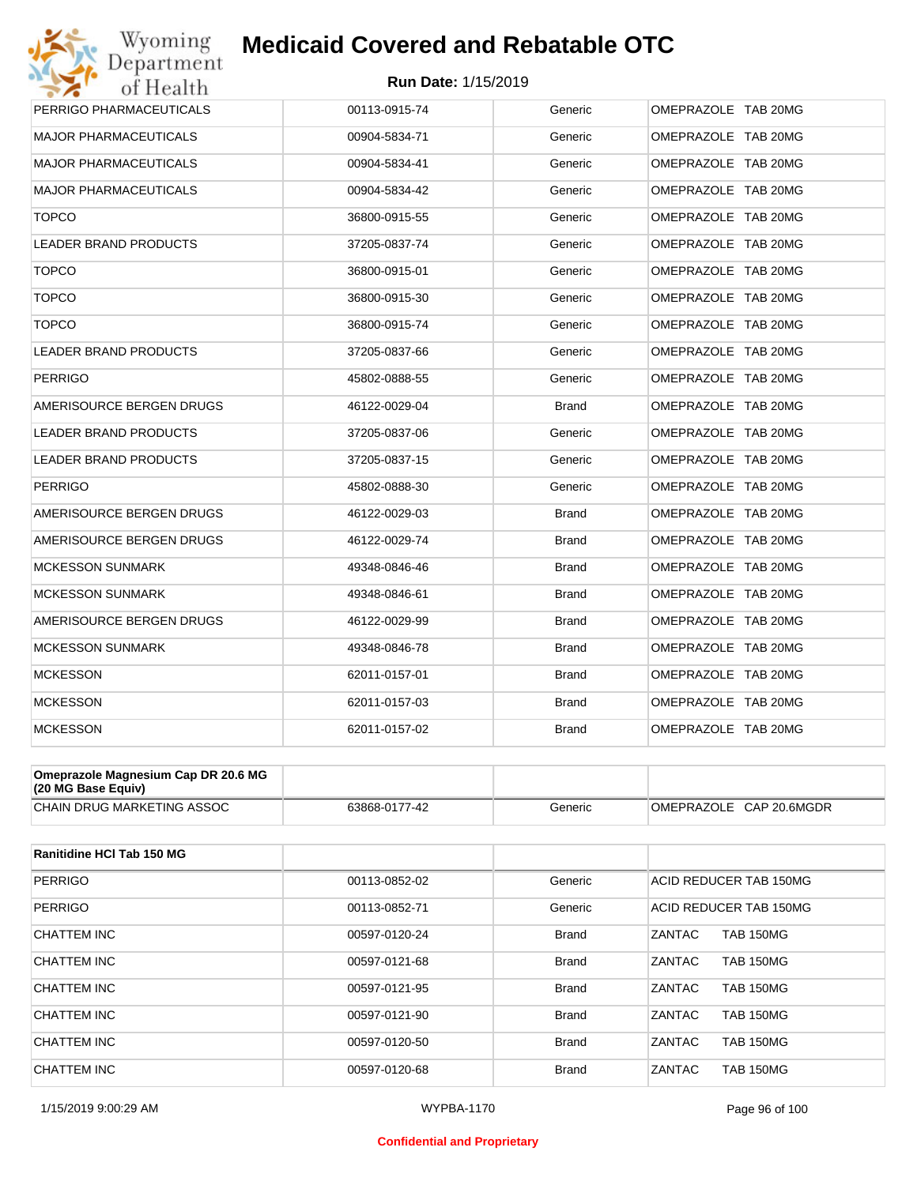#### **Run Date:** 1/15/2019

| Wyoming<br>Department        | <b>Medicaid Covered and Rebatable OTC</b> |              |                     |
|------------------------------|-------------------------------------------|--------------|---------------------|
| of Health                    | <b>Run Date: 1/15/2019</b>                |              |                     |
| PERRIGO PHARMACEUTICALS      | 00113-0915-74                             | Generic      | OMEPRAZOLE TAB 20MG |
| <b>MAJOR PHARMACEUTICALS</b> | 00904-5834-71                             | Generic      | OMEPRAZOLE TAB 20MG |
| <b>MAJOR PHARMACEUTICALS</b> | 00904-5834-41                             | Generic      | OMEPRAZOLE TAB 20MG |
| <b>MAJOR PHARMACEUTICALS</b> | 00904-5834-42                             | Generic      | OMEPRAZOLE TAB 20MG |
| <b>TOPCO</b>                 | 36800-0915-55                             | Generic      | OMEPRAZOLE TAB 20MG |
| LEADER BRAND PRODUCTS        | 37205-0837-74                             | Generic      | OMEPRAZOLE TAB 20MG |
| <b>TOPCO</b>                 | 36800-0915-01                             | Generic      | OMEPRAZOLE TAB 20MG |
| <b>TOPCO</b>                 | 36800-0915-30                             | Generic      | OMEPRAZOLE TAB 20MG |
| <b>TOPCO</b>                 | 36800-0915-74                             | Generic      | OMEPRAZOLE TAB 20MG |
| <b>LEADER BRAND PRODUCTS</b> | 37205-0837-66                             | Generic      | OMEPRAZOLE TAB 20MG |
| <b>PERRIGO</b>               | 45802-0888-55                             | Generic      | OMEPRAZOLE TAB 20MG |
| AMERISOURCE BERGEN DRUGS     | 46122-0029-04                             | <b>Brand</b> | OMEPRAZOLE TAB 20MG |
| <b>LEADER BRAND PRODUCTS</b> | 37205-0837-06                             | Generic      | OMEPRAZOLE TAB 20MG |
| <b>LEADER BRAND PRODUCTS</b> | 37205-0837-15                             | Generic      | OMEPRAZOLE TAB 20MG |
| <b>PERRIGO</b>               | 45802-0888-30                             | Generic      | OMEPRAZOLE TAB 20MG |
| AMERISOURCE BERGEN DRUGS     | 46122-0029-03                             | <b>Brand</b> | OMEPRAZOLE TAB 20MG |
| AMERISOURCE BERGEN DRUGS     | 46122-0029-74                             | <b>Brand</b> | OMEPRAZOLE TAB 20MG |
| <b>MCKESSON SUNMARK</b>      | 49348-0846-46                             | <b>Brand</b> | OMEPRAZOLE TAB 20MG |
| <b>MCKESSON SUNMARK</b>      | 49348-0846-61                             | <b>Brand</b> | OMEPRAZOLE TAB 20MG |
| AMERISOURCE BERGEN DRUGS     | 46122-0029-99                             | <b>Brand</b> | OMEPRAZOLE TAB 20MG |
| <b>MCKESSON SUNMARK</b>      | 49348-0846-78                             | <b>Brand</b> | OMEPRAZOLE TAB 20MG |
| <b>MCKESSON</b>              | 62011-0157-01                             | <b>Brand</b> | OMEPRAZOLE TAB 20MG |
| <b>MCKESSON</b>              | 62011-0157-03                             | <b>Brand</b> | OMEPRAZOLE TAB 20MG |
| <b>MCKESSON</b>              | 62011-0157-02                             | <b>Brand</b> | OMEPRAZOLE TAB 20MG |
|                              |                                           |              |                     |
| <b>DD 00 0 110</b>           |                                           |              |                     |

| Omeprazole Magnesium Cap DR 20.6 MG<br>$(20 \text{ MG Base}$ Equiv) |               |         |                         |
|---------------------------------------------------------------------|---------------|---------|-------------------------|
| <b>CHAIN DRUG MARKETING ASSOC</b>                                   | 63868-0177-42 | Beneric | OMEPRAZOLE CAP 20.6MGDR |

| Ranitidine HCI Tab 150 MG |               |              |                                   |
|---------------------------|---------------|--------------|-----------------------------------|
| <b>PERRIGO</b>            | 00113-0852-02 | Generic      | ACID REDUCER TAB 150MG            |
| <b>PERRIGO</b>            | 00113-0852-71 | Generic      | ACID REDUCER TAB 150MG            |
| CHATTEM INC               | 00597-0120-24 | <b>Brand</b> | <b>TAB 150MG</b><br>ZANTAC        |
| CHATTEM INC               | 00597-0121-68 | <b>Brand</b> | <b>ZANTAC</b><br><b>TAB 150MG</b> |
| CHATTEM INC               | 00597-0121-95 | <b>Brand</b> | ZANTAC<br><b>TAB 150MG</b>        |
| CHATTEM INC               | 00597-0121-90 | <b>Brand</b> | <b>ZANTAC</b><br><b>TAB 150MG</b> |
| CHATTEM INC               | 00597-0120-50 | <b>Brand</b> | ZANTAC<br><b>TAB 150MG</b>        |
| CHATTEM INC               | 00597-0120-68 | <b>Brand</b> | ZANTAC<br><b>TAB 150MG</b>        |

#### **Confidential and Proprietary**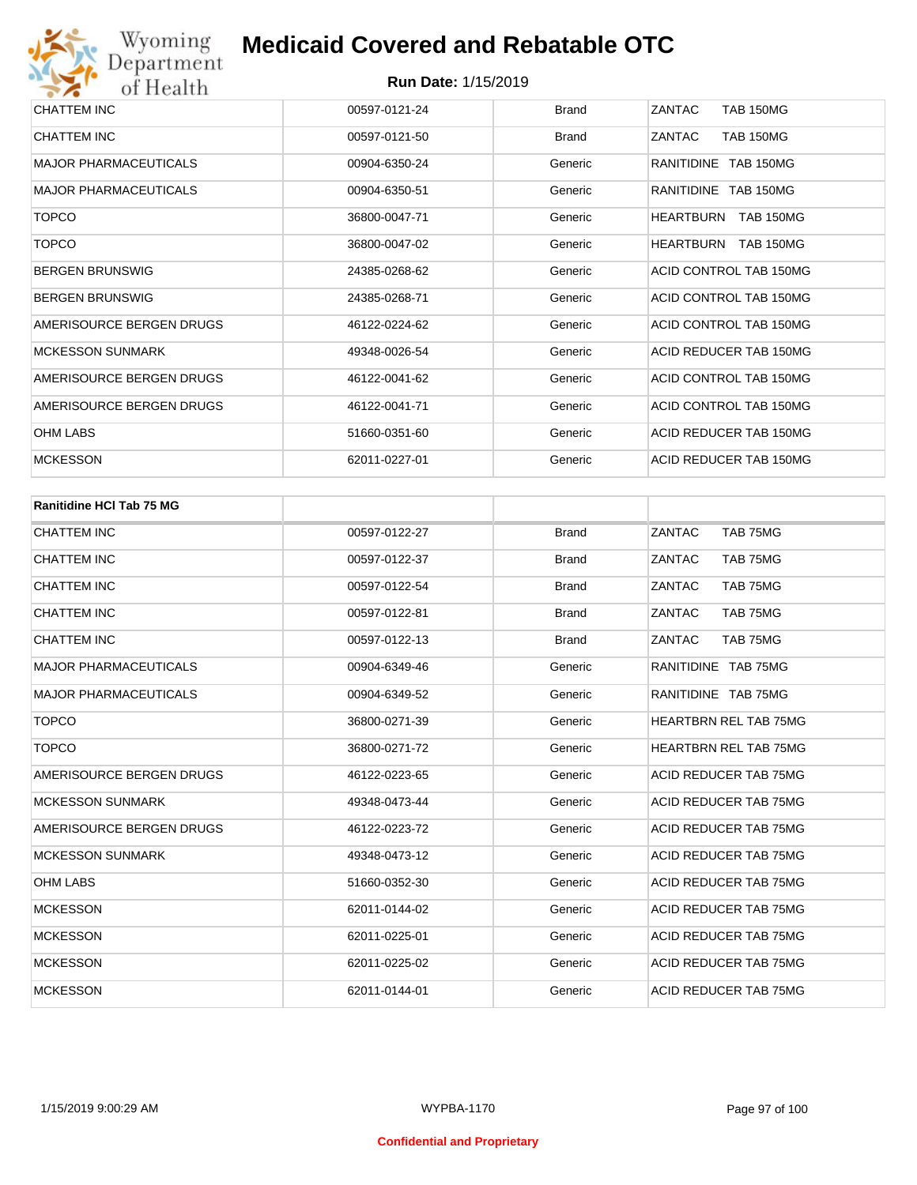| CHATTEM INC                  | 00597-0121-24 | <b>Brand</b> | ZANTAC<br><b>TAB 150MG</b>           |
|------------------------------|---------------|--------------|--------------------------------------|
| CHATTEM INC                  | 00597-0121-50 | <b>Brand</b> | ZANTAC<br><b>TAB 150MG</b>           |
| <b>MAJOR PHARMACEUTICALS</b> | 00904-6350-24 | Generic      | RANITIDINE TAB 150MG                 |
| <b>MAJOR PHARMACEUTICALS</b> | 00904-6350-51 | Generic      | RANITIDINE TAB 150MG                 |
| <b>TOPCO</b>                 | 36800-0047-71 | Generic      | <b>TAB 150MG</b><br><b>HEARTBURN</b> |
| <b>TOPCO</b>                 | 36800-0047-02 | Generic      | TAB 150MG<br><b>HEARTBURN</b>        |
| <b>BERGEN BRUNSWIG</b>       | 24385-0268-62 | Generic      | ACID CONTROL TAB 150MG               |
| <b>BERGEN BRUNSWIG</b>       | 24385-0268-71 | Generic      | ACID CONTROL TAB 150MG               |
| AMERISOURCE BERGEN DRUGS     | 46122-0224-62 | Generic      | ACID CONTROL TAB 150MG               |
| <b>MCKESSON SUNMARK</b>      | 49348-0026-54 | Generic      | ACID REDUCER TAB 150MG               |
| AMERISOURCE BERGEN DRUGS     | 46122-0041-62 | Generic      | ACID CONTROL TAB 150MG               |
| AMERISOURCE BERGEN DRUGS     | 46122-0041-71 | Generic      | ACID CONTROL TAB 150MG               |
| OHM LABS                     | 51660-0351-60 | Generic      | ACID REDUCER TAB 150MG               |
| <b>MCKESSON</b>              | 62011-0227-01 | Generic      | ACID REDUCER TAB 150MG               |

| <b>Ranitidine HCI Tab 75 MG</b> |               |              |                              |
|---------------------------------|---------------|--------------|------------------------------|
| <b>CHATTEM INC</b>              | 00597-0122-27 | <b>Brand</b> | ZANTAC<br>TAB 75MG           |
| <b>CHATTEM INC</b>              | 00597-0122-37 | <b>Brand</b> | ZANTAC<br>TAB 75MG           |
| <b>CHATTEM INC</b>              | 00597-0122-54 | <b>Brand</b> | ZANTAC<br>TAB 75MG           |
| <b>CHATTEM INC</b>              | 00597-0122-81 | <b>Brand</b> | ZANTAC<br>TAB 75MG           |
| <b>CHATTEM INC</b>              | 00597-0122-13 | <b>Brand</b> | ZANTAC<br>TAB 75MG           |
| <b>MAJOR PHARMACEUTICALS</b>    | 00904-6349-46 | Generic      | RANITIDINE TAB 75MG          |
| <b>MAJOR PHARMACEUTICALS</b>    | 00904-6349-52 | Generic      | RANITIDINE TAB 75MG          |
| <b>TOPCO</b>                    | 36800-0271-39 | Generic      | <b>HEARTBRN REL TAB 75MG</b> |
| <b>TOPCO</b>                    | 36800-0271-72 | Generic      | <b>HEARTBRN REL TAB 75MG</b> |
| AMERISOURCE BERGEN DRUGS        | 46122-0223-65 | Generic      | ACID REDUCER TAB 75MG        |
| <b>MCKESSON SUNMARK</b>         | 49348-0473-44 | Generic      | ACID REDUCER TAB 75MG        |
| AMERISOURCE BERGEN DRUGS        | 46122-0223-72 | Generic      | ACID REDUCER TAB 75MG        |
| <b>MCKESSON SUNMARK</b>         | 49348-0473-12 | Generic      | ACID REDUCER TAB 75MG        |
| <b>OHM LABS</b>                 | 51660-0352-30 | Generic      | ACID REDUCER TAB 75MG        |
| <b>MCKESSON</b>                 | 62011-0144-02 | Generic      | ACID REDUCER TAB 75MG        |
| <b>MCKESSON</b>                 | 62011-0225-01 | Generic      | ACID REDUCER TAB 75MG        |
| <b>MCKESSON</b>                 | 62011-0225-02 | Generic      | ACID REDUCER TAB 75MG        |
| <b>MCKESSON</b>                 | 62011-0144-01 | Generic      | <b>ACID REDUCER TAB 75MG</b> |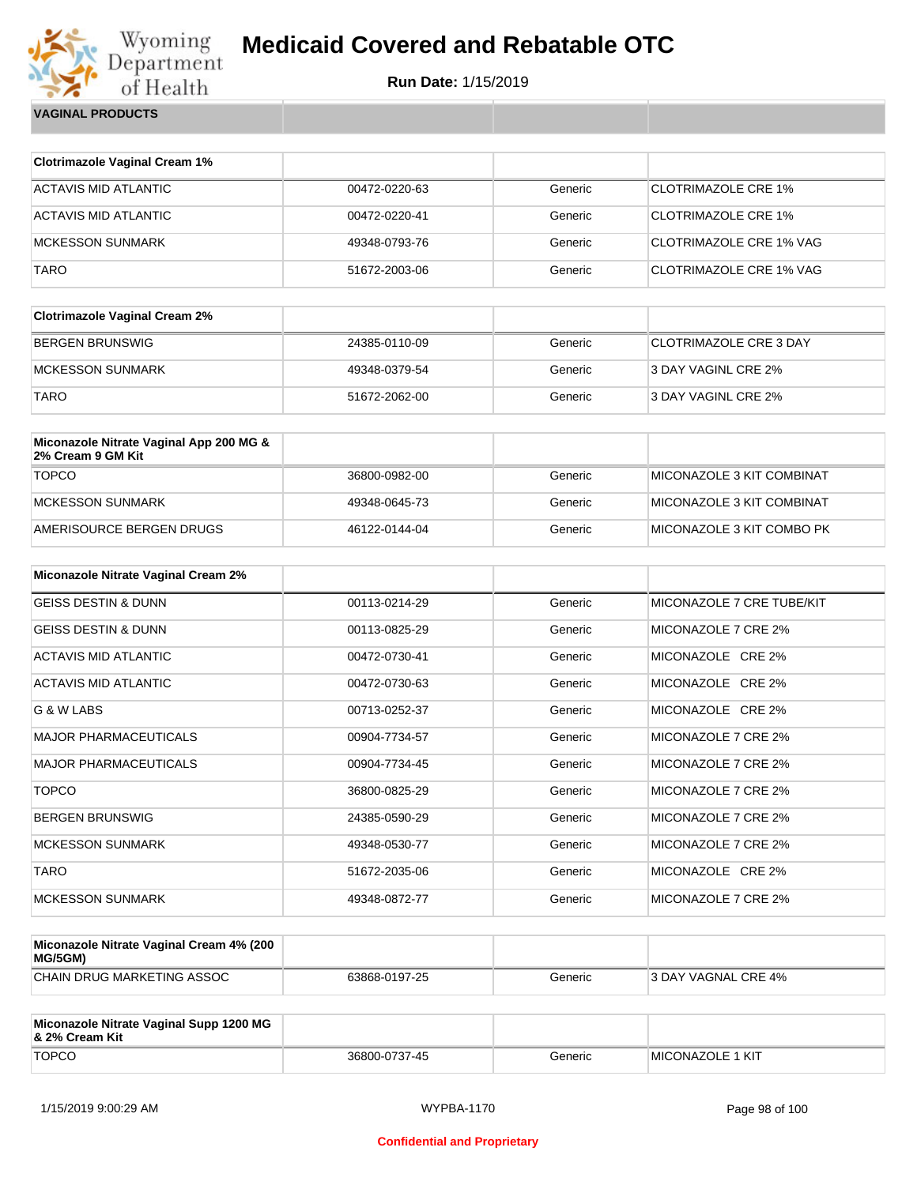

**Run Date:** 1/15/2019

| <b>VAGINAL PRODUCTS</b> |
|-------------------------|
|                         |

| <b>Clotrimazole Vaginal Cream 1%</b>                         |               |         |                               |
|--------------------------------------------------------------|---------------|---------|-------------------------------|
| <b>ACTAVIS MID ATLANTIC</b>                                  | 00472-0220-63 | Generic | <b>CLOTRIMAZOLE CRE 1%</b>    |
| <b>ACTAVIS MID ATLANTIC</b>                                  | 00472-0220-41 | Generic | <b>CLOTRIMAZOLE CRE 1%</b>    |
| <b>MCKESSON SUNMARK</b>                                      | 49348-0793-76 | Generic | CLOTRIMAZOLE CRE 1% VAG       |
| <b>TARO</b>                                                  | 51672-2003-06 | Generic | CLOTRIMAZOLE CRE 1% VAG       |
|                                                              |               |         |                               |
| <b>Clotrimazole Vaginal Cream 2%</b>                         |               |         |                               |
| <b>BERGEN BRUNSWIG</b>                                       | 24385-0110-09 | Generic | <b>CLOTRIMAZOLE CRE 3 DAY</b> |
| <b>MCKESSON SUNMARK</b>                                      | 49348-0379-54 | Generic | 3 DAY VAGINL CRE 2%           |
| <b>TARO</b>                                                  | 51672-2062-00 | Generic | 3 DAY VAGINL CRE 2%           |
|                                                              |               |         |                               |
| Miconazole Nitrate Vaginal App 200 MG &<br>2% Cream 9 GM Kit |               |         |                               |
| <b>TOPCO</b>                                                 | 36800-0982-00 | Generic | MICONAZOLE 3 KIT COMBINAT     |
| <b>MCKESSON SUNMARK</b>                                      | 49348-0645-73 | Generic | MICONAZOLE 3 KIT COMBINAT     |
| AMERISOURCE BERGEN DRUGS                                     | 46122-0144-04 | Generic | MICONAZOLE 3 KIT COMBO PK     |
|                                                              |               |         |                               |
| Miconazole Nitrate Vaginal Cream 2%                          |               |         |                               |
| <b>GEISS DESTIN &amp; DUNN</b>                               | 00113-0214-29 | Generic | MICONAZOLE 7 CRE TUBE/KIT     |
| <b>GEISS DESTIN &amp; DUNN</b>                               | 00113-0825-29 | Generic | MICONAZOLE 7 CRE 2%           |
| <b>ACTAVIS MID ATLANTIC</b>                                  | 00472-0730-41 | Generic | MICONAZOLE CRE 2%             |
| <b>ACTAVIS MID ATLANTIC</b>                                  | 00472-0730-63 | Generic | MICONAZOLE CRE 2%             |
| G & W LABS                                                   | 00713-0252-37 | Generic | MICONAZOLE CRE 2%             |
| <b>MAJOR PHARMACEUTICALS</b>                                 | 00904-7734-57 | Generic | MICONAZOLE 7 CRE 2%           |
| MAJOR PHARMACEUTICALS                                        | 00904-7734-45 | Generic | MICONAZOLE 7 CRE 2%           |
| <b>TOPCO</b>                                                 | 36800-0825-29 | Generic | MICONAZOLE 7 CRE 2%           |
| <b>BERGEN BRUNSWIG</b>                                       | 24385-0590-29 | Generic | MICONAZOLE 7 CRE 2%           |
| <b>MCKESSON SUNMARK</b>                                      | 49348-0530-77 | Generic | MICONAZOLE 7 CRE 2%           |
| <b>TARO</b>                                                  | 51672-2035-06 | Generic | MICONAZOLE CRE 2%             |

| Miconazole Nitrate Vaginal Cream 4% (200<br>MG/5GM) |               |         |                     |
|-----------------------------------------------------|---------------|---------|---------------------|
| CHAIN DRUG MARKETING ASSOC                          | 63868-0197-25 | Generic | 3 DAY VAGNAL CRE 4% |

MCKESSON SUNMARK **A9348-0872-77** Generic MICONAZOLE 7 CRE 2%

| Miconazole Nitrate Vaginal Supp 1200 MG<br>8 2% Cream Kit |               |         |                          |
|-----------------------------------------------------------|---------------|---------|--------------------------|
| <b>TOPCO</b>                                              | 36800-0737-45 | Generic | <b>IMICONAZOLE 1 KIT</b> |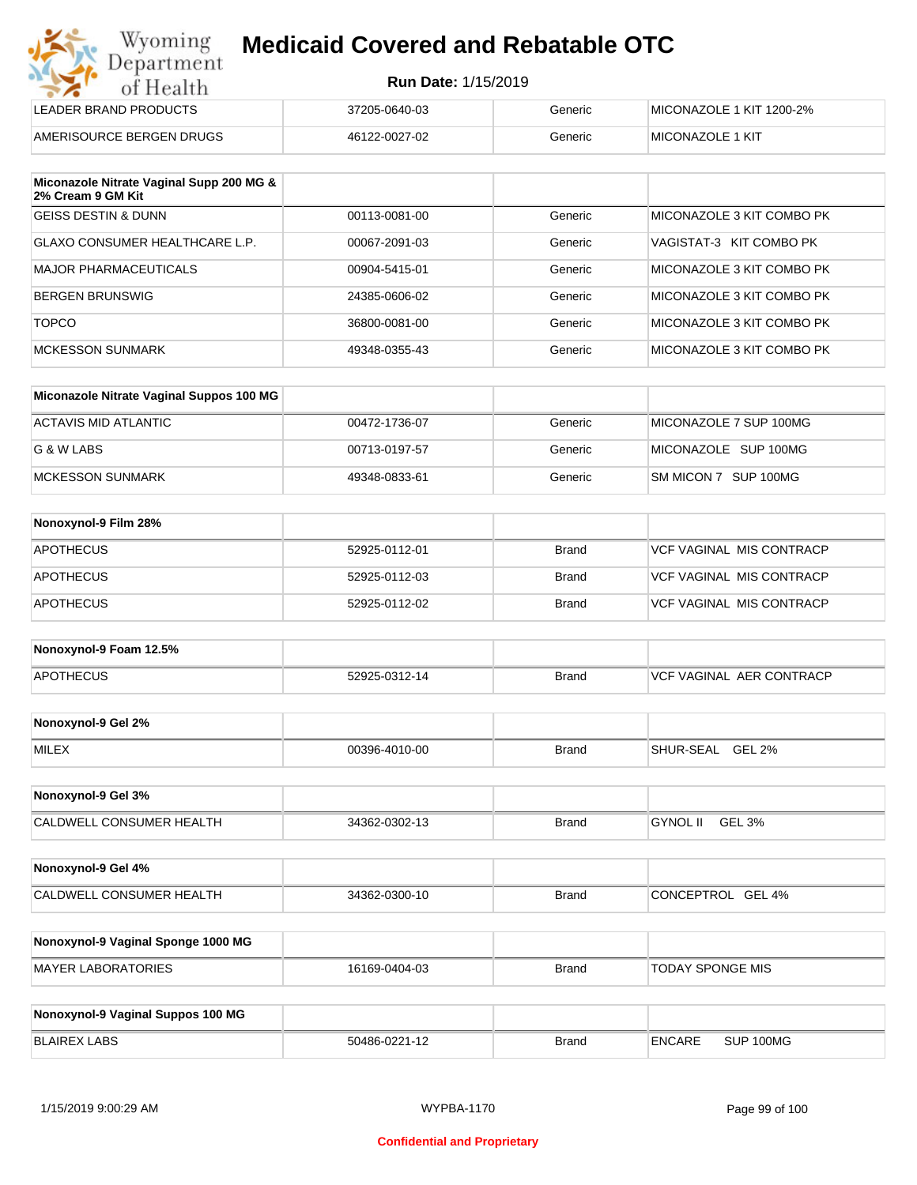| Wyoming    |
|------------|
| Department |
| of Health  |

| LEADER BRAND PRODUCTS    | 37205-0640-03 | Generic | MICONAZOLE 1 KIT 1200-2% |
|--------------------------|---------------|---------|--------------------------|
| AMERISOURCE BERGEN DRUGS | 46122-0027-02 | Generic | <b>IMICONAZOLE 1 KIT</b> |

| Miconazole Nitrate Vaginal Supp 200 MG &<br>2% Cream 9 GM Kit |               |         |                           |
|---------------------------------------------------------------|---------------|---------|---------------------------|
| <b>GEISS DESTIN &amp; DUNN</b>                                | 00113-0081-00 | Generic | MICONAZOLE 3 KIT COMBO PK |
| GLAXO CONSUMER HEALTHCARE L.P.                                | 00067-2091-03 | Generic | VAGISTAT-3 KIT COMBO PK   |
| MAJOR PHARMACEUTICALS                                         | 00904-5415-01 | Generic | MICONAZOLE 3 KIT COMBO PK |
| BERGEN BRUNSWIG                                               | 24385-0606-02 | Generic | MICONAZOLE 3 KIT COMBO PK |
| <b>TOPCO</b>                                                  | 36800-0081-00 | Generic | MICONAZOLE 3 KIT COMBO PK |
| <b>MCKESSON SUNMARK</b>                                       | 49348-0355-43 | Generic | MICONAZOLE 3 KIT COMBO PK |

| Miconazole Nitrate Vaginal Suppos 100 MG |               |         |                        |
|------------------------------------------|---------------|---------|------------------------|
| ACTAVIS MID ATLANTIC                     | 00472-1736-07 | Generic | MICONAZOLE 7 SUP 100MG |
| G & W LABS                               | 00713-0197-57 | Generic | MICONAZOLE SUP 100MG   |
| MCKESSON SUNMARK                         | 49348-0833-61 | Generic | SM MICON 7 SUP 100MG   |

| Nonoxynol-9 Film 28% |               |              |                          |
|----------------------|---------------|--------------|--------------------------|
| <b>APOTHECUS</b>     | 52925-0112-01 | <b>Brand</b> | VCF VAGINAL MIS CONTRACP |
| <b>APOTHECUS</b>     | 52925-0112-03 | <b>Brand</b> | VCF VAGINAL MIS CONTRACP |
| <b>APOTHECUS</b>     | 52925-0112-02 | <b>Brand</b> | VCF VAGINAL MIS CONTRACP |

| Nonoxynol-9 Foam 12.5% |               |              |                                  |
|------------------------|---------------|--------------|----------------------------------|
| <b>APOTHECUS</b>       | 52925-0312-14 | <b>Brand</b> | <b>IVCF VAGINAL AER CONTRACP</b> |

| Nonoxynol-9 Gel 2% |               |       |                            |
|--------------------|---------------|-------|----------------------------|
| <b>MILEX</b>       | 00396-4010-00 | Brand | <b>GEL 2%</b><br>SHUR-SEAL |

| Nonoxynol-9 Gel 3%              |               |       |          |        |
|---------------------------------|---------------|-------|----------|--------|
| <b>CALDWELL CONSUMER HEALTH</b> | 34362-0302-13 | Brand | GYNOL II | GEL 3% |

| Nonoxynol-9 Gel 4%       |               |              |                   |
|--------------------------|---------------|--------------|-------------------|
| CALDWELL CONSUMER HEALTH | 34362-0300-10 | <b>Brand</b> | CONCEPTROL GEL 4% |

| Nonoxynol-9 Vaginal Sponge 1000 MG |               |       |                  |
|------------------------------------|---------------|-------|------------------|
| MAYER LABORATORIES                 | 16169-0404-03 | Brand | TODAY SPONGE MIS |

| Nonoxynol-9 Vaginal Suppos 100 MG |               |              |        |           |
|-----------------------------------|---------------|--------------|--------|-----------|
| BLAIREX LABS                      | 50486-0221-12 | <b>Brand</b> | ENCARE | SUP 100MG |